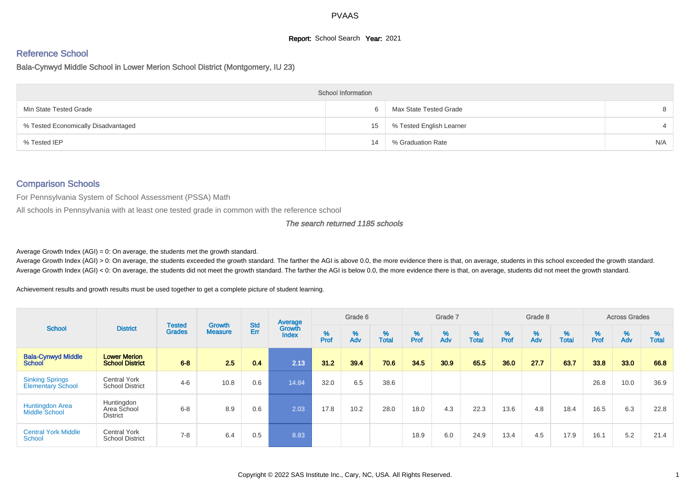## **Report:** School Search **Year:** 2021

# Reference School

#### Bala-Cynwyd Middle School in Lower Merion School District (Montgomery, IU 23)

|                                     | <b>School Information</b> |                          |     |
|-------------------------------------|---------------------------|--------------------------|-----|
| Min State Tested Grade              |                           | Max State Tested Grade   | 8   |
| % Tested Economically Disadvantaged | 15                        | % Tested English Learner |     |
| % Tested IEP                        | 14                        | % Graduation Rate        | N/A |

## Comparison Schools

For Pennsylvania System of School Assessment (PSSA) Math

All schools in Pennsylvania with at least one tested grade in common with the reference school

#### The search returned 1185 schools

Average Growth Index  $(AGI) = 0$ : On average, the students met the growth standard.

Average Growth Index (AGI) > 0: On average, the students exceeded the growth standard. The farther the AGI is above 0.0, the more evidence there is that, on average, students in this school exceeded the growth standard. Average Growth Index (AGI) < 0: On average, the students did not meet the growth standard. The farther the AGI is below 0.0, the more evidence there is that, on average, students did not meet the growth standard.

Achievement results and growth results must be used together to get a complete picture of student learning.

|                                                    |                                               |                                | <b>Growth</b>  | <b>Std</b> | Average                |           | Grade 6  |                   |                  | Grade 7  |                   |           | Grade 8  |                   |           | <b>Across Grades</b> |                   |
|----------------------------------------------------|-----------------------------------------------|--------------------------------|----------------|------------|------------------------|-----------|----------|-------------------|------------------|----------|-------------------|-----------|----------|-------------------|-----------|----------------------|-------------------|
| <b>School</b>                                      | <b>District</b>                               | <b>Tested</b><br><b>Grades</b> | <b>Measure</b> | Err        | Growth<br><b>Index</b> | %<br>Prof | %<br>Adv | %<br><b>Total</b> | %<br><b>Prof</b> | %<br>Adv | %<br><b>Total</b> | %<br>Prof | %<br>Adv | %<br><b>Total</b> | %<br>Prof | %<br>Adv             | %<br><b>Total</b> |
| <b>Bala-Cynwyd Middle</b><br>School                | <b>Lower Merion</b><br><b>School District</b> | $6 - 8$                        | 2.5            | 0.4        | 2.13                   | 31.2      | 39.4     | 70.6              | 34.5             | 30.9     | 65.5              | 36.0      | 27.7     | 637               | 33.8      | 33.0                 | 66.8              |
| <b>Sinking Springs</b><br><b>Elementary School</b> | <b>Central York</b><br><b>School District</b> | $4 - 6$                        | 10.8           | 0.6        | 14.84                  | 32.0      | 6.5      | 38.6              |                  |          |                   |           |          |                   | 26.8      | 10.0                 | 36.9              |
| <b>Huntingdon Area</b><br><b>Middle School</b>     | Huntingdon<br>Area School<br><b>District</b>  | $6 - 8$                        | 8.9            | 0.6        | 2.03                   | 17.8      | 10.2     | 28.0              | 18.0             | 4.3      | 22.3              | 13.6      | 4.8      | 18.4              | 16.5      | 6.3                  | 22.8              |
| <b>Central York Middle</b><br>School               | <b>Central York</b><br><b>School District</b> | $7 - 8$                        | 6.4            | 0.5        | 8.83                   |           |          |                   | 18.9             | 6.0      | 24.9              | 13.4      | 4.5      | 17.9              | 16.1      | 5.2                  | 21.4              |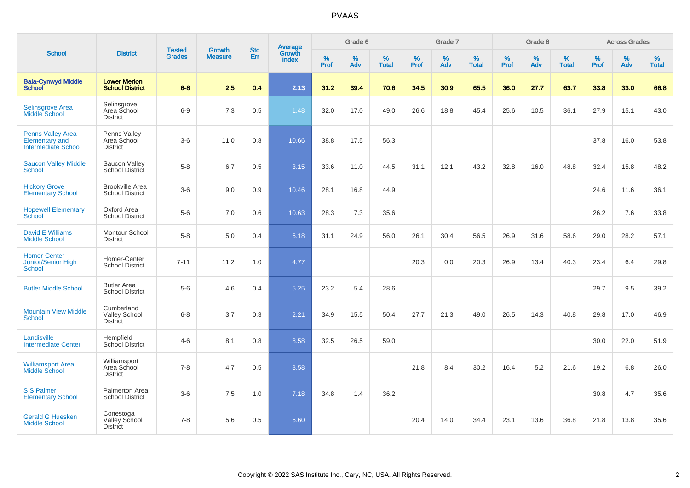|                                                                                 |                                                       |                                | <b>Growth</b>  | <b>Std</b> |                                          |                  | Grade 6  |                   |           | Grade 7  |                   |           | Grade 8     |                   |           | <b>Across Grades</b> |                   |
|---------------------------------------------------------------------------------|-------------------------------------------------------|--------------------------------|----------------|------------|------------------------------------------|------------------|----------|-------------------|-----------|----------|-------------------|-----------|-------------|-------------------|-----------|----------------------|-------------------|
| <b>School</b>                                                                   | <b>District</b>                                       | <b>Tested</b><br><b>Grades</b> | <b>Measure</b> | Err        | <b>Average</b><br>Growth<br><b>Index</b> | %<br><b>Prof</b> | %<br>Adv | %<br><b>Total</b> | %<br>Prof | %<br>Adv | %<br><b>Total</b> | %<br>Prof | $\%$<br>Adv | %<br><b>Total</b> | %<br>Prof | $\%$<br>Adv          | %<br><b>Total</b> |
| <b>Bala-Cynwyd Middle</b><br><b>School</b>                                      | <b>Lower Merion</b><br><b>School District</b>         | $6 - 8$                        | 2.5            | 0.4        | 2.13                                     | 31.2             | 39.4     | 70.6              | 34.5      | 30.9     | 65.5              | 36.0      | 27.7        | 63.7              | 33.8      | 33.0                 | 66.8              |
| <b>Selinsgrove Area</b><br><b>Middle School</b>                                 | Selinsgrove<br>Area School<br><b>District</b>         | $6-9$                          | 7.3            | 0.5        | 1.48                                     | 32.0             | 17.0     | 49.0              | 26.6      | 18.8     | 45.4              | 25.6      | 10.5        | 36.1              | 27.9      | 15.1                 | 43.0              |
| <b>Penns Valley Area</b><br><b>Elementary and</b><br><b>Intermediate School</b> | Penns Valley<br>Area School<br><b>District</b>        | $3-6$                          | 11.0           | 0.8        | 10.66                                    | 38.8             | 17.5     | 56.3              |           |          |                   |           |             |                   | 37.8      | 16.0                 | 53.8              |
| <b>Saucon Valley Middle</b><br>School                                           | Saucon Valley<br>School District                      | $5-8$                          | 6.7            | 0.5        | 3.15                                     | 33.6             | 11.0     | 44.5              | 31.1      | 12.1     | 43.2              | 32.8      | 16.0        | 48.8              | 32.4      | 15.8                 | 48.2              |
| <b>Hickory Grove</b><br><b>Elementary School</b>                                | <b>Brookville Area</b><br><b>School District</b>      | $3-6$                          | 9.0            | 0.9        | 10.46                                    | 28.1             | 16.8     | 44.9              |           |          |                   |           |             |                   | 24.6      | 11.6                 | 36.1              |
| <b>Hopewell Elementary</b><br>School                                            | Oxford Area<br><b>School District</b>                 | $5-6$                          | 7.0            | 0.6        | 10.63                                    | 28.3             | 7.3      | 35.6              |           |          |                   |           |             |                   | 26.2      | 7.6                  | 33.8              |
| <b>David E Williams</b><br><b>Middle School</b>                                 | Montour School<br><b>District</b>                     | $5-8$                          | 5.0            | 0.4        | 6.18                                     | 31.1             | 24.9     | 56.0              | 26.1      | 30.4     | 56.5              | 26.9      | 31.6        | 58.6              | 29.0      | 28.2                 | 57.1              |
| <b>Homer-Center</b><br><b>Junior/Senior High</b><br><b>School</b>               | Homer-Center<br><b>School District</b>                | $7 - 11$                       | 11.2           | 1.0        | 4.77                                     |                  |          |                   | 20.3      | 0.0      | 20.3              | 26.9      | 13.4        | 40.3              | 23.4      | 6.4                  | 29.8              |
| <b>Butler Middle School</b>                                                     | <b>Butler Area</b><br><b>School District</b>          | $5-6$                          | 4.6            | 0.4        | 5.25                                     | 23.2             | 5.4      | 28.6              |           |          |                   |           |             |                   | 29.7      | 9.5                  | 39.2              |
| <b>Mountain View Middle</b><br>School                                           | Cumberland<br><b>Valley School</b><br><b>District</b> | $6 - 8$                        | 3.7            | 0.3        | 2.21                                     | 34.9             | 15.5     | 50.4              | 27.7      | 21.3     | 49.0              | 26.5      | 14.3        | 40.8              | 29.8      | 17.0                 | 46.9              |
| Landisville<br><b>Intermediate Center</b>                                       | Hempfield<br>School District                          | $4 - 6$                        | 8.1            | 0.8        | 8.58                                     | 32.5             | 26.5     | 59.0              |           |          |                   |           |             |                   | 30.0      | 22.0                 | 51.9              |
| <b>Williamsport Area</b><br><b>Middle School</b>                                | Williamsport<br>Area School<br><b>District</b>        | $7 - 8$                        | 4.7            | 0.5        | 3.58                                     |                  |          |                   | 21.8      | 8.4      | 30.2              | 16.4      | 5.2         | 21.6              | 19.2      | 6.8                  | 26.0              |
| S S Palmer<br><b>Elementary School</b>                                          | Palmerton Area<br><b>School District</b>              | $3-6$                          | 7.5            | 1.0        | 7.18                                     | 34.8             | 1.4      | 36.2              |           |          |                   |           |             |                   | 30.8      | 4.7                  | 35.6              |
| <b>Gerald G Huesken</b><br><b>Middle School</b>                                 | Conestoga<br>Valley School<br><b>District</b>         | $7 - 8$                        | 5.6            | 0.5        | 6.60                                     |                  |          |                   | 20.4      | 14.0     | 34.4              | 23.1      | 13.6        | 36.8              | 21.8      | 13.8                 | 35.6              |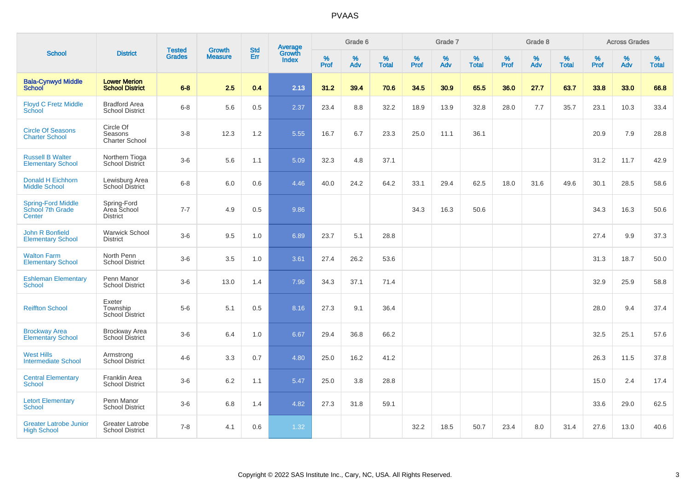|                                                         |                                                |                                |                                 | <b>Std</b> |                                          |           | Grade 6  |                   |           | Grade 7  |                   |           | Grade 8  |                   |              | <b>Across Grades</b> |                   |
|---------------------------------------------------------|------------------------------------------------|--------------------------------|---------------------------------|------------|------------------------------------------|-----------|----------|-------------------|-----------|----------|-------------------|-----------|----------|-------------------|--------------|----------------------|-------------------|
| <b>School</b>                                           | <b>District</b>                                | <b>Tested</b><br><b>Grades</b> | <b>Growth</b><br><b>Measure</b> | Err        | <b>Average</b><br>Growth<br><b>Index</b> | %<br>Prof | %<br>Adv | %<br><b>Total</b> | %<br>Prof | %<br>Adv | %<br><b>Total</b> | %<br>Prof | %<br>Adv | %<br><b>Total</b> | $\%$<br>Prof | %<br>Adv             | %<br><b>Total</b> |
| <b>Bala-Cynwyd Middle</b><br><b>School</b>              | <b>Lower Merion</b><br><b>School District</b>  | $6 - 8$                        | 2.5                             | 0.4        | 2.13                                     | 31.2      | 39.4     | 70.6              | 34.5      | 30.9     | 65.5              | 36.0      | 27.7     | 63.7              | 33.8         | 33.0                 | 66.8              |
| <b>Floyd C Fretz Middle</b><br>School                   | <b>Bradford Area</b><br><b>School District</b> | $6 - 8$                        | 5.6                             | 0.5        | 2.37                                     | 23.4      | 8.8      | 32.2              | 18.9      | 13.9     | 32.8              | 28.0      | 7.7      | 35.7              | 23.1         | 10.3                 | 33.4              |
| <b>Circle Of Seasons</b><br><b>Charter School</b>       | Circle Of<br>Seasons<br><b>Charter School</b>  | $3-8$                          | 12.3                            | 1.2        | 5.55                                     | 16.7      | 6.7      | 23.3              | 25.0      | 11.1     | 36.1              |           |          |                   | 20.9         | 7.9                  | 28.8              |
| <b>Russell B Walter</b><br><b>Elementary School</b>     | Northern Tioga<br>School District              | $3-6$                          | 5.6                             | 1.1        | 5.09                                     | 32.3      | 4.8      | 37.1              |           |          |                   |           |          |                   | 31.2         | 11.7                 | 42.9              |
| <b>Donald H Eichhorn</b><br><b>Middle School</b>        | Lewisburg Area<br>School District              | $6 - 8$                        | 6.0                             | 0.6        | 4.46                                     | 40.0      | 24.2     | 64.2              | 33.1      | 29.4     | 62.5              | 18.0      | 31.6     | 49.6              | 30.1         | 28.5                 | 58.6              |
| <b>Spring-Ford Middle</b><br>School 7th Grade<br>Center | Spring-Ford<br>Area School<br><b>District</b>  | $7 - 7$                        | 4.9                             | 0.5        | 9.86                                     |           |          |                   | 34.3      | 16.3     | 50.6              |           |          |                   | 34.3         | 16.3                 | 50.6              |
| John R Bonfield<br><b>Elementary School</b>             | <b>Warwick School</b><br><b>District</b>       | $3-6$                          | 9.5                             | 1.0        | 6.89                                     | 23.7      | 5.1      | 28.8              |           |          |                   |           |          |                   | 27.4         | 9.9                  | 37.3              |
| <b>Walton Farm</b><br><b>Elementary School</b>          | North Penn<br><b>School District</b>           | $3-6$                          | 3.5                             | 1.0        | 3.61                                     | 27.4      | 26.2     | 53.6              |           |          |                   |           |          |                   | 31.3         | 18.7                 | 50.0              |
| <b>Eshleman Elementary</b><br><b>School</b>             | Penn Manor<br><b>School District</b>           | $3-6$                          | 13.0                            | 1.4        | 7.96                                     | 34.3      | 37.1     | 71.4              |           |          |                   |           |          |                   | 32.9         | 25.9                 | 58.8              |
| <b>Reiffton School</b>                                  | Exeter<br>Township<br><b>School District</b>   | $5-6$                          | 5.1                             | 0.5        | 8.16                                     | 27.3      | 9.1      | 36.4              |           |          |                   |           |          |                   | 28.0         | 9.4                  | 37.4              |
| <b>Brockway Area</b><br><b>Elementary School</b>        | <b>Brockway Area</b><br><b>School District</b> | $3-6$                          | 6.4                             | 1.0        | 6.67                                     | 29.4      | 36.8     | 66.2              |           |          |                   |           |          |                   | 32.5         | 25.1                 | 57.6              |
| <b>West Hills</b><br><b>Intermediate School</b>         | Armstrong<br><b>School District</b>            | $4 - 6$                        | 3.3                             | 0.7        | 4.80                                     | 25.0      | 16.2     | 41.2              |           |          |                   |           |          |                   | 26.3         | 11.5                 | 37.8              |
| <b>Central Elementary</b><br>School                     | Franklin Area<br><b>School District</b>        | $3-6$                          | 6.2                             | 1.1        | 5.47                                     | 25.0      | 3.8      | 28.8              |           |          |                   |           |          |                   | 15.0         | 2.4                  | 17.4              |
| <b>Letort Elementary</b><br>School                      | Penn Manor<br><b>School District</b>           | $3-6$                          | 6.8                             | 1.4        | 4.82                                     | 27.3      | 31.8     | 59.1              |           |          |                   |           |          |                   | 33.6         | 29.0                 | 62.5              |
| <b>Greater Latrobe Junior</b><br><b>High School</b>     | Greater Latrobe<br><b>School District</b>      | $7 - 8$                        | 4.1                             | 0.6        | 1.32                                     |           |          |                   | 32.2      | 18.5     | 50.7              | 23.4      | 8.0      | 31.4              | 27.6         | 13.0                 | 40.6              |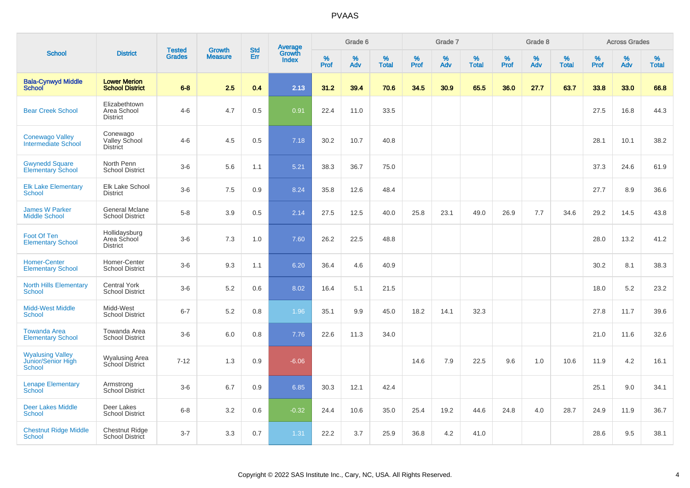|                                                         |                                                 |                                | <b>Growth</b>  | <b>Std</b> |                                          |                  | Grade 6     |                   |              | Grade 7     |                   |           | Grade 8  |                   |           | <b>Across Grades</b> |                   |
|---------------------------------------------------------|-------------------------------------------------|--------------------------------|----------------|------------|------------------------------------------|------------------|-------------|-------------------|--------------|-------------|-------------------|-----------|----------|-------------------|-----------|----------------------|-------------------|
| <b>School</b>                                           | <b>District</b>                                 | <b>Tested</b><br><b>Grades</b> | <b>Measure</b> | Err        | <b>Average</b><br>Growth<br><b>Index</b> | %<br><b>Prof</b> | $\%$<br>Adv | %<br><b>Total</b> | $\%$<br>Prof | $\%$<br>Adv | %<br><b>Total</b> | %<br>Prof | %<br>Adv | %<br><b>Total</b> | %<br>Prof | $\%$<br>Adv          | %<br><b>Total</b> |
| <b>Bala-Cynwyd Middle</b><br><b>School</b>              | <b>Lower Merion</b><br><b>School District</b>   | $6 - 8$                        | 2.5            | 0.4        | 2.13                                     | 31.2             | 39.4        | 70.6              | 34.5         | 30.9        | 65.5              | 36.0      | 27.7     | 63.7              | 33.8      | 33.0                 | 66.8              |
| <b>Bear Creek School</b>                                | Elizabethtown<br>Area School<br><b>District</b> | $4 - 6$                        | 4.7            | 0.5        | 0.91                                     | 22.4             | 11.0        | 33.5              |              |             |                   |           |          |                   | 27.5      | 16.8                 | 44.3              |
| <b>Conewago Valley</b><br>Intermediate School           | Conewago<br>Valley School<br><b>District</b>    | $4-6$                          | 4.5            | 0.5        | 7.18                                     | 30.2             | 10.7        | 40.8              |              |             |                   |           |          |                   | 28.1      | 10.1                 | 38.2              |
| <b>Gwynedd Square</b><br><b>Elementary School</b>       | North Penn<br><b>School District</b>            | $3-6$                          | 5.6            | 1.1        | 5.21                                     | 38.3             | 36.7        | 75.0              |              |             |                   |           |          |                   | 37.3      | 24.6                 | 61.9              |
| <b>Elk Lake Elementary</b><br><b>School</b>             | Elk Lake School<br><b>District</b>              | $3-6$                          | 7.5            | 0.9        | 8.24                                     | 35.8             | 12.6        | 48.4              |              |             |                   |           |          |                   | 27.7      | 8.9                  | 36.6              |
| <b>James W Parker</b><br><b>Middle School</b>           | <b>General Mclane</b><br><b>School District</b> | $5-8$                          | 3.9            | 0.5        | 2.14                                     | 27.5             | 12.5        | 40.0              | 25.8         | 23.1        | 49.0              | 26.9      | 7.7      | 34.6              | 29.2      | 14.5                 | 43.8              |
| Foot Of Ten<br><b>Elementary School</b>                 | Hollidaysburg<br>Area School<br><b>District</b> | $3-6$                          | 7.3            | 1.0        | 7.60                                     | 26.2             | 22.5        | 48.8              |              |             |                   |           |          |                   | 28.0      | 13.2                 | 41.2              |
| <b>Homer-Center</b><br><b>Elementary School</b>         | Homer-Center<br><b>School District</b>          | $3-6$                          | 9.3            | 1.1        | 6.20                                     | 36.4             | 4.6         | 40.9              |              |             |                   |           |          |                   | 30.2      | 8.1                  | 38.3              |
| <b>North Hills Elementary</b><br><b>School</b>          | <b>Central York</b><br><b>School District</b>   | $3-6$                          | 5.2            | 0.6        | 8.02                                     | 16.4             | 5.1         | 21.5              |              |             |                   |           |          |                   | 18.0      | 5.2                  | 23.2              |
| <b>Midd-West Middle</b><br><b>School</b>                | Midd-West<br><b>School District</b>             | $6 - 7$                        | 5.2            | 0.8        | 1.96                                     | 35.1             | 9.9         | 45.0              | 18.2         | 14.1        | 32.3              |           |          |                   | 27.8      | 11.7                 | 39.6              |
| <b>Towanda Area</b><br><b>Elementary School</b>         | Towanda Area<br><b>School District</b>          | $3-6$                          | 6.0            | 0.8        | 7.76                                     | 22.6             | 11.3        | 34.0              |              |             |                   |           |          |                   | 21.0      | 11.6                 | 32.6              |
| <b>Wyalusing Valley</b><br>Junior/Senior High<br>School | Wyalusing Area<br>School District               | $7 - 12$                       | 1.3            | 0.9        | $-6.06$                                  |                  |             |                   | 14.6         | 7.9         | 22.5              | 9.6       | 1.0      | 10.6              | 11.9      | 4.2                  | 16.1              |
| <b>Lenape Elementary</b><br><b>School</b>               | Armstrong<br>School District                    | $3-6$                          | 6.7            | 0.9        | 6.85                                     | 30.3             | 12.1        | 42.4              |              |             |                   |           |          |                   | 25.1      | 9.0                  | 34.1              |
| <b>Deer Lakes Middle</b><br>School                      | Deer Lakes<br><b>School District</b>            | $6 - 8$                        | 3.2            | 0.6        | $-0.32$                                  | 24.4             | 10.6        | 35.0              | 25.4         | 19.2        | 44.6              | 24.8      | 4.0      | 28.7              | 24.9      | 11.9                 | 36.7              |
| <b>Chestnut Ridge Middle</b><br><b>School</b>           | <b>Chestnut Ridge</b><br>School District        | $3 - 7$                        | 3.3            | 0.7        | 1.31                                     | 22.2             | 3.7         | 25.9              | 36.8         | 4.2         | 41.0              |           |          |                   | 28.6      | 9.5                  | 38.1              |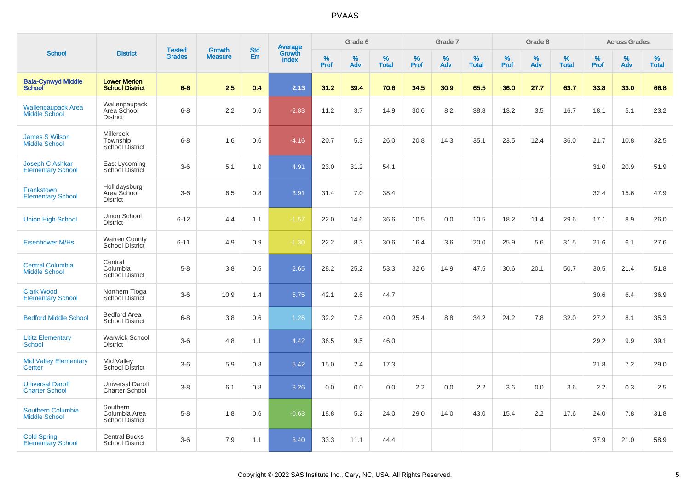|                                                  |                                                        |                                |                                 | <b>Std</b> |                                          |                  | Grade 6  |                   |           | Grade 7  |                   |           | Grade 8  |                   |           | <b>Across Grades</b> |                   |
|--------------------------------------------------|--------------------------------------------------------|--------------------------------|---------------------------------|------------|------------------------------------------|------------------|----------|-------------------|-----------|----------|-------------------|-----------|----------|-------------------|-----------|----------------------|-------------------|
| <b>School</b>                                    | <b>District</b>                                        | <b>Tested</b><br><b>Grades</b> | <b>Growth</b><br><b>Measure</b> | Err        | <b>Average</b><br>Growth<br><b>Index</b> | %<br><b>Prof</b> | %<br>Adv | %<br><b>Total</b> | %<br>Prof | %<br>Adv | %<br><b>Total</b> | %<br>Prof | %<br>Adv | %<br><b>Total</b> | %<br>Prof | %<br>Adv             | %<br><b>Total</b> |
| <b>Bala-Cynwyd Middle</b><br><b>School</b>       | <b>Lower Merion</b><br><b>School District</b>          | $6 - 8$                        | 2.5                             | 0.4        | 2.13                                     | 31.2             | 39.4     | 70.6              | 34.5      | 30.9     | 65.5              | 36.0      | 27.7     | 63.7              | 33.8      | 33.0                 | 66.8              |
| <b>Wallenpaupack Area</b><br>Middle School       | Wallenpaupack<br>Area School<br><b>District</b>        | $6 - 8$                        | 2.2                             | 0.6        | $-2.83$                                  | 11.2             | 3.7      | 14.9              | 30.6      | 8.2      | 38.8              | 13.2      | 3.5      | 16.7              | 18.1      | 5.1                  | 23.2              |
| <b>James S Wilson</b><br><b>Middle School</b>    | <b>Millcreek</b><br>Township<br><b>School District</b> | $6 - 8$                        | 1.6                             | 0.6        | $-4.16$                                  | 20.7             | 5.3      | 26.0              | 20.8      | 14.3     | 35.1              | 23.5      | 12.4     | 36.0              | 21.7      | 10.8                 | 32.5              |
| Joseph C Ashkar<br><b>Elementary School</b>      | East Lycoming<br>School District                       | $3-6$                          | 5.1                             | 1.0        | 4.91                                     | 23.0             | 31.2     | 54.1              |           |          |                   |           |          |                   | 31.0      | 20.9                 | 51.9              |
| Frankstown<br><b>Elementary School</b>           | Hollidaysburg<br>Area School<br><b>District</b>        | $3-6$                          | 6.5                             | 0.8        | 3.91                                     | 31.4             | 7.0      | 38.4              |           |          |                   |           |          |                   | 32.4      | 15.6                 | 47.9              |
| <b>Union High School</b>                         | <b>Union School</b><br><b>District</b>                 | $6 - 12$                       | 4.4                             | 1.1        | $-1.57$                                  | 22.0             | 14.6     | 36.6              | 10.5      | 0.0      | 10.5              | 18.2      | 11.4     | 29.6              | 17.1      | 8.9                  | 26.0              |
| <b>Eisenhower M/Hs</b>                           | <b>Warren County</b><br>School District                | $6 - 11$                       | 4.9                             | 0.9        | $-1.30$                                  | 22.2             | 8.3      | 30.6              | 16.4      | 3.6      | 20.0              | 25.9      | 5.6      | 31.5              | 21.6      | 6.1                  | 27.6              |
| <b>Central Columbia</b><br><b>Middle School</b>  | Central<br>Columbia<br><b>School District</b>          | $5-8$                          | 3.8                             | 0.5        | 2.65                                     | 28.2             | 25.2     | 53.3              | 32.6      | 14.9     | 47.5              | 30.6      | 20.1     | 50.7              | 30.5      | 21.4                 | 51.8              |
| <b>Clark Wood</b><br><b>Elementary School</b>    | Northern Tioga<br>School District                      | $3-6$                          | 10.9                            | 1.4        | 5.75                                     | 42.1             | 2.6      | 44.7              |           |          |                   |           |          |                   | 30.6      | 6.4                  | 36.9              |
| <b>Bedford Middle School</b>                     | <b>Bedford Area</b><br><b>School District</b>          | $6 - 8$                        | 3.8                             | 0.6        | 1.26                                     | 32.2             | 7.8      | 40.0              | 25.4      | 8.8      | 34.2              | 24.2      | 7.8      | 32.0              | 27.2      | 8.1                  | 35.3              |
| <b>Lititz Elementary</b><br><b>School</b>        | <b>Warwick School</b><br><b>District</b>               | $3-6$                          | 4.8                             | 1.1        | 4.42                                     | 36.5             | 9.5      | 46.0              |           |          |                   |           |          |                   | 29.2      | 9.9                  | 39.1              |
| <b>Mid Valley Elementary</b><br>Center           | Mid Valley<br>School District                          | $3-6$                          | 5.9                             | 0.8        | 5.42                                     | 15.0             | 2.4      | 17.3              |           |          |                   |           |          |                   | 21.8      | 7.2                  | 29.0              |
| <b>Universal Daroff</b><br><b>Charter School</b> | <b>Universal Daroff</b><br><b>Charter School</b>       | $3-8$                          | 6.1                             | 0.8        | 3.26                                     | 0.0              | 0.0      | 0.0               | 2.2       | 0.0      | 2.2               | 3.6       | 0.0      | 3.6               | 2.2       | 0.3                  | 2.5               |
| Southern Columbia<br><b>Middle School</b>        | Southern<br>Columbia Area<br><b>School District</b>    | $5-8$                          | 1.8                             | 0.6        | $-0.63$                                  | 18.8             | 5.2      | 24.0              | 29.0      | 14.0     | 43.0              | 15.4      | 2.2      | 17.6              | 24.0      | 7.8                  | 31.8              |
| <b>Cold Spring</b><br><b>Elementary School</b>   | <b>Central Bucks</b><br><b>School District</b>         | $3-6$                          | 7.9                             | 1.1        | 3.40                                     | 33.3             | 11.1     | 44.4              |           |          |                   |           |          |                   | 37.9      | 21.0                 | 58.9              |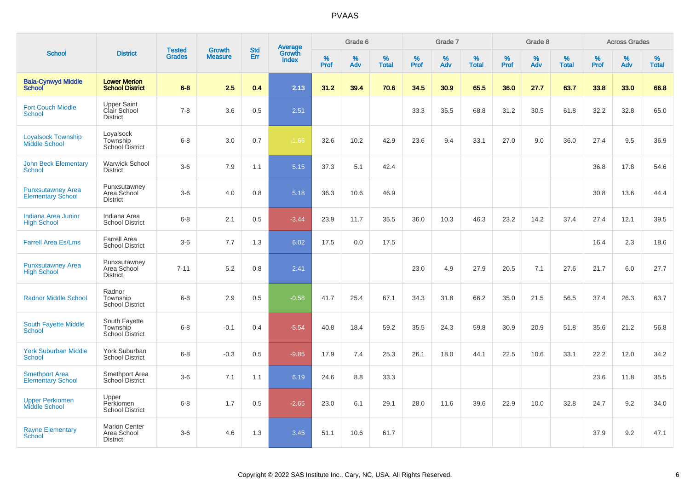|                                                      |                                                        |                                |                                 | <b>Std</b> |                                   |           | Grade 6     |                   |           | Grade 7     |                      |              | Grade 8  |                   |              | <b>Across Grades</b> |                   |
|------------------------------------------------------|--------------------------------------------------------|--------------------------------|---------------------------------|------------|-----------------------------------|-----------|-------------|-------------------|-----------|-------------|----------------------|--------------|----------|-------------------|--------------|----------------------|-------------------|
| <b>School</b>                                        | <b>District</b>                                        | <b>Tested</b><br><b>Grades</b> | <b>Growth</b><br><b>Measure</b> | <b>Err</b> | Average<br>Growth<br><b>Index</b> | %<br>Prof | $\%$<br>Adv | %<br><b>Total</b> | %<br>Prof | $\%$<br>Adv | $\%$<br><b>Total</b> | $\%$<br>Prof | %<br>Adv | %<br><b>Total</b> | $\%$<br>Prof | $\%$<br>Adv          | %<br><b>Total</b> |
| <b>Bala-Cynwyd Middle</b><br><b>School</b>           | <b>Lower Merion</b><br><b>School District</b>          | $6 - 8$                        | 2.5                             | 0.4        | 2.13                              | 31.2      | 39.4        | 70.6              | 34.5      | 30.9        | 65.5                 | 36.0         | 27.7     | 63.7              | 33.8         | 33.0                 | 66.8              |
| <b>Fort Couch Middle</b><br><b>School</b>            | <b>Upper Saint</b><br>Clair School<br><b>District</b>  | $7 - 8$                        | 3.6                             | 0.5        | 2.51                              |           |             |                   | 33.3      | 35.5        | 68.8                 | 31.2         | 30.5     | 61.8              | 32.2         | 32.8                 | 65.0              |
| <b>Loyalsock Township</b><br><b>Middle School</b>    | Loyalsock<br>Township<br><b>School District</b>        | $6 - 8$                        | 3.0                             | 0.7        | $-1.66$                           | 32.6      | 10.2        | 42.9              | 23.6      | 9.4         | 33.1                 | 27.0         | 9.0      | 36.0              | 27.4         | 9.5                  | 36.9              |
| <b>John Beck Elementary</b><br>School                | <b>Warwick School</b><br><b>District</b>               | $3-6$                          | 7.9                             | 1.1        | 5.15                              | 37.3      | 5.1         | 42.4              |           |             |                      |              |          |                   | 36.8         | 17.8                 | 54.6              |
| <b>Punxsutawney Area</b><br><b>Elementary School</b> | Punxsutawney<br>Area School<br><b>District</b>         | $3-6$                          | 4.0                             | 0.8        | 5.18                              | 36.3      | 10.6        | 46.9              |           |             |                      |              |          |                   | 30.8         | 13.6                 | 44.4              |
| Indiana Area Junior<br><b>High School</b>            | Indiana Area<br><b>School District</b>                 | $6 - 8$                        | 2.1                             | 0.5        | $-3.44$                           | 23.9      | 11.7        | 35.5              | 36.0      | 10.3        | 46.3                 | 23.2         | 14.2     | 37.4              | 27.4         | 12.1                 | 39.5              |
| <b>Farrell Area Es/Lms</b>                           | Farrell Area<br><b>School District</b>                 | $3-6$                          | 7.7                             | 1.3        | 6.02                              | 17.5      | 0.0         | 17.5              |           |             |                      |              |          |                   | 16.4         | 2.3                  | 18.6              |
| <b>Punxsutawney Area</b><br><b>High School</b>       | Punxsutawney<br>Area School<br><b>District</b>         | $7 - 11$                       | 5.2                             | 0.8        | 2.41                              |           |             |                   | 23.0      | 4.9         | 27.9                 | 20.5         | 7.1      | 27.6              | 21.7         | 6.0                  | 27.7              |
| <b>Radnor Middle School</b>                          | Radnor<br>Township<br><b>School District</b>           | $6 - 8$                        | 2.9                             | 0.5        | $-0.58$                           | 41.7      | 25.4        | 67.1              | 34.3      | 31.8        | 66.2                 | 35.0         | 21.5     | 56.5              | 37.4         | 26.3                 | 63.7              |
| South Fayette Middle<br><b>School</b>                | South Fayette<br>Township<br>School District           | $6 - 8$                        | $-0.1$                          | 0.4        | $-5.54$                           | 40.8      | 18.4        | 59.2              | 35.5      | 24.3        | 59.8                 | 30.9         | 20.9     | 51.8              | 35.6         | 21.2                 | 56.8              |
| <b>York Suburban Middle</b><br><b>School</b>         | York Suburban<br><b>School District</b>                | $6 - 8$                        | $-0.3$                          | 0.5        | $-9.85$                           | 17.9      | 7.4         | 25.3              | 26.1      | 18.0        | 44.1                 | 22.5         | 10.6     | 33.1              | 22.2         | 12.0                 | 34.2              |
| <b>Smethport Area</b><br><b>Elementary School</b>    | Smethport Area<br>School District                      | $3-6$                          | 7.1                             | 1.1        | 6.19                              | 24.6      | 8.8         | 33.3              |           |             |                      |              |          |                   | 23.6         | 11.8                 | 35.5              |
| <b>Upper Perkiomen</b><br>Middle School              | Upper<br>Perkiomen<br><b>School District</b>           | $6 - 8$                        | 1.7                             | 0.5        | $-2.65$                           | 23.0      | 6.1         | 29.1              | 28.0      | 11.6        | 39.6                 | 22.9         | 10.0     | 32.8              | 24.7         | 9.2                  | 34.0              |
| <b>Rayne Elementary</b><br><b>School</b>             | <b>Marion Center</b><br>Area School<br><b>District</b> | $3-6$                          | 4.6                             | 1.3        | 3.45                              | 51.1      | 10.6        | 61.7              |           |             |                      |              |          |                   | 37.9         | 9.2                  | 47.1              |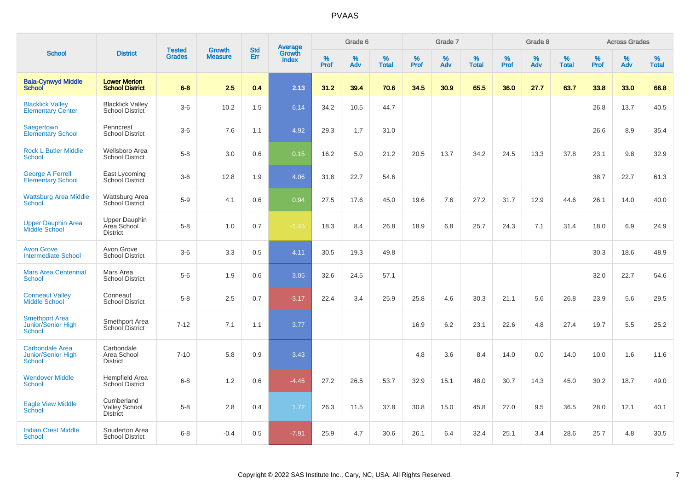|                                                                      |                                                        |                                | <b>Growth</b>  | <b>Std</b> |                                          |                  | Grade 6  |                   |           | Grade 7     |                   |           | Grade 8  |                   |              | <b>Across Grades</b> |                   |
|----------------------------------------------------------------------|--------------------------------------------------------|--------------------------------|----------------|------------|------------------------------------------|------------------|----------|-------------------|-----------|-------------|-------------------|-----------|----------|-------------------|--------------|----------------------|-------------------|
| <b>School</b>                                                        | <b>District</b>                                        | <b>Tested</b><br><b>Grades</b> | <b>Measure</b> | Err        | <b>Average</b><br>Growth<br><b>Index</b> | %<br><b>Prof</b> | %<br>Adv | %<br><b>Total</b> | %<br>Prof | $\%$<br>Adv | %<br><b>Total</b> | %<br>Prof | %<br>Adv | %<br><b>Total</b> | $\%$<br>Prof | $\%$<br>Adv          | %<br><b>Total</b> |
| <b>Bala-Cynwyd Middle</b><br><b>School</b>                           | <b>Lower Merion</b><br><b>School District</b>          | $6 - 8$                        | 2.5            | 0.4        | 2.13                                     | 31.2             | 39.4     | 70.6              | 34.5      | 30.9        | 65.5              | 36.0      | 27.7     | 63.7              | 33.8         | 33.0                 | 66.8              |
| <b>Blacklick Vallev</b><br><b>Elementary Center</b>                  | <b>Blacklick Valley</b><br>School District             | $3-6$                          | 10.2           | 1.5        | 6.14                                     | 34.2             | 10.5     | 44.7              |           |             |                   |           |          |                   | 26.8         | 13.7                 | 40.5              |
| <b>Saegertown</b><br><b>Elementary School</b>                        | Penncrest<br><b>School District</b>                    | $3-6$                          | 7.6            | 1.1        | 4.92                                     | 29.3             | 1.7      | 31.0              |           |             |                   |           |          |                   | 26.6         | 8.9                  | 35.4              |
| <b>Rock L Butler Middle</b><br><b>School</b>                         | Wellsboro Area<br><b>School District</b>               | $5-8$                          | 3.0            | 0.6        | 0.15                                     | 16.2             | 5.0      | 21.2              | 20.5      | 13.7        | 34.2              | 24.5      | 13.3     | 37.8              | 23.1         | 9.8                  | 32.9              |
| <b>George A Ferrell</b><br><b>Elementary School</b>                  | East Lycoming<br>School District                       | $3-6$                          | 12.8           | 1.9        | 4.06                                     | 31.8             | 22.7     | 54.6              |           |             |                   |           |          |                   | 38.7         | 22.7                 | 61.3              |
| <b>Wattsburg Area Middle</b><br>School                               | Wattsburg Area<br><b>School District</b>               | $5-9$                          | 4.1            | 0.6        | 0.94                                     | 27.5             | 17.6     | 45.0              | 19.6      | 7.6         | 27.2              | 31.7      | 12.9     | 44.6              | 26.1         | 14.0                 | 40.0              |
| <b>Upper Dauphin Area</b><br><b>Middle School</b>                    | <b>Upper Dauphin</b><br>Area School<br><b>District</b> | $5-8$                          | 1.0            | 0.7        | $-1.45$                                  | 18.3             | 8.4      | 26.8              | 18.9      | 6.8         | 25.7              | 24.3      | 7.1      | 31.4              | 18.0         | 6.9                  | 24.9              |
| <b>Avon Grove</b><br><b>Intermediate School</b>                      | Avon Grove<br><b>School District</b>                   | $3-6$                          | 3.3            | 0.5        | 4.11                                     | 30.5             | 19.3     | 49.8              |           |             |                   |           |          |                   | 30.3         | 18.6                 | 48.9              |
| <b>Mars Area Centennial</b><br><b>School</b>                         | Mars Area<br><b>School District</b>                    | $5-6$                          | 1.9            | 0.6        | 3.05                                     | 32.6             | 24.5     | 57.1              |           |             |                   |           |          |                   | 32.0         | 22.7                 | 54.6              |
| <b>Conneaut Valley</b><br><b>Middle School</b>                       | Conneaut<br><b>School District</b>                     | $5-8$                          | 2.5            | 0.7        | $-3.17$                                  | 22.4             | 3.4      | 25.9              | 25.8      | 4.6         | 30.3              | 21.1      | 5.6      | 26.8              | 23.9         | 5.6                  | 29.5              |
| <b>Smethport Area</b><br>Junior/Senior High<br><b>School</b>         | Smethport Area<br>School District                      | $7 - 12$                       | 7.1            | 1.1        | 3.77                                     |                  |          |                   | 16.9      | 6.2         | 23.1              | 22.6      | 4.8      | 27.4              | 19.7         | 5.5                  | 25.2              |
| <b>Carbondale Area</b><br><b>Junior/Senior High</b><br><b>School</b> | Carbondale<br>Area School<br><b>District</b>           | $7 - 10$                       | 5.8            | 0.9        | 3.43                                     |                  |          |                   | 4.8       | 3.6         | 8.4               | 14.0      | 0.0      | 14.0              | 10.0         | 1.6                  | 11.6              |
| <b>Wendover Middle</b><br><b>School</b>                              | Hempfield Area<br>School District                      | $6-8$                          | 1.2            | 0.6        | $-4.45$                                  | 27.2             | 26.5     | 53.7              | 32.9      | 15.1        | 48.0              | 30.7      | 14.3     | 45.0              | 30.2         | 18.7                 | 49.0              |
| <b>Eagle View Middle</b><br>School                                   | Cumberland<br><b>Valley School</b><br><b>District</b>  | $5 - 8$                        | 2.8            | 0.4        | 1.72                                     | 26.3             | 11.5     | 37.8              | 30.8      | 15.0        | 45.8              | 27.0      | 9.5      | 36.5              | 28.0         | 12.1                 | 40.1              |
| <b>Indian Crest Middle</b><br><b>School</b>                          | Souderton Area<br><b>School District</b>               | $6 - 8$                        | $-0.4$         | 0.5        | $-7.91$                                  | 25.9             | 4.7      | 30.6              | 26.1      | 6.4         | 32.4              | 25.1      | 3.4      | 28.6              | 25.7         | 4.8                  | 30.5              |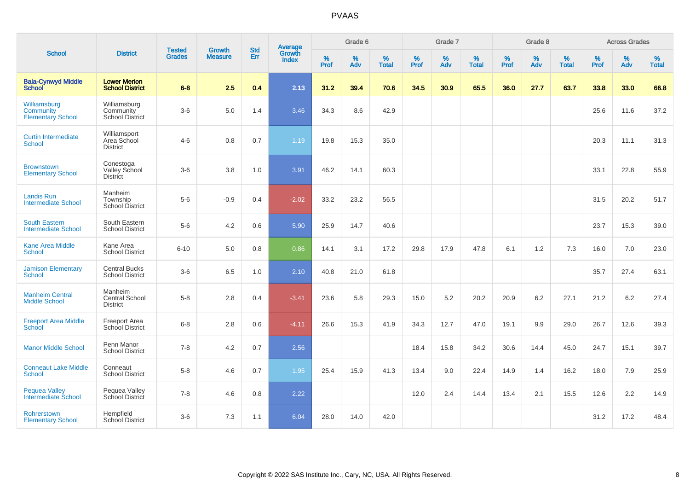|                                                       |                                                      |                                |                                 | <b>Std</b> |                                          |                     | Grade 6     |                   |                     | Grade 7  |                   |                     | Grade 8  |                   |              | <b>Across Grades</b> |                   |
|-------------------------------------------------------|------------------------------------------------------|--------------------------------|---------------------------------|------------|------------------------------------------|---------------------|-------------|-------------------|---------------------|----------|-------------------|---------------------|----------|-------------------|--------------|----------------------|-------------------|
| <b>School</b>                                         | <b>District</b>                                      | <b>Tested</b><br><b>Grades</b> | <b>Growth</b><br><b>Measure</b> | Err        | <b>Average</b><br>Growth<br><b>Index</b> | $\%$<br><b>Prof</b> | $\%$<br>Adv | %<br><b>Total</b> | $\%$<br><b>Prof</b> | %<br>Adv | %<br><b>Total</b> | $\%$<br><b>Prof</b> | %<br>Adv | %<br><b>Total</b> | $\%$<br>Prof | $\%$<br>Adv          | %<br><b>Total</b> |
| <b>Bala-Cynwyd Middle</b><br><b>School</b>            | <b>Lower Merion</b><br><b>School District</b>        | $6 - 8$                        | 2.5                             | 0.4        | 2.13                                     | 31.2                | 39.4        | 70.6              | 34.5                | 30.9     | 65.5              | 36.0                | 27.7     | 63.7              | 33.8         | 33.0                 | 66.8              |
| Williamsburg<br>Community<br><b>Elementary School</b> | Williamsburg<br>Community<br><b>School District</b>  | $3-6$                          | 5.0                             | 1.4        | 3.46                                     | 34.3                | 8.6         | 42.9              |                     |          |                   |                     |          |                   | 25.6         | 11.6                 | 37.2              |
| <b>Curtin Intermediate</b><br><b>School</b>           | Williamsport<br>Area School<br><b>District</b>       | $4-6$                          | 0.8                             | 0.7        | 1.19                                     | 19.8                | 15.3        | 35.0              |                     |          |                   |                     |          |                   | 20.3         | 11.1                 | 31.3              |
| <b>Brownstown</b><br><b>Elementary School</b>         | Conestoga<br><b>Valley School</b><br><b>District</b> | $3-6$                          | 3.8                             | 1.0        | 3.91                                     | 46.2                | 14.1        | 60.3              |                     |          |                   |                     |          |                   | 33.1         | 22.8                 | 55.9              |
| <b>Landis Run</b><br><b>Intermediate School</b>       | Manheim<br>Township<br><b>School District</b>        | $5-6$                          | $-0.9$                          | 0.4        | $-2.02$                                  | 33.2                | 23.2        | 56.5              |                     |          |                   |                     |          |                   | 31.5         | 20.2                 | 51.7              |
| <b>South Eastern</b><br><b>Intermediate School</b>    | South Eastern<br><b>School District</b>              | $5-6$                          | 4.2                             | 0.6        | 5.90                                     | 25.9                | 14.7        | 40.6              |                     |          |                   |                     |          |                   | 23.7         | 15.3                 | 39.0              |
| <b>Kane Area Middle</b><br><b>School</b>              | Kane Area<br><b>School District</b>                  | $6 - 10$                       | 5.0                             | 0.8        | 0.86                                     | 14.1                | 3.1         | 17.2              | 29.8                | 17.9     | 47.8              | 6.1                 | 1.2      | 7.3               | 16.0         | 7.0                  | 23.0              |
| <b>Jamison Elementary</b><br><b>School</b>            | <b>Central Bucks</b><br><b>School District</b>       | $3-6$                          | 6.5                             | 1.0        | 2.10                                     | 40.8                | 21.0        | 61.8              |                     |          |                   |                     |          |                   | 35.7         | 27.4                 | 63.1              |
| <b>Manheim Central</b><br><b>Middle School</b>        | Manheim<br>Central School<br><b>District</b>         | $5-8$                          | 2.8                             | 0.4        | $-3.41$                                  | 23.6                | 5.8         | 29.3              | 15.0                | 5.2      | 20.2              | 20.9                | 6.2      | 27.1              | 21.2         | 6.2                  | 27.4              |
| <b>Freeport Area Middle</b><br><b>School</b>          | <b>Freeport Area</b><br>School District              | $6 - 8$                        | 2.8                             | 0.6        | $-4.11$                                  | 26.6                | 15.3        | 41.9              | 34.3                | 12.7     | 47.0              | 19.1                | 9.9      | 29.0              | 26.7         | 12.6                 | 39.3              |
| <b>Manor Middle School</b>                            | Penn Manor<br><b>School District</b>                 | $7 - 8$                        | $4.2\,$                         | 0.7        | 2.56                                     |                     |             |                   | 18.4                | 15.8     | 34.2              | 30.6                | 14.4     | 45.0              | 24.7         | 15.1                 | 39.7              |
| <b>Conneaut Lake Middle</b><br><b>School</b>          | Conneaut<br><b>School District</b>                   | $5-8$                          | 4.6                             | 0.7        | 1.95                                     | 25.4                | 15.9        | 41.3              | 13.4                | 9.0      | 22.4              | 14.9                | 1.4      | 16.2              | 18.0         | 7.9                  | 25.9              |
| <b>Pequea Valley</b><br>Intermediate School           | Pequea Valley<br>School District                     | $7 - 8$                        | 4.6                             | 0.8        | 2.22                                     |                     |             |                   | 12.0                | 2.4      | 14.4              | 13.4                | 2.1      | 15.5              | 12.6         | 2.2                  | 14.9              |
| Rohrerstown<br><b>Elementary School</b>               | Hempfield<br><b>School District</b>                  | $3-6$                          | 7.3                             | 1.1        | 6.04                                     | 28.0                | 14.0        | 42.0              |                     |          |                   |                     |          |                   | 31.2         | 17.2                 | 48.4              |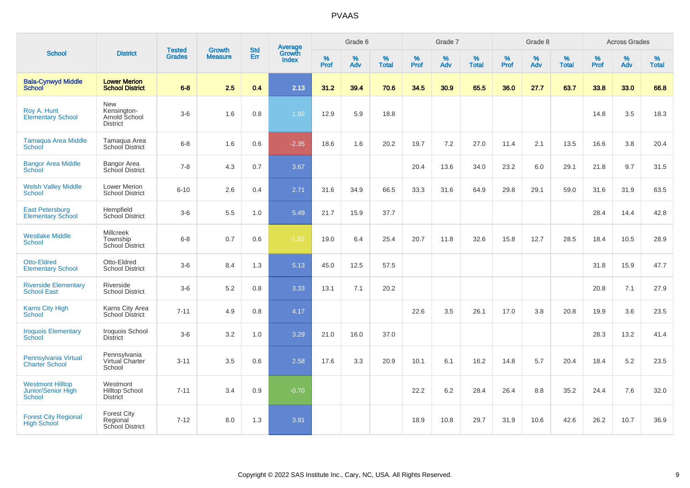|                                                                |                                                          |                                | <b>Growth</b>  | <b>Std</b> |                                          |           | Grade 6     |                   |           | Grade 7  |                   |           | Grade 8  |                   |              | <b>Across Grades</b> |                   |
|----------------------------------------------------------------|----------------------------------------------------------|--------------------------------|----------------|------------|------------------------------------------|-----------|-------------|-------------------|-----------|----------|-------------------|-----------|----------|-------------------|--------------|----------------------|-------------------|
| <b>School</b>                                                  | <b>District</b>                                          | <b>Tested</b><br><b>Grades</b> | <b>Measure</b> | Err        | <b>Average</b><br>Growth<br><b>Index</b> | %<br>Prof | $\%$<br>Adv | %<br><b>Total</b> | %<br>Prof | %<br>Adv | %<br><b>Total</b> | %<br>Prof | %<br>Adv | %<br><b>Total</b> | $\%$<br>Prof | $\%$<br>Adv          | %<br><b>Total</b> |
| <b>Bala-Cynwyd Middle</b><br><b>School</b>                     | <b>Lower Merion</b><br><b>School District</b>            | $6 - 8$                        | 2.5            | 0.4        | 2.13                                     | 31.2      | 39.4        | 70.6              | 34.5      | 30.9     | 65.5              | 36.0      | 27.7     | 63.7              | 33.8         | 33.0                 | 66.8              |
| Roy A. Hunt<br><b>Elementary School</b>                        | New<br>Kensington-<br>Arnold School<br><b>District</b>   | $3-6$                          | 1.6            | 0.8        | 1.92                                     | 12.9      | 5.9         | 18.8              |           |          |                   |           |          |                   | 14.8         | 3.5                  | 18.3              |
| <b>Tamaqua Area Middle</b><br>School                           | Tamagua Area<br>School District                          | $6 - 8$                        | 1.6            | 0.6        | $-2.35$                                  | 18.6      | 1.6         | 20.2              | 19.7      | 7.2      | 27.0              | 11.4      | 2.1      | 13.5              | 16.6         | 3.8                  | 20.4              |
| <b>Bangor Area Middle</b><br>School                            | Bangor Area<br>School District                           | $7 - 8$                        | 4.3            | 0.7        | 3.67                                     |           |             |                   | 20.4      | 13.6     | 34.0              | 23.2      | 6.0      | 29.1              | 21.8         | 9.7                  | 31.5              |
| <b>Welsh Valley Middle</b><br>School                           | <b>Lower Merion</b><br><b>School District</b>            | $6 - 10$                       | 2.6            | 0.4        | 2.71                                     | 31.6      | 34.9        | 66.5              | 33.3      | 31.6     | 64.9              | 29.8      | 29.1     | 59.0              | 31.6         | 31.9                 | 63.5              |
| <b>East Petersburg</b><br><b>Elementary School</b>             | Hempfield<br>School District                             | $3-6$                          | 5.5            | 1.0        | 5.49                                     | 21.7      | 15.9        | 37.7              |           |          |                   |           |          |                   | 28.4         | 14.4                 | 42.8              |
| <b>Westlake Middle</b><br><b>School</b>                        | <b>Millcreek</b><br>Township<br><b>School District</b>   | $6 - 8$                        | 0.7            | 0.6        | $-1.92$                                  | 19.0      | 6.4         | 25.4              | 20.7      | 11.8     | 32.6              | 15.8      | 12.7     | 28.5              | 18.4         | 10.5                 | 28.9              |
| <b>Otto-Eldred</b><br><b>Elementary School</b>                 | Otto-Eldred<br><b>School District</b>                    | $3-6$                          | 8.4            | 1.3        | 5.13                                     | 45.0      | 12.5        | 57.5              |           |          |                   |           |          |                   | 31.8         | 15.9                 | 47.7              |
| <b>Riverside Elementary</b><br><b>School East</b>              | Riverside<br><b>School District</b>                      | $3-6$                          | 5.2            | 0.8        | 3.33                                     | 13.1      | 7.1         | 20.2              |           |          |                   |           |          |                   | 20.8         | 7.1                  | 27.9              |
| <b>Karns City High</b><br><b>School</b>                        | Karns City Area<br>School District                       | $7 - 11$                       | 4.9            | 0.8        | 4.17                                     |           |             |                   | 22.6      | 3.5      | 26.1              | 17.0      | 3.8      | 20.8              | 19.9         | 3.6                  | 23.5              |
| <b>Iroquois Elementary</b><br><b>School</b>                    | Iroquois School<br><b>District</b>                       | $3-6$                          | 3.2            | 1.0        | 3.29                                     | 21.0      | 16.0        | 37.0              |           |          |                   |           |          |                   | 28.3         | 13.2                 | 41.4              |
| Pennsylvania Virtual<br><b>Charter School</b>                  | Pennsylvania<br>Virtual Charter<br>School                | $3 - 11$                       | 3.5            | 0.6        | 2.58                                     | 17.6      | 3.3         | 20.9              | 10.1      | 6.1      | 16.2              | 14.8      | 5.7      | 20.4              | 18.4         | 5.2                  | 23.5              |
| <b>Westmont Hilltop</b><br>Junior/Senior High<br><b>School</b> | Westmont<br><b>Hilltop School</b><br><b>District</b>     | $7 - 11$                       | 3.4            | 0.9        | $-0.70$                                  |           |             |                   | 22.2      | 6.2      | 28.4              | 26.4      | 8.8      | 35.2              | 24.4         | 7.6                  | 32.0              |
| <b>Forest City Regional</b><br><b>High School</b>              | <b>Forest City</b><br>Regional<br><b>School District</b> | $7 - 12$                       | 8.0            | 1.3        | 3.91                                     |           |             |                   | 18.9      | 10.8     | 29.7              | 31.9      | 10.6     | 42.6              | 26.2         | 10.7                 | 36.9              |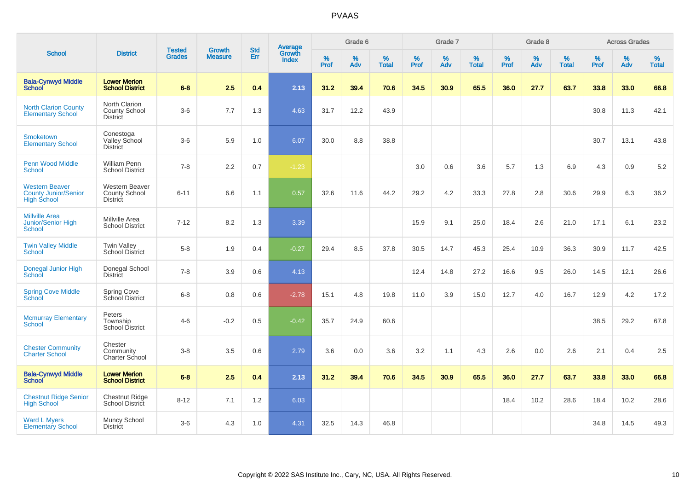|                                                                            |                                                           |                                | <b>Growth</b>  | <b>Std</b> | <b>Average</b><br>Growth |                  | Grade 6  |                   |           | Grade 7  |                   |           | Grade 8     |                   |           | <b>Across Grades</b> |                   |
|----------------------------------------------------------------------------|-----------------------------------------------------------|--------------------------------|----------------|------------|--------------------------|------------------|----------|-------------------|-----------|----------|-------------------|-----------|-------------|-------------------|-----------|----------------------|-------------------|
| <b>School</b>                                                              | <b>District</b>                                           | <b>Tested</b><br><b>Grades</b> | <b>Measure</b> | <b>Err</b> | <b>Index</b>             | %<br><b>Prof</b> | %<br>Adv | %<br><b>Total</b> | %<br>Prof | %<br>Adv | %<br><b>Total</b> | %<br>Prof | $\%$<br>Adv | %<br><b>Total</b> | %<br>Prof | $\%$<br>Adv          | %<br><b>Total</b> |
| <b>Bala-Cynwyd Middle</b><br><b>School</b>                                 | <b>Lower Merion</b><br><b>School District</b>             | $6 - 8$                        | 2.5            | 0.4        | 2.13                     | 31.2             | 39.4     | 70.6              | 34.5      | 30.9     | 65.5              | 36.0      | 27.7        | 63.7              | 33.8      | 33.0                 | 66.8              |
| <b>North Clarion County</b><br><b>Elementary School</b>                    | North Clarion<br><b>County School</b><br><b>District</b>  | $3-6$                          | 7.7            | 1.3        | 4.63                     | 31.7             | 12.2     | 43.9              |           |          |                   |           |             |                   | 30.8      | 11.3                 | 42.1              |
| <b>Smoketown</b><br><b>Elementary School</b>                               | Conestoga<br>Valley School<br><b>District</b>             | $3-6$                          | 5.9            | 1.0        | 6.07                     | 30.0             | 8.8      | 38.8              |           |          |                   |           |             |                   | 30.7      | 13.1                 | 43.8              |
| <b>Penn Wood Middle</b><br><b>School</b>                                   | <b>William Penn</b><br><b>School District</b>             | $7 - 8$                        | 2.2            | 0.7        | $-1.23$                  |                  |          |                   | 3.0       | 0.6      | 3.6               | 5.7       | 1.3         | 6.9               | 4.3       | 0.9                  | 5.2               |
| <b>Western Beaver</b><br><b>County Junior/Senior</b><br><b>High School</b> | Western Beaver<br><b>County School</b><br><b>District</b> | $6 - 11$                       | 6.6            | 1.1        | 0.57                     | 32.6             | 11.6     | 44.2              | 29.2      | 4.2      | 33.3              | 27.8      | 2.8         | 30.6              | 29.9      | 6.3                  | 36.2              |
| <b>Millville Area</b><br>Junior/Senior High<br>School                      | Millville Area<br><b>School District</b>                  | $7 - 12$                       | 8.2            | 1.3        | 3.39                     |                  |          |                   | 15.9      | 9.1      | 25.0              | 18.4      | 2.6         | 21.0              | 17.1      | 6.1                  | 23.2              |
| <b>Twin Valley Middle</b><br>School                                        | <b>Twin Valley</b><br><b>School District</b>              | $5-8$                          | 1.9            | 0.4        | $-0.27$                  | 29.4             | 8.5      | 37.8              | 30.5      | 14.7     | 45.3              | 25.4      | 10.9        | 36.3              | 30.9      | 11.7                 | 42.5              |
| Donegal Junior High<br>School                                              | Donegal School<br><b>District</b>                         | $7 - 8$                        | 3.9            | 0.6        | 4.13                     |                  |          |                   | 12.4      | 14.8     | 27.2              | 16.6      | 9.5         | 26.0              | 14.5      | 12.1                 | 26.6              |
| <b>Spring Cove Middle</b><br>School                                        | <b>Spring Cove</b><br>School District                     | $6 - 8$                        | 0.8            | 0.6        | $-2.78$                  | 15.1             | 4.8      | 19.8              | 11.0      | 3.9      | 15.0              | 12.7      | 4.0         | 16.7              | 12.9      | 4.2                  | 17.2              |
| <b>Mcmurray Elementary</b><br>School                                       | Peters<br>Township<br><b>School District</b>              | $4 - 6$                        | $-0.2$         | 0.5        | $-0.42$                  | 35.7             | 24.9     | 60.6              |           |          |                   |           |             |                   | 38.5      | 29.2                 | 67.8              |
| <b>Chester Community</b><br><b>Charter School</b>                          | Chester<br>Community<br>Charter School                    | $3-8$                          | 3.5            | 0.6        | 2.79                     | 3.6              | 0.0      | 3.6               | 3.2       | 1.1      | 4.3               | 2.6       | 0.0         | 2.6               | 2.1       | 0.4                  | 2.5               |
| <b>Bala-Cynwyd Middle</b><br><b>School</b>                                 | <b>Lower Merion</b><br><b>School District</b>             | $6 - 8$                        | 2.5            | 0.4        | 2.13                     | 31.2             | 39.4     | 70.6              | 34.5      | 30.9     | 65.5              | 36.0      | 27.7        | 63.7              | 33.8      | 33.0                 | 66.8              |
| <b>Chestnut Ridge Senior</b><br><b>High School</b>                         | Chestnut Ridge<br>School District                         | $8 - 12$                       | 7.1            | 1.2        | 6.03                     |                  |          |                   |           |          |                   | 18.4      | 10.2        | 28.6              | 18.4      | 10.2                 | 28.6              |
| <b>Ward L Myers</b><br><b>Elementary School</b>                            | Muncy School<br><b>District</b>                           | $3-6$                          | 4.3            | 1.0        | 4.31                     | 32.5             | 14.3     | 46.8              |           |          |                   |           |             |                   | 34.8      | 14.5                 | 49.3              |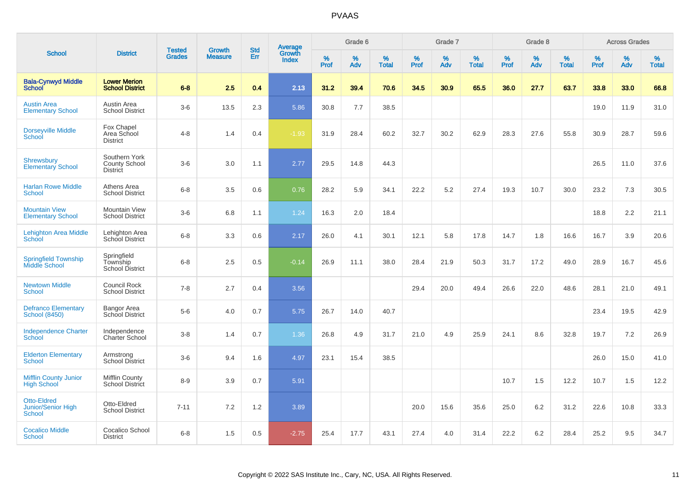|                                                           |                                                   |                                | <b>Growth</b>  | <b>Std</b> |                                          |                  | Grade 6  |                   |           | Grade 7     |                   |           | Grade 8  |                   |           | <b>Across Grades</b> |                   |
|-----------------------------------------------------------|---------------------------------------------------|--------------------------------|----------------|------------|------------------------------------------|------------------|----------|-------------------|-----------|-------------|-------------------|-----------|----------|-------------------|-----------|----------------------|-------------------|
| <b>School</b>                                             | <b>District</b>                                   | <b>Tested</b><br><b>Grades</b> | <b>Measure</b> | Err        | <b>Average</b><br>Growth<br><b>Index</b> | %<br><b>Prof</b> | %<br>Adv | %<br><b>Total</b> | %<br>Prof | $\%$<br>Adv | %<br><b>Total</b> | %<br>Prof | %<br>Adv | %<br><b>Total</b> | %<br>Prof | $\%$<br>Adv          | %<br><b>Total</b> |
| <b>Bala-Cynwyd Middle</b><br><b>School</b>                | <b>Lower Merion</b><br><b>School District</b>     | $6 - 8$                        | 2.5            | 0.4        | 2.13                                     | 31.2             | 39.4     | 70.6              | 34.5      | 30.9        | 65.5              | 36.0      | 27.7     | 63.7              | 33.8      | 33.0                 | 66.8              |
| <b>Austin Area</b><br><b>Elementary School</b>            | Austin Area<br><b>School District</b>             | $3-6$                          | 13.5           | 2.3        | 5.86                                     | 30.8             | 7.7      | 38.5              |           |             |                   |           |          |                   | 19.0      | 11.9                 | 31.0              |
| <b>Dorseyville Middle</b><br>School                       | Fox Chapel<br>Area School<br><b>District</b>      | $4 - 8$                        | 1.4            | 0.4        | $-1.93$                                  | 31.9             | 28.4     | 60.2              | 32.7      | 30.2        | 62.9              | 28.3      | 27.6     | 55.8              | 30.9      | 28.7                 | 59.6              |
| <b>Shrewsbury</b><br>Elementary School                    | Southern York<br>County School<br><b>District</b> | $3-6$                          | 3.0            | 1.1        | 2.77                                     | 29.5             | 14.8     | 44.3              |           |             |                   |           |          |                   | 26.5      | 11.0                 | 37.6              |
| <b>Harlan Rowe Middle</b><br><b>School</b>                | Athens Area<br><b>School District</b>             | $6 - 8$                        | 3.5            | 0.6        | 0.76                                     | 28.2             | 5.9      | 34.1              | 22.2      | 5.2         | 27.4              | 19.3      | 10.7     | 30.0              | 23.2      | 7.3                  | 30.5              |
| <b>Mountain View</b><br><b>Elementary School</b>          | <b>Mountain View</b><br><b>School District</b>    | $3-6$                          | 6.8            | 1.1        | 1.24                                     | 16.3             | 2.0      | 18.4              |           |             |                   |           |          |                   | 18.8      | 2.2                  | 21.1              |
| <b>Lehighton Area Middle</b><br>School                    | Lehighton Area<br>School District                 | $6 - 8$                        | 3.3            | 0.6        | 2.17                                     | 26.0             | 4.1      | 30.1              | 12.1      | 5.8         | 17.8              | 14.7      | 1.8      | 16.6              | 16.7      | 3.9                  | 20.6              |
| <b>Springfield Township</b><br>Middle School              | Springfield<br>Township<br><b>School District</b> | $6 - 8$                        | 2.5            | 0.5        | $-0.14$                                  | 26.9             | 11.1     | 38.0              | 28.4      | 21.9        | 50.3              | 31.7      | 17.2     | 49.0              | 28.9      | 16.7                 | 45.6              |
| <b>Newtown Middle</b><br>School                           | Council Rock<br><b>School District</b>            | $7 - 8$                        | 2.7            | 0.4        | 3.56                                     |                  |          |                   | 29.4      | 20.0        | 49.4              | 26.6      | 22.0     | 48.6              | 28.1      | 21.0                 | 49.1              |
| <b>Defranco Elementary</b><br><b>School (8450)</b>        | Bangor Area<br>School District                    | $5-6$                          | 4.0            | 0.7        | 5.75                                     | 26.7             | 14.0     | 40.7              |           |             |                   |           |          |                   | 23.4      | 19.5                 | 42.9              |
| <b>Independence Charter</b><br>School                     | Independence<br>Charter School                    | $3 - 8$                        | 1.4            | 0.7        | 1.36                                     | 26.8             | 4.9      | 31.7              | 21.0      | 4.9         | 25.9              | 24.1      | 8.6      | 32.8              | 19.7      | 7.2                  | 26.9              |
| <b>Elderton Elementary</b><br><b>School</b>               | Armstrong<br>School District                      | $3-6$                          | 9.4            | 1.6        | 4.97                                     | 23.1             | 15.4     | 38.5              |           |             |                   |           |          |                   | 26.0      | 15.0                 | 41.0              |
| <b>Mifflin County Junior</b><br><b>High School</b>        | <b>Mifflin County</b><br><b>School District</b>   | $8 - 9$                        | 3.9            | 0.7        | 5.91                                     |                  |          |                   |           |             |                   | 10.7      | 1.5      | 12.2              | 10.7      | 1.5                  | 12.2              |
| <b>Otto-Eldred</b><br>Junior/Senior High<br><b>School</b> | Otto-Eldred<br><b>School District</b>             | $7 - 11$                       | 7.2            | 1.2        | 3.89                                     |                  |          |                   | 20.0      | 15.6        | 35.6              | 25.0      | 6.2      | 31.2              | 22.6      | 10.8                 | 33.3              |
| <b>Cocalico Middle</b><br><b>School</b>                   | Cocalico School<br><b>District</b>                | $6 - 8$                        | 1.5            | 0.5        | $-2.75$                                  | 25.4             | 17.7     | 43.1              | 27.4      | 4.0         | 31.4              | 22.2      | 6.2      | 28.4              | 25.2      | 9.5                  | 34.7              |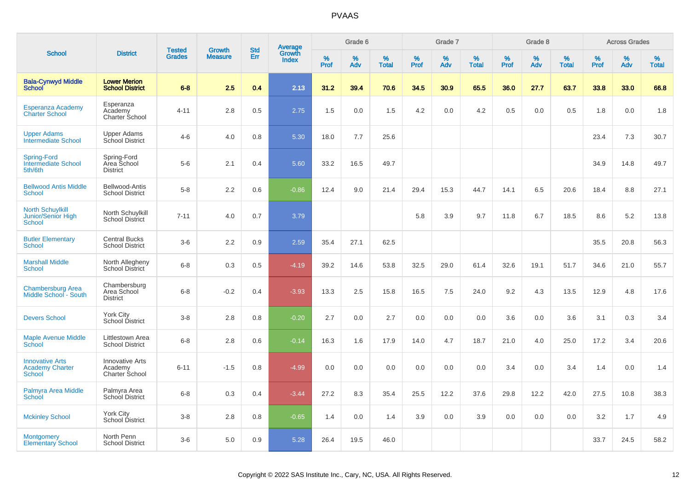|                                                                |                                                     |                                |                                 | <b>Std</b> |                                          |                  | Grade 6  |                   |           | Grade 7  |                   |           | Grade 8  |                   |           | <b>Across Grades</b> |                   |
|----------------------------------------------------------------|-----------------------------------------------------|--------------------------------|---------------------------------|------------|------------------------------------------|------------------|----------|-------------------|-----------|----------|-------------------|-----------|----------|-------------------|-----------|----------------------|-------------------|
| <b>School</b>                                                  | <b>District</b>                                     | <b>Tested</b><br><b>Grades</b> | <b>Growth</b><br><b>Measure</b> | Err        | <b>Average</b><br>Growth<br><b>Index</b> | %<br><b>Prof</b> | %<br>Adv | %<br><b>Total</b> | %<br>Prof | %<br>Adv | %<br><b>Total</b> | %<br>Prof | %<br>Adv | %<br><b>Total</b> | %<br>Prof | %<br>Adv             | %<br><b>Total</b> |
| <b>Bala-Cynwyd Middle</b><br><b>School</b>                     | <b>Lower Merion</b><br><b>School District</b>       | $6 - 8$                        | 2.5                             | 0.4        | 2.13                                     | 31.2             | 39.4     | 70.6              | 34.5      | 30.9     | 65.5              | 36.0      | 27.7     | 63.7              | 33.8      | 33.0                 | 66.8              |
| Esperanza Academy<br><b>Charter School</b>                     | Esperanza<br>Academy<br>Charter School              | 4-11                           | 2.8                             | 0.5        | 2.75                                     | 1.5              | 0.0      | 1.5               | 4.2       | 0.0      | 4.2               | 0.5       | 0.0      | 0.5               | 1.8       | 0.0                  | 1.8               |
| <b>Upper Adams</b><br><b>Intermediate School</b>               | <b>Upper Adams</b><br>School District               | $4-6$                          | 4.0                             | 0.8        | 5.30                                     | 18.0             | 7.7      | 25.6              |           |          |                   |           |          |                   | 23.4      | 7.3                  | 30.7              |
| <b>Spring-Ford</b><br><b>Intermediate School</b><br>5th/6th    | Spring-Ford<br>Area School<br><b>District</b>       | $5-6$                          | 2.1                             | 0.4        | 5.60                                     | 33.2             | 16.5     | 49.7              |           |          |                   |           |          |                   | 34.9      | 14.8                 | 49.7              |
| <b>Bellwood Antis Middle</b><br><b>School</b>                  | Bellwood-Antis<br><b>School District</b>            | $5-8$                          | 2.2                             | 0.6        | $-0.86$                                  | 12.4             | 9.0      | 21.4              | 29.4      | 15.3     | 44.7              | 14.1      | 6.5      | 20.6              | 18.4      | 8.8                  | 27.1              |
| <b>North Schuylkill</b><br>Junior/Senior High<br><b>School</b> | North Schuylkill<br><b>School District</b>          | $7 - 11$                       | 4.0                             | $0.7\,$    | 3.79                                     |                  |          |                   | 5.8       | 3.9      | 9.7               | 11.8      | 6.7      | 18.5              | 8.6       | 5.2                  | 13.8              |
| <b>Butler Elementary</b><br>School                             | <b>Central Bucks</b><br><b>School District</b>      | $3-6$                          | 2.2                             | 0.9        | 2.59                                     | 35.4             | 27.1     | 62.5              |           |          |                   |           |          |                   | 35.5      | 20.8                 | 56.3              |
| <b>Marshall Middle</b><br>School                               | North Allegheny<br>School District                  | $6 - 8$                        | 0.3                             | 0.5        | $-4.19$                                  | 39.2             | 14.6     | 53.8              | 32.5      | 29.0     | 61.4              | 32.6      | 19.1     | 51.7              | 34.6      | 21.0                 | 55.7              |
| <b>Chambersburg Area</b><br>Middle School - South              | Chambersburg<br>Area School<br><b>District</b>      | $6 - 8$                        | $-0.2$                          | 0.4        | $-3.93$                                  | 13.3             | 2.5      | 15.8              | 16.5      | 7.5      | 24.0              | 9.2       | 4.3      | 13.5              | 12.9      | 4.8                  | 17.6              |
| <b>Devers School</b>                                           | York City<br>School District                        | $3 - 8$                        | 2.8                             | 0.8        | $-0.20$                                  | 2.7              | 0.0      | 2.7               | 0.0       | 0.0      | 0.0               | 3.6       | 0.0      | 3.6               | 3.1       | 0.3                  | 3.4               |
| <b>Maple Avenue Middle</b><br>School                           | Littlestown Area<br><b>School District</b>          | $6 - 8$                        | 2.8                             | 0.6        | $-0.14$                                  | 16.3             | 1.6      | 17.9              | 14.0      | 4.7      | 18.7              | 21.0      | 4.0      | 25.0              | 17.2      | 3.4                  | 20.6              |
| <b>Innovative Arts</b><br><b>Academy Charter</b><br>School     | <b>Innovative Arts</b><br>Academy<br>Charter School | $6 - 11$                       | $-1.5$                          | 0.8        | $-4.99$                                  | 0.0              | 0.0      | 0.0               | 0.0       | 0.0      | 0.0               | 3.4       | 0.0      | 3.4               | 1.4       | 0.0                  | 1.4               |
| Palmyra Area Middle<br>School                                  | Palmyra Area<br>School District                     | $6 - 8$                        | 0.3                             | 0.4        | $-3.44$                                  | 27.2             | 8.3      | 35.4              | 25.5      | 12.2     | 37.6              | 29.8      | 12.2     | 42.0              | 27.5      | 10.8                 | 38.3              |
| <b>Mckinley School</b>                                         | <b>York City</b><br>School District                 | $3 - 8$                        | 2.8                             | 0.8        | $-0.65$                                  | 1.4              | 0.0      | 1.4               | 3.9       | 0.0      | 3.9               | 0.0       | 0.0      | 0.0               | 3.2       | 1.7                  | 4.9               |
| <b>Montgomery</b><br><b>Elementary School</b>                  | North Penn<br><b>School District</b>                | $3-6$                          | 5.0                             | 0.9        | 5.28                                     | 26.4             | 19.5     | 46.0              |           |          |                   |           |          |                   | 33.7      | 24.5                 | 58.2              |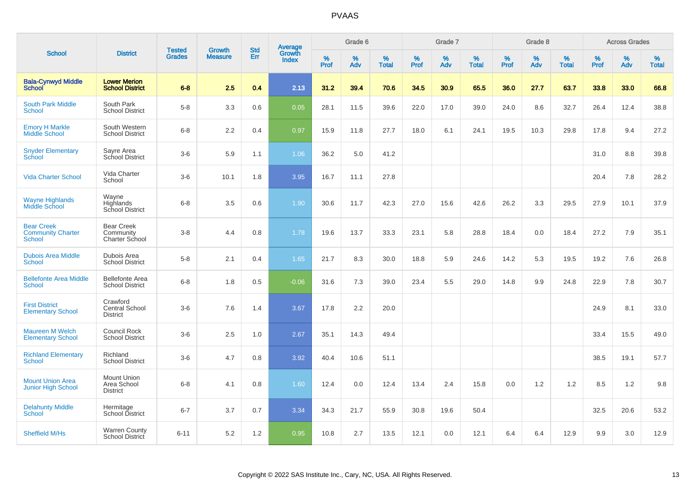|                                                                |                                                      | <b>Tested</b> | <b>Growth</b>  | <b>Std</b> |                                          |           | Grade 6  |                      |                  | Grade 7  |                   |                  | Grade 8     |                   |              | <b>Across Grades</b> |                   |
|----------------------------------------------------------------|------------------------------------------------------|---------------|----------------|------------|------------------------------------------|-----------|----------|----------------------|------------------|----------|-------------------|------------------|-------------|-------------------|--------------|----------------------|-------------------|
| <b>School</b>                                                  | <b>District</b>                                      | <b>Grades</b> | <b>Measure</b> | Err        | <b>Average</b><br>Growth<br><b>Index</b> | %<br>Prof | %<br>Adv | $\%$<br><b>Total</b> | %<br><b>Prof</b> | %<br>Adv | %<br><b>Total</b> | %<br><b>Prof</b> | $\%$<br>Adv | %<br><b>Total</b> | $\%$<br>Prof | $\%$<br>Adv          | %<br><b>Total</b> |
| <b>Bala-Cynwyd Middle</b><br><b>School</b>                     | <b>Lower Merion</b><br><b>School District</b>        | $6 - 8$       | 2.5            | 0.4        | 2.13                                     | 31.2      | 39.4     | 70.6                 | 34.5             | 30.9     | 65.5              | 36.0             | 27.7        | 63.7              | 33.8         | 33.0                 | 66.8              |
| <b>South Park Middle</b><br><b>School</b>                      | South Park<br><b>School District</b>                 | $5-8$         | 3.3            | 0.6        | 0.05                                     | 28.1      | 11.5     | 39.6                 | 22.0             | 17.0     | 39.0              | 24.0             | 8.6         | 32.7              | 26.4         | 12.4                 | 38.8              |
| <b>Emory H Markle</b><br>Middle School                         | South Western<br><b>School District</b>              | $6 - 8$       | 2.2            | 0.4        | 0.97                                     | 15.9      | 11.8     | 27.7                 | 18.0             | 6.1      | 24.1              | 19.5             | 10.3        | 29.8              | 17.8         | 9.4                  | 27.2              |
| <b>Snyder Elementary</b><br>School                             | Sayre Area<br>School District                        | $3-6$         | 5.9            | 1.1        | 1.06                                     | 36.2      | 5.0      | 41.2                 |                  |          |                   |                  |             |                   | 31.0         | 8.8                  | 39.8              |
| <b>Vida Charter School</b>                                     | Vida Charter<br>School                               | $3-6$         | 10.1           | 1.8        | 3.95                                     | 16.7      | 11.1     | 27.8                 |                  |          |                   |                  |             |                   | 20.4         | 7.8                  | 28.2              |
| <b>Wayne Highlands</b><br>Middle School                        | Wayne<br>Highlands<br>School District                | $6 - 8$       | 3.5            | 0.6        | 1.90                                     | 30.6      | 11.7     | 42.3                 | 27.0             | 15.6     | 42.6              | 26.2             | 3.3         | 29.5              | 27.9         | 10.1                 | 37.9              |
| <b>Bear Creek</b><br><b>Community Charter</b><br><b>School</b> | <b>Bear Creek</b><br>Community<br>Charter School     | $3-8$         | 4.4            | 0.8        | 1.78                                     | 19.6      | 13.7     | 33.3                 | 23.1             | 5.8      | 28.8              | 18.4             | 0.0         | 18.4              | 27.2         | 7.9                  | 35.1              |
| <b>Dubois Area Middle</b><br><b>School</b>                     | Dubois Area<br><b>School District</b>                | $5-8$         | 2.1            | 0.4        | 1.65                                     | 21.7      | 8.3      | 30.0                 | 18.8             | 5.9      | 24.6              | 14.2             | 5.3         | 19.5              | 19.2         | 7.6                  | 26.8              |
| <b>Bellefonte Area Middle</b><br>School                        | <b>Bellefonte Area</b><br><b>School District</b>     | $6 - 8$       | 1.8            | 0.5        | $-0.06$                                  | 31.6      | 7.3      | 39.0                 | 23.4             | 5.5      | 29.0              | 14.8             | 9.9         | 24.8              | 22.9         | 7.8                  | 30.7              |
| <b>First District</b><br><b>Elementary School</b>              | Crawford<br><b>Central School</b><br><b>District</b> | $3-6$         | 7.6            | 1.4        | 3.67                                     | 17.8      | 2.2      | 20.0                 |                  |          |                   |                  |             |                   | 24.9         | 8.1                  | 33.0              |
| <b>Maureen M Welch</b><br><b>Elementary School</b>             | <b>Council Rock</b><br><b>School District</b>        | $3-6$         | 2.5            | 1.0        | 2.67                                     | 35.1      | 14.3     | 49.4                 |                  |          |                   |                  |             |                   | 33.4         | 15.5                 | 49.0              |
| <b>Richland Elementary</b><br><b>School</b>                    | Richland<br><b>School District</b>                   | $3-6$         | 4.7            | 0.8        | 3.92                                     | 40.4      | 10.6     | 51.1                 |                  |          |                   |                  |             |                   | 38.5         | 19.1                 | 57.7              |
| <b>Mount Union Area</b><br><b>Junior High School</b>           | <b>Mount Union</b><br>Area School<br><b>District</b> | $6 - 8$       | 4.1            | 0.8        | 1.60                                     | 12.4      | 0.0      | 12.4                 | 13.4             | 2.4      | 15.8              | 0.0              | 1.2         | 1.2               | 8.5          | 1.2                  | 9.8               |
| <b>Delahunty Middle</b><br><b>School</b>                       | Hermitage<br>School District                         | $6 - 7$       | 3.7            | 0.7        | 3.34                                     | 34.3      | 21.7     | 55.9                 | 30.8             | 19.6     | 50.4              |                  |             |                   | 32.5         | 20.6                 | 53.2              |
| Sheffield M/Hs                                                 | <b>Warren County</b><br>School District              | $6 - 11$      | 5.2            | 1.2        | 0.95                                     | 10.8      | 2.7      | 13.5                 | 12.1             | 0.0      | 12.1              | 6.4              | 6.4         | 12.9              | 9.9          | 3.0                  | 12.9              |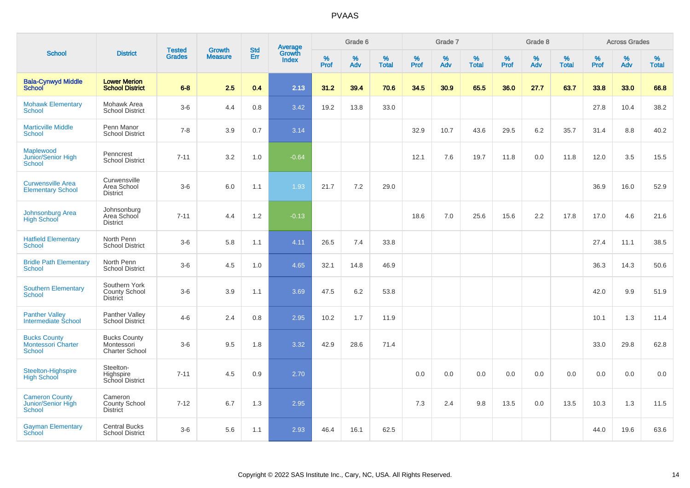|                                                                   |                                                            |                                |                          |                          |                                          |           | Grade 6  |                   |           | Grade 7  |                   |           | Grade 8  |                   |           | <b>Across Grades</b> |                   |
|-------------------------------------------------------------------|------------------------------------------------------------|--------------------------------|--------------------------|--------------------------|------------------------------------------|-----------|----------|-------------------|-----------|----------|-------------------|-----------|----------|-------------------|-----------|----------------------|-------------------|
| <b>School</b>                                                     | <b>District</b>                                            | <b>Tested</b><br><b>Grades</b> | Growth<br><b>Measure</b> | <b>Std</b><br><b>Err</b> | <b>Average</b><br>Growth<br><b>Index</b> | %<br>Prof | %<br>Adv | %<br><b>Total</b> | %<br>Prof | %<br>Adv | %<br><b>Total</b> | %<br>Prof | %<br>Adv | %<br><b>Total</b> | %<br>Prof | $\%$<br>Adv          | %<br><b>Total</b> |
| <b>Bala-Cynwyd Middle</b><br><b>School</b>                        | <b>Lower Merion</b><br><b>School District</b>              | $6 - 8$                        | 2.5                      | 0.4                      | 2.13                                     | 31.2      | 39.4     | 70.6              | 34.5      | 30.9     | 65.5              | 36.0      | 27.7     | 63.7              | 33.8      | 33.0                 | 66.8              |
| <b>Mohawk Elementary</b><br>School                                | Mohawk Area<br><b>School District</b>                      | $3-6$                          | 4.4                      | 0.8                      | 3.42                                     | 19.2      | 13.8     | 33.0              |           |          |                   |           |          |                   | 27.8      | 10.4                 | 38.2              |
| <b>Marticville Middle</b><br><b>School</b>                        | Penn Manor<br><b>School District</b>                       | $7 - 8$                        | 3.9                      | 0.7                      | 3.14                                     |           |          |                   | 32.9      | 10.7     | 43.6              | 29.5      | 6.2      | 35.7              | 31.4      | 8.8                  | 40.2              |
| Maplewood<br>Junior/Senior High<br><b>School</b>                  | Penncrest<br><b>School District</b>                        | $7 - 11$                       | 3.2                      | 1.0                      | $-0.64$                                  |           |          |                   | 12.1      | 7.6      | 19.7              | 11.8      | 0.0      | 11.8              | 12.0      | 3.5                  | 15.5              |
| <b>Curwensville Area</b><br><b>Elementary School</b>              | Curwensville<br>Area School<br><b>District</b>             | $3-6$                          | 6.0                      | 1.1                      | 1.93                                     | 21.7      | 7.2      | 29.0              |           |          |                   |           |          |                   | 36.9      | 16.0                 | 52.9              |
| <b>Johnsonburg Area</b><br><b>High School</b>                     | Johnsonburg<br>Area School<br><b>District</b>              | $7 - 11$                       | 4.4                      | 1.2                      | $-0.13$                                  |           |          |                   | 18.6      | 7.0      | 25.6              | 15.6      | 2.2      | 17.8              | 17.0      | 4.6                  | 21.6              |
| <b>Hatfield Elementary</b><br>School                              | North Penn<br><b>School District</b>                       | $3-6$                          | 5.8                      | 1.1                      | 4.11                                     | 26.5      | 7.4      | 33.8              |           |          |                   |           |          |                   | 27.4      | 11.1                 | 38.5              |
| <b>Bridle Path Elementary</b><br>School                           | North Penn<br><b>School District</b>                       | $3-6$                          | 4.5                      | 1.0                      | 4.65                                     | 32.1      | 14.8     | 46.9              |           |          |                   |           |          |                   | 36.3      | 14.3                 | 50.6              |
| <b>Southern Elementary</b><br><b>School</b>                       | Southern York<br>County School<br><b>District</b>          | $3-6$                          | 3.9                      | 1.1                      | 3.69                                     | 47.5      | 6.2      | 53.8              |           |          |                   |           |          |                   | 42.0      | 9.9                  | 51.9              |
| <b>Panther Valley</b><br>Intermediate School                      | Panther Valley<br><b>School District</b>                   | $4 - 6$                        | 2.4                      | 0.8                      | 2.95                                     | 10.2      | 1.7      | 11.9              |           |          |                   |           |          |                   | 10.1      | 1.3                  | 11.4              |
| <b>Bucks County</b><br><b>Montessori Charter</b><br><b>School</b> | <b>Bucks County</b><br>Montessori<br><b>Charter School</b> | $3-6$                          | 9.5                      | 1.8                      | 3.32                                     | 42.9      | 28.6     | 71.4              |           |          |                   |           |          |                   | 33.0      | 29.8                 | 62.8              |
| Steelton-Highspire<br><b>High School</b>                          | Steelton-<br>Highspire<br>School District                  | $7 - 11$                       | 4.5                      | 0.9                      | 2.70                                     |           |          |                   | 0.0       | 0.0      | 0.0               | 0.0       | 0.0      | 0.0               | 0.0       | 0.0                  | 0.0               |
| <b>Cameron County</b><br>Junior/Senior High<br>School             | Cameron<br>County School<br><b>District</b>                | $7 - 12$                       | 6.7                      | 1.3                      | 2.95                                     |           |          |                   | 7.3       | 2.4      | 9.8               | 13.5      | 0.0      | 13.5              | 10.3      | 1.3                  | 11.5              |
| <b>Gayman Elementary</b><br>School                                | <b>Central Bucks</b><br><b>School District</b>             | $3-6$                          | 5.6                      | 1.1                      | 2.93                                     | 46.4      | 16.1     | 62.5              |           |          |                   |           |          |                   | 44.0      | 19.6                 | 63.6              |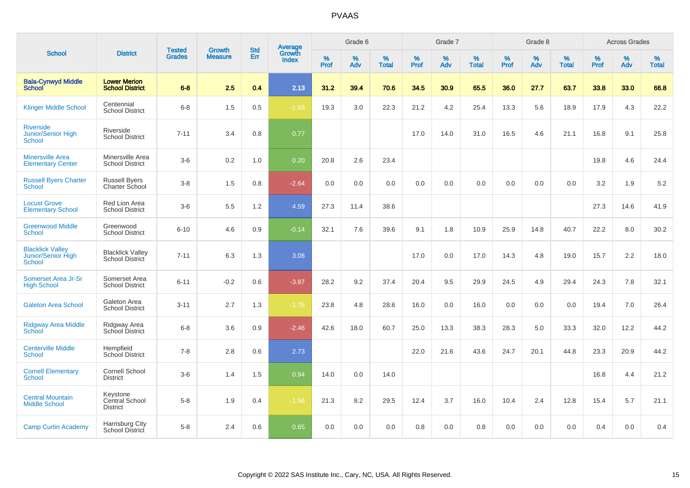|                                                                |                                               |                                | <b>Growth</b>  | <b>Std</b> |                                          |                  | Grade 6     |                      |           | Grade 7  |                   |           | Grade 8     |                   |              | <b>Across Grades</b> |                   |
|----------------------------------------------------------------|-----------------------------------------------|--------------------------------|----------------|------------|------------------------------------------|------------------|-------------|----------------------|-----------|----------|-------------------|-----------|-------------|-------------------|--------------|----------------------|-------------------|
| <b>School</b>                                                  | <b>District</b>                               | <b>Tested</b><br><b>Grades</b> | <b>Measure</b> | Err        | <b>Average</b><br>Growth<br><b>Index</b> | %<br><b>Prof</b> | $\%$<br>Adv | $\%$<br><b>Total</b> | %<br>Prof | %<br>Adv | %<br><b>Total</b> | %<br>Prof | $\%$<br>Adv | %<br><b>Total</b> | $\%$<br>Prof | $\%$<br>Adv          | %<br><b>Total</b> |
| <b>Bala-Cynwyd Middle</b><br><b>School</b>                     | <b>Lower Merion</b><br><b>School District</b> | $6-8$                          | 2.5            | 0.4        | 2.13                                     | 31.2             | 39.4        | 70.6                 | 34.5      | 30.9     | 65.5              | 36.0      | 27.7        | 63.7              | 33.8         | 33.0                 | 66.8              |
| <b>Klinger Middle School</b>                                   | Centennial<br><b>School District</b>          | $6 - 8$                        | 1.5            | 0.5        | $-1.69$                                  | 19.3             | 3.0         | 22.3                 | 21.2      | 4.2      | 25.4              | 13.3      | 5.6         | 18.9              | 17.9         | 4.3                  | 22.2              |
| <b>Riverside</b><br>Junior/Senior High<br><b>School</b>        | Riverside<br><b>School District</b>           | $7 - 11$                       | 3.4            | 0.8        | 0.77                                     |                  |             |                      | 17.0      | 14.0     | 31.0              | 16.5      | 4.6         | 21.1              | 16.8         | 9.1                  | 25.8              |
| <b>Minersville Area</b><br><b>Elementary Center</b>            | Minersville Area<br><b>School District</b>    | $3-6$                          | 0.2            | 1.0        | 0.20                                     | 20.8             | 2.6         | 23.4                 |           |          |                   |           |             |                   | 19.8         | 4.6                  | 24.4              |
| <b>Russell Byers Charter</b><br><b>School</b>                  | <b>Russell Byers</b><br>Charter School        | $3-8$                          | 1.5            | 0.8        | $-2.64$                                  | 0.0              | 0.0         | 0.0                  | 0.0       | 0.0      | 0.0               | 0.0       | 0.0         | 0.0               | 3.2          | 1.9                  | 5.2               |
| <b>Locust Grove</b><br><b>Elementary School</b>                | Red Lion Area<br><b>School District</b>       | $3-6$                          | 5.5            | 1.2        | 4.59                                     | 27.3             | 11.4        | 38.6                 |           |          |                   |           |             |                   | 27.3         | 14.6                 | 41.9              |
| <b>Greenwood Middle</b><br><b>School</b>                       | Greenwood<br><b>School District</b>           | $6 - 10$                       | 4.6            | 0.9        | $-0.14$                                  | 32.1             | 7.6         | 39.6                 | 9.1       | 1.8      | 10.9              | 25.9      | 14.8        | 40.7              | 22.2         | 8.0                  | 30.2              |
| <b>Blacklick Valley</b><br>Junior/Senior High<br><b>School</b> | <b>Blacklick Valley</b><br>School District    | $7 - 11$                       | 6.3            | 1.3        | 3.08                                     |                  |             |                      | 17.0      | 0.0      | 17.0              | 14.3      | 4.8         | 19.0              | 15.7         | 2.2                  | 18.0              |
| Somerset Area Jr-Sr<br><b>High School</b>                      | Somerset Area<br><b>School District</b>       | $6 - 11$                       | $-0.2$         | 0.6        | $-3.87$                                  | 28.2             | 9.2         | 37.4                 | 20.4      | 9.5      | 29.9              | 24.5      | 4.9         | 29.4              | 24.3         | 7.8                  | 32.1              |
| <b>Galeton Area School</b>                                     | Galeton Area<br><b>School District</b>        | $3 - 11$                       | 2.7            | 1.3        | $-1.76$                                  | 23.8             | 4.8         | 28.6                 | 16.0      | 0.0      | 16.0              | 0.0       | 0.0         | 0.0               | 19.4         | 7.0                  | 26.4              |
| <b>Ridgway Area Middle</b><br><b>School</b>                    | Ridgway Area<br>School District               | $6 - 8$                        | 3.6            | 0.9        | $-2.46$                                  | 42.6             | 18.0        | 60.7                 | 25.0      | 13.3     | 38.3              | 28.3      | 5.0         | 33.3              | 32.0         | 12.2                 | 44.2              |
| <b>Centerville Middle</b><br><b>School</b>                     | Hempfield<br><b>School District</b>           | $7 - 8$                        | 2.8            | 0.6        | 2.73                                     |                  |             |                      | 22.0      | 21.6     | 43.6              | 24.7      | 20.1        | 44.8              | 23.3         | 20.9                 | 44.2              |
| <b>Cornell Elementary</b><br><b>School</b>                     | Cornell School<br><b>District</b>             | $3-6$                          | 1.4            | 1.5        | 0.94                                     | 14.0             | 0.0         | 14.0                 |           |          |                   |           |             |                   | 16.8         | 4.4                  | 21.2              |
| <b>Central Mountain</b><br><b>Middle School</b>                | Keystone<br>Central School<br><b>District</b> | $5-8$                          | 1.9            | 0.4        | $-1.56$                                  | 21.3             | 8.2         | 29.5                 | 12.4      | 3.7      | 16.0              | 10.4      | 2.4         | 12.8              | 15.4         | 5.7                  | 21.1              |
| <b>Camp Curtin Academy</b>                                     | Harrisburg City<br>School District            | $5 - 8$                        | 2.4            | 0.6        | 0.65                                     | 0.0              | 0.0         | 0.0                  | 0.8       | 0.0      | 0.8               | 0.0       | 0.0         | 0.0               | 0.4          | 0.0                  | 0.4               |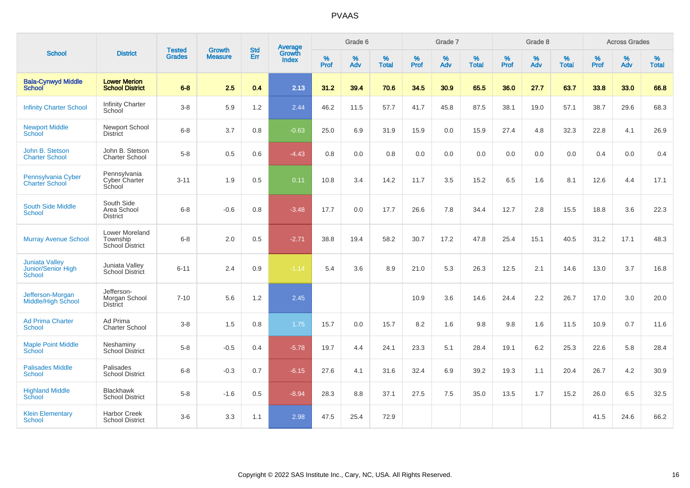|                                                       |                                                |                                |                                 | <b>Std</b> |                                          |                  | Grade 6     |                   |                  | Grade 7     |                   |                     | Grade 8     |                   |                     | <b>Across Grades</b> |                   |
|-------------------------------------------------------|------------------------------------------------|--------------------------------|---------------------------------|------------|------------------------------------------|------------------|-------------|-------------------|------------------|-------------|-------------------|---------------------|-------------|-------------------|---------------------|----------------------|-------------------|
| <b>School</b>                                         | <b>District</b>                                | <b>Tested</b><br><b>Grades</b> | <b>Growth</b><br><b>Measure</b> | Err        | <b>Average</b><br>Growth<br><b>Index</b> | %<br><b>Prof</b> | $\%$<br>Adv | %<br><b>Total</b> | %<br><b>Prof</b> | $\%$<br>Adv | %<br><b>Total</b> | $\%$<br><b>Prof</b> | $\%$<br>Adv | %<br><b>Total</b> | $\%$<br><b>Prof</b> | $\%$<br>Adv          | %<br><b>Total</b> |
| <b>Bala-Cynwyd Middle</b><br><b>School</b>            | <b>Lower Merion</b><br><b>School District</b>  | $6 - 8$                        | 2.5                             | 0.4        | 2.13                                     | 31.2             | 39.4        | 70.6              | 34.5             | 30.9        | 65.5              | 36.0                | 27.7        | 63.7              | 33.8                | 33.0                 | 66.8              |
| <b>Infinity Charter School</b>                        | <b>Infinity Charter</b><br>School              | $3-8$                          | 5.9                             | 1.2        | 2.44                                     | 46.2             | 11.5        | 57.7              | 41.7             | 45.8        | 87.5              | 38.1                | 19.0        | 57.1              | 38.7                | 29.6                 | 68.3              |
| <b>Newport Middle</b><br>School                       | <b>Newport School</b><br><b>District</b>       | $6 - 8$                        | 3.7                             | 0.8        | $-0.63$                                  | 25.0             | 6.9         | 31.9              | 15.9             | 0.0         | 15.9              | 27.4                | 4.8         | 32.3              | 22.8                | 4.1                  | 26.9              |
| John B. Stetson<br><b>Charter School</b>              | John B. Stetson<br><b>Charter School</b>       | $5-8$                          | 0.5                             | 0.6        | $-4.43$                                  | 0.8              | 0.0         | 0.8               | 0.0              | 0.0         | 0.0               | 0.0                 | 0.0         | 0.0               | 0.4                 | 0.0                  | 0.4               |
| Pennsylvania Cyber<br><b>Charter School</b>           | Pennsylvania<br>Cyber Charter<br>School        | $3 - 11$                       | 1.9                             | 0.5        | 0.11                                     | 10.8             | 3.4         | 14.2              | 11.7             | 3.5         | 15.2              | 6.5                 | 1.6         | 8.1               | 12.6                | 4.4                  | 17.1              |
| <b>South Side Middle</b><br><b>School</b>             | South Side<br>Area School<br><b>District</b>   | $6 - 8$                        | $-0.6$                          | 0.8        | $-3.48$                                  | 17.7             | 0.0         | 17.7              | 26.6             | 7.8         | 34.4              | 12.7                | 2.8         | 15.5              | 18.8                | 3.6                  | 22.3              |
| <b>Murray Avenue School</b>                           | Lower Moreland<br>Township<br>School District  | $6 - 8$                        | 2.0                             | 0.5        | $-2.71$                                  | 38.8             | 19.4        | 58.2              | 30.7             | 17.2        | 47.8              | 25.4                | 15.1        | 40.5              | 31.2                | 17.1                 | 48.3              |
| <b>Juniata Valley</b><br>Junior/Senior High<br>School | Juniata Valley<br>School District              | $6 - 11$                       | 2.4                             | 0.9        | $-1.14$                                  | 5.4              | 3.6         | 8.9               | 21.0             | 5.3         | 26.3              | 12.5                | 2.1         | 14.6              | 13.0                | 3.7                  | 16.8              |
| Jefferson-Morgan<br><b>Middle/High School</b>         | Jefferson-<br>Morgan School<br><b>District</b> | $7 - 10$                       | 5.6                             | 1.2        | 2.45                                     |                  |             |                   | 10.9             | 3.6         | 14.6              | 24.4                | 2.2         | 26.7              | 17.0                | 3.0                  | 20.0              |
| <b>Ad Prima Charter</b><br><b>School</b>              | Ad Prima<br><b>Charter School</b>              | $3-8$                          | 1.5                             | 0.8        | 1.75                                     | 15.7             | 0.0         | 15.7              | 8.2              | 1.6         | 9.8               | 9.8                 | 1.6         | 11.5              | 10.9                | 0.7                  | 11.6              |
| <b>Maple Point Middle</b><br>School                   | Neshaminy<br>School District                   | $5-8$                          | $-0.5$                          | 0.4        | $-5.78$                                  | 19.7             | 4.4         | 24.1              | 23.3             | 5.1         | 28.4              | 19.1                | 6.2         | 25.3              | 22.6                | 5.8                  | 28.4              |
| <b>Palisades Middle</b><br><b>School</b>              | Palisades<br><b>School District</b>            | $6 - 8$                        | $-0.3$                          | 0.7        | $-6.15$                                  | 27.6             | 4.1         | 31.6              | 32.4             | 6.9         | 39.2              | 19.3                | 1.1         | 20.4              | 26.7                | 4.2                  | 30.9              |
| <b>Highland Middle</b><br>School                      | <b>Blackhawk</b><br><b>School District</b>     | $5-8$                          | $-1.6$                          | 0.5        | $-8.94$                                  | 28.3             | 8.8         | 37.1              | 27.5             | 7.5         | 35.0              | 13.5                | 1.7         | 15.2              | 26.0                | 6.5                  | 32.5              |
| <b>Klein Elementary</b><br>School                     | <b>Harbor Creek</b><br><b>School District</b>  | $3-6$                          | 3.3                             | 1.1        | 2.98                                     | 47.5             | 25.4        | 72.9              |                  |             |                   |                     |             |                   | 41.5                | 24.6                 | 66.2              |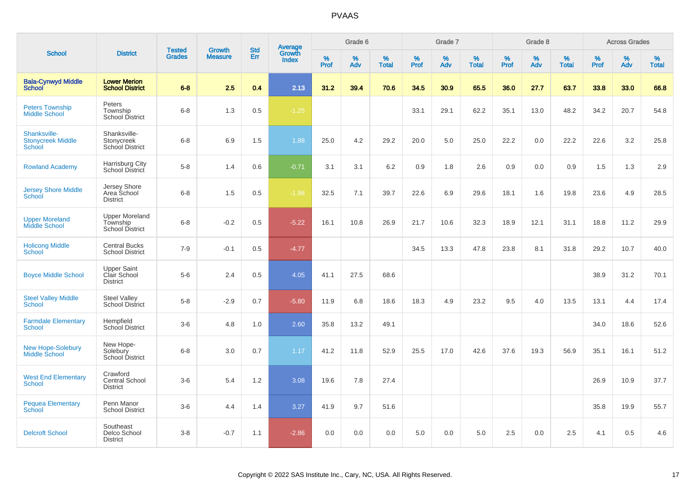|                                                    |                                                       |                                |                                 | <b>Std</b> |                                          |                  | Grade 6  |                   |                  | Grade 7  |                   |                     | Grade 8  |                   |              | <b>Across Grades</b> |                   |
|----------------------------------------------------|-------------------------------------------------------|--------------------------------|---------------------------------|------------|------------------------------------------|------------------|----------|-------------------|------------------|----------|-------------------|---------------------|----------|-------------------|--------------|----------------------|-------------------|
| <b>School</b>                                      | <b>District</b>                                       | <b>Tested</b><br><b>Grades</b> | <b>Growth</b><br><b>Measure</b> | Err        | <b>Average</b><br>Growth<br><b>Index</b> | %<br><b>Prof</b> | %<br>Adv | %<br><b>Total</b> | %<br><b>Prof</b> | %<br>Adv | %<br><b>Total</b> | $\%$<br><b>Prof</b> | %<br>Adv | %<br><b>Total</b> | $\%$<br>Prof | %<br>Adv             | %<br><b>Total</b> |
| <b>Bala-Cynwyd Middle</b><br><b>School</b>         | <b>Lower Merion</b><br><b>School District</b>         | $6 - 8$                        | 2.5                             | 0.4        | 2.13                                     | 31.2             | 39.4     | 70.6              | 34.5             | 30.9     | 65.5              | 36.0                | 27.7     | 63.7              | 33.8         | 33.0                 | 66.8              |
| <b>Peters Township</b><br><b>Middle School</b>     | Peters<br>Township<br><b>School District</b>          | $6 - 8$                        | 1.3                             | 0.5        | $-1.25$                                  |                  |          |                   | 33.1             | 29.1     | 62.2              | 35.1                | 13.0     | 48.2              | 34.2         | 20.7                 | 54.8              |
| Shanksville-<br><b>Stonycreek Middle</b><br>School | Shanksville-<br>Stonycreek<br>School District         | $6 - 8$                        | 6.9                             | 1.5        | 1.88                                     | 25.0             | 4.2      | 29.2              | 20.0             | 5.0      | 25.0              | 22.2                | 0.0      | 22.2              | 22.6         | 3.2                  | 25.8              |
| <b>Rowland Academy</b>                             | Harrisburg City<br>School District                    | $5-8$                          | 1.4                             | 0.6        | $-0.71$                                  | 3.1              | 3.1      | 6.2               | 0.9              | 1.8      | 2.6               | 0.9                 | 0.0      | 0.9               | 1.5          | 1.3                  | 2.9               |
| <b>Jersey Shore Middle</b><br>School               | Jersey Shore<br>Area School<br><b>District</b>        | $6 - 8$                        | 1.5                             | 0.5        | $-1.98$                                  | 32.5             | 7.1      | 39.7              | 22.6             | 6.9      | 29.6              | 18.1                | 1.6      | 19.8              | 23.6         | 4.9                  | 28.5              |
| <b>Upper Moreland</b><br>Middle School             | <b>Upper Moreland</b><br>Township<br>School District  | $6 - 8$                        | $-0.2$                          | 0.5        | $-5.22$                                  | 16.1             | 10.8     | 26.9              | 21.7             | 10.6     | 32.3              | 18.9                | 12.1     | 31.1              | 18.8         | 11.2                 | 29.9              |
| <b>Holicong Middle</b><br><b>School</b>            | <b>Central Bucks</b><br><b>School District</b>        | $7-9$                          | $-0.1$                          | 0.5        | $-4.77$                                  |                  |          |                   | 34.5             | 13.3     | 47.8              | 23.8                | 8.1      | 31.8              | 29.2         | 10.7                 | 40.0              |
| <b>Boyce Middle School</b>                         | <b>Upper Saint</b><br>Clair School<br><b>District</b> | $5-6$                          | 2.4                             | 0.5        | 4.05                                     | 41.1             | 27.5     | 68.6              |                  |          |                   |                     |          |                   | 38.9         | 31.2                 | 70.1              |
| <b>Steel Valley Middle</b><br><b>School</b>        | Steel Valley<br><b>School District</b>                | $5-8$                          | $-2.9$                          | 0.7        | $-5.80$                                  | 11.9             | 6.8      | 18.6              | 18.3             | 4.9      | 23.2              | 9.5                 | 4.0      | 13.5              | 13.1         | 4.4                  | 17.4              |
| <b>Farmdale Elementary</b><br><b>School</b>        | Hempfield<br><b>School District</b>                   | $3-6$                          | 4.8                             | 1.0        | 2.60                                     | 35.8             | 13.2     | 49.1              |                  |          |                   |                     |          |                   | 34.0         | 18.6                 | 52.6              |
| <b>New Hope-Solebury</b><br>Middle School          | New Hope-<br>Solebury<br><b>School District</b>       | $6 - 8$                        | 3.0                             | 0.7        | 1.17                                     | 41.2             | 11.8     | 52.9              | 25.5             | 17.0     | 42.6              | 37.6                | 19.3     | 56.9              | 35.1         | 16.1                 | 51.2              |
| <b>West End Elementary</b><br><b>School</b>        | Crawford<br><b>Central School</b><br><b>District</b>  | $3-6$                          | 5.4                             | 1.2        | 3.08                                     | 19.6             | 7.8      | 27.4              |                  |          |                   |                     |          |                   | 26.9         | 10.9                 | 37.7              |
| <b>Pequea Elementary</b><br><b>School</b>          | Penn Manor<br><b>School District</b>                  | $3-6$                          | 4.4                             | 1.4        | 3.27                                     | 41.9             | 9.7      | 51.6              |                  |          |                   |                     |          |                   | 35.8         | 19.9                 | 55.7              |
| <b>Delcroft School</b>                             | Southeast<br>Delco School<br><b>District</b>          | $3-8$                          | $-0.7$                          | 1.1        | $-2.86$                                  | 0.0              | 0.0      | 0.0               | 5.0              | 0.0      | 5.0               | 2.5                 | 0.0      | 2.5               | 4.1          | 0.5                  | 4.6               |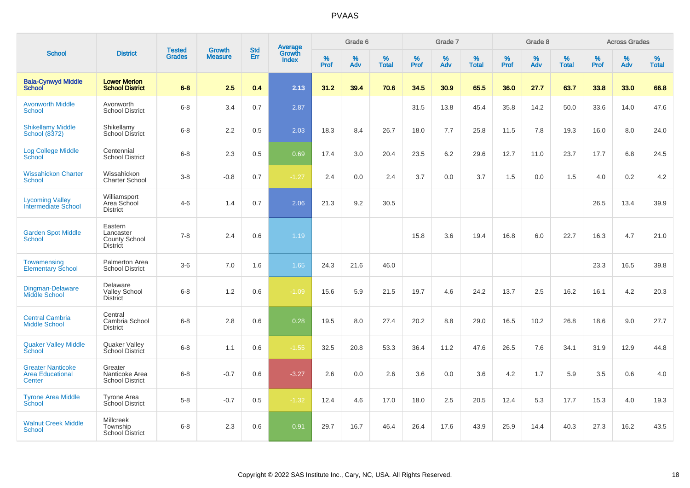|                                                               |                                                          | <b>Tested</b> | Growth         | <b>Std</b> |                                          |                  | Grade 6  |                   |           | Grade 7  |                   |           | Grade 8  |                   |           | <b>Across Grades</b> |                   |
|---------------------------------------------------------------|----------------------------------------------------------|---------------|----------------|------------|------------------------------------------|------------------|----------|-------------------|-----------|----------|-------------------|-----------|----------|-------------------|-----------|----------------------|-------------------|
| <b>School</b>                                                 | <b>District</b>                                          | <b>Grades</b> | <b>Measure</b> | Err        | <b>Average</b><br>Growth<br><b>Index</b> | %<br><b>Prof</b> | %<br>Adv | %<br><b>Total</b> | %<br>Prof | %<br>Adv | %<br><b>Total</b> | %<br>Prof | %<br>Adv | %<br><b>Total</b> | %<br>Prof | %<br>Adv             | %<br><b>Total</b> |
| <b>Bala-Cynwyd Middle</b><br><b>School</b>                    | <b>Lower Merion</b><br><b>School District</b>            | $6 - 8$       | 2.5            | 0.4        | 2.13                                     | 31.2             | 39.4     | 70.6              | 34.5      | 30.9     | 65.5              | 36.0      | 27.7     | 63.7              | 33.8      | 33.0                 | 66.8              |
| <b>Avonworth Middle</b><br><b>School</b>                      | Avonworth<br><b>School District</b>                      | $6 - 8$       | 3.4            | 0.7        | 2.87                                     |                  |          |                   | 31.5      | 13.8     | 45.4              | 35.8      | 14.2     | 50.0              | 33.6      | 14.0                 | 47.6              |
| <b>Shikellamy Middle</b><br>School (8372)                     | Shikellamy<br><b>School District</b>                     | $6 - 8$       | 2.2            | 0.5        | 2.03                                     | 18.3             | 8.4      | 26.7              | 18.0      | 7.7      | 25.8              | 11.5      | 7.8      | 19.3              | 16.0      | 8.0                  | 24.0              |
| <b>Log College Middle</b><br>School                           | Centennial<br><b>School District</b>                     | $6 - 8$       | 2.3            | 0.5        | 0.69                                     | 17.4             | 3.0      | 20.4              | 23.5      | 6.2      | 29.6              | 12.7      | 11.0     | 23.7              | 17.7      | 6.8                  | 24.5              |
| <b>Wissahickon Charter</b><br><b>School</b>                   | Wissahickon<br><b>Charter School</b>                     | $3 - 8$       | $-0.8$         | 0.7        | $-1.27$                                  | 2.4              | 0.0      | 2.4               | 3.7       | 0.0      | 3.7               | 1.5       | 0.0      | 1.5               | 4.0       | 0.2                  | 4.2               |
| <b>Lycoming Valley</b><br>Intermediate School                 | Williamsport<br>Area School<br><b>District</b>           | $4 - 6$       | 1.4            | 0.7        | 2.06                                     | 21.3             | 9.2      | 30.5              |           |          |                   |           |          |                   | 26.5      | 13.4                 | 39.9              |
| <b>Garden Spot Middle</b><br>School                           | Eastern<br>Lancaster<br>County School<br><b>District</b> | $7 - 8$       | 2.4            | 0.6        | 1.19                                     |                  |          |                   | 15.8      | 3.6      | 19.4              | 16.8      | 6.0      | 22.7              | 16.3      | 4.7                  | 21.0              |
| Towamensing<br><b>Elementary School</b>                       | Palmerton Area<br><b>School District</b>                 | $3-6$         | 7.0            | 1.6        | 1.65                                     | 24.3             | 21.6     | 46.0              |           |          |                   |           |          |                   | 23.3      | 16.5                 | 39.8              |
| Dingman-Delaware<br><b>Middle School</b>                      | Delaware<br><b>Valley School</b><br><b>District</b>      | $6 - 8$       | 1.2            | 0.6        | $-1.09$                                  | 15.6             | 5.9      | 21.5              | 19.7      | 4.6      | 24.2              | 13.7      | 2.5      | 16.2              | 16.1      | 4.2                  | 20.3              |
| <b>Central Cambria</b><br><b>Middle School</b>                | Central<br>Cambria School<br><b>District</b>             | $6 - 8$       | 2.8            | 0.6        | 0.28                                     | 19.5             | 8.0      | 27.4              | 20.2      | 8.8      | 29.0              | 16.5      | 10.2     | 26.8              | 18.6      | 9.0                  | 27.7              |
| <b>Quaker Valley Middle</b><br><b>School</b>                  | Quaker Valley<br>School District                         | $6 - 8$       | 1.1            | 0.6        | $-1.55$                                  | 32.5             | 20.8     | 53.3              | 36.4      | 11.2     | 47.6              | 26.5      | 7.6      | 34.1              | 31.9      | 12.9                 | 44.8              |
| <b>Greater Nanticoke</b><br><b>Area Educational</b><br>Center | Greater<br>Nanticoke Area<br><b>School District</b>      | $6 - 8$       | $-0.7$         | $0.6\,$    | $-3.27$                                  | 2.6              | 0.0      | 2.6               | 3.6       | 0.0      | 3.6               | 4.2       | 1.7      | 5.9               | 3.5       | 0.6                  | 4.0               |
| <b>Tyrone Area Middle</b><br>School                           | <b>Tyrone Area</b><br>School District                    | $5 - 8$       | $-0.7$         | 0.5        | $-1.32$                                  | 12.4             | 4.6      | 17.0              | 18.0      | 2.5      | 20.5              | 12.4      | 5.3      | 17.7              | 15.3      | 4.0                  | 19.3              |
| <b>Walnut Creek Middle</b><br>School                          | <b>Millcreek</b><br>Township<br>School District          | $6 - 8$       | 2.3            | 0.6        | 0.91                                     | 29.7             | 16.7     | 46.4              | 26.4      | 17.6     | 43.9              | 25.9      | 14.4     | 40.3              | 27.3      | 16.2                 | 43.5              |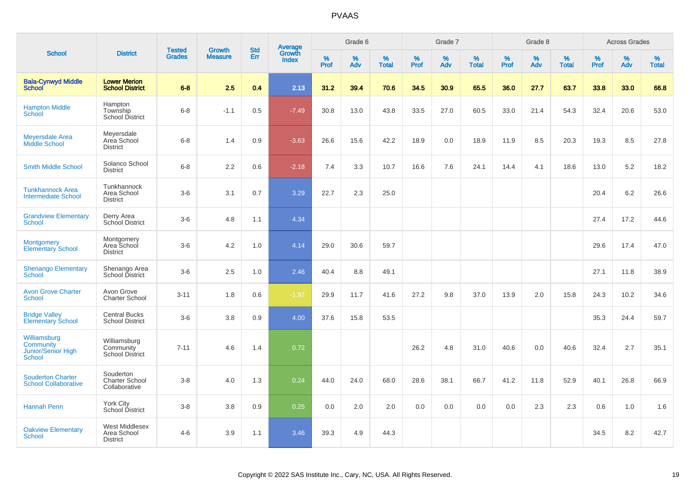|                                                                  |                                                     |                                |                                 | <b>Std</b> |                                          |                     | Grade 6     |                      |              | Grade 7     |                   |           | Grade 8     |                   |              | <b>Across Grades</b> |                   |
|------------------------------------------------------------------|-----------------------------------------------------|--------------------------------|---------------------------------|------------|------------------------------------------|---------------------|-------------|----------------------|--------------|-------------|-------------------|-----------|-------------|-------------------|--------------|----------------------|-------------------|
| <b>School</b>                                                    | <b>District</b>                                     | <b>Tested</b><br><b>Grades</b> | <b>Growth</b><br><b>Measure</b> | Err        | <b>Average</b><br>Growth<br><b>Index</b> | $\%$<br><b>Prof</b> | $\%$<br>Adv | $\%$<br><b>Total</b> | $\%$<br>Prof | $\%$<br>Adv | %<br><b>Total</b> | %<br>Prof | $\%$<br>Adv | %<br><b>Total</b> | $\%$<br>Prof | $\%$<br>Adv          | %<br><b>Total</b> |
| <b>Bala-Cynwyd Middle</b><br><b>School</b>                       | <b>Lower Merion</b><br><b>School District</b>       | $6-8$                          | 2.5                             | 0.4        | 2.13                                     | 31.2                | 39.4        | 70.6                 | 34.5         | 30.9        | 65.5              | 36.0      | 27.7        | 63.7              | 33.8         | 33.0                 | 66.8              |
| <b>Hampton Middle</b><br><b>School</b>                           | Hampton<br>Township<br><b>School District</b>       | $6 - 8$                        | $-1.1$                          | 0.5        | $-7.49$                                  | 30.8                | 13.0        | 43.8                 | 33.5         | 27.0        | 60.5              | 33.0      | 21.4        | 54.3              | 32.4         | 20.6                 | 53.0              |
| <b>Meyersdale Area</b><br>Middle School                          | Meyersdale<br>Area School<br><b>District</b>        | $6 - 8$                        | 1.4                             | 0.9        | $-3.63$                                  | 26.6                | 15.6        | 42.2                 | 18.9         | 0.0         | 18.9              | 11.9      | 8.5         | 20.3              | 19.3         | 8.5                  | 27.8              |
| <b>Smith Middle School</b>                                       | Solanco School<br><b>District</b>                   | $6 - 8$                        | 2.2                             | 0.6        | $-2.18$                                  | 7.4                 | 3.3         | 10.7                 | 16.6         | 7.6         | 24.1              | 14.4      | 4.1         | 18.6              | 13.0         | 5.2                  | 18.2              |
| <b>Tunkhannock Area</b><br><b>Intermediate School</b>            | Tunkhannock<br>Area School<br><b>District</b>       | $3-6$                          | 3.1                             | 0.7        | 3.29                                     | 22.7                | 2.3         | 25.0                 |              |             |                   |           |             |                   | 20.4         | 6.2                  | 26.6              |
| <b>Grandview Elementary</b><br><b>School</b>                     | Derry Area<br>School District                       | $3-6$                          | 4.8                             | 1.1        | 4.34                                     |                     |             |                      |              |             |                   |           |             |                   | 27.4         | 17.2                 | 44.6              |
| <b>Montgomery</b><br><b>Elementary School</b>                    | Montgomery<br>Area School<br><b>District</b>        | $3-6$                          | 4.2                             | 1.0        | 4.14                                     | 29.0                | 30.6        | 59.7                 |              |             |                   |           |             |                   | 29.6         | 17.4                 | 47.0              |
| <b>Shenango Elementary</b><br><b>School</b>                      | Shenango Area<br>School District                    | $3-6$                          | 2.5                             | 1.0        | 2.46                                     | 40.4                | 8.8         | 49.1                 |              |             |                   |           |             |                   | 27.1         | 11.8                 | 38.9              |
| <b>Avon Grove Charter</b><br><b>School</b>                       | Avon Grove<br><b>Charter School</b>                 | $3 - 11$                       | 1.8                             | 0.6        | $-1.97$                                  | 29.9                | 11.7        | 41.6                 | 27.2         | 9.8         | 37.0              | 13.9      | 2.0         | 15.8              | 24.3         | 10.2                 | 34.6              |
| <b>Bridge Valley</b><br><b>Elementary School</b>                 | <b>Central Bucks</b><br><b>School District</b>      | $3-6$                          | 3.8                             | 0.9        | 4.00                                     | 37.6                | 15.8        | 53.5                 |              |             |                   |           |             |                   | 35.3         | 24.4                 | 59.7              |
| Williamsburg<br>Community<br>Junior/Senior High<br><b>School</b> | Williamsburg<br>Community<br><b>School District</b> | $7 - 11$                       | 4.6                             | 1.4        | 0.72                                     |                     |             |                      | 26.2         | 4.8         | 31.0              | 40.6      | 0.0         | 40.6              | 32.4         | 2.7                  | 35.1              |
| <b>Souderton Charter</b><br><b>School Collaborative</b>          | Souderton<br>Charter School<br>Collaborative        | $3 - 8$                        | 4.0                             | 1.3        | 0.24                                     | 44.0                | 24.0        | 68.0                 | 28.6         | 38.1        | 66.7              | 41.2      | 11.8        | 52.9              | 40.1         | 26.8                 | 66.9              |
| <b>Hannah Penn</b>                                               | York City<br>School District                        | $3 - 8$                        | 3.8                             | 0.9        | 0.25                                     | 0.0                 | 2.0         | 2.0                  | 0.0          | 0.0         | 0.0               | 0.0       | 2.3         | 2.3               | 0.6          | 1.0                  | 1.6               |
| <b>Oakview Elementary</b><br><b>School</b>                       | West Middlesex<br>Area School<br><b>District</b>    | $4 - 6$                        | 3.9                             | 1.1        | 3.46                                     | 39.3                | 4.9         | 44.3                 |              |             |                   |           |             |                   | 34.5         | 8.2                  | 42.7              |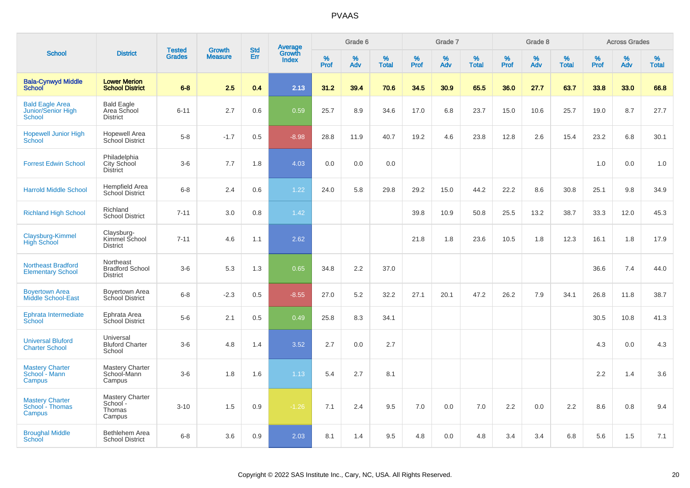|                                                        |                                                        |                                |                                 |                   |                                          |                  | Grade 6     |                   |              | Grade 7     |                      |              | Grade 8  |                   |              | <b>Across Grades</b> |                   |
|--------------------------------------------------------|--------------------------------------------------------|--------------------------------|---------------------------------|-------------------|------------------------------------------|------------------|-------------|-------------------|--------------|-------------|----------------------|--------------|----------|-------------------|--------------|----------------------|-------------------|
| <b>School</b>                                          | <b>District</b>                                        | <b>Tested</b><br><b>Grades</b> | <b>Growth</b><br><b>Measure</b> | <b>Std</b><br>Err | <b>Average</b><br>Growth<br><b>Index</b> | %<br><b>Prof</b> | $\%$<br>Adv | %<br><b>Total</b> | $\%$<br>Prof | $\%$<br>Adv | $\%$<br><b>Total</b> | $\%$<br>Prof | %<br>Adv | %<br><b>Total</b> | $\%$<br>Prof | $\%$<br>Adv          | %<br><b>Total</b> |
| <b>Bala-Cynwyd Middle</b><br><b>School</b>             | <b>Lower Merion</b><br><b>School District</b>          | $6 - 8$                        | 2.5                             | 0.4               | 2.13                                     | 31.2             | 39.4        | 70.6              | 34.5         | 30.9        | 65.5                 | 36.0         | 27.7     | 63.7              | 33.8         | 33.0                 | 66.8              |
| <b>Bald Eagle Area</b><br>Junior/Senior High<br>School | <b>Bald Eagle</b><br>Area School<br><b>District</b>    | $6 - 11$                       | 2.7                             | 0.6               | 0.59                                     | 25.7             | 8.9         | 34.6              | 17.0         | 6.8         | 23.7                 | 15.0         | 10.6     | 25.7              | 19.0         | 8.7                  | 27.7              |
| <b>Hopewell Junior High</b><br>School                  | <b>Hopewell Area</b><br>School District                | $5 - 8$                        | $-1.7$                          | 0.5               | $-8.98$                                  | 28.8             | 11.9        | 40.7              | 19.2         | 4.6         | 23.8                 | 12.8         | 2.6      | 15.4              | 23.2         | 6.8                  | 30.1              |
| <b>Forrest Edwin School</b>                            | Philadelphia<br>City School<br><b>District</b>         | $3-6$                          | 7.7                             | 1.8               | 4.03                                     | 0.0              | 0.0         | 0.0               |              |             |                      |              |          |                   | 1.0          | 0.0                  | 1.0               |
| <b>Harrold Middle School</b>                           | Hempfield Area<br>School District                      | $6 - 8$                        | 2.4                             | 0.6               | 1.22                                     | 24.0             | 5.8         | 29.8              | 29.2         | 15.0        | 44.2                 | 22.2         | 8.6      | 30.8              | 25.1         | 9.8                  | 34.9              |
| <b>Richland High School</b>                            | Richland<br><b>School District</b>                     | $7 - 11$                       | 3.0                             | 0.8               | 1.42                                     |                  |             |                   | 39.8         | 10.9        | 50.8                 | 25.5         | 13.2     | 38.7              | 33.3         | 12.0                 | 45.3              |
| Claysburg-Kimmel<br><b>High School</b>                 | Claysburg-<br>Kimmel School<br><b>District</b>         | $7 - 11$                       | 4.6                             | 1.1               | 2.62                                     |                  |             |                   | 21.8         | 1.8         | 23.6                 | 10.5         | 1.8      | 12.3              | 16.1         | 1.8                  | 17.9              |
| <b>Northeast Bradford</b><br><b>Elementary School</b>  | Northeast<br><b>Bradford School</b><br><b>District</b> | $3-6$                          | 5.3                             | 1.3               | 0.65                                     | 34.8             | 2.2         | 37.0              |              |             |                      |              |          |                   | 36.6         | 7.4                  | 44.0              |
| <b>Boyertown Area</b><br><b>Middle School-East</b>     | Boyertown Area<br>School District                      | $6 - 8$                        | $-2.3$                          | 0.5               | $-8.55$                                  | 27.0             | 5.2         | 32.2              | 27.1         | 20.1        | 47.2                 | 26.2         | 7.9      | 34.1              | 26.8         | 11.8                 | 38.7              |
| Ephrata Intermediate<br>School                         | Ephrata Area<br>School District                        | $5-6$                          | 2.1                             | 0.5               | 0.49                                     | 25.8             | 8.3         | 34.1              |              |             |                      |              |          |                   | 30.5         | 10.8                 | 41.3              |
| <b>Universal Bluford</b><br><b>Charter School</b>      | Universal<br><b>Bluford Charter</b><br>School          | $3-6$                          | 4.8                             | 1.4               | 3.52                                     | 2.7              | 0.0         | 2.7               |              |             |                      |              |          |                   | 4.3          | 0.0                  | 4.3               |
| <b>Mastery Charter</b><br>School - Mann<br>Campus      | Mastery Charter<br>School-Mann<br>Campus               | $3-6$                          | 1.8                             | 1.6               | 1.13                                     | 5.4              | 2.7         | 8.1               |              |             |                      |              |          |                   | 2.2          | 1.4                  | 3.6               |
| <b>Mastery Charter</b><br>School - Thomas<br>Campus    | <b>Mastery Charter</b><br>School -<br>Thomas<br>Campus | $3 - 10$                       | 1.5                             | 0.9               | $-1.26$                                  | 7.1              | 2.4         | 9.5               | 7.0          | 0.0         | 7.0                  | 2.2          | 0.0      | 2.2               | 8.6          | 0.8                  | 9.4               |
| <b>Broughal Middle</b><br>School                       | Bethlehem Area<br><b>School District</b>               | $6 - 8$                        | 3.6                             | 0.9               | 2.03                                     | 8.1              | 1.4         | 9.5               | 4.8          | 0.0         | 4.8                  | 3.4          | 3.4      | 6.8               | 5.6          | 1.5                  | 7.1               |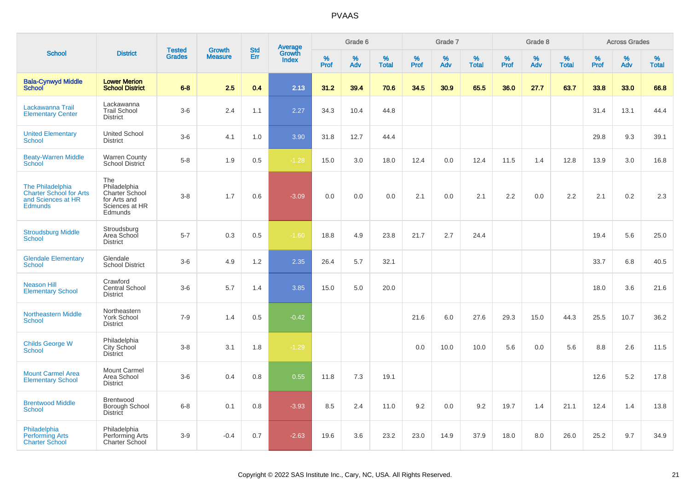|                                                                                            |                                                                                    |                                |                          | <b>Std</b> |                                          |                  | Grade 6     |                   |           | Grade 7     |                   |           | Grade 8  |                   |              | <b>Across Grades</b> |                   |
|--------------------------------------------------------------------------------------------|------------------------------------------------------------------------------------|--------------------------------|--------------------------|------------|------------------------------------------|------------------|-------------|-------------------|-----------|-------------|-------------------|-----------|----------|-------------------|--------------|----------------------|-------------------|
| <b>School</b>                                                                              | <b>District</b>                                                                    | <b>Tested</b><br><b>Grades</b> | Growth<br><b>Measure</b> | Err        | <b>Average</b><br>Growth<br><b>Index</b> | %<br><b>Prof</b> | $\%$<br>Adv | %<br><b>Total</b> | %<br>Prof | $\%$<br>Adv | %<br><b>Total</b> | %<br>Prof | %<br>Adv | %<br><b>Total</b> | $\%$<br>Prof | $\%$<br>Adv          | %<br><b>Total</b> |
| <b>Bala-Cynwyd Middle</b><br><b>School</b>                                                 | <b>Lower Merion</b><br><b>School District</b>                                      | $6 - 8$                        | 2.5                      | 0.4        | 2.13                                     | 31.2             | 39.4        | 70.6              | 34.5      | 30.9        | 65.5              | 36.0      | 27.7     | 63.7              | 33.8         | 33.0                 | 66.8              |
| Lackawanna Trail<br><b>Elementary Center</b>                                               | Lackawanna<br><b>Trail School</b><br><b>District</b>                               | $3-6$                          | 2.4                      | 1.1        | 2.27                                     | 34.3             | 10.4        | 44.8              |           |             |                   |           |          |                   | 31.4         | 13.1                 | 44.4              |
| <b>United Elementary</b><br><b>School</b>                                                  | <b>United School</b><br><b>District</b>                                            | $3-6$                          | 4.1                      | 1.0        | 3.90                                     | 31.8             | 12.7        | 44.4              |           |             |                   |           |          |                   | 29.8         | 9.3                  | 39.1              |
| <b>Beaty-Warren Middle</b><br>School                                                       | Warren County<br>School District                                                   | $5-8$                          | 1.9                      | 0.5        | $-1.28$                                  | 15.0             | 3.0         | 18.0              | 12.4      | 0.0         | 12.4              | 11.5      | 1.4      | 12.8              | 13.9         | 3.0                  | 16.8              |
| The Philadelphia<br><b>Charter School for Arts</b><br>and Sciences at HR<br><b>Edmunds</b> | The<br>Philadelphia<br>Charter School<br>for Arts and<br>Sciences at HR<br>Edmunds | $3-8$                          | 1.7                      | 0.6        | $-3.09$                                  | 0.0              | 0.0         | 0.0               | 2.1       | 0.0         | 2.1               | 2.2       | 0.0      | 2.2               | 2.1          | 0.2                  | 2.3               |
| <b>Stroudsburg Middle</b><br><b>School</b>                                                 | Stroudsburg<br>Area School<br><b>District</b>                                      | $5 - 7$                        | 0.3                      | 0.5        | $-1.60$                                  | 18.8             | 4.9         | 23.8              | 21.7      | 2.7         | 24.4              |           |          |                   | 19.4         | 5.6                  | 25.0              |
| <b>Glendale Elementary</b><br><b>School</b>                                                | Glendale<br><b>School District</b>                                                 | $3-6$                          | 4.9                      | 1.2        | 2.35                                     | 26.4             | 5.7         | 32.1              |           |             |                   |           |          |                   | 33.7         | 6.8                  | 40.5              |
| <b>Neason Hill</b><br><b>Elementary School</b>                                             | Crawford<br><b>Central School</b><br><b>District</b>                               | $3-6$                          | 5.7                      | 1.4        | 3.85                                     | 15.0             | 5.0         | 20.0              |           |             |                   |           |          |                   | 18.0         | 3.6                  | 21.6              |
| <b>Northeastern Middle</b><br><b>School</b>                                                | Northeastern<br>York School<br><b>District</b>                                     | $7 - 9$                        | 1.4                      | 0.5        | $-0.42$                                  |                  |             |                   | 21.6      | 6.0         | 27.6              | 29.3      | 15.0     | 44.3              | 25.5         | 10.7                 | 36.2              |
| <b>Childs George W</b><br><b>School</b>                                                    | Philadelphia<br>City School<br><b>District</b>                                     | $3-8$                          | 3.1                      | 1.8        | $-1.29$                                  |                  |             |                   | 0.0       | 10.0        | 10.0              | 5.6       | 0.0      | 5.6               | 8.8          | 2.6                  | 11.5              |
| <b>Mount Carmel Area</b><br><b>Elementary School</b>                                       | Mount Carmel<br>Area School<br><b>District</b>                                     | $3-6$                          | 0.4                      | 0.8        | 0.55                                     | 11.8             | 7.3         | 19.1              |           |             |                   |           |          |                   | 12.6         | 5.2                  | 17.8              |
| <b>Brentwood Middle</b><br><b>School</b>                                                   | <b>Brentwood</b><br><b>Borough School</b><br><b>District</b>                       | $6 - 8$                        | 0.1                      | 0.8        | $-3.93$                                  | 8.5              | 2.4         | 11.0              | 9.2       | 0.0         | 9.2               | 19.7      | 1.4      | 21.1              | 12.4         | 1.4                  | 13.8              |
| Philadelphia<br><b>Performing Arts</b><br><b>Charter School</b>                            | Philadelphia<br>Performing Arts<br><b>Charter School</b>                           | $3-9$                          | $-0.4$                   | 0.7        | $-2.63$                                  | 19.6             | 3.6         | 23.2              | 23.0      | 14.9        | 37.9              | 18.0      | 8.0      | 26.0              | 25.2         | 9.7                  | 34.9              |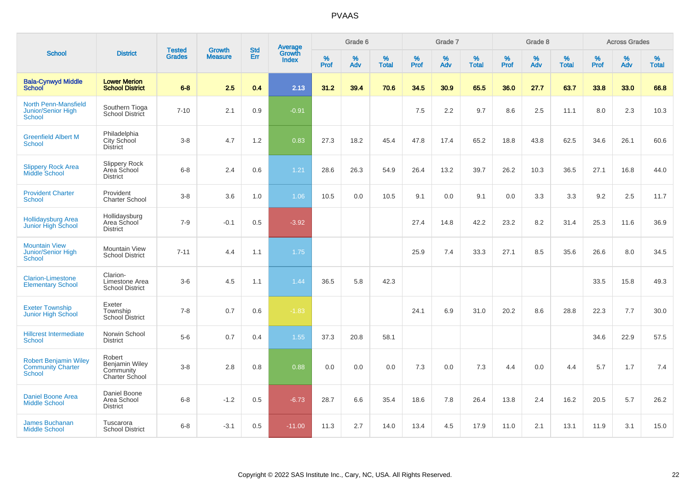|                                                                    |                                                         |                                | <b>Growth</b>  | <b>Std</b> | <b>Average</b><br>Growth |                  | Grade 6  |                   |           | Grade 7  |                   |           | Grade 8  |                   |           | <b>Across Grades</b> |                   |
|--------------------------------------------------------------------|---------------------------------------------------------|--------------------------------|----------------|------------|--------------------------|------------------|----------|-------------------|-----------|----------|-------------------|-----------|----------|-------------------|-----------|----------------------|-------------------|
| <b>School</b>                                                      | <b>District</b>                                         | <b>Tested</b><br><b>Grades</b> | <b>Measure</b> | Err        | <b>Index</b>             | %<br><b>Prof</b> | %<br>Adv | %<br><b>Total</b> | %<br>Prof | %<br>Adv | %<br><b>Total</b> | %<br>Prof | %<br>Adv | %<br><b>Total</b> | %<br>Prof | $\%$<br>Adv          | %<br><b>Total</b> |
| <b>Bala-Cynwyd Middle</b><br><b>School</b>                         | <b>Lower Merion</b><br><b>School District</b>           | $6 - 8$                        | 2.5            | 0.4        | 2.13                     | 31.2             | 39.4     | 70.6              | 34.5      | 30.9     | 65.5              | 36.0      | 27.7     | 63.7              | 33.8      | 33.0                 | 66.8              |
| <b>North Penn-Mansfield</b><br>Junior/Senior High<br><b>School</b> | Southern Tioga<br>School District                       | $7 - 10$                       | 2.1            | 0.9        | $-0.91$                  |                  |          |                   | 7.5       | 2.2      | 9.7               | 8.6       | 2.5      | 11.1              | 8.0       | 2.3                  | 10.3              |
| <b>Greenfield Albert M</b><br><b>School</b>                        | Philadelphia<br>City School<br><b>District</b>          | $3-8$                          | 4.7            | 1.2        | 0.83                     | 27.3             | 18.2     | 45.4              | 47.8      | 17.4     | 65.2              | 18.8      | 43.8     | 62.5              | 34.6      | 26.1                 | 60.6              |
| <b>Slippery Rock Area</b><br><b>Middle School</b>                  | <b>Slippery Rock</b><br>Area School<br><b>District</b>  | $6 - 8$                        | 2.4            | 0.6        | 1.21                     | 28.6             | 26.3     | 54.9              | 26.4      | 13.2     | 39.7              | 26.2      | 10.3     | 36.5              | 27.1      | 16.8                 | 44.0              |
| <b>Provident Charter</b><br>School                                 | Provident<br><b>Charter School</b>                      | $3 - 8$                        | 3.6            | 1.0        | 1.06                     | 10.5             | 0.0      | 10.5              | 9.1       | 0.0      | 9.1               | 0.0       | 3.3      | 3.3               | 9.2       | 2.5                  | 11.7              |
| <b>Hollidaysburg Area</b><br>Junior High School                    | Hollidaysburg<br>Area School<br><b>District</b>         | $7 - 9$                        | $-0.1$         | 0.5        | $-3.92$                  |                  |          |                   | 27.4      | 14.8     | 42.2              | 23.2      | 8.2      | 31.4              | 25.3      | 11.6                 | 36.9              |
| <b>Mountain View</b><br><b>Junior/Senior High</b><br><b>School</b> | <b>Mountain View</b><br><b>School District</b>          | $7 - 11$                       | 4.4            | 1.1        | 1.75                     |                  |          |                   | 25.9      | 7.4      | 33.3              | 27.1      | 8.5      | 35.6              | 26.6      | 8.0                  | 34.5              |
| <b>Clarion-Limestone</b><br><b>Elementary School</b>               | Clarion-<br>Limestone Area<br><b>School District</b>    | $3-6$                          | 4.5            | 1.1        | 1.44                     | 36.5             | 5.8      | 42.3              |           |          |                   |           |          |                   | 33.5      | 15.8                 | 49.3              |
| <b>Exeter Township</b><br>Junior High School                       | Exeter<br>Township<br><b>School District</b>            | $7 - 8$                        | 0.7            | 0.6        | $-1.83$                  |                  |          |                   | 24.1      | 6.9      | 31.0              | 20.2      | 8.6      | 28.8              | 22.3      | 7.7                  | 30.0              |
| <b>Hillcrest Intermediate</b><br>School                            | Norwin School<br><b>District</b>                        | $5-6$                          | 0.7            | 0.4        | 1.55                     | 37.3             | 20.8     | 58.1              |           |          |                   |           |          |                   | 34.6      | 22.9                 | 57.5              |
| <b>Robert Benjamin Wiley</b><br><b>Community Charter</b><br>School | Robert<br>Benjamin Wiley<br>Community<br>Charter School | $3-8$                          | 2.8            | 0.8        | 0.88                     | 0.0              | 0.0      | 0.0               | 7.3       | 0.0      | 7.3               | 4.4       | 0.0      | 4.4               | 5.7       | 1.7                  | 7.4               |
| <b>Daniel Boone Area</b><br><b>Middle School</b>                   | Daniel Boone<br>Area School<br><b>District</b>          | $6 - 8$                        | $-1.2$         | 0.5        | $-6.73$                  | 28.7             | 6.6      | 35.4              | 18.6      | 7.8      | 26.4              | 13.8      | 2.4      | 16.2              | 20.5      | 5.7                  | 26.2              |
| <b>James Buchanan</b><br><b>Middle School</b>                      | Tuscarora<br><b>School District</b>                     | $6 - 8$                        | $-3.1$         | 0.5        | $-11.00$                 | 11.3             | 2.7      | 14.0              | 13.4      | 4.5      | 17.9              | 11.0      | 2.1      | 13.1              | 11.9      | 3.1                  | 15.0              |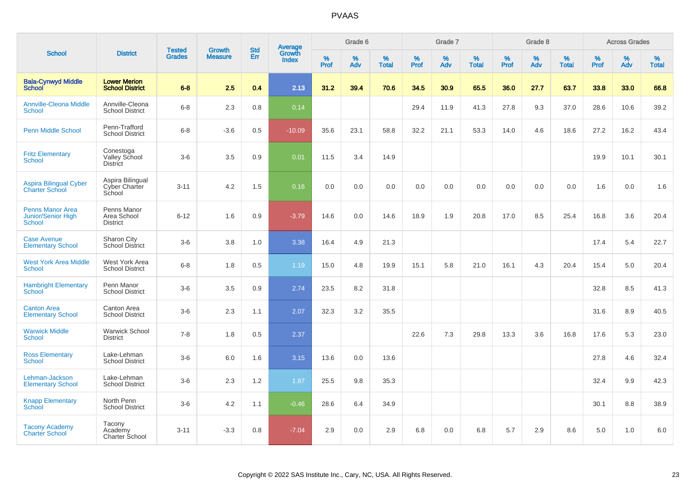|                                                                       |                                                    |                                | <b>Growth</b>  | <b>Std</b> |                                          |                  | Grade 6     |                   |              | Grade 7  |                   |           | Grade 8  |                   |              | <b>Across Grades</b> |                   |
|-----------------------------------------------------------------------|----------------------------------------------------|--------------------------------|----------------|------------|------------------------------------------|------------------|-------------|-------------------|--------------|----------|-------------------|-----------|----------|-------------------|--------------|----------------------|-------------------|
| <b>School</b>                                                         | <b>District</b>                                    | <b>Tested</b><br><b>Grades</b> | <b>Measure</b> | Err        | <b>Average</b><br>Growth<br><b>Index</b> | %<br><b>Prof</b> | $\%$<br>Adv | %<br><b>Total</b> | $\%$<br>Prof | %<br>Adv | %<br><b>Total</b> | %<br>Prof | %<br>Adv | %<br><b>Total</b> | $\%$<br>Prof | $\%$<br>Adv          | %<br><b>Total</b> |
| <b>Bala-Cynwyd Middle</b><br><b>School</b>                            | <b>Lower Merion</b><br><b>School District</b>      | $6-8$                          | 2.5            | 0.4        | 2.13                                     | 31.2             | 39.4        | 70.6              | 34.5         | 30.9     | 65.5              | 36.0      | 27.7     | 63.7              | 33.8         | 33.0                 | 66.8              |
| <b>Annville-Cleona Middle</b><br><b>School</b>                        | Annville-Cleona<br><b>School District</b>          | $6 - 8$                        | 2.3            | 0.8        | 0.14                                     |                  |             |                   | 29.4         | 11.9     | 41.3              | 27.8      | 9.3      | 37.0              | 28.6         | 10.6                 | 39.2              |
| <b>Penn Middle School</b>                                             | Penn-Trafford<br><b>School District</b>            | $6 - 8$                        | $-3.6$         | 0.5        | $-10.09$                                 | 35.6             | 23.1        | 58.8              | 32.2         | 21.1     | 53.3              | 14.0      | 4.6      | 18.6              | 27.2         | 16.2                 | 43.4              |
| <b>Fritz Elementary</b><br><b>School</b>                              | Conestoga<br>Valley School<br><b>District</b>      | $3-6$                          | 3.5            | 0.9        | 0.01                                     | 11.5             | 3.4         | 14.9              |              |          |                   |           |          |                   | 19.9         | 10.1                 | 30.1              |
| <b>Aspira Bilingual Cyber</b><br><b>Charter School</b>                | Aspira Bilingual<br><b>Cyber Charter</b><br>School | $3 - 11$                       | 4.2            | 1.5        | 0.16                                     | 0.0              | 0.0         | 0.0               | 0.0          | 0.0      | 0.0               | 0.0       | 0.0      | 0.0               | 1.6          | 0.0                  | 1.6               |
| <b>Penns Manor Area</b><br><b>Junior/Senior High</b><br><b>School</b> | Penns Manor<br>Area School<br><b>District</b>      | $6 - 12$                       | 1.6            | 0.9        | $-3.79$                                  | 14.6             | 0.0         | 14.6              | 18.9         | 1.9      | 20.8              | 17.0      | 8.5      | 25.4              | 16.8         | 3.6                  | 20.4              |
| <b>Case Avenue</b><br><b>Elementary School</b>                        | Sharon City<br><b>School District</b>              | $3-6$                          | 3.8            | 1.0        | 3.38                                     | 16.4             | 4.9         | 21.3              |              |          |                   |           |          |                   | 17.4         | 5.4                  | 22.7              |
| <b>West York Area Middle</b><br><b>School</b>                         | West York Area<br><b>School District</b>           | $6 - 8$                        | 1.8            | 0.5        | 1.19                                     | 15.0             | 4.8         | 19.9              | 15.1         | 5.8      | 21.0              | 16.1      | 4.3      | 20.4              | 15.4         | 5.0                  | 20.4              |
| <b>Hambright Elementary</b><br>School                                 | Penn Manor<br><b>School District</b>               | $3-6$                          | 3.5            | 0.9        | 2.74                                     | 23.5             | 8.2         | 31.8              |              |          |                   |           |          |                   | 32.8         | 8.5                  | 41.3              |
| <b>Canton Area</b><br><b>Elementary School</b>                        | Canton Area<br><b>School District</b>              | $3-6$                          | 2.3            | 1.1        | 2.07                                     | 32.3             | 3.2         | 35.5              |              |          |                   |           |          |                   | 31.6         | 8.9                  | 40.5              |
| <b>Warwick Middle</b><br><b>School</b>                                | <b>Warwick School</b><br><b>District</b>           | $7 - 8$                        | 1.8            | 0.5        | 2.37                                     |                  |             |                   | 22.6         | 7.3      | 29.8              | 13.3      | 3.6      | 16.8              | 17.6         | 5.3                  | 23.0              |
| <b>Ross Elementary</b><br><b>School</b>                               | Lake-Lehman<br><b>School District</b>              | $3-6$                          | 6.0            | 1.6        | 3.15                                     | 13.6             | 0.0         | 13.6              |              |          |                   |           |          |                   | 27.8         | 4.6                  | 32.4              |
| Lehman-Jackson<br><b>Elementary School</b>                            | Lake-Lehman<br><b>School District</b>              | $3-6$                          | 2.3            | 1.2        | 1.87                                     | 25.5             | 9.8         | 35.3              |              |          |                   |           |          |                   | 32.4         | 9.9                  | 42.3              |
| <b>Knapp Elementary</b><br><b>School</b>                              | North Penn<br><b>School District</b>               | $3-6$                          | 4.2            | 1.1        | $-0.46$                                  | 28.6             | 6.4         | 34.9              |              |          |                   |           |          |                   | 30.1         | 8.8                  | 38.9              |
| <b>Tacony Academy</b><br><b>Charter School</b>                        | Tacony<br>Academy<br>Charter School                | $3 - 11$                       | $-3.3$         | 0.8        | $-7.04$                                  | 2.9              | 0.0         | 2.9               | 6.8          | 0.0      | 6.8               | 5.7       | 2.9      | 8.6               | 5.0          | 1.0                  | 6.0               |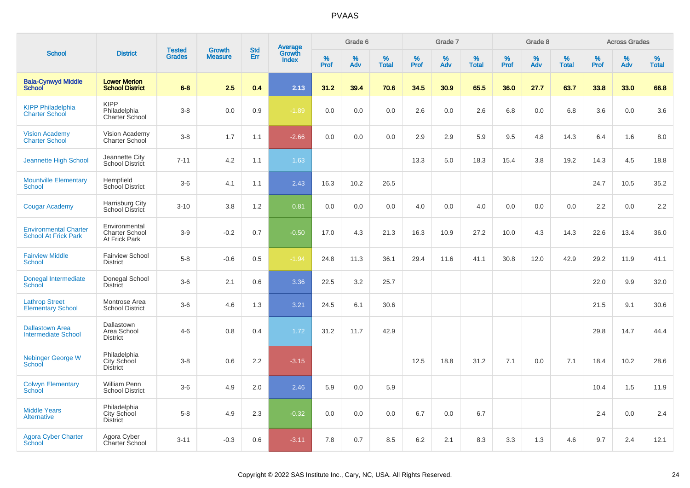|                                                             |                                                         |                                | <b>Growth</b>  | <b>Std</b> |                                          |                  | Grade 6  |                   |           | Grade 7  |                   |           | Grade 8  |                   |           | <b>Across Grades</b> |                   |
|-------------------------------------------------------------|---------------------------------------------------------|--------------------------------|----------------|------------|------------------------------------------|------------------|----------|-------------------|-----------|----------|-------------------|-----------|----------|-------------------|-----------|----------------------|-------------------|
| <b>School</b>                                               | <b>District</b>                                         | <b>Tested</b><br><b>Grades</b> | <b>Measure</b> | Err        | <b>Average</b><br>Growth<br><b>Index</b> | %<br><b>Prof</b> | %<br>Adv | %<br><b>Total</b> | %<br>Prof | %<br>Adv | %<br><b>Total</b> | %<br>Prof | %<br>Adv | %<br><b>Total</b> | %<br>Prof | %<br>Adv             | %<br><b>Total</b> |
| <b>Bala-Cynwyd Middle</b><br><b>School</b>                  | <b>Lower Merion</b><br><b>School District</b>           | $6 - 8$                        | 2.5            | 0.4        | 2.13                                     | 31.2             | 39.4     | 70.6              | 34.5      | 30.9     | 65.5              | 36.0      | 27.7     | 63.7              | 33.8      | 33.0                 | 66.8              |
| <b>KIPP Philadelphia</b><br><b>Charter School</b>           | <b>KIPP</b><br>Philadelphia<br><b>Charter School</b>    | $3-8$                          | 0.0            | 0.9        | $-1.89$                                  | 0.0              | 0.0      | 0.0               | 2.6       | 0.0      | 2.6               | 6.8       | 0.0      | 6.8               | 3.6       | 0.0                  | 3.6               |
| <b>Vision Academy</b><br>Charter School                     | Vision Academy<br>Charter School                        | $3-8$                          | 1.7            | 1.1        | $-2.66$                                  | 0.0              | 0.0      | 0.0               | 2.9       | 2.9      | 5.9               | 9.5       | 4.8      | 14.3              | 6.4       | 1.6                  | 8.0               |
| Jeannette High School                                       | Jeannette City<br>School District                       | $7 - 11$                       | 4.2            | 1.1        | 1.63                                     |                  |          |                   | 13.3      | 5.0      | 18.3              | 15.4      | 3.8      | 19.2              | 14.3      | 4.5                  | 18.8              |
| <b>Mountville Elementary</b><br><b>School</b>               | Hempfield<br>School District                            | $3-6$                          | 4.1            | 1.1        | 2.43                                     | 16.3             | 10.2     | 26.5              |           |          |                   |           |          |                   | 24.7      | 10.5                 | 35.2              |
| <b>Cougar Academy</b>                                       | Harrisburg City<br>School District                      | $3 - 10$                       | 3.8            | 1.2        | 0.81                                     | 0.0              | 0.0      | 0.0               | 4.0       | 0.0      | 4.0               | 0.0       | 0.0      | 0.0               | 2.2       | 0.0                  | 2.2               |
| <b>Environmental Charter</b><br><b>School At Frick Park</b> | Environmental<br><b>Charter School</b><br>At Frick Park | $3-9$                          | $-0.2$         | 0.7        | $-0.50$                                  | 17.0             | 4.3      | 21.3              | 16.3      | 10.9     | 27.2              | 10.0      | 4.3      | 14.3              | 22.6      | 13.4                 | 36.0              |
| <b>Fairview Middle</b><br><b>School</b>                     | <b>Fairview School</b><br><b>District</b>               | $5-8$                          | $-0.6$         | 0.5        | $-1.94$                                  | 24.8             | 11.3     | 36.1              | 29.4      | 11.6     | 41.1              | 30.8      | 12.0     | 42.9              | 29.2      | 11.9                 | 41.1              |
| Donegal Intermediate<br>School                              | Donegal School<br><b>District</b>                       | $3-6$                          | 2.1            | 0.6        | 3.36                                     | 22.5             | 3.2      | 25.7              |           |          |                   |           |          |                   | 22.0      | 9.9                  | 32.0              |
| <b>Lathrop Street</b><br><b>Elementary School</b>           | Montrose Area<br><b>School District</b>                 | $3-6$                          | 4.6            | 1.3        | 3.21                                     | 24.5             | 6.1      | 30.6              |           |          |                   |           |          |                   | 21.5      | 9.1                  | 30.6              |
| <b>Dallastown Area</b><br><b>Intermediate School</b>        | Dallastown<br>Area School<br><b>District</b>            | $4 - 6$                        | 0.8            | 0.4        | 1.72                                     | 31.2             | 11.7     | 42.9              |           |          |                   |           |          |                   | 29.8      | 14.7                 | 44.4              |
| Nebinger George W<br>School                                 | Philadelphia<br>City School<br><b>District</b>          | $3-8$                          | 0.6            | 2.2        | $-3.15$                                  |                  |          |                   | 12.5      | 18.8     | 31.2              | 7.1       | 0.0      | 7.1               | 18.4      | 10.2                 | 28.6              |
| <b>Colwyn Elementary</b><br><b>School</b>                   | William Penn<br><b>School District</b>                  | $3-6$                          | 4.9            | 2.0        | 2.46                                     | 5.9              | 0.0      | 5.9               |           |          |                   |           |          |                   | 10.4      | 1.5                  | 11.9              |
| <b>Middle Years</b><br><b>Alternative</b>                   | Philadelphia<br>City School<br><b>District</b>          | $5-8$                          | 4.9            | 2.3        | $-0.32$                                  | 0.0              | 0.0      | 0.0               | 6.7       | 0.0      | 6.7               |           |          |                   | 2.4       | 0.0                  | 2.4               |
| <b>Agora Cyber Charter</b><br>School                        | Agora Cyber<br>Charter School                           | $3 - 11$                       | $-0.3$         | 0.6        | $-3.11$                                  | 7.8              | 0.7      | 8.5               | 6.2       | 2.1      | 8.3               | 3.3       | 1.3      | 4.6               | 9.7       | 2.4                  | 12.1              |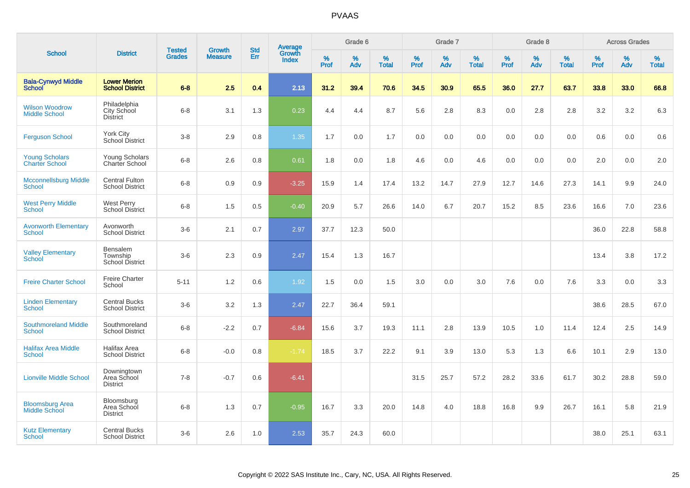|                                                |                                                 |                                | <b>Growth</b>  | <b>Std</b> |                                          |                  | Grade 6  |                   |                  | Grade 7     |                   |              | Grade 8  |                   |                  | <b>Across Grades</b> |                   |
|------------------------------------------------|-------------------------------------------------|--------------------------------|----------------|------------|------------------------------------------|------------------|----------|-------------------|------------------|-------------|-------------------|--------------|----------|-------------------|------------------|----------------------|-------------------|
| <b>School</b>                                  | <b>District</b>                                 | <b>Tested</b><br><b>Grades</b> | <b>Measure</b> | Err        | <b>Average</b><br>Growth<br><b>Index</b> | %<br><b>Prof</b> | %<br>Adv | %<br><b>Total</b> | %<br><b>Prof</b> | $\%$<br>Adv | %<br><b>Total</b> | $\%$<br>Prof | %<br>Adv | %<br><b>Total</b> | %<br><b>Prof</b> | $\%$<br>Adv          | %<br><b>Total</b> |
| <b>Bala-Cynwyd Middle</b><br><b>School</b>     | <b>Lower Merion</b><br><b>School District</b>   | $6 - 8$                        | 2.5            | 0.4        | 2.13                                     | 31.2             | 39.4     | 70.6              | 34.5             | 30.9        | 65.5              | 36.0         | 27.7     | 63.7              | 33.8             | 33.0                 | 66.8              |
| <b>Wilson Woodrow</b><br><b>Middle School</b>  | Philadelphia<br>City School<br><b>District</b>  | $6 - 8$                        | 3.1            | 1.3        | 0.23                                     | 4.4              | 4.4      | 8.7               | 5.6              | 2.8         | 8.3               | 0.0          | 2.8      | 2.8               | 3.2              | 3.2                  | 6.3               |
| <b>Ferguson School</b>                         | York City<br>School District                    | $3 - 8$                        | 2.9            | 0.8        | 1.35                                     | 1.7              | 0.0      | 1.7               | 0.0              | 0.0         | 0.0               | 0.0          | 0.0      | 0.0               | 0.6              | 0.0                  | 0.6               |
| <b>Young Scholars</b><br><b>Charter School</b> | Young Scholars<br>Charter School                | $6 - 8$                        | 2.6            | 0.8        | 0.61                                     | 1.8              | 0.0      | 1.8               | 4.6              | 0.0         | 4.6               | 0.0          | 0.0      | 0.0               | 2.0              | 0.0                  | 2.0               |
| <b>Mcconnellsburg Middle</b><br><b>School</b>  | <b>Central Fulton</b><br><b>School District</b> | $6 - 8$                        | 0.9            | 0.9        | $-3.25$                                  | 15.9             | 1.4      | 17.4              | 13.2             | 14.7        | 27.9              | 12.7         | 14.6     | 27.3              | 14.1             | 9.9                  | 24.0              |
| <b>West Perry Middle</b><br>School             | <b>West Perry</b><br><b>School District</b>     | $6 - 8$                        | 1.5            | 0.5        | $-0.40$                                  | 20.9             | 5.7      | 26.6              | 14.0             | 6.7         | 20.7              | 15.2         | 8.5      | 23.6              | 16.6             | 7.0                  | 23.6              |
| <b>Avonworth Elementary</b><br><b>School</b>   | Avonworth<br><b>School District</b>             | $3-6$                          | 2.1            | 0.7        | 2.97                                     | 37.7             | 12.3     | 50.0              |                  |             |                   |              |          |                   | 36.0             | 22.8                 | 58.8              |
| <b>Valley Elementary</b><br><b>School</b>      | Bensalem<br>Township<br><b>School District</b>  | $3-6$                          | 2.3            | 0.9        | 2.47                                     | 15.4             | 1.3      | 16.7              |                  |             |                   |              |          |                   | 13.4             | 3.8                  | 17.2              |
| <b>Freire Charter School</b>                   | <b>Freire Charter</b><br>School                 | $5 - 11$                       | 1.2            | 0.6        | 1.92                                     | 1.5              | 0.0      | 1.5               | 3.0              | 0.0         | 3.0               | 7.6          | 0.0      | 7.6               | 3.3              | 0.0                  | 3.3               |
| <b>Linden Elementary</b><br>School             | <b>Central Bucks</b><br><b>School District</b>  | $3-6$                          | 3.2            | 1.3        | 2.47                                     | 22.7             | 36.4     | 59.1              |                  |             |                   |              |          |                   | 38.6             | 28.5                 | 67.0              |
| <b>Southmoreland Middle</b><br><b>School</b>   | Southmoreland<br><b>School District</b>         | $6 - 8$                        | $-2.2$         | 0.7        | $-6.84$                                  | 15.6             | 3.7      | 19.3              | 11.1             | 2.8         | 13.9              | 10.5         | 1.0      | 11.4              | 12.4             | 2.5                  | 14.9              |
| <b>Halifax Area Middle</b><br><b>School</b>    | Halifax Area<br><b>School District</b>          | $6 - 8$                        | $-0.0$         | 0.8        | $-1.74$                                  | 18.5             | 3.7      | 22.2              | 9.1              | 3.9         | 13.0              | 5.3          | 1.3      | 6.6               | 10.1             | 2.9                  | 13.0              |
| <b>Lionville Middle School</b>                 | Downingtown<br>Area School<br><b>District</b>   | $7 - 8$                        | $-0.7$         | 0.6        | $-6.41$                                  |                  |          |                   | 31.5             | 25.7        | 57.2              | 28.2         | 33.6     | 61.7              | 30.2             | 28.8                 | 59.0              |
| <b>Bloomsburg Area</b><br><b>Middle School</b> | Bloomsburg<br>Area School<br><b>District</b>    | $6 - 8$                        | 1.3            | 0.7        | $-0.95$                                  | 16.7             | 3.3      | 20.0              | 14.8             | 4.0         | 18.8              | 16.8         | 9.9      | 26.7              | 16.1             | 5.8                  | 21.9              |
| <b>Kutz Elementary</b><br><b>School</b>        | <b>Central Bucks</b><br><b>School District</b>  | $3-6$                          | 2.6            | 1.0        | 2.53                                     | 35.7             | 24.3     | 60.0              |                  |             |                   |              |          |                   | 38.0             | 25.1                 | 63.1              |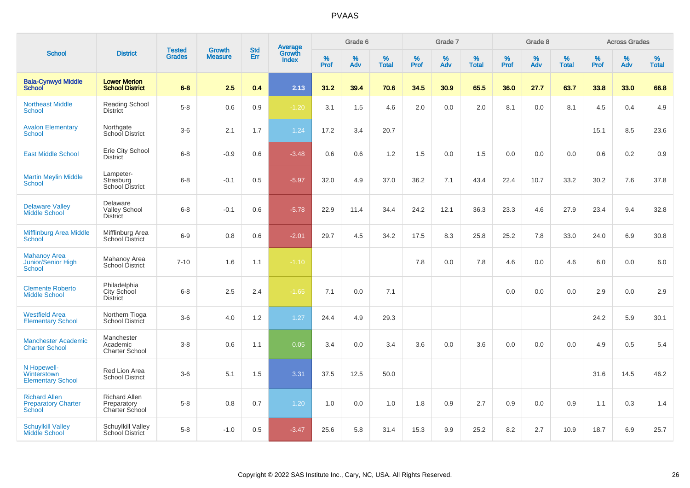|                                                              |                                                              | <b>Tested</b> | <b>Growth</b>  | <b>Std</b> |                                          |              | Grade 6     |                      |              | Grade 7     |                   |              | Grade 8     |                   |              | <b>Across Grades</b> |                      |
|--------------------------------------------------------------|--------------------------------------------------------------|---------------|----------------|------------|------------------------------------------|--------------|-------------|----------------------|--------------|-------------|-------------------|--------------|-------------|-------------------|--------------|----------------------|----------------------|
| <b>School</b>                                                | <b>District</b>                                              | <b>Grades</b> | <b>Measure</b> | <b>Err</b> | <b>Average</b><br>Growth<br><b>Index</b> | $\%$<br>Prof | $\%$<br>Adv | $\%$<br><b>Total</b> | $\%$<br>Prof | $\%$<br>Adv | %<br><b>Total</b> | $\%$<br>Prof | $\%$<br>Adv | %<br><b>Total</b> | $\%$<br>Prof | $\%$<br>Adv          | $\%$<br><b>Total</b> |
| <b>Bala-Cynwyd Middle</b><br><b>School</b>                   | <b>Lower Merion</b><br><b>School District</b>                | $6-8$         | 2.5            | 0.4        | 2.13                                     | 31.2         | 39.4        | 70.6                 | 34.5         | 30.9        | 65.5              | 36.0         | 27.7        | 63.7              | 33.8         | 33.0                 | 66.8                 |
| <b>Northeast Middle</b><br><b>School</b>                     | <b>Reading School</b><br><b>District</b>                     | $5-8$         | 0.6            | 0.9        | $-1.20$                                  | 3.1          | 1.5         | 4.6                  | 2.0          | 0.0         | 2.0               | 8.1          | 0.0         | 8.1               | 4.5          | 0.4                  | 4.9                  |
| <b>Avalon Elementary</b><br>School                           | Northgate<br>School District                                 | $3-6$         | 2.1            | 1.7        | 1.24                                     | 17.2         | 3.4         | 20.7                 |              |             |                   |              |             |                   | 15.1         | 8.5                  | 23.6                 |
| <b>East Middle School</b>                                    | Erie City School<br><b>District</b>                          | $6 - 8$       | $-0.9$         | 0.6        | $-3.48$                                  | 0.6          | 0.6         | 1.2                  | 1.5          | 0.0         | 1.5               | 0.0          | 0.0         | 0.0               | 0.6          | 0.2                  | 0.9                  |
| <b>Martin Meylin Middle</b><br><b>School</b>                 | Lampeter-<br>Strasburg<br><b>School District</b>             | $6 - 8$       | $-0.1$         | 0.5        | $-5.97$                                  | 32.0         | 4.9         | 37.0                 | 36.2         | 7.1         | 43.4              | 22.4         | 10.7        | 33.2              | 30.2         | 7.6                  | 37.8                 |
| <b>Delaware Valley</b><br><b>Middle School</b>               | Delaware<br><b>Valley School</b><br><b>District</b>          | $6 - 8$       | $-0.1$         | 0.6        | $-5.78$                                  | 22.9         | 11.4        | 34.4                 | 24.2         | 12.1        | 36.3              | 23.3         | 4.6         | 27.9              | 23.4         | 9.4                  | 32.8                 |
| <b>Mifflinburg Area Middle</b><br><b>School</b>              | Mifflinburg Area<br>School District                          | $6-9$         | 0.8            | 0.6        | $-2.01$                                  | 29.7         | 4.5         | 34.2                 | 17.5         | 8.3         | 25.8              | 25.2         | 7.8         | 33.0              | 24.0         | 6.9                  | 30.8                 |
| <b>Mahanoy Area</b><br>Junior/Senior High<br>School          | Mahanoy Area<br>School District                              | $7 - 10$      | 1.6            | 1.1        | $-1.10$                                  |              |             |                      | 7.8          | 0.0         | 7.8               | 4.6          | 0.0         | 4.6               | 6.0          | 0.0                  | 6.0                  |
| <b>Clemente Roberto</b><br><b>Middle School</b>              | Philadelphia<br>City School<br><b>District</b>               | $6 - 8$       | 2.5            | 2.4        | $-1.65$                                  | 7.1          | 0.0         | 7.1                  |              |             |                   | 0.0          | 0.0         | 0.0               | 2.9          | 0.0                  | 2.9                  |
| <b>Westfield Area</b><br><b>Elementary School</b>            | Northern Tioga<br><b>School District</b>                     | $3-6$         | 4.0            | $1.2$      | 1.27                                     | 24.4         | 4.9         | 29.3                 |              |             |                   |              |             |                   | 24.2         | 5.9                  | 30.1                 |
| <b>Manchester Academic</b><br><b>Charter School</b>          | Manchester<br>Academic<br><b>Charter School</b>              | $3-8$         | 0.6            | 1.1        | 0.05                                     | 3.4          | 0.0         | 3.4                  | 3.6          | 0.0         | 3.6               | 0.0          | 0.0         | 0.0               | 4.9          | 0.5                  | 5.4                  |
| N Hopewell-<br>Winterstown<br><b>Elementary School</b>       | Red Lion Area<br><b>School District</b>                      | $3-6$         | 5.1            | 1.5        | 3.31                                     | 37.5         | 12.5        | 50.0                 |              |             |                   |              |             |                   | 31.6         | 14.5                 | 46.2                 |
| <b>Richard Allen</b><br><b>Preparatory Charter</b><br>School | <b>Richard Allen</b><br>Preparatory<br><b>Charter School</b> | $5-8$         | 0.8            | 0.7        | 1.20                                     | 1.0          | 0.0         | 1.0                  | 1.8          | 0.9         | 2.7               | 0.9          | 0.0         | 0.9               | 1.1          | 0.3                  | 1.4                  |
| <b>Schuylkill Valley</b><br>Middle School                    | Schuylkill Valley<br>School District                         | $5-8$         | $-1.0$         | 0.5        | $-3.47$                                  | 25.6         | 5.8         | 31.4                 | 15.3         | 9.9         | 25.2              | 8.2          | 2.7         | 10.9              | 18.7         | 6.9                  | 25.7                 |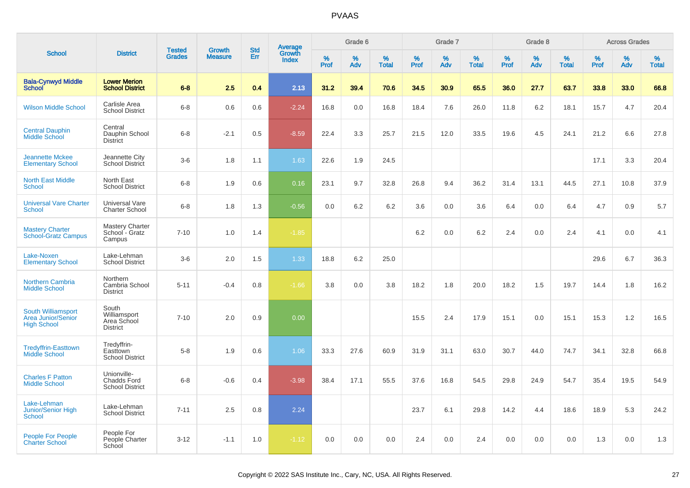|                                                                       |                                                         |                                |                                 |                   |                                          |           | Grade 6  |                   |              | Grade 7  |                   |           | Grade 8  |                   |              | <b>Across Grades</b> |            |
|-----------------------------------------------------------------------|---------------------------------------------------------|--------------------------------|---------------------------------|-------------------|------------------------------------------|-----------|----------|-------------------|--------------|----------|-------------------|-----------|----------|-------------------|--------------|----------------------|------------|
| <b>School</b>                                                         | <b>District</b>                                         | <b>Tested</b><br><b>Grades</b> | <b>Growth</b><br><b>Measure</b> | <b>Std</b><br>Err | <b>Average</b><br>Growth<br><b>Index</b> | %<br>Prof | %<br>Adv | %<br><b>Total</b> | $\%$<br>Prof | %<br>Adv | %<br><b>Total</b> | %<br>Prof | %<br>Adv | %<br><b>Total</b> | $\%$<br>Prof | $\%$<br>Adv          | %<br>Total |
| <b>Bala-Cynwyd Middle</b><br><b>School</b>                            | <b>Lower Merion</b><br><b>School District</b>           | $6-8$                          | 2.5                             | 0.4               | 2.13                                     | 31.2      | 39.4     | 70.6              | 34.5         | 30.9     | 65.5              | 36.0      | 27.7     | 63.7              | 33.8         | 33.0                 | 66.8       |
| <b>Wilson Middle School</b>                                           | Carlisle Area<br><b>School District</b>                 | $6-8$                          | 0.6                             | 0.6               | $-2.24$                                  | 16.8      | 0.0      | 16.8              | 18.4         | 7.6      | 26.0              | 11.8      | 6.2      | 18.1              | 15.7         | 4.7                  | 20.4       |
| <b>Central Dauphin</b><br>Middle School                               | Central<br>Dauphin School<br><b>District</b>            | $6 - 8$                        | $-2.1$                          | 0.5               | $-8.59$                                  | 22.4      | 3.3      | 25.7              | 21.5         | 12.0     | 33.5              | 19.6      | 4.5      | 24.1              | 21.2         | 6.6                  | 27.8       |
| <b>Jeannette Mckee</b><br><b>Elementary School</b>                    | Jeannette City<br><b>School District</b>                | $3-6$                          | 1.8                             | 1.1               | 1.63                                     | 22.6      | 1.9      | 24.5              |              |          |                   |           |          |                   | 17.1         | 3.3                  | 20.4       |
| <b>North East Middle</b><br><b>School</b>                             | North East<br><b>School District</b>                    | $6 - 8$                        | 1.9                             | 0.6               | 0.16                                     | 23.1      | 9.7      | 32.8              | 26.8         | 9.4      | 36.2              | 31.4      | 13.1     | 44.5              | 27.1         | 10.8                 | 37.9       |
| <b>Universal Vare Charter</b><br><b>School</b>                        | Universal Vare<br><b>Charter School</b>                 | $6-8$                          | 1.8                             | 1.3               | $-0.56$                                  | 0.0       | 6.2      | 6.2               | 3.6          | 0.0      | 3.6               | 6.4       | 0.0      | 6.4               | 4.7          | 0.9                  | 5.7        |
| <b>Mastery Charter</b><br><b>School-Gratz Campus</b>                  | Mastery Charter<br>School - Gratz<br>Campus             | $7 - 10$                       | 1.0                             | 1.4               | $-1.85$                                  |           |          |                   | 6.2          | 0.0      | 6.2               | 2.4       | 0.0      | 2.4               | 4.1          | 0.0                  | 4.1        |
| Lake-Noxen<br><b>Elementary School</b>                                | Lake-Lehman<br><b>School District</b>                   | $3-6$                          | 2.0                             | 1.5               | 1.33                                     | 18.8      | 6.2      | 25.0              |              |          |                   |           |          |                   | 29.6         | 6.7                  | 36.3       |
| <b>Northern Cambria</b><br><b>Middle School</b>                       | Northern<br>Cambria School<br><b>District</b>           | $5 - 11$                       | $-0.4$                          | 0.8               | $-1.66$                                  | 3.8       | 0.0      | 3.8               | 18.2         | 1.8      | 20.0              | 18.2      | 1.5      | 19.7              | 14.4         | 1.8                  | 16.2       |
| South Williamsport<br><b>Area Junior/Senior</b><br><b>High School</b> | South<br>Williamsport<br>Area School<br><b>District</b> | $7 - 10$                       | 2.0                             | 0.9               | 0.00                                     |           |          |                   | 15.5         | 2.4      | 17.9              | 15.1      | 0.0      | 15.1              | 15.3         | 1.2                  | 16.5       |
| <b>Tredyffrin-Easttown</b><br><b>Middle School</b>                    | Tredyffrin-<br>Easttown<br><b>School District</b>       | $5-8$                          | 1.9                             | 0.6               | 1.06                                     | 33.3      | 27.6     | 60.9              | 31.9         | 31.1     | 63.0              | 30.7      | 44.0     | 74.7              | 34.1         | 32.8                 | 66.8       |
| <b>Charles F Patton</b><br><b>Middle School</b>                       | Unionville-<br>Chadds Ford<br><b>School District</b>    | $6 - 8$                        | $-0.6$                          | 0.4               | $-3.98$                                  | 38.4      | 17.1     | 55.5              | 37.6         | 16.8     | 54.5              | 29.8      | 24.9     | 54.7              | 35.4         | 19.5                 | 54.9       |
| Lake-Lehman<br>Junior/Senior High<br><b>School</b>                    | Lake-Lehman<br><b>School District</b>                   | $7 - 11$                       | 2.5                             | 0.8               | 2.24                                     |           |          |                   | 23.7         | 6.1      | 29.8              | 14.2      | 4.4      | 18.6              | 18.9         | 5.3                  | 24.2       |
| People For People<br><b>Charter School</b>                            | People For<br>People Charter<br>School                  | $3 - 12$                       | $-1.1$                          | 1.0               | $-1.12$                                  | 0.0       | 0.0      | 0.0               | 2.4          | 0.0      | 2.4               | 0.0       | 0.0      | 0.0               | 1.3          | 0.0                  | 1.3        |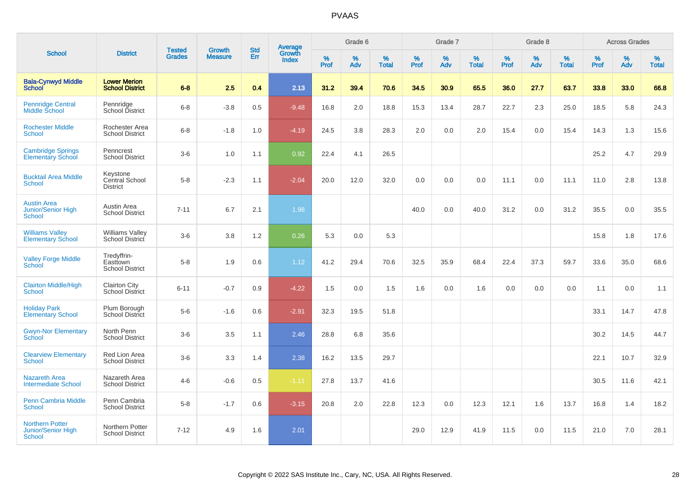|                                                               |                                                   | <b>Tested</b> | <b>Growth</b>  | <b>Std</b> |                                          |                  | Grade 6  |                   |              | Grade 7  |                   |                  | Grade 8  |                   |                     | <b>Across Grades</b> |                   |
|---------------------------------------------------------------|---------------------------------------------------|---------------|----------------|------------|------------------------------------------|------------------|----------|-------------------|--------------|----------|-------------------|------------------|----------|-------------------|---------------------|----------------------|-------------------|
| <b>School</b>                                                 | <b>District</b>                                   | <b>Grades</b> | <b>Measure</b> | Err        | <b>Average</b><br>Growth<br><b>Index</b> | %<br><b>Prof</b> | %<br>Adv | %<br><b>Total</b> | $\%$<br>Prof | %<br>Adv | %<br><b>Total</b> | %<br><b>Prof</b> | %<br>Adv | %<br><b>Total</b> | $\%$<br><b>Prof</b> | $\%$<br>Adv          | %<br><b>Total</b> |
| <b>Bala-Cynwyd Middle</b><br><b>School</b>                    | <b>Lower Merion</b><br><b>School District</b>     | $6 - 8$       | 2.5            | 0.4        | 2.13                                     | 31.2             | 39.4     | 70.6              | 34.5         | 30.9     | 65.5              | 36.0             | 27.7     | 63.7              | 33.8                | 33.0                 | 66.8              |
| <b>Pennridge Central</b><br>Middle School                     | Pennridge<br>School District                      | $6 - 8$       | $-3.8$         | 0.5        | $-9.48$                                  | 16.8             | 2.0      | 18.8              | 15.3         | 13.4     | 28.7              | 22.7             | 2.3      | 25.0              | 18.5                | 5.8                  | 24.3              |
| <b>Rochester Middle</b><br>School                             | Rochester Area<br><b>School District</b>          | $6 - 8$       | $-1.8$         | 1.0        | $-4.19$                                  | 24.5             | 3.8      | 28.3              | 2.0          | 0.0      | 2.0               | 15.4             | 0.0      | 15.4              | 14.3                | 1.3                  | 15.6              |
| <b>Cambridge Springs</b><br><b>Elementary School</b>          | Penncrest<br><b>School District</b>               | $3-6$         | 1.0            | 1.1        | 0.92                                     | 22.4             | 4.1      | 26.5              |              |          |                   |                  |          |                   | 25.2                | 4.7                  | 29.9              |
| <b>Bucktail Area Middle</b><br>School                         | Keystone<br>Central School<br><b>District</b>     | $5 - 8$       | $-2.3$         | 1.1        | $-2.04$                                  | 20.0             | 12.0     | 32.0              | 0.0          | 0.0      | 0.0               | 11.1             | 0.0      | 11.1              | 11.0                | 2.8                  | 13.8              |
| <b>Austin Area</b><br>Junior/Senior High<br>School            | Austin Area<br><b>School District</b>             | $7 - 11$      | 6.7            | 2.1        | 1.98                                     |                  |          |                   | 40.0         | 0.0      | 40.0              | 31.2             | 0.0      | 31.2              | 35.5                | 0.0                  | 35.5              |
| <b>Williams Valley</b><br><b>Elementary School</b>            | <b>Williams Valley</b><br>School District         | $3-6$         | 3.8            | 1.2        | 0.26                                     | 5.3              | 0.0      | 5.3               |              |          |                   |                  |          |                   | 15.8                | 1.8                  | 17.6              |
| <b>Valley Forge Middle</b><br>School                          | Tredyffrin-<br>Easttown<br><b>School District</b> | $5 - 8$       | 1.9            | 0.6        | 1.12                                     | 41.2             | 29.4     | 70.6              | 32.5         | 35.9     | 68.4              | 22.4             | 37.3     | 59.7              | 33.6                | 35.0                 | 68.6              |
| <b>Clairton Middle/High</b><br><b>School</b>                  | <b>Clairton City</b><br><b>School District</b>    | $6 - 11$      | $-0.7$         | 0.9        | $-4.22$                                  | 1.5              | 0.0      | 1.5               | 1.6          | 0.0      | 1.6               | 0.0              | 0.0      | 0.0               | 1.1                 | 0.0                  | 1.1               |
| <b>Holiday Park</b><br><b>Elementary School</b>               | Plum Borough<br>School District                   | $5-6$         | $-1.6$         | 0.6        | $-2.91$                                  | 32.3             | 19.5     | 51.8              |              |          |                   |                  |          |                   | 33.1                | 14.7                 | 47.8              |
| <b>Gwyn-Nor Elementary</b><br>School                          | North Penn<br><b>School District</b>              | $3-6$         | 3.5            | 1.1        | 2.46                                     | 28.8             | 6.8      | 35.6              |              |          |                   |                  |          |                   | 30.2                | 14.5                 | 44.7              |
| <b>Clearview Elementary</b><br><b>School</b>                  | Red Lion Area<br><b>School District</b>           | $3-6$         | 3.3            | 1.4        | 2.38                                     | 16.2             | 13.5     | 29.7              |              |          |                   |                  |          |                   | 22.1                | 10.7                 | 32.9              |
| <b>Nazareth Area</b><br><b>Intermediate School</b>            | Nazareth Area<br><b>School District</b>           | $4 - 6$       | $-0.6$         | 0.5        | $-1.11$                                  | 27.8             | 13.7     | 41.6              |              |          |                   |                  |          |                   | 30.5                | 11.6                 | 42.1              |
| <b>Penn Cambria Middle</b><br><b>School</b>                   | Penn Cambria<br><b>School District</b>            | $5 - 8$       | $-1.7$         | 0.6        | $-3.15$                                  | 20.8             | 2.0      | 22.8              | 12.3         | 0.0      | 12.3              | 12.1             | 1.6      | 13.7              | 16.8                | 1.4                  | 18.2              |
| <b>Northern Potter</b><br><b>Junior/Senior High</b><br>School | Northern Potter<br><b>School District</b>         | $7 - 12$      | 4.9            | 1.6        | 2.01                                     |                  |          |                   | 29.0         | 12.9     | 41.9              | 11.5             | 0.0      | 11.5              | 21.0                | 7.0                  | 28.1              |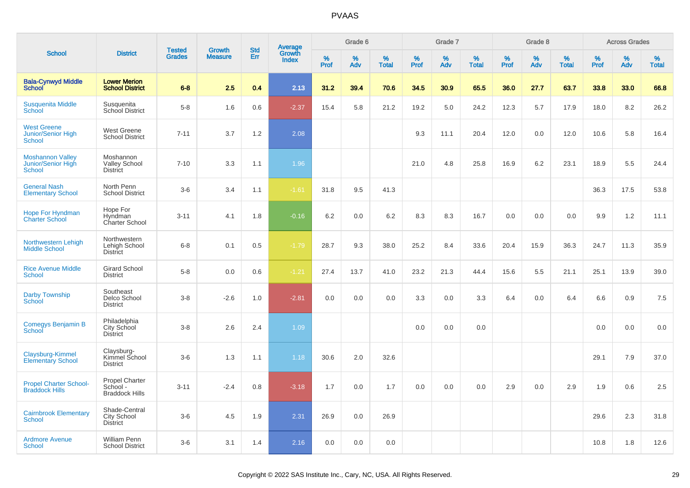|                                                                  |                                                     |                                |                                 |                   |                                          |                  | Grade 6  |                   |           | Grade 7  |                   |           | Grade 8  |                   |              | <b>Across Grades</b> |                   |
|------------------------------------------------------------------|-----------------------------------------------------|--------------------------------|---------------------------------|-------------------|------------------------------------------|------------------|----------|-------------------|-----------|----------|-------------------|-----------|----------|-------------------|--------------|----------------------|-------------------|
| <b>School</b>                                                    | <b>District</b>                                     | <b>Tested</b><br><b>Grades</b> | <b>Growth</b><br><b>Measure</b> | <b>Std</b><br>Err | <b>Average</b><br>Growth<br><b>Index</b> | %<br><b>Prof</b> | %<br>Adv | %<br><b>Total</b> | %<br>Prof | %<br>Adv | %<br><b>Total</b> | %<br>Prof | %<br>Adv | %<br><b>Total</b> | $\%$<br>Prof | %<br>Adv             | %<br><b>Total</b> |
| <b>Bala-Cynwyd Middle</b><br><b>School</b>                       | <b>Lower Merion</b><br><b>School District</b>       | $6-8$                          | 2.5                             | 0.4               | 2.13                                     | 31.2             | 39.4     | 70.6              | 34.5      | 30.9     | 65.5              | 36.0      | 27.7     | 63.7              | 33.8         | 33.0                 | 66.8              |
| <b>Susquenita Middle</b><br>School                               | Susquenita<br>School District                       | $5-8$                          | 1.6                             | 0.6               | $-2.37$                                  | 15.4             | 5.8      | 21.2              | 19.2      | 5.0      | 24.2              | 12.3      | 5.7      | 17.9              | 18.0         | 8.2                  | 26.2              |
| <b>West Greene</b><br><b>Junior/Senior High</b><br><b>School</b> | <b>West Greene</b><br><b>School District</b>        | $7 - 11$                       | 3.7                             | 1.2               | 2.08                                     |                  |          |                   | 9.3       | 11.1     | 20.4              | 12.0      | 0.0      | 12.0              | 10.6         | 5.8                  | 16.4              |
| <b>Moshannon Valley</b><br>Junior/Senior High<br><b>School</b>   | Moshannon<br><b>Valley School</b><br>District       | $7 - 10$                       | 3.3                             | 1.1               | 1.96                                     |                  |          |                   | 21.0      | 4.8      | 25.8              | 16.9      | 6.2      | 23.1              | 18.9         | 5.5                  | 24.4              |
| <b>General Nash</b><br><b>Elementary School</b>                  | North Penn<br><b>School District</b>                | $3-6$                          | 3.4                             | 1.1               | $-1.61$                                  | 31.8             | 9.5      | 41.3              |           |          |                   |           |          |                   | 36.3         | 17.5                 | 53.8              |
| <b>Hope For Hyndman</b><br><b>Charter School</b>                 | Hope For<br>Hyndman<br>Charter School               | $3 - 11$                       | 4.1                             | 1.8               | $-0.16$                                  | 6.2              | 0.0      | 6.2               | 8.3       | 8.3      | 16.7              | 0.0       | 0.0      | 0.0               | 9.9          | 1.2                  | 11.1              |
| Northwestern Lehigh<br><b>Middle School</b>                      | Northwestern<br>Lehigh School<br><b>District</b>    | $6 - 8$                        | 0.1                             | 0.5               | $-1.79$                                  | 28.7             | 9.3      | 38.0              | 25.2      | 8.4      | 33.6              | 20.4      | 15.9     | 36.3              | 24.7         | 11.3                 | 35.9              |
| <b>Rice Avenue Middle</b><br><b>School</b>                       | <b>Girard School</b><br><b>District</b>             | $5-8$                          | 0.0                             | 0.6               | $-1.21$                                  | 27.4             | 13.7     | 41.0              | 23.2      | 21.3     | 44.4              | 15.6      | 5.5      | 21.1              | 25.1         | 13.9                 | 39.0              |
| <b>Darby Township</b><br><b>School</b>                           | Southeast<br>Delco School<br><b>District</b>        | $3 - 8$                        | $-2.6$                          | 1.0               | $-2.81$                                  | 0.0              | 0.0      | 0.0               | 3.3       | 0.0      | 3.3               | 6.4       | 0.0      | 6.4               | 6.6          | 0.9                  | 7.5               |
| Comegys Benjamin B<br>School                                     | Philadelphia<br>City School<br><b>District</b>      | $3 - 8$                        | 2.6                             | 2.4               | 1.09                                     |                  |          |                   | 0.0       | 0.0      | 0.0               |           |          |                   | 0.0          | 0.0                  | 0.0               |
| Claysburg-Kimmel<br><b>Elementary School</b>                     | Claysburg-<br>Kimmel School<br><b>District</b>      | $3-6$                          | 1.3                             | 1.1               | 1.18                                     | 30.6             | 2.0      | 32.6              |           |          |                   |           |          |                   | 29.1         | 7.9                  | 37.0              |
| <b>Propel Charter School-</b><br><b>Braddock Hills</b>           | Propel Charter<br>School -<br><b>Braddock Hills</b> | $3 - 11$                       | $-2.4$                          | 0.8               | $-3.18$                                  | 1.7              | 0.0      | 1.7               | 0.0       | 0.0      | 0.0               | 2.9       | 0.0      | 2.9               | 1.9          | 0.6                  | 2.5               |
| <b>Cairnbrook Elementary</b><br><b>School</b>                    | Shade-Central<br>City School<br><b>District</b>     | $3-6$                          | 4.5                             | 1.9               | 2.31                                     | 26.9             | 0.0      | 26.9              |           |          |                   |           |          |                   | 29.6         | 2.3                  | 31.8              |
| <b>Ardmore Avenue</b><br>School                                  | <b>William Penn</b><br><b>School District</b>       | $3-6$                          | 3.1                             | 1.4               | 2.16                                     | 0.0              | 0.0      | 0.0               |           |          |                   |           |          |                   | 10.8         | 1.8                  | 12.6              |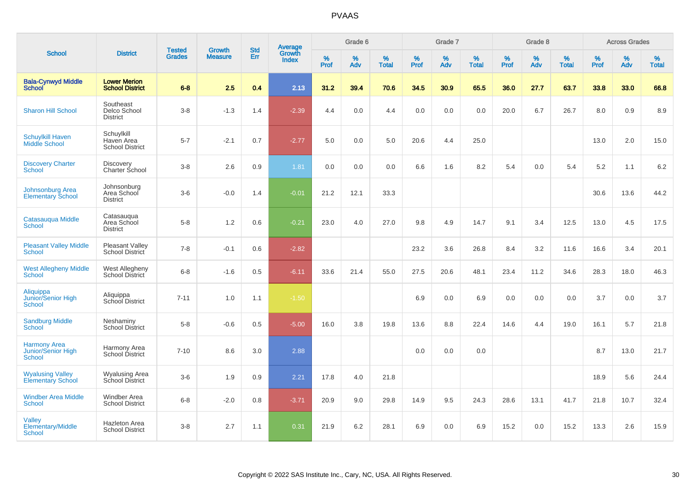|                                                                   |                                                    |                                | <b>Growth</b>  | <b>Std</b> |                                   |           | Grade 6     |                   |              | Grade 7     |                      |              | Grade 8  |                   |              | <b>Across Grades</b> |                      |
|-------------------------------------------------------------------|----------------------------------------------------|--------------------------------|----------------|------------|-----------------------------------|-----------|-------------|-------------------|--------------|-------------|----------------------|--------------|----------|-------------------|--------------|----------------------|----------------------|
| <b>School</b>                                                     | <b>District</b>                                    | <b>Tested</b><br><b>Grades</b> | <b>Measure</b> | <b>Err</b> | Average<br>Growth<br><b>Index</b> | %<br>Prof | $\%$<br>Adv | %<br><b>Total</b> | $\%$<br>Prof | $\%$<br>Adv | $\%$<br><b>Total</b> | $\%$<br>Prof | %<br>Adv | %<br><b>Total</b> | $\%$<br>Prof | $\%$<br>Adv          | $\%$<br><b>Total</b> |
| <b>Bala-Cynwyd Middle</b><br><b>School</b>                        | <b>Lower Merion</b><br><b>School District</b>      | $6 - 8$                        | 2.5            | 0.4        | 2.13                              | 31.2      | 39.4        | 70.6              | 34.5         | 30.9        | 65.5                 | 36.0         | 27.7     | 63.7              | 33.8         | 33.0                 | 66.8                 |
| <b>Sharon Hill School</b>                                         | Southeast<br>Delco School<br><b>District</b>       | $3 - 8$                        | $-1.3$         | 1.4        | $-2.39$                           | 4.4       | 0.0         | 4.4               | 0.0          | 0.0         | 0.0                  | 20.0         | 6.7      | 26.7              | 8.0          | 0.9                  | 8.9                  |
| <b>Schuylkill Haven</b><br>Middle School                          | Schuylkill<br>Haven Area<br><b>School District</b> | $5 - 7$                        | $-2.1$         | 0.7        | $-2.77$                           | 5.0       | 0.0         | 5.0               | 20.6         | 4.4         | 25.0                 |              |          |                   | 13.0         | 2.0                  | 15.0                 |
| <b>Discovery Charter</b><br><b>School</b>                         | <b>Discovery</b><br>Charter School                 | $3 - 8$                        | 2.6            | 0.9        | 1.81                              | 0.0       | 0.0         | 0.0               | 6.6          | 1.6         | 8.2                  | 5.4          | 0.0      | 5.4               | 5.2          | 1.1                  | 6.2                  |
| <b>Johnsonburg Area</b><br><b>Elementary School</b>               | Johnsonburg<br>Area School<br><b>District</b>      | $3-6$                          | $-0.0$         | 1.4        | $-0.01$                           | 21.2      | 12.1        | 33.3              |              |             |                      |              |          |                   | 30.6         | 13.6                 | 44.2                 |
| Catasauqua Middle<br><b>School</b>                                | Catasauqua<br>Area School<br><b>District</b>       | $5 - 8$                        | 1.2            | 0.6        | $-0.21$                           | 23.0      | 4.0         | 27.0              | 9.8          | 4.9         | 14.7                 | 9.1          | 3.4      | 12.5              | 13.0         | 4.5                  | 17.5                 |
| <b>Pleasant Valley Middle</b><br><b>School</b>                    | Pleasant Valley<br>School District                 | $7 - 8$                        | $-0.1$         | 0.6        | $-2.82$                           |           |             |                   | 23.2         | 3.6         | 26.8                 | 8.4          | 3.2      | 11.6              | 16.6         | 3.4                  | 20.1                 |
| <b>West Allegheny Middle</b><br><b>School</b>                     | West Allegheny<br>School District                  | $6 - 8$                        | $-1.6$         | 0.5        | $-6.11$                           | 33.6      | 21.4        | 55.0              | 27.5         | 20.6        | 48.1                 | 23.4         | 11.2     | 34.6              | 28.3         | 18.0                 | 46.3                 |
| Aliquippa<br>Junior/Senior High<br>School                         | Aliquippa<br>School District                       | $7 - 11$                       | 1.0            | 1.1        | $-1.50$                           |           |             |                   | 6.9          | 0.0         | 6.9                  | 0.0          | 0.0      | 0.0               | 3.7          | 0.0                  | 3.7                  |
| <b>Sandburg Middle</b><br>School                                  | Neshaminy<br>School District                       | $5 - 8$                        | $-0.6$         | 0.5        | $-5.00$                           | 16.0      | 3.8         | 19.8              | 13.6         | 8.8         | 22.4                 | 14.6         | 4.4      | 19.0              | 16.1         | 5.7                  | 21.8                 |
| <b>Harmony Area</b><br><b>Junior/Senior High</b><br><b>School</b> | Harmony Area<br>School District                    | $7 - 10$                       | 8.6            | 3.0        | 2.88                              |           |             |                   | 0.0          | 0.0         | 0.0                  |              |          |                   | 8.7          | 13.0                 | 21.7                 |
| <b>Wyalusing Valley</b><br><b>Elementary School</b>               | <b>Wyalusing Area</b><br>School District           | $3-6$                          | 1.9            | 0.9        | 2.21                              | 17.8      | 4.0         | 21.8              |              |             |                      |              |          |                   | 18.9         | 5.6                  | 24.4                 |
| <b>Windber Area Middle</b><br><b>School</b>                       | Windber Area<br><b>School District</b>             | $6 - 8$                        | $-2.0$         | 0.8        | $-3.71$                           | 20.9      | 9.0         | 29.8              | 14.9         | 9.5         | 24.3                 | 28.6         | 13.1     | 41.7              | 21.8         | 10.7                 | 32.4                 |
| Valley<br><b>Elementary/Middle</b><br>School                      | <b>Hazleton Area</b><br><b>School District</b>     | $3-8$                          | 2.7            | 1.1        | 0.31                              | 21.9      | 6.2         | 28.1              | 6.9          | 0.0         | 6.9                  | 15.2         | 0.0      | 15.2              | 13.3         | 2.6                  | 15.9                 |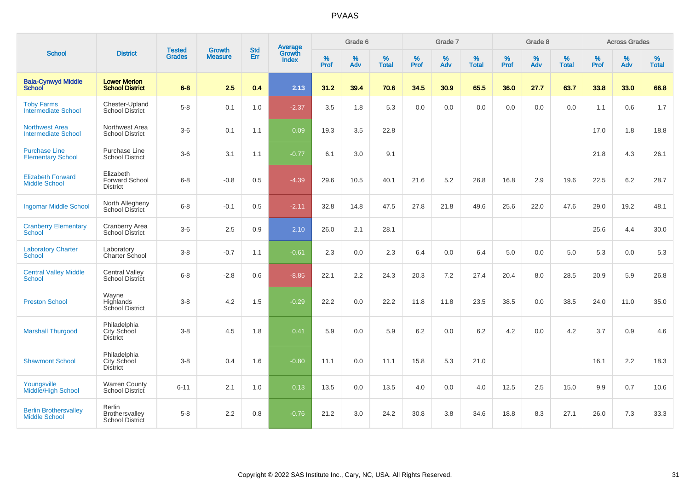|                                                      |                                                       |                                |                                 |                   |                                          |                  | Grade 6  |                   |                  | Grade 7  |                   |                  | Grade 8  |                   |                  | <b>Across Grades</b> |                   |
|------------------------------------------------------|-------------------------------------------------------|--------------------------------|---------------------------------|-------------------|------------------------------------------|------------------|----------|-------------------|------------------|----------|-------------------|------------------|----------|-------------------|------------------|----------------------|-------------------|
| <b>School</b>                                        | <b>District</b>                                       | <b>Tested</b><br><b>Grades</b> | <b>Growth</b><br><b>Measure</b> | <b>Std</b><br>Err | <b>Average</b><br>Growth<br><b>Index</b> | %<br><b>Prof</b> | %<br>Adv | %<br><b>Total</b> | %<br><b>Prof</b> | %<br>Adv | %<br><b>Total</b> | %<br><b>Prof</b> | %<br>Adv | %<br><b>Total</b> | %<br><b>Prof</b> | %<br>Adv             | %<br><b>Total</b> |
| <b>Bala-Cynwyd Middle</b><br><b>School</b>           | <b>Lower Merion</b><br><b>School District</b>         | $6 - 8$                        | 2.5                             | 0.4               | 2.13                                     | 31.2             | 39.4     | 70.6              | 34.5             | 30.9     | 65.5              | 36.0             | 27.7     | 63.7              | 33.8             | 33.0                 | 66.8              |
| <b>Toby Farms</b><br><b>Intermediate School</b>      | Chester-Upland<br><b>School District</b>              | $5-8$                          | 0.1                             | 1.0               | $-2.37$                                  | 3.5              | 1.8      | 5.3               | 0.0              | 0.0      | 0.0               | 0.0              | 0.0      | 0.0               | 1.1              | 0.6                  | 1.7               |
| <b>Northwest Area</b><br><b>Intermediate School</b>  | Northwest Area<br><b>School District</b>              | $3-6$                          | 0.1                             | 1.1               | 0.09                                     | 19.3             | 3.5      | 22.8              |                  |          |                   |                  |          |                   | 17.0             | 1.8                  | 18.8              |
| <b>Purchase Line</b><br><b>Elementary School</b>     | Purchase Line<br><b>School District</b>               | $3-6$                          | 3.1                             | 1.1               | $-0.77$                                  | 6.1              | 3.0      | 9.1               |                  |          |                   |                  |          |                   | 21.8             | 4.3                  | 26.1              |
| <b>Elizabeth Forward</b><br><b>Middle School</b>     | Elizabeth<br><b>Forward School</b><br><b>District</b> | $6 - 8$                        | $-0.8$                          | 0.5               | $-4.39$                                  | 29.6             | 10.5     | 40.1              | 21.6             | 5.2      | 26.8              | 16.8             | 2.9      | 19.6              | 22.5             | 6.2                  | 28.7              |
| <b>Ingomar Middle School</b>                         | North Allegheny<br><b>School District</b>             | $6 - 8$                        | $-0.1$                          | 0.5               | $-2.11$                                  | 32.8             | 14.8     | 47.5              | 27.8             | 21.8     | 49.6              | 25.6             | 22.0     | 47.6              | 29.0             | 19.2                 | 48.1              |
| <b>Cranberry Elementary</b><br>School                | Cranberry Area<br>School District                     | $3-6$                          | 2.5                             | 0.9               | 2.10                                     | 26.0             | 2.1      | 28.1              |                  |          |                   |                  |          |                   | 25.6             | 4.4                  | 30.0              |
| <b>Laboratory Charter</b><br><b>School</b>           | Laboratory<br>Charter School                          | $3-8$                          | $-0.7$                          | 1.1               | $-0.61$                                  | 2.3              | 0.0      | 2.3               | 6.4              | 0.0      | 6.4               | $5.0\,$          | 0.0      | 5.0               | 5.3              | 0.0                  | 5.3               |
| <b>Central Valley Middle</b><br><b>School</b>        | <b>Central Valley</b><br>School District              | $6 - 8$                        | $-2.8$                          | 0.6               | $-8.85$                                  | 22.1             | 2.2      | 24.3              | 20.3             | 7.2      | 27.4              | 20.4             | 8.0      | 28.5              | 20.9             | 5.9                  | 26.8              |
| <b>Preston School</b>                                | Wayne<br>Highlands<br>School District                 | $3 - 8$                        | 4.2                             | 1.5               | $-0.29$                                  | 22.2             | 0.0      | 22.2              | 11.8             | 11.8     | 23.5              | 38.5             | 0.0      | 38.5              | 24.0             | 11.0                 | 35.0              |
| <b>Marshall Thurgood</b>                             | Philadelphia<br>City School<br><b>District</b>        | $3 - 8$                        | 4.5                             | 1.8               | 0.41                                     | 5.9              | 0.0      | 5.9               | 6.2              | 0.0      | 6.2               | 4.2              | 0.0      | 4.2               | 3.7              | 0.9                  | 4.6               |
| <b>Shawmont School</b>                               | Philadelphia<br>City School<br><b>District</b>        | $3-8$                          | 0.4                             | 1.6               | $-0.80$                                  | 11.1             | 0.0      | 11.1              | 15.8             | 5.3      | 21.0              |                  |          |                   | 16.1             | 2.2                  | 18.3              |
| Youngsville<br><b>Middle/High School</b>             | <b>Warren County</b><br>School District               | $6 - 11$                       | 2.1                             | 1.0               | 0.13                                     | 13.5             | 0.0      | 13.5              | 4.0              | 0.0      | 4.0               | 12.5             | 2.5      | 15.0              | 9.9              | 0.7                  | 10.6              |
| <b>Berlin Brothersvalley</b><br><b>Middle School</b> | <b>Berlin</b><br>Brothersvalley<br>School District    | $5-8$                          | 2.2                             | 0.8               | $-0.76$                                  | 21.2             | 3.0      | 24.2              | 30.8             | $3.8\,$  | 34.6              | 18.8             | 8.3      | 27.1              | 26.0             | 7.3                  | 33.3              |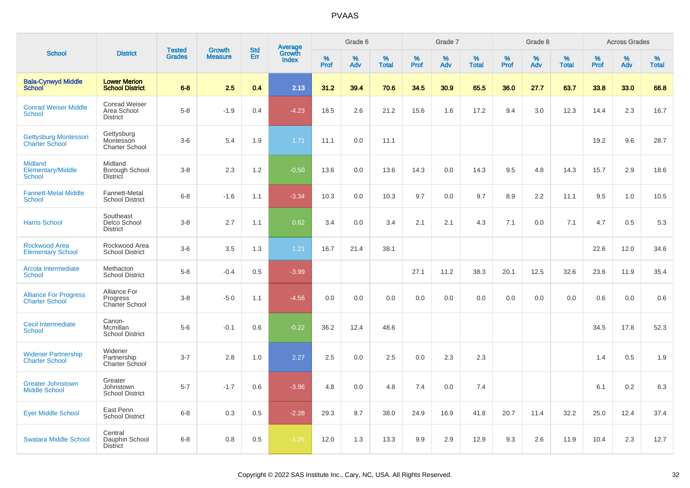|                                                             |                                                        |                                |                                 |                   |                                          |                  | Grade 6     |                   |              | Grade 7     |                   |              | Grade 8  |                   |              | <b>Across Grades</b> |                   |
|-------------------------------------------------------------|--------------------------------------------------------|--------------------------------|---------------------------------|-------------------|------------------------------------------|------------------|-------------|-------------------|--------------|-------------|-------------------|--------------|----------|-------------------|--------------|----------------------|-------------------|
| <b>School</b>                                               | <b>District</b>                                        | <b>Tested</b><br><b>Grades</b> | <b>Growth</b><br><b>Measure</b> | <b>Std</b><br>Err | <b>Average</b><br>Growth<br><b>Index</b> | %<br><b>Prof</b> | $\%$<br>Adv | %<br><b>Total</b> | $\%$<br>Prof | $\%$<br>Adv | %<br><b>Total</b> | $\%$<br>Prof | %<br>Adv | %<br><b>Total</b> | $\%$<br>Prof | %<br>Adv             | %<br><b>Total</b> |
| <b>Bala-Cynwyd Middle</b><br><b>School</b>                  | <b>Lower Merion</b><br><b>School District</b>          | $6 - 8$                        | 2.5                             | 0.4               | 2.13                                     | 31.2             | 39.4        | 70.6              | 34.5         | 30.9        | 65.5              | 36.0         | 27.7     | 63.7              | 33.8         | 33.0                 | 66.8              |
| <b>Conrad Weiser Middle</b><br><b>School</b>                | <b>Conrad Weiser</b><br>Area School<br><b>District</b> | $5-8$                          | $-1.9$                          | 0.4               | $-4.23$                                  | 18.5             | 2.6         | 21.2              | 15.6         | 1.6         | 17.2              | 9.4          | 3.0      | 12.3              | 14.4         | 2.3                  | 16.7              |
| <b>Gettysburg Montessori</b><br><b>Charter School</b>       | Gettysburg<br>Montessori<br><b>Charter School</b>      | $3-6$                          | 5.4                             | 1.9               | 1.71                                     | 11.1             | 0.0         | 11.1              |              |             |                   |              |          |                   | 19.2         | 9.6                  | 28.7              |
| <b>Midland</b><br><b>Elementary/Middle</b><br><b>School</b> | Midland<br>Borough School<br><b>District</b>           | $3-8$                          | 2.3                             | 1.2               | $-0.50$                                  | 13.6             | 0.0         | 13.6              | 14.3         | 0.0         | 14.3              | 9.5          | 4.8      | 14.3              | 15.7         | 2.9                  | 18.6              |
| <b>Fannett-Metal Middle</b><br><b>School</b>                | Fannett-Metal<br><b>School District</b>                | $6 - 8$                        | $-1.6$                          | 1.1               | $-3.34$                                  | 10.3             | 0.0         | 10.3              | 9.7          | 0.0         | 9.7               | 8.9          | 2.2      | 11.1              | 9.5          | 1.0                  | 10.5              |
| <b>Harris School</b>                                        | Southeast<br>Delco School<br><b>District</b>           | $3-8$                          | 2.7                             | 1.1               | 0.62                                     | 3.4              | 0.0         | 3.4               | 2.1          | 2.1         | 4.3               | 7.1          | 0.0      | 7.1               | 4.7          | 0.5                  | 5.3               |
| <b>Rockwood Area</b><br><b>Elementary School</b>            | Rockwood Area<br><b>School District</b>                | $3-6$                          | 3.5                             | 1.3               | 1.21                                     | 16.7             | 21.4        | 38.1              |              |             |                   |              |          |                   | 22.6         | 12.0                 | 34.6              |
| Arcola Intermediate<br>School                               | Methacton<br><b>School District</b>                    | $5-8$                          | $-0.4$                          | 0.5               | $-3.99$                                  |                  |             |                   | 27.1         | 11.2        | 38.3              | 20.1         | 12.5     | 32.6              | 23.6         | 11.9                 | 35.4              |
| <b>Alliance For Progress</b><br><b>Charter School</b>       | Alliance For<br>Progress<br>Charter School             | $3-8$                          | $-5.0$                          | 1.1               | $-4.56$                                  | 0.0              | 0.0         | 0.0               | 0.0          | 0.0         | 0.0               | 0.0          | 0.0      | 0.0               | 0.6          | 0.0                  | 0.6               |
| <b>Cecil Intermediate</b><br><b>School</b>                  | Canon-<br>Mcmillan<br><b>School District</b>           | $5-6$                          | $-0.1$                          | 0.6               | $-0.22$                                  | 36.2             | 12.4        | 48.6              |              |             |                   |              |          |                   | 34.5         | 17.8                 | 52.3              |
| <b>Widener Partnership</b><br><b>Charter School</b>         | Widener<br>Partnership<br><b>Charter School</b>        | $3 - 7$                        | 2.8                             | 1.0               | 2.27                                     | 2.5              | 0.0         | 2.5               | 0.0          | 2.3         | 2.3               |              |          |                   | 1.4          | 0.5                  | 1.9               |
| <b>Greater Johnstown</b><br><b>Middle School</b>            | Greater<br>Johnstown<br><b>School District</b>         | $5 - 7$                        | $-1.7$                          | 0.6               | $-3.96$                                  | 4.8              | 0.0         | 4.8               | 7.4          | 0.0         | 7.4               |              |          |                   | 6.1          | 0.2                  | 6.3               |
| <b>Eyer Middle School</b>                                   | East Penn<br><b>School District</b>                    | $6 - 8$                        | 0.3                             | 0.5               | $-2.28$                                  | 29.3             | 8.7         | 38.0              | 24.9         | 16.9        | 41.8              | 20.7         | 11.4     | 32.2              | 25.0         | 12.4                 | 37.4              |
| <b>Swatara Middle School</b>                                | Central<br>Dauphin School<br><b>District</b>           | $6 - 8$                        | 0.8                             | 0.5               | $-1.26$                                  | 12.0             | 1.3         | 13.3              | 9.9          | 2.9         | 12.9              | 9.3          | 2.6      | 11.9              | 10.4         | 2.3                  | 12.7              |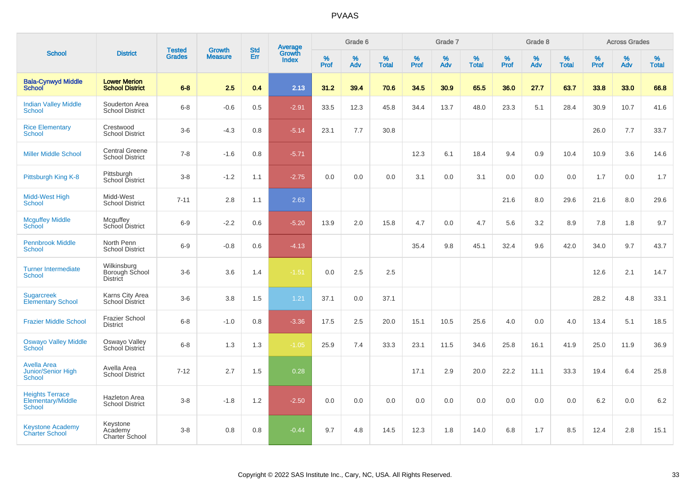|                                                           |                                                  |                                |                                 |                   |                                          |                  | Grade 6  |                   |           | Grade 7  |                   |           | Grade 8  |                   |           | <b>Across Grades</b> |                   |
|-----------------------------------------------------------|--------------------------------------------------|--------------------------------|---------------------------------|-------------------|------------------------------------------|------------------|----------|-------------------|-----------|----------|-------------------|-----------|----------|-------------------|-----------|----------------------|-------------------|
| <b>School</b>                                             | <b>District</b>                                  | <b>Tested</b><br><b>Grades</b> | <b>Growth</b><br><b>Measure</b> | <b>Std</b><br>Err | <b>Average</b><br>Growth<br><b>Index</b> | %<br><b>Prof</b> | %<br>Adv | %<br><b>Total</b> | %<br>Prof | %<br>Adv | %<br><b>Total</b> | %<br>Prof | %<br>Adv | %<br><b>Total</b> | %<br>Prof | %<br>Adv             | %<br><b>Total</b> |
| <b>Bala-Cynwyd Middle</b><br><b>School</b>                | <b>Lower Merion</b><br><b>School District</b>    | $6 - 8$                        | 2.5                             | 0.4               | 2.13                                     | 31.2             | 39.4     | 70.6              | 34.5      | 30.9     | 65.5              | 36.0      | 27.7     | 63.7              | 33.8      | 33.0                 | 66.8              |
| <b>Indian Valley Middle</b><br>School                     | Souderton Area<br><b>School District</b>         | $6 - 8$                        | $-0.6$                          | 0.5               | $-2.91$                                  | 33.5             | 12.3     | 45.8              | 34.4      | 13.7     | 48.0              | 23.3      | 5.1      | 28.4              | 30.9      | 10.7                 | 41.6              |
| <b>Rice Elementary</b><br>School                          | Crestwood<br><b>School District</b>              | $3 - 6$                        | $-4.3$                          | 0.8               | $-5.14$                                  | 23.1             | 7.7      | 30.8              |           |          |                   |           |          |                   | 26.0      | 7.7                  | 33.7              |
| <b>Miller Middle School</b>                               | <b>Central Greene</b><br><b>School District</b>  | $7 - 8$                        | $-1.6$                          | 0.8               | $-5.71$                                  |                  |          |                   | 12.3      | 6.1      | 18.4              | 9.4       | 0.9      | 10.4              | 10.9      | 3.6                  | 14.6              |
| Pittsburgh King K-8                                       | Pittsburgh<br>School District                    | $3 - 8$                        | $-1.2$                          | 1.1               | $-2.75$                                  | 0.0              | 0.0      | 0.0               | 3.1       | 0.0      | 3.1               | 0.0       | 0.0      | 0.0               | 1.7       | 0.0                  | 1.7               |
| Midd-West High<br><b>School</b>                           | Midd-West<br><b>School District</b>              | $7 - 11$                       | 2.8                             | 1.1               | 2.63                                     |                  |          |                   |           |          |                   | 21.6      | 8.0      | 29.6              | 21.6      | 8.0                  | 29.6              |
| <b>Mcguffey Middle</b><br>School                          | Mcguffey<br>School District                      | $6-9$                          | $-2.2$                          | 0.6               | $-5.20$                                  | 13.9             | 2.0      | 15.8              | 4.7       | 0.0      | 4.7               | 5.6       | 3.2      | 8.9               | 7.8       | 1.8                  | 9.7               |
| <b>Pennbrook Middle</b><br>School                         | North Penn<br><b>School District</b>             | $6 - 9$                        | $-0.8$                          | 0.6               | $-4.13$                                  |                  |          |                   | 35.4      | 9.8      | 45.1              | 32.4      | 9.6      | 42.0              | 34.0      | 9.7                  | 43.7              |
| <b>Turner Intermediate</b><br><b>School</b>               | Wilkinsburg<br>Borough School<br><b>District</b> | $3-6$                          | 3.6                             | 1.4               | $-1.51$                                  | 0.0              | 2.5      | 2.5               |           |          |                   |           |          |                   | 12.6      | 2.1                  | 14.7              |
| <b>Sugarcreek</b><br><b>Elementary School</b>             | Karns City Area<br><b>School District</b>        | $3-6$                          | 3.8                             | 1.5               | 1.21                                     | 37.1             | 0.0      | 37.1              |           |          |                   |           |          |                   | 28.2      | 4.8                  | 33.1              |
| <b>Frazier Middle School</b>                              | <b>Frazier School</b><br><b>District</b>         | $6 - 8$                        | $-1.0$                          | 0.8               | $-3.36$                                  | 17.5             | 2.5      | 20.0              | 15.1      | 10.5     | 25.6              | 4.0       | 0.0      | 4.0               | 13.4      | 5.1                  | 18.5              |
| <b>Oswayo Valley Middle</b><br>School                     | Oswayo Valley<br>School District                 | $6 - 8$                        | 1.3                             | 1.3               | $-1.05$                                  | 25.9             | 7.4      | 33.3              | 23.1      | 11.5     | 34.6              | 25.8      | 16.1     | 41.9              | 25.0      | 11.9                 | 36.9              |
| <b>Avella Area</b><br><b>Junior/Senior High</b><br>School | Avella Area<br><b>School District</b>            | $7 - 12$                       | 2.7                             | 1.5               | 0.28                                     |                  |          |                   | 17.1      | 2.9      | 20.0              | 22.2      | 11.1     | 33.3              | 19.4      | 6.4                  | 25.8              |
| <b>Heights Terrace</b><br>Elementary/Middle<br>School     | Hazleton Area<br><b>School District</b>          | $3 - 8$                        | $-1.8$                          | 1.2               | $-2.50$                                  | 0.0              | 0.0      | 0.0               | 0.0       | 0.0      | 0.0               | 0.0       | 0.0      | 0.0               | 6.2       | 0.0                  | $6.2\,$           |
| <b>Keystone Academy</b><br><b>Charter School</b>          | Keystone<br>Academy<br>Charter School            | $3 - 8$                        | 0.8                             | 0.8               | $-0.44$                                  | 9.7              | 4.8      | 14.5              | 12.3      | 1.8      | 14.0              | 6.8       | 1.7      | 8.5               | 12.4      | 2.8                  | 15.1              |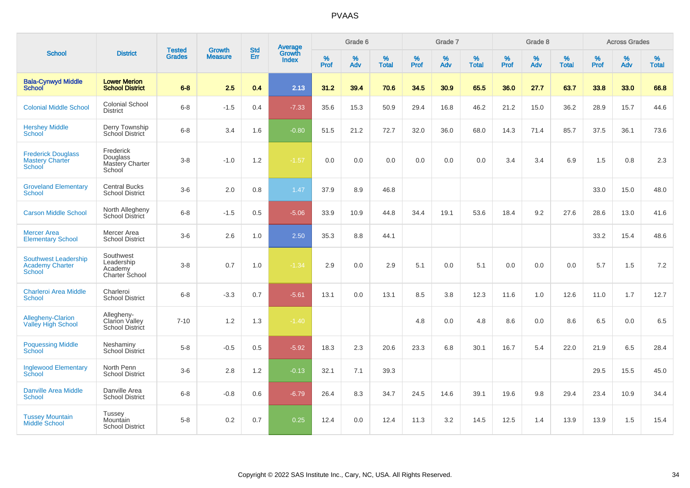|                                                                        |                                                             |                                |                                 |                   |                                          |           | Grade 6  |                   |           | Grade 7  |                   |           | Grade 8  |                   |              | <b>Across Grades</b> |                   |
|------------------------------------------------------------------------|-------------------------------------------------------------|--------------------------------|---------------------------------|-------------------|------------------------------------------|-----------|----------|-------------------|-----------|----------|-------------------|-----------|----------|-------------------|--------------|----------------------|-------------------|
| <b>School</b>                                                          | <b>District</b>                                             | <b>Tested</b><br><b>Grades</b> | <b>Growth</b><br><b>Measure</b> | <b>Std</b><br>Err | <b>Average</b><br>Growth<br><b>Index</b> | %<br>Prof | %<br>Adv | %<br><b>Total</b> | %<br>Prof | %<br>Adv | %<br><b>Total</b> | %<br>Prof | %<br>Adv | %<br><b>Total</b> | $\%$<br>Prof | $\%$<br>Adv          | %<br><b>Total</b> |
| <b>Bala-Cynwyd Middle</b><br><b>School</b>                             | <b>Lower Merion</b><br><b>School District</b>               | $6 - 8$                        | 2.5                             | 0.4               | 2.13                                     | 31.2      | 39.4     | 70.6              | 34.5      | 30.9     | 65.5              | 36.0      | 27.7     | 63.7              | 33.8         | 33.0                 | 66.8              |
| <b>Colonial Middle School</b>                                          | <b>Colonial School</b><br><b>District</b>                   | $6-8$                          | $-1.5$                          | 0.4               | $-7.33$                                  | 35.6      | 15.3     | 50.9              | 29.4      | 16.8     | 46.2              | 21.2      | 15.0     | 36.2              | 28.9         | 15.7                 | 44.6              |
| <b>Hershey Middle</b><br>School                                        | Derry Township<br>School District                           | $6 - 8$                        | 3.4                             | 1.6               | $-0.80$                                  | 51.5      | 21.2     | 72.7              | 32.0      | 36.0     | 68.0              | 14.3      | 71.4     | 85.7              | 37.5         | 36.1                 | 73.6              |
| <b>Frederick Douglass</b><br><b>Mastery Charter</b><br>School          | Frederick<br>Douglass<br>Mastery Charter<br>School          | $3-8$                          | $-1.0$                          | 1.2               | $-1.57$                                  | 0.0       | 0.0      | 0.0               | 0.0       | 0.0      | 0.0               | 3.4       | 3.4      | 6.9               | 1.5          | 0.8                  | 2.3               |
| <b>Groveland Elementary</b><br><b>School</b>                           | <b>Central Bucks</b><br><b>School District</b>              | $3-6$                          | 2.0                             | 0.8               | 1.47                                     | 37.9      | 8.9      | 46.8              |           |          |                   |           |          |                   | 33.0         | 15.0                 | 48.0              |
| <b>Carson Middle School</b>                                            | North Allegheny<br><b>School District</b>                   | $6 - 8$                        | $-1.5$                          | 0.5               | $-5.06$                                  | 33.9      | 10.9     | 44.8              | 34.4      | 19.1     | 53.6              | 18.4      | 9.2      | 27.6              | 28.6         | 13.0                 | 41.6              |
| <b>Mercer Area</b><br><b>Elementary School</b>                         | Mercer Area<br><b>School District</b>                       | $3-6$                          | 2.6                             | 1.0               | 2.50                                     | 35.3      | 8.8      | 44.1              |           |          |                   |           |          |                   | 33.2         | 15.4                 | 48.6              |
| <b>Southwest Leadership</b><br><b>Academy Charter</b><br><b>School</b> | Southwest<br>Leadership<br>Academy<br><b>Charter School</b> | $3 - 8$                        | 0.7                             | 1.0               | $-1.34$                                  | 2.9       | 0.0      | 2.9               | 5.1       | 0.0      | 5.1               | 0.0       | 0.0      | 0.0               | 5.7          | 1.5                  | 7.2               |
| <b>Charleroi Area Middle</b><br>School                                 | Charleroi<br><b>School District</b>                         | $6-8$                          | $-3.3$                          | 0.7               | $-5.61$                                  | 13.1      | 0.0      | 13.1              | 8.5       | 3.8      | 12.3              | 11.6      | 1.0      | 12.6              | 11.0         | 1.7                  | 12.7              |
| <b>Allegheny-Clarion</b><br><b>Valley High School</b>                  | Allegheny-<br><b>Clarion Vallev</b><br>School District      | $7 - 10$                       | 1.2                             | 1.3               | $-1.40$                                  |           |          |                   | 4.8       | 0.0      | 4.8               | 8.6       | 0.0      | 8.6               | 6.5          | 0.0                  | 6.5               |
| <b>Poquessing Middle</b><br>School                                     | Neshaminy<br><b>School District</b>                         | $5-8$                          | $-0.5$                          | 0.5               | $-5.92$                                  | 18.3      | 2.3      | 20.6              | 23.3      | 6.8      | 30.1              | 16.7      | 5.4      | 22.0              | 21.9         | 6.5                  | 28.4              |
| <b>Inglewood Elementary</b><br>School                                  | North Penn<br><b>School District</b>                        | $3-6$                          | 2.8                             | 1.2               | $-0.13$                                  | 32.1      | 7.1      | 39.3              |           |          |                   |           |          |                   | 29.5         | 15.5                 | 45.0              |
| Danville Area Middle<br><b>School</b>                                  | Danville Area<br><b>School District</b>                     | $6 - 8$                        | $-0.8$                          | 0.6               | $-6.79$                                  | 26.4      | 8.3      | 34.7              | 24.5      | 14.6     | 39.1              | 19.6      | 9.8      | 29.4              | 23.4         | 10.9                 | 34.4              |
| <b>Tussey Mountain</b><br><b>Middle School</b>                         | <b>Tussey</b><br>Mountain<br><b>School District</b>         | $5-8$                          | 0.2                             | 0.7               | 0.25                                     | 12.4      | 0.0      | 12.4              | 11.3      | 3.2      | 14.5              | 12.5      | 1.4      | 13.9              | 13.9         | 1.5                  | 15.4              |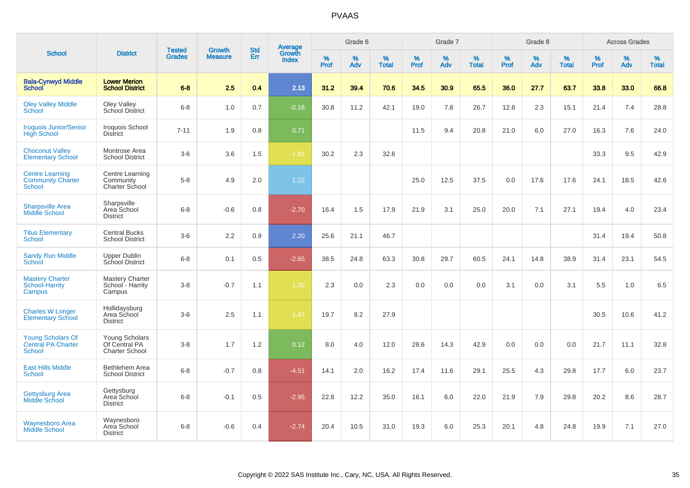|                                                                     |                                                          |                                |                                 |                          |                                          |                     | Grade 6     |                   |              | Grade 7     |                   |              | Grade 8     |                   |              | <b>Across Grades</b> |                   |
|---------------------------------------------------------------------|----------------------------------------------------------|--------------------------------|---------------------------------|--------------------------|------------------------------------------|---------------------|-------------|-------------------|--------------|-------------|-------------------|--------------|-------------|-------------------|--------------|----------------------|-------------------|
| <b>School</b>                                                       | <b>District</b>                                          | <b>Tested</b><br><b>Grades</b> | <b>Growth</b><br><b>Measure</b> | <b>Std</b><br><b>Err</b> | <b>Average</b><br>Growth<br><b>Index</b> | $\%$<br><b>Prof</b> | $\%$<br>Adv | %<br><b>Total</b> | $\%$<br>Prof | $\%$<br>Adv | %<br><b>Total</b> | $\%$<br>Prof | $\%$<br>Adv | %<br><b>Total</b> | $\%$<br>Prof | $\%$<br>Adv          | %<br><b>Total</b> |
| <b>Bala-Cynwyd Middle</b><br><b>School</b>                          | <b>Lower Merion</b><br><b>School District</b>            | $6 - 8$                        | 2.5                             | 0.4                      | 2.13                                     | 31.2                | 39.4        | 70.6              | 34.5         | 30.9        | 65.5              | 36.0         | 27.7        | 63.7              | 33.8         | 33.0                 | 66.8              |
| <b>Oley Valley Middle</b><br>School                                 | Oley Valley<br>School District                           | $6 - 8$                        | 1.0                             | 0.7                      | $-0.18$                                  | 30.8                | 11.2        | 42.1              | 19.0         | 7.8         | 26.7              | 12.8         | 2.3         | 15.1              | 21.4         | 7.4                  | 28.8              |
| <b>Iroquois Junior/Senior</b><br><b>High School</b>                 | Iroquois School<br><b>District</b>                       | $7 - 11$                       | 1.9                             | 0.8                      | 0.71                                     |                     |             |                   | 11.5         | 9.4         | 20.8              | 21.0         | 6.0         | 27.0              | 16.3         | 7.6                  | 24.0              |
| <b>Choconut Valley</b><br><b>Elementary School</b>                  | Montrose Area<br><b>School District</b>                  | $3-6$                          | 3.6                             | 1.5                      | $-1.81$                                  | 30.2                | 2.3         | 32.6              |              |             |                   |              |             |                   | 33.3         | 9.5                  | 42.9              |
| <b>Centre Learning</b><br><b>Community Charter</b><br><b>School</b> | Centre Learning<br>Community<br>Charter School           | $5-8$                          | 4.9                             | 2.0                      | 1.22                                     |                     |             |                   | 25.0         | 12.5        | 37.5              | 0.0          | 17.6        | 17.6              | 24.1         | 18.5                 | 42.6              |
| <b>Sharpsville Area</b><br><b>Middle School</b>                     | Sharpsville<br>Area School<br><b>District</b>            | $6 - 8$                        | $-0.6$                          | 0.8                      | $-2.70$                                  | 16.4                | 1.5         | 17.9              | 21.9         | 3.1         | 25.0              | 20.0         | 7.1         | 27.1              | 19.4         | 4.0                  | 23.4              |
| <b>Titus Elementary</b><br>School                                   | <b>Central Bucks</b><br><b>School District</b>           | $3-6$                          | 2.2                             | 0.9                      | 2.20                                     | 25.6                | 21.1        | 46.7              |              |             |                   |              |             |                   | 31.4         | 19.4                 | 50.8              |
| <b>Sandy Run Middle</b><br><b>School</b>                            | Upper Dublin<br><b>School District</b>                   | $6 - 8$                        | 0.1                             | 0.5                      | $-2.65$                                  | 38.5                | 24.8        | 63.3              | 30.8         | 29.7        | 60.5              | 24.1         | 14.8        | 38.9              | 31.4         | 23.1                 | 54.5              |
| <b>Mastery Charter</b><br>School-Harrity<br>Campus                  | <b>Mastery Charter</b><br>School - Harrity<br>Campus     | $3-8$                          | $-0.7$                          | 1.1                      | $-1.30$                                  | 2.3                 | 0.0         | 2.3               | 0.0          | 0.0         | 0.0               | 3.1          | 0.0         | 3.1               | 5.5          | 1.0                  | 6.5               |
| <b>Charles W Longer</b><br><b>Elementary School</b>                 | Hollidaysburg<br>Area School<br><b>District</b>          | $3-6$                          | 2.5                             | 1.1                      | $-1.47$                                  | 19.7                | 8.2         | 27.9              |              |             |                   |              |             |                   | 30.5         | 10.6                 | 41.2              |
| Young Scholars Of<br><b>Central PA Charter</b><br>School            | Young Scholars<br>Of Central PA<br><b>Charter School</b> | $3-8$                          | 1.7                             | 1.2                      | 0.12                                     | 8.0                 | 4.0         | 12.0              | 28.6         | 14.3        | 42.9              | 0.0          | 0.0         | 0.0               | 21.7         | 11.1                 | 32.8              |
| <b>East Hills Middle</b><br><b>School</b>                           | Bethlehem Area<br><b>School District</b>                 | $6 - 8$                        | $-0.7$                          | 0.8                      | $-4.51$                                  | 14.1                | 2.0         | 16.2              | 17.4         | 11.6        | 29.1              | 25.5         | 4.3         | 29.8              | 17.7         | 6.0                  | 23.7              |
| Gettysburg Area<br><b>Middle School</b>                             | Gettysburg<br>Area School<br><b>District</b>             | $6 - 8$                        | $-0.1$                          | 0.5                      | $-2.95$                                  | 22.8                | 12.2        | 35.0              | 16.1         | 6.0         | 22.0              | 21.9         | 7.9         | 29.8              | 20.2         | 8.6                  | 28.7              |
| <b>Waynesboro Area</b><br><b>Middle School</b>                      | Waynesboro<br>Area School<br><b>District</b>             | $6 - 8$                        | $-0.6$                          | 0.4                      | $-2.74$                                  | 20.4                | 10.5        | 31.0              | 19.3         | 6.0         | 25.3              | 20.1         | 4.8         | 24.8              | 19.9         | 7.1                  | 27.0              |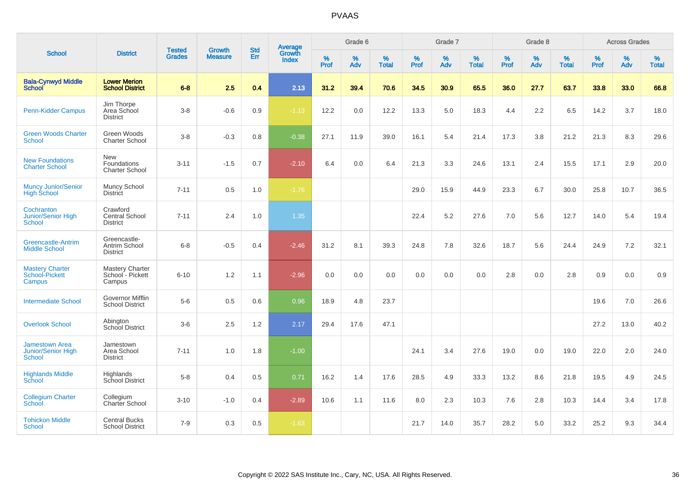| <b>School</b>                                                       | <b>District</b>                                      | <b>Tested</b><br><b>Grades</b> | <b>Growth</b><br><b>Measure</b> | <b>Std</b><br>Err | <b>Average</b><br>Growth<br><b>Index</b> | Grade 6   |          |                   | Grade 7          |          |                   | Grade 8   |          |                   | <b>Across Grades</b> |             |                   |
|---------------------------------------------------------------------|------------------------------------------------------|--------------------------------|---------------------------------|-------------------|------------------------------------------|-----------|----------|-------------------|------------------|----------|-------------------|-----------|----------|-------------------|----------------------|-------------|-------------------|
|                                                                     |                                                      |                                |                                 |                   |                                          | %<br>Prof | %<br>Adv | %<br><b>Total</b> | %<br><b>Prof</b> | %<br>Adv | %<br><b>Total</b> | %<br>Prof | %<br>Adv | %<br><b>Total</b> | $\%$<br>Prof         | $\%$<br>Adv | %<br><b>Total</b> |
| <b>Bala-Cynwyd Middle</b><br>School                                 | <b>Lower Merion</b><br><b>School District</b>        | $6 - 8$                        | 2.5                             | 0.4               | 2.13                                     | 31.2      | 39.4     | 70.6              | 34.5             | 30.9     | 65.5              | 36.0      | 27.7     | 63.7              | 33.8                 | 33.0        | 66.8              |
| <b>Penn-Kidder Campus</b>                                           | Jim Thorpe<br>Area School<br><b>District</b>         | $3-8$                          | $-0.6$                          | 0.9               | $-1.13$                                  | 12.2      | 0.0      | 12.2              | 13.3             | 5.0      | 18.3              | 4.4       | 2.2      | 6.5               | 14.2                 | 3.7         | 18.0              |
| <b>Green Woods Charter</b><br><b>School</b>                         | Green Woods<br><b>Charter School</b>                 | $3 - 8$                        | $-0.3$                          | 0.8               | $-0.38$                                  | 27.1      | 11.9     | 39.0              | 16.1             | 5.4      | 21.4              | 17.3      | 3.8      | 21.2              | 21.3                 | 8.3         | 29.6              |
| <b>New Foundations</b><br><b>Charter School</b>                     | <b>New</b><br>Foundations<br><b>Charter School</b>   | $3 - 11$                       | $-1.5$                          | 0.7               | $-2.10$                                  | 6.4       | 0.0      | 6.4               | 21.3             | 3.3      | 24.6              | 13.1      | 2.4      | 15.5              | 17.1                 | 2.9         | 20.0              |
| <b>Muncy Junior/Senior</b><br><b>High School</b>                    | Muncy School<br><b>District</b>                      | $7 - 11$                       | 0.5                             | 1.0               | $-1.76$                                  |           |          |                   | 29.0             | 15.9     | 44.9              | 23.3      | 6.7      | 30.0              | 25.8                 | 10.7        | 36.5              |
| Cochranton<br>Junior/Senior High<br>School                          | Crawford<br>Central School<br><b>District</b>        | $7 - 11$                       | 2.4                             | 1.0               | 1.35                                     |           |          |                   | 22.4             | 5.2      | 27.6              | 7.0       | 5.6      | 12.7              | 14.0                 | 5.4         | 19.4              |
| <b>Greencastle-Antrim</b><br><b>Middle School</b>                   | Greencastle-<br>Antrim School<br><b>District</b>     | $6 - 8$                        | $-0.5$                          | 0.4               | $-2.46$                                  | 31.2      | 8.1      | 39.3              | 24.8             | 7.8      | 32.6              | 18.7      | 5.6      | 24.4              | 24.9                 | 7.2         | 32.1              |
| <b>Mastery Charter</b><br>School-Pickett<br>Campus                  | <b>Mastery Charter</b><br>School - Pickett<br>Campus | $6 - 10$                       | 1.2                             | 1.1               | $-2.96$                                  | 0.0       | 0.0      | 0.0               | 0.0              | 0.0      | 0.0               | 2.8       | 0.0      | 2.8               | 0.9                  | 0.0         | 0.9               |
| <b>Intermediate School</b>                                          | Governor Mifflin<br>School District                  | $5-6$                          | 0.5                             | 0.6               | 0.96                                     | 18.9      | 4.8      | 23.7              |                  |          |                   |           |          |                   | 19.6                 | 7.0         | 26.6              |
| <b>Overlook School</b>                                              | Abington<br>School District                          | $3-6$                          | 2.5                             | 1.2               | 2.17                                     | 29.4      | 17.6     | 47.1              |                  |          |                   |           |          |                   | 27.2                 | 13.0        | 40.2              |
| <b>Jamestown Area</b><br><b>Junior/Senior High</b><br><b>School</b> | Jamestown<br>Area School<br><b>District</b>          | $7 - 11$                       | 1.0                             | 1.8               | $-1.00$                                  |           |          |                   | 24.1             | 3.4      | 27.6              | 19.0      | 0.0      | 19.0              | 22.0                 | 2.0         | 24.0              |
| <b>Highlands Middle</b><br>School                                   | Highlands<br>School District                         | $5 - 8$                        | 0.4                             | 0.5               | 0.71                                     | 16.2      | 1.4      | 17.6              | 28.5             | 4.9      | 33.3              | 13.2      | 8.6      | 21.8              | 19.5                 | 4.9         | 24.5              |
| <b>Collegium Charter</b><br>School                                  | Collegium<br>Charter School                          | $3 - 10$                       | $-1.0$                          | 0.4               | $-2.89$                                  | 10.6      | 1.1      | 11.6              | 8.0              | 2.3      | 10.3              | 7.6       | 2.8      | 10.3              | 14.4                 | 3.4         | 17.8              |
| <b>Tohickon Middle</b><br><b>School</b>                             | <b>Central Bucks</b><br><b>School District</b>       | $7 - 9$                        | 0.3                             | 0.5               | $-1.63$                                  |           |          |                   | 21.7             | 14.0     | 35.7              | 28.2      | 5.0      | 33.2              | 25.2                 | 9.3         | 34.4              |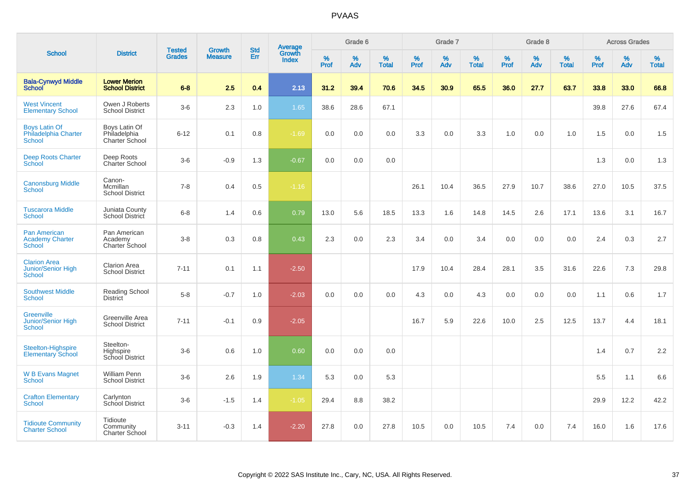|                                                                   |                                                 |                                |                          | <b>Std</b> |                                          |           | Grade 6  |                   |           | Grade 7  |                   |           | Grade 8  |                   |           | <b>Across Grades</b> |                   |
|-------------------------------------------------------------------|-------------------------------------------------|--------------------------------|--------------------------|------------|------------------------------------------|-----------|----------|-------------------|-----------|----------|-------------------|-----------|----------|-------------------|-----------|----------------------|-------------------|
| <b>School</b>                                                     | <b>District</b>                                 | <b>Tested</b><br><b>Grades</b> | Growth<br><b>Measure</b> | Err        | <b>Average</b><br>Growth<br><b>Index</b> | %<br>Prof | %<br>Adv | %<br><b>Total</b> | %<br>Prof | %<br>Adv | %<br><b>Total</b> | %<br>Prof | %<br>Adv | %<br><b>Total</b> | %<br>Prof | $\%$<br>Adv          | %<br><b>Total</b> |
| <b>Bala-Cynwyd Middle</b><br><b>School</b>                        | <b>Lower Merion</b><br><b>School District</b>   | $6 - 8$                        | 2.5                      | 0.4        | 2.13                                     | 31.2      | 39.4     | 70.6              | 34.5      | 30.9     | 65.5              | 36.0      | 27.7     | 63.7              | 33.8      | 33.0                 | 66.8              |
| <b>West Vincent</b><br><b>Elementary School</b>                   | Owen J Roberts<br><b>School District</b>        | $3-6$                          | 2.3                      | 1.0        | 1.65                                     | 38.6      | 28.6     | 67.1              |           |          |                   |           |          |                   | 39.8      | 27.6                 | 67.4              |
| <b>Boys Latin Of</b><br>Philadelphia Charter<br><b>School</b>     | Boys Latin Of<br>Philadelphia<br>Charter School | $6 - 12$                       | 0.1                      | 0.8        | $-1.69$                                  | 0.0       | 0.0      | 0.0               | 3.3       | 0.0      | 3.3               | 1.0       | 0.0      | 1.0               | 1.5       | 0.0                  | 1.5               |
| <b>Deep Roots Charter</b><br>School                               | Deep Roots<br><b>Charter School</b>             | $3-6$                          | $-0.9$                   | 1.3        | $-0.67$                                  | 0.0       | 0.0      | 0.0               |           |          |                   |           |          |                   | 1.3       | 0.0                  | 1.3               |
| <b>Canonsburg Middle</b><br>School                                | Canon-<br>Mcmillan<br><b>School District</b>    | $7 - 8$                        | 0.4                      | 0.5        | $-1.16$                                  |           |          |                   | 26.1      | 10.4     | 36.5              | 27.9      | 10.7     | 38.6              | 27.0      | 10.5                 | 37.5              |
| <b>Tuscarora Middle</b><br><b>School</b>                          | Juniata County<br>School District               | $6 - 8$                        | 1.4                      | 0.6        | 0.79                                     | 13.0      | 5.6      | 18.5              | 13.3      | 1.6      | 14.8              | 14.5      | 2.6      | 17.1              | 13.6      | 3.1                  | 16.7              |
| <b>Pan American</b><br><b>Academy Charter</b><br>School           | Pan American<br>Academy<br>Charter School       | $3 - 8$                        | 0.3                      | 0.8        | 0.43                                     | 2.3       | 0.0      | 2.3               | 3.4       | 0.0      | 3.4               | 0.0       | 0.0      | 0.0               | 2.4       | 0.3                  | 2.7               |
| <b>Clarion Area</b><br><b>Junior/Senior High</b><br><b>School</b> | <b>Clarion Area</b><br><b>School District</b>   | $7 - 11$                       | 0.1                      | 1.1        | $-2.50$                                  |           |          |                   | 17.9      | 10.4     | 28.4              | 28.1      | 3.5      | 31.6              | 22.6      | 7.3                  | 29.8              |
| <b>Southwest Middle</b><br><b>School</b>                          | Reading School<br><b>District</b>               | $5 - 8$                        | $-0.7$                   | 1.0        | $-2.03$                                  | 0.0       | 0.0      | 0.0               | 4.3       | 0.0      | 4.3               | 0.0       | 0.0      | 0.0               | 1.1       | 0.6                  | 1.7               |
| <b>Greenville</b><br><b>Junior/Senior High</b><br><b>School</b>   | Greenville Area<br><b>School District</b>       | $7 - 11$                       | $-0.1$                   | 0.9        | $-2.05$                                  |           |          |                   | 16.7      | 5.9      | 22.6              | 10.0      | 2.5      | 12.5              | 13.7      | 4.4                  | 18.1              |
| Steelton-Highspire<br><b>Elementary School</b>                    | Steelton-<br>Highspire<br>School District       | $3-6$                          | 0.6                      | 1.0        | 0.60                                     | 0.0       | 0.0      | 0.0               |           |          |                   |           |          |                   | 1.4       | 0.7                  | 2.2               |
| <b>W B Evans Magnet</b><br><b>School</b>                          | <b>William Penn</b><br><b>School District</b>   | $3-6$                          | 2.6                      | 1.9        | 1.34                                     | 5.3       | 0.0      | 5.3               |           |          |                   |           |          |                   | 5.5       | 1.1                  | 6.6               |
| <b>Crafton Elementary</b><br><b>School</b>                        | Carlynton<br>School District                    | $3-6$                          | $-1.5$                   | 1.4        | $-1.05$                                  | 29.4      | 8.8      | 38.2              |           |          |                   |           |          |                   | 29.9      | 12.2                 | 42.2              |
| <b>Tidioute Community</b><br><b>Charter School</b>                | Tidioute<br>Community<br><b>Charter School</b>  | $3 - 11$                       | $-0.3$                   | 1.4        | $-2.20$                                  | 27.8      | 0.0      | 27.8              | 10.5      | 0.0      | 10.5              | 7.4       | 0.0      | 7.4               | 16.0      | 1.6                  | 17.6              |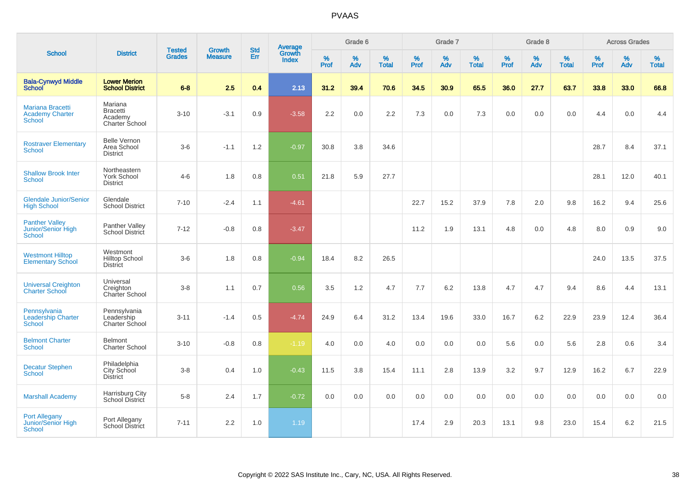| <b>School</b>                                                       |                                                         |                                | <b>Growth</b>  | <b>Std</b> |                                          |           | Grade 6  |                   |           | Grade 7  |                   |           | Grade 8  |                   |           | <b>Across Grades</b> |                   |
|---------------------------------------------------------------------|---------------------------------------------------------|--------------------------------|----------------|------------|------------------------------------------|-----------|----------|-------------------|-----------|----------|-------------------|-----------|----------|-------------------|-----------|----------------------|-------------------|
|                                                                     | <b>District</b>                                         | <b>Tested</b><br><b>Grades</b> | <b>Measure</b> | Err        | <b>Average</b><br>Growth<br><b>Index</b> | %<br>Prof | %<br>Adv | %<br><b>Total</b> | %<br>Prof | %<br>Adv | %<br><b>Total</b> | %<br>Prof | %<br>Adv | %<br><b>Total</b> | %<br>Prof | %<br>Adv             | %<br><b>Total</b> |
| <b>Bala-Cynwyd Middle</b><br><b>School</b>                          | <b>Lower Merion</b><br><b>School District</b>           | $6 - 8$                        | 2.5            | 0.4        | 2.13                                     | 31.2      | 39.4     | 70.6              | 34.5      | 30.9     | 65.5              | 36.0      | 27.7     | 63.7              | 33.8      | 33.0                 | 66.8              |
| <b>Mariana Bracetti</b><br><b>Academy Charter</b><br><b>School</b>  | Mariana<br><b>Bracetti</b><br>Academy<br>Charter School | $3 - 10$                       | $-3.1$         | 0.9        | $-3.58$                                  | 2.2       | 0.0      | 2.2               | 7.3       | 0.0      | 7.3               | 0.0       | 0.0      | 0.0               | 4.4       | 0.0                  | 4.4               |
| <b>Rostraver Elementary</b><br><b>School</b>                        | <b>Belle Vernon</b><br>Area School<br><b>District</b>   | $3-6$                          | $-1.1$         | 1.2        | $-0.97$                                  | 30.8      | 3.8      | 34.6              |           |          |                   |           |          |                   | 28.7      | 8.4                  | 37.1              |
| <b>Shallow Brook Inter</b><br><b>School</b>                         | Northeastern<br><b>York School</b><br><b>District</b>   | $4 - 6$                        | 1.8            | 0.8        | 0.51                                     | 21.8      | 5.9      | 27.7              |           |          |                   |           |          |                   | 28.1      | 12.0                 | 40.1              |
| <b>Glendale Junior/Senior</b><br><b>High School</b>                 | Glendale<br><b>School District</b>                      | $7 - 10$                       | $-2.4$         | 1.1        | $-4.61$                                  |           |          |                   | 22.7      | 15.2     | 37.9              | 7.8       | 2.0      | 9.8               | 16.2      | 9.4                  | 25.6              |
| <b>Panther Valley</b><br><b>Junior/Senior High</b><br><b>School</b> | Panther Valley<br><b>School District</b>                | $7 - 12$                       | $-0.8$         | 0.8        | $-3.47$                                  |           |          |                   | 11.2      | 1.9      | 13.1              | 4.8       | 0.0      | 4.8               | 8.0       | 0.9                  | 9.0               |
| <b>Westmont Hilltop</b><br><b>Elementary School</b>                 | Westmont<br><b>Hilltop School</b><br><b>District</b>    | $3-6$                          | 1.8            | 0.8        | $-0.94$                                  | 18.4      | 8.2      | 26.5              |           |          |                   |           |          |                   | 24.0      | 13.5                 | 37.5              |
| <b>Universal Creighton</b><br><b>Charter School</b>                 | Universal<br>Creighton<br>Charter School                | $3 - 8$                        | 1.1            | 0.7        | 0.56                                     | 3.5       | 1.2      | 4.7               | 7.7       | 6.2      | 13.8              | 4.7       | 4.7      | 9.4               | 8.6       | 4.4                  | 13.1              |
| Pennsylvania<br><b>Leadership Charter</b><br><b>School</b>          | Pennsylvania<br>Leadership<br><b>Charter School</b>     | $3 - 11$                       | $-1.4$         | 0.5        | $-4.74$                                  | 24.9      | 6.4      | 31.2              | 13.4      | 19.6     | 33.0              | 16.7      | 6.2      | 22.9              | 23.9      | 12.4                 | 36.4              |
| <b>Belmont Charter</b><br><b>School</b>                             | Belmont<br><b>Charter School</b>                        | $3 - 10$                       | $-0.8$         | 0.8        | $-1.19$                                  | 4.0       | 0.0      | 4.0               | 0.0       | 0.0      | 0.0               | 5.6       | 0.0      | 5.6               | 2.8       | 0.6                  | 3.4               |
| <b>Decatur Stephen</b><br>School                                    | Philadelphia<br>City School<br><b>District</b>          | $3 - 8$                        | 0.4            | 1.0        | $-0.43$                                  | 11.5      | 3.8      | 15.4              | 11.1      | 2.8      | 13.9              | 3.2       | 9.7      | 12.9              | 16.2      | 6.7                  | 22.9              |
| <b>Marshall Academy</b>                                             | Harrisburg City<br>School District                      | $5 - 8$                        | 2.4            | 1.7        | $-0.72$                                  | 0.0       | 0.0      | 0.0               | 0.0       | 0.0      | 0.0               | 0.0       | 0.0      | 0.0               | 0.0       | 0.0                  | 0.0               |
| <b>Port Allegany</b><br><b>Junior/Senior High</b><br><b>School</b>  | Port Allegany<br>School District                        | $7 - 11$                       | 2.2            | 1.0        | 1.19                                     |           |          |                   | 17.4      | 2.9      | 20.3              | 13.1      | 9.8      | 23.0              | 15.4      | 6.2                  | 21.5              |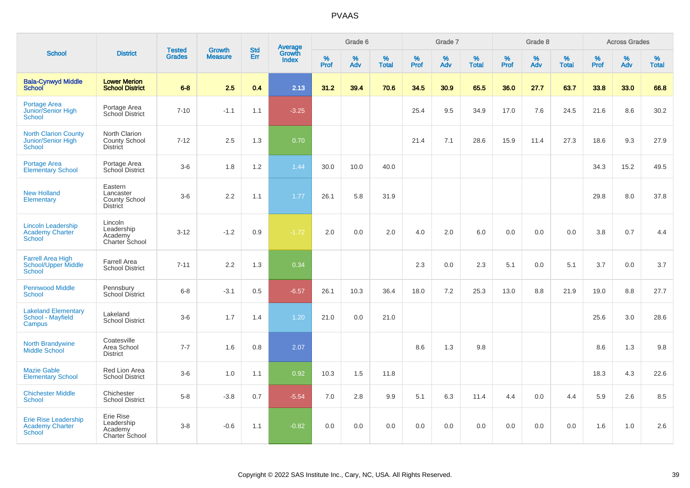| <b>School</b>                                                           |                                                                 |                                |                                 |                   |                                          |                  | Grade 6  |                   |                  | Grade 7  |                   |           | Grade 8  |                   |              | <b>Across Grades</b> |                   |
|-------------------------------------------------------------------------|-----------------------------------------------------------------|--------------------------------|---------------------------------|-------------------|------------------------------------------|------------------|----------|-------------------|------------------|----------|-------------------|-----------|----------|-------------------|--------------|----------------------|-------------------|
|                                                                         | <b>District</b>                                                 | <b>Tested</b><br><b>Grades</b> | <b>Growth</b><br><b>Measure</b> | <b>Std</b><br>Err | <b>Average</b><br>Growth<br><b>Index</b> | %<br><b>Prof</b> | %<br>Adv | %<br><b>Total</b> | %<br><b>Prof</b> | %<br>Adv | %<br><b>Total</b> | %<br>Prof | %<br>Adv | %<br><b>Total</b> | $\%$<br>Prof | $\%$<br>Adv          | %<br><b>Total</b> |
| <b>Bala-Cynwyd Middle</b><br><b>School</b>                              | <b>Lower Merion</b><br><b>School District</b>                   | $6 - 8$                        | 2.5                             | 0.4               | 2.13                                     | 31.2             | 39.4     | 70.6              | 34.5             | 30.9     | 65.5              | 36.0      | 27.7     | 63.7              | 33.8         | 33.0                 | 66.8              |
| Portage Area<br>Junior/Senior High<br>School                            | Portage Area<br>School District                                 | $7 - 10$                       | $-1.1$                          | 1.1               | $-3.25$                                  |                  |          |                   | 25.4             | 9.5      | 34.9              | 17.0      | 7.6      | 24.5              | 21.6         | 8.6                  | 30.2              |
| <b>North Clarion County</b><br>Junior/Senior High<br><b>School</b>      | North Clarion<br><b>County School</b><br><b>District</b>        | $7 - 12$                       | 2.5                             | 1.3               | 0.70                                     |                  |          |                   | 21.4             | 7.1      | 28.6              | 15.9      | 11.4     | 27.3              | 18.6         | 9.3                  | 27.9              |
| Portage Area<br><b>Elementary School</b>                                | Portage Area<br>School District                                 | $3-6$                          | 1.8                             | 1.2               | 1.44                                     | 30.0             | 10.0     | 40.0              |                  |          |                   |           |          |                   | 34.3         | 15.2                 | 49.5              |
| <b>New Holland</b><br>Elementary                                        | Eastern<br>Lancaster<br><b>County School</b><br><b>District</b> | $3-6$                          | 2.2                             | 1.1               | 1.77                                     | 26.1             | 5.8      | 31.9              |                  |          |                   |           |          |                   | 29.8         | 8.0                  | 37.8              |
| <b>Lincoln Leadership</b><br>Academy Charter<br>School                  | Lincoln<br>Leadership<br>Academy<br>Charter School              | $3 - 12$                       | $-1.2$                          | 0.9               | $-1.72$                                  | 2.0              | 0.0      | 2.0               | 4.0              | 2.0      | 6.0               | 0.0       | 0.0      | 0.0               | 3.8          | 0.7                  | 4.4               |
| <b>Farrell Area High</b><br><b>School/Upper Middle</b><br><b>School</b> | <b>Farrell Area</b><br><b>School District</b>                   | $7 - 11$                       | 2.2                             | 1.3               | 0.34                                     |                  |          |                   | 2.3              | 0.0      | 2.3               | 5.1       | 0.0      | 5.1               | 3.7          | $0.0\,$              | 3.7               |
| <b>Pennwood Middle</b><br><b>School</b>                                 | Pennsbury<br><b>School District</b>                             | $6-8$                          | $-3.1$                          | 0.5               | $-6.57$                                  | 26.1             | 10.3     | 36.4              | 18.0             | 7.2      | 25.3              | 13.0      | 8.8      | 21.9              | 19.0         | 8.8                  | 27.7              |
| <b>Lakeland Elementary</b><br>School - Mayfield<br>Campus               | Lakeland<br><b>School District</b>                              | $3-6$                          | 1.7                             | 1.4               | 1.20                                     | 21.0             | 0.0      | 21.0              |                  |          |                   |           |          |                   | 25.6         | 3.0                  | 28.6              |
| <b>North Brandywine</b><br><b>Middle School</b>                         | Coatesville<br>Area School<br><b>District</b>                   | $7 - 7$                        | 1.6                             | 0.8               | 2.07                                     |                  |          |                   | 8.6              | 1.3      | 9.8               |           |          |                   | 8.6          | 1.3                  | 9.8               |
| <b>Mazie Gable</b><br><b>Elementary School</b>                          | Red Lion Area<br><b>School District</b>                         | $3-6$                          | 1.0                             | 1.1               | 0.92                                     | 10.3             | 1.5      | 11.8              |                  |          |                   |           |          |                   | 18.3         | 4.3                  | 22.6              |
| <b>Chichester Middle</b><br>School                                      | Chichester<br><b>School District</b>                            | $5-8$                          | $-3.8$                          | 0.7               | $-5.54$                                  | 7.0              | 2.8      | 9.9               | 5.1              | 6.3      | 11.4              | 4.4       | 0.0      | 4.4               | 5.9          | 2.6                  | 8.5               |
| <b>Erie Rise Leadership</b><br><b>Academy Charter</b><br><b>School</b>  | Erie Rise<br>Leadership<br>Academy<br>Charter School            | $3-8$                          | $-0.6$                          | 1.1               | $-0.82$                                  | 0.0              | 0.0      | 0.0               | 0.0              | 0.0      | 0.0               | 0.0       | 0.0      | 0.0               | 1.6          | 1.0                  | 2.6               |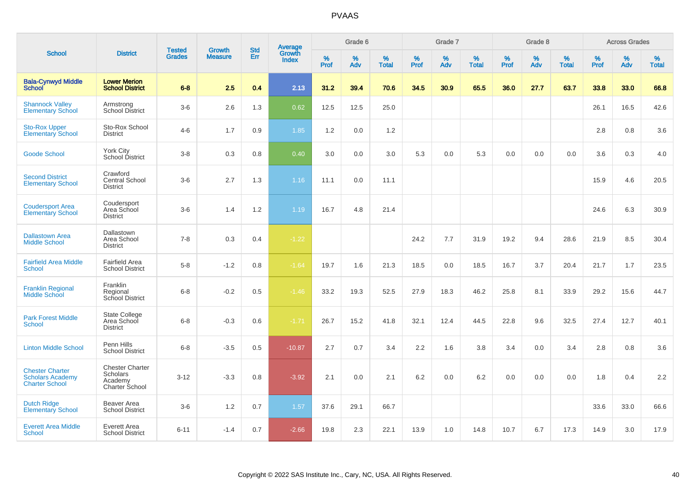| <b>School</b>                                                              |                                                                 |                                | <b>Growth</b>  | <b>Std</b> |                                          |              | Grade 6     |                      |              | Grade 7     |                   |              | Grade 8     |                   |              | <b>Across Grades</b> |                   |
|----------------------------------------------------------------------------|-----------------------------------------------------------------|--------------------------------|----------------|------------|------------------------------------------|--------------|-------------|----------------------|--------------|-------------|-------------------|--------------|-------------|-------------------|--------------|----------------------|-------------------|
|                                                                            | <b>District</b>                                                 | <b>Tested</b><br><b>Grades</b> | <b>Measure</b> | Err        | <b>Average</b><br>Growth<br><b>Index</b> | $\%$<br>Prof | $\%$<br>Adv | $\%$<br><b>Total</b> | $\%$<br>Prof | $\%$<br>Adv | %<br><b>Total</b> | $\%$<br>Prof | $\%$<br>Adv | %<br><b>Total</b> | $\%$<br>Prof | $\%$<br>Adv          | %<br><b>Total</b> |
| <b>Bala-Cynwyd Middle</b><br><b>School</b>                                 | <b>Lower Merion</b><br><b>School District</b>                   | $6 - 8$                        | 2.5            | 0.4        | 2.13                                     | 31.2         | 39.4        | 70.6                 | 34.5         | 30.9        | 65.5              | 36.0         | 27.7        | 63.7              | 33.8         | 33.0                 | 66.8              |
| <b>Shannock Valley</b><br><b>Elementary School</b>                         | Armstrong<br><b>School District</b>                             | $3-6$                          | 2.6            | 1.3        | 0.62                                     | 12.5         | 12.5        | 25.0                 |              |             |                   |              |             |                   | 26.1         | 16.5                 | 42.6              |
| <b>Sto-Rox Upper</b><br><b>Elementary School</b>                           | Sto-Rox School<br><b>District</b>                               | $4 - 6$                        | 1.7            | 0.9        | 1.85                                     | 1.2          | 0.0         | 1.2                  |              |             |                   |              |             |                   | 2.8          | 0.8                  | 3.6               |
| <b>Goode School</b>                                                        | York City<br>School District                                    | $3-8$                          | 0.3            | 0.8        | 0.40                                     | 3.0          | 0.0         | 3.0                  | 5.3          | 0.0         | 5.3               | 0.0          | 0.0         | 0.0               | 3.6          | 0.3                  | 4.0               |
| <b>Second District</b><br><b>Elementary School</b>                         | Crawford<br>Central School<br><b>District</b>                   | $3-6$                          | 2.7            | 1.3        | 1.16                                     | 11.1         | 0.0         | 11.1                 |              |             |                   |              |             |                   | 15.9         | 4.6                  | 20.5              |
| <b>Coudersport Area</b><br><b>Elementary School</b>                        | Coudersport<br>Area School<br><b>District</b>                   | $3-6$                          | 1.4            | 1.2        | 1.19                                     | 16.7         | 4.8         | 21.4                 |              |             |                   |              |             |                   | 24.6         | 6.3                  | 30.9              |
| <b>Dallastown Area</b><br><b>Middle School</b>                             | Dallastown<br>Area School<br><b>District</b>                    | $7 - 8$                        | 0.3            | 0.4        | $-1.22$                                  |              |             |                      | 24.2         | 7.7         | 31.9              | 19.2         | 9.4         | 28.6              | 21.9         | 8.5                  | 30.4              |
| <b>Fairfield Area Middle</b><br><b>School</b>                              | <b>Fairfield Area</b><br><b>School District</b>                 | $5-8$                          | $-1.2$         | 0.8        | $-1.64$                                  | 19.7         | 1.6         | 21.3                 | 18.5         | 0.0         | 18.5              | 16.7         | 3.7         | 20.4              | 21.7         | 1.7                  | 23.5              |
| <b>Franklin Regional</b><br><b>Middle School</b>                           | Franklin<br>Regional<br>School District                         | $6 - 8$                        | $-0.2$         | 0.5        | $-1.46$                                  | 33.2         | 19.3        | 52.5                 | 27.9         | 18.3        | 46.2              | 25.8         | 8.1         | 33.9              | 29.2         | 15.6                 | 44.7              |
| <b>Park Forest Middle</b><br><b>School</b>                                 | State College<br>Area School<br><b>District</b>                 | $6 - 8$                        | $-0.3$         | 0.6        | $-1.71$                                  | 26.7         | 15.2        | 41.8                 | 32.1         | 12.4        | 44.5              | 22.8         | 9.6         | 32.5              | 27.4         | 12.7                 | 40.1              |
| <b>Linton Middle School</b>                                                | Penn Hills<br><b>School District</b>                            | $6 - 8$                        | $-3.5$         | 0.5        | $-10.87$                                 | 2.7          | 0.7         | 3.4                  | 2.2          | 1.6         | 3.8               | 3.4          | 0.0         | 3.4               | 2.8          | 0.8                  | 3.6               |
| <b>Chester Charter</b><br><b>Scholars Academy</b><br><b>Charter School</b> | <b>Chester Charter</b><br>Scholars<br>Academy<br>Charter School | $3 - 12$                       | $-3.3$         | 0.8        | $-3.92$                                  | 2.1          | 0.0         | 2.1                  | 6.2          | 0.0         | 6.2               | 0.0          | 0.0         | 0.0               | 1.8          | 0.4                  | 2.2               |
| <b>Dutch Ridge</b><br><b>Elementary School</b>                             | Beaver Area<br><b>School District</b>                           | $3-6$                          | 1.2            | 0.7        | 1.57                                     | 37.6         | 29.1        | 66.7                 |              |             |                   |              |             |                   | 33.6         | 33.0                 | 66.6              |
| <b>Everett Area Middle</b><br><b>School</b>                                | Everett Area<br><b>School District</b>                          | $6 - 11$                       | $-1.4$         | 0.7        | $-2.66$                                  | 19.8         | 2.3         | 22.1                 | 13.9         | 1.0         | 14.8              | 10.7         | 6.7         | 17.3              | 14.9         | 3.0                  | 17.9              |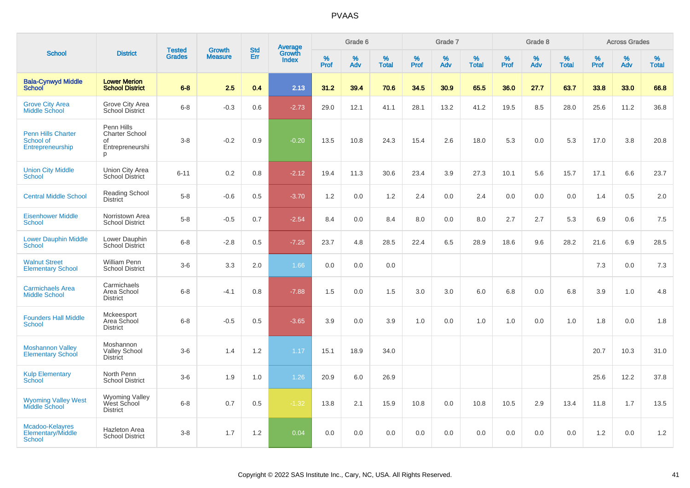|                                                            |                                                                   | <b>Tested</b> | <b>Growth</b>  | <b>Std</b> |                                   |                  | Grade 6     |                   |           | Grade 7     |                      |              | Grade 8  |                   |              | <b>Across Grades</b> |                   |
|------------------------------------------------------------|-------------------------------------------------------------------|---------------|----------------|------------|-----------------------------------|------------------|-------------|-------------------|-----------|-------------|----------------------|--------------|----------|-------------------|--------------|----------------------|-------------------|
| <b>School</b>                                              | <b>District</b>                                                   | <b>Grades</b> | <b>Measure</b> | Err        | Average<br>Growth<br><b>Index</b> | %<br><b>Prof</b> | $\%$<br>Adv | %<br><b>Total</b> | %<br>Prof | $\%$<br>Adv | $\%$<br><b>Total</b> | $\%$<br>Prof | %<br>Adv | %<br><b>Total</b> | $\%$<br>Prof | $\%$<br>Adv          | %<br><b>Total</b> |
| <b>Bala-Cynwyd Middle</b><br><b>School</b>                 | <b>Lower Merion</b><br><b>School District</b>                     | $6 - 8$       | 2.5            | 0.4        | 2.13                              | 31.2             | 39.4        | 70.6              | 34.5      | 30.9        | 65.5                 | 36.0         | 27.7     | 63.7              | 33.8         | 33.0                 | 66.8              |
| <b>Grove City Area</b><br><b>Middle School</b>             | Grove City Area<br><b>School District</b>                         | $6 - 8$       | $-0.3$         | 0.6        | $-2.73$                           | 29.0             | 12.1        | 41.1              | 28.1      | 13.2        | 41.2                 | 19.5         | 8.5      | 28.0              | 25.6         | 11.2                 | 36.8              |
| <b>Penn Hills Charter</b><br>School of<br>Entrepreneurship | Penn Hills<br><b>Charter School</b><br>of<br>Entrepreneurshi<br>p | $3 - 8$       | $-0.2$         | 0.9        | $-0.20$                           | 13.5             | 10.8        | 24.3              | 15.4      | 2.6         | 18.0                 | 5.3          | 0.0      | 5.3               | 17.0         | 3.8                  | 20.8              |
| <b>Union City Middle</b><br><b>School</b>                  | Union City Area<br><b>School District</b>                         | $6 - 11$      | 0.2            | 0.8        | $-2.12$                           | 19.4             | 11.3        | 30.6              | 23.4      | 3.9         | 27.3                 | 10.1         | 5.6      | 15.7              | 17.1         | 6.6                  | 23.7              |
| <b>Central Middle School</b>                               | <b>Reading School</b><br><b>District</b>                          | $5-8$         | $-0.6$         | 0.5        | $-3.70$                           | 1.2              | 0.0         | 1.2               | 2.4       | 0.0         | 2.4                  | 0.0          | 0.0      | 0.0               | 1.4          | 0.5                  | 2.0               |
| <b>Eisenhower Middle</b><br><b>School</b>                  | Norristown Area<br><b>School District</b>                         | $5-8$         | $-0.5$         | 0.7        | $-2.54$                           | 8.4              | 0.0         | 8.4               | 8.0       | 0.0         | 8.0                  | 2.7          | 2.7      | 5.3               | 6.9          | 0.6                  | 7.5               |
| <b>Lower Dauphin Middle</b><br><b>School</b>               | Lower Dauphin<br>School District                                  | $6 - 8$       | $-2.8$         | 0.5        | $-7.25$                           | 23.7             | 4.8         | 28.5              | 22.4      | 6.5         | 28.9                 | 18.6         | 9.6      | 28.2              | 21.6         | 6.9                  | 28.5              |
| <b>Walnut Street</b><br><b>Elementary School</b>           | <b>William Penn</b><br><b>School District</b>                     | $3-6$         | 3.3            | 2.0        | 1.66                              | 0.0              | 0.0         | 0.0               |           |             |                      |              |          |                   | 7.3          | 0.0                  | 7.3               |
| <b>Carmichaels Area</b><br><b>Middle School</b>            | Carmichaels<br>Area School<br><b>District</b>                     | $6 - 8$       | $-4.1$         | 0.8        | $-7.88$                           | 1.5              | 0.0         | 1.5               | 3.0       | 3.0         | 6.0                  | 6.8          | 0.0      | 6.8               | 3.9          | 1.0                  | 4.8               |
| <b>Founders Hall Middle</b><br><b>School</b>               | Mckeesport<br>Area School<br><b>District</b>                      | $6 - 8$       | $-0.5$         | 0.5        | $-3.65$                           | 3.9              | 0.0         | 3.9               | 1.0       | 0.0         | 1.0                  | 1.0          | 0.0      | 1.0               | 1.8          | 0.0                  | 1.8               |
| <b>Moshannon Valley</b><br><b>Elementary School</b>        | Moshannon<br><b>Valley School</b><br><b>District</b>              | $3-6$         | 1.4            | 1.2        | 1.17                              | 15.1             | 18.9        | 34.0              |           |             |                      |              |          |                   | 20.7         | 10.3                 | 31.0              |
| <b>Kulp Elementary</b><br>School                           | North Penn<br><b>School District</b>                              | $3-6$         | 1.9            | 1.0        | 1.26                              | 20.9             | 6.0         | 26.9              |           |             |                      |              |          |                   | 25.6         | 12.2                 | 37.8              |
| <b>Wyoming Valley West</b><br><b>Middle School</b>         | Wyoming Valley<br>West School<br><b>District</b>                  | $6 - 8$       | 0.7            | 0.5        | $-1.32$                           | 13.8             | 2.1         | 15.9              | 10.8      | 0.0         | 10.8                 | 10.5         | 2.9      | 13.4              | 11.8         | 1.7                  | 13.5              |
| Mcadoo-Kelayres<br>Elementary/Middle<br>School             | <b>Hazleton Area</b><br><b>School District</b>                    | $3 - 8$       | 1.7            | 1.2        | 0.04                              | 0.0              | 0.0         | 0.0               | 0.0       | 0.0         | 0.0                  | 0.0          | 0.0      | 0.0               | 1.2          | 0.0                  | 1.2               |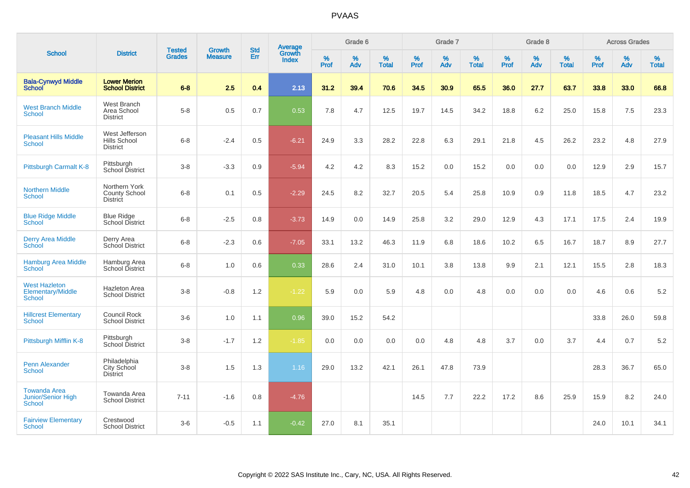|                                                                   |                                                       |                                |                                 | <b>Std</b> |                                          |                  | Grade 6  |                   |           | Grade 7  |                   |           | Grade 8  |                   |           | <b>Across Grades</b> |                   |
|-------------------------------------------------------------------|-------------------------------------------------------|--------------------------------|---------------------------------|------------|------------------------------------------|------------------|----------|-------------------|-----------|----------|-------------------|-----------|----------|-------------------|-----------|----------------------|-------------------|
| <b>School</b>                                                     | <b>District</b>                                       | <b>Tested</b><br><b>Grades</b> | <b>Growth</b><br><b>Measure</b> | Err        | <b>Average</b><br>Growth<br><b>Index</b> | %<br><b>Prof</b> | %<br>Adv | %<br><b>Total</b> | %<br>Prof | %<br>Adv | %<br><b>Total</b> | %<br>Prof | %<br>Adv | %<br><b>Total</b> | %<br>Prof | $\%$<br>Adv          | %<br><b>Total</b> |
| <b>Bala-Cynwyd Middle</b><br><b>School</b>                        | <b>Lower Merion</b><br><b>School District</b>         | $6 - 8$                        | 2.5                             | 0.4        | 2.13                                     | 31.2             | 39.4     | 70.6              | 34.5      | 30.9     | 65.5              | 36.0      | 27.7     | 63.7              | 33.8      | 33.0                 | 66.8              |
| <b>West Branch Middle</b><br>School                               | West Branch<br>Area School<br><b>District</b>         | $5-8$                          | 0.5                             | 0.7        | 0.53                                     | 7.8              | 4.7      | 12.5              | 19.7      | 14.5     | 34.2              | 18.8      | 6.2      | 25.0              | 15.8      | 7.5                  | 23.3              |
| <b>Pleasant Hills Middle</b><br>School                            | West Jefferson<br>Hills School<br><b>District</b>     | $6 - 8$                        | $-2.4$                          | 0.5        | $-6.21$                                  | 24.9             | 3.3      | 28.2              | 22.8      | 6.3      | 29.1              | 21.8      | 4.5      | 26.2              | 23.2      | 4.8                  | 27.9              |
| Pittsburgh Carmalt K-8                                            | Pittsburgh<br>School District                         | $3 - 8$                        | $-3.3$                          | 0.9        | $-5.94$                                  | 4.2              | 4.2      | 8.3               | 15.2      | 0.0      | 15.2              | 0.0       | 0.0      | 0.0               | 12.9      | 2.9                  | 15.7              |
| <b>Northern Middle</b><br>School                                  | Northern York<br>County School<br><b>District</b>     | $6 - 8$                        | 0.1                             | 0.5        | $-2.29$                                  | 24.5             | 8.2      | 32.7              | 20.5      | 5.4      | 25.8              | 10.9      | 0.9      | 11.8              | 18.5      | 4.7                  | 23.2              |
| <b>Blue Ridge Middle</b><br><b>School</b>                         | <b>Blue Ridge</b><br>School District                  | $6 - 8$                        | $-2.5$                          | 0.8        | $-3.73$                                  | 14.9             | 0.0      | 14.9              | 25.8      | 3.2      | 29.0              | 12.9      | 4.3      | 17.1              | 17.5      | 2.4                  | 19.9              |
| <b>Derry Area Middle</b><br><b>School</b>                         | Derry Area<br>School District                         | $6 - 8$                        | $-2.3$                          | 0.6        | $-7.05$                                  | 33.1             | 13.2     | 46.3              | 11.9      | 6.8      | 18.6              | 10.2      | 6.5      | 16.7              | 18.7      | 8.9                  | 27.7              |
| <b>Hamburg Area Middle</b><br>School                              | Hamburg Area<br>School District                       | $6 - 8$                        | 1.0                             | 0.6        | 0.33                                     | 28.6             | 2.4      | 31.0              | 10.1      | 3.8      | 13.8              | 9.9       | 2.1      | 12.1              | 15.5      | 2.8                  | 18.3              |
| <b>West Hazleton</b><br>Elementary/Middle<br>School               | <b>Hazleton Area</b><br><b>School District</b>        | $3 - 8$                        | $-0.8$                          | 1.2        | $-1.22$                                  | 5.9              | 0.0      | 5.9               | 4.8       | 0.0      | 4.8               | 0.0       | 0.0      | 0.0               | 4.6       | 0.6                  | 5.2               |
| <b>Hillcrest Elementary</b><br><b>School</b>                      | Council Rock<br><b>School District</b>                | $3-6$                          | 1.0                             | 1.1        | 0.96                                     | 39.0             | 15.2     | 54.2              |           |          |                   |           |          |                   | 33.8      | 26.0                 | 59.8              |
| Pittsburgh Mifflin K-8                                            | Pittsburgh<br>School District                         | $3 - 8$                        | $-1.7$                          | 1.2        | $-1.85$                                  | 0.0              | 0.0      | 0.0               | 0.0       | 4.8      | 4.8               | 3.7       | 0.0      | 3.7               | 4.4       | 0.7                  | $5.2\,$           |
| Penn Alexander<br>School                                          | Philadelphia<br><b>City School</b><br><b>District</b> | $3 - 8$                        | 1.5                             | 1.3        | 1.16                                     | 29.0             | 13.2     | 42.1              | 26.1      | 47.8     | 73.9              |           |          |                   | 28.3      | 36.7                 | 65.0              |
| <b>Towanda Area</b><br><b>Junior/Senior High</b><br><b>School</b> | Towanda Area<br><b>School District</b>                | $7 - 11$                       | $-1.6$                          | 0.8        | $-4.76$                                  |                  |          |                   | 14.5      | 7.7      | 22.2              | 17.2      | 8.6      | 25.9              | 15.9      | 8.2                  | 24.0              |
| <b>Fairview Elementary</b><br>School                              | Crestwood<br><b>School District</b>                   | $3-6$                          | $-0.5$                          | 1.1        | $-0.42$                                  | 27.0             | 8.1      | 35.1              |           |          |                   |           |          |                   | 24.0      | 10.1                 | 34.1              |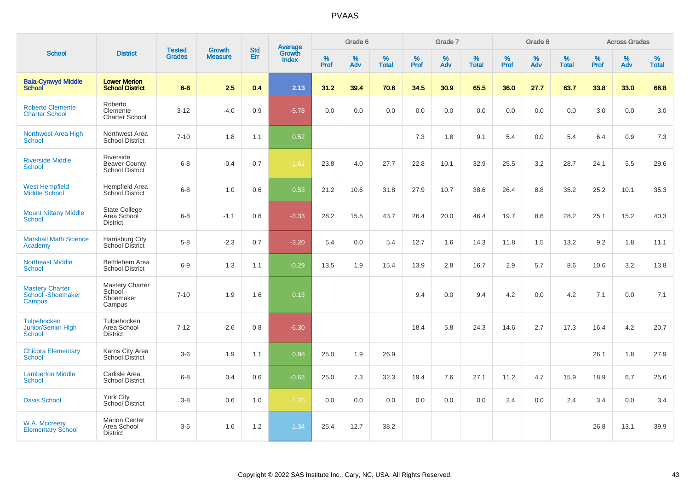|                                                           |                                                        |                                |                          | <b>Std</b> |                                          |           | Grade 6  |                   |           | Grade 7  |                   |           | Grade 8  |                   |           | <b>Across Grades</b> |                   |
|-----------------------------------------------------------|--------------------------------------------------------|--------------------------------|--------------------------|------------|------------------------------------------|-----------|----------|-------------------|-----------|----------|-------------------|-----------|----------|-------------------|-----------|----------------------|-------------------|
| <b>School</b>                                             | <b>District</b>                                        | <b>Tested</b><br><b>Grades</b> | Growth<br><b>Measure</b> | Err        | <b>Average</b><br>Growth<br><b>Index</b> | %<br>Prof | %<br>Adv | %<br><b>Total</b> | %<br>Prof | %<br>Adv | %<br><b>Total</b> | %<br>Prof | %<br>Adv | %<br><b>Total</b> | %<br>Prof | %<br>Adv             | %<br><b>Total</b> |
| <b>Bala-Cynwyd Middle</b><br><b>School</b>                | <b>Lower Merion</b><br><b>School District</b>          | $6 - 8$                        | 2.5                      | 0.4        | 2.13                                     | 31.2      | 39.4     | 70.6              | 34.5      | 30.9     | 65.5              | 36.0      | 27.7     | 63.7              | 33.8      | 33.0                 | 66.8              |
| <b>Roberto Clemente</b><br><b>Charter School</b>          | Roberto<br>Clemente<br><b>Charter School</b>           | $3 - 12$                       | $-4.0$                   | 0.9        | $-5.78$                                  | 0.0       | 0.0      | 0.0               | 0.0       | 0.0      | 0.0               | 0.0       | 0.0      | 0.0               | 3.0       | 0.0                  | 3.0               |
| Northwest Area High<br><b>School</b>                      | Northwest Area<br><b>School District</b>               | $7 - 10$                       | 1.8                      | 1.1        | 0.52                                     |           |          |                   | 7.3       | 1.8      | 9.1               | 5.4       | 0.0      | 5.4               | 6.4       | 0.9                  | 7.3               |
| <b>Riverside Middle</b><br><b>School</b>                  | Riverside<br><b>Beaver County</b><br>School District   | $6 - 8$                        | $-0.4$                   | 0.7        | $-1.61$                                  | 23.8      | 4.0      | 27.7              | 22.8      | 10.1     | 32.9              | 25.5      | 3.2      | 28.7              | 24.1      | 5.5                  | 29.6              |
| <b>West Hempfield</b><br><b>Middle School</b>             | <b>Hempfield Area</b><br><b>School District</b>        | $6 - 8$                        | 1.0                      | 0.6        | 0.53                                     | 21.2      | 10.6     | 31.8              | 27.9      | 10.7     | 38.6              | 26.4      | 8.8      | 35.2              | 25.2      | 10.1                 | 35.3              |
| <b>Mount Nittany Middle</b><br><b>School</b>              | <b>State College</b><br>Area School<br><b>District</b> | $6 - 8$                        | $-1.1$                   | 0.6        | $-3.33$                                  | 28.2      | 15.5     | 43.7              | 26.4      | 20.0     | 46.4              | 19.7      | 8.6      | 28.2              | 25.1      | 15.2                 | 40.3              |
| <b>Marshall Math Science</b><br>Academy                   | Harrisburg City<br>School District                     | $5-8$                          | $-2.3$                   | 0.7        | $-3.20$                                  | 5.4       | 0.0      | 5.4               | 12.7      | 1.6      | 14.3              | 11.8      | 1.5      | 13.2              | 9.2       | 1.8                  | 11.1              |
| <b>Northeast Middle</b><br><b>School</b>                  | Bethlehem Area<br><b>School District</b>               | $6-9$                          | 1.3                      | 1.1        | $-0.29$                                  | 13.5      | 1.9      | 15.4              | 13.9      | 2.8      | 16.7              | 2.9       | 5.7      | 8.6               | 10.6      | 3.2                  | 13.8              |
| <b>Mastery Charter</b><br>School - Shoemaker<br>Campus    | Mastery Charter<br>School-<br>Shoemaker<br>Campus      | $7 - 10$                       | 1.9                      | 1.6        | 0.13                                     |           |          |                   | 9.4       | 0.0      | 9.4               | 4.2       | 0.0      | 4.2               | 7.1       | 0.0                  | 7.1               |
| <b>Tulpehocken</b><br>Junior/Senior High<br><b>School</b> | Tulpehocken<br>Area School<br><b>District</b>          | $7 - 12$                       | $-2.6$                   | 0.8        | $-6.30$                                  |           |          |                   | 18.4      | 5.8      | 24.3              | 14.6      | 2.7      | 17.3              | 16.4      | 4.2                  | 20.7              |
| <b>Chicora Elementary</b><br><b>School</b>                | Karns City Area<br>School District                     | $3-6$                          | 1.9                      | 1.1        | 0.98                                     | 25.0      | 1.9      | 26.9              |           |          |                   |           |          |                   | 26.1      | 1.8                  | 27.9              |
| <b>Lamberton Middle</b><br><b>School</b>                  | Carlisle Area<br><b>School District</b>                | $6 - 8$                        | 0.4                      | 0.6        | $-0.63$                                  | 25.0      | 7.3      | 32.3              | 19.4      | 7.6      | 27.1              | 11.2      | 4.7      | 15.9              | 18.9      | 6.7                  | 25.6              |
| <b>Davis School</b>                                       | <b>York City</b><br>School District                    | $3 - 8$                        | 0.6                      | 1.0        | $-1.20$                                  | 0.0       | 0.0      | 0.0               | 0.0       | 0.0      | 0.0               | 2.4       | 0.0      | 2.4               | 3.4       | 0.0                  | 3.4               |
| W.A. Mccreery<br><b>Elementary School</b>                 | <b>Marion Center</b><br>Area School<br><b>District</b> | $3-6$                          | 1.6                      | 1.2        | 1.34                                     | 25.4      | 12.7     | 38.2              |           |          |                   |           |          |                   | 26.8      | 13.1                 | 39.9              |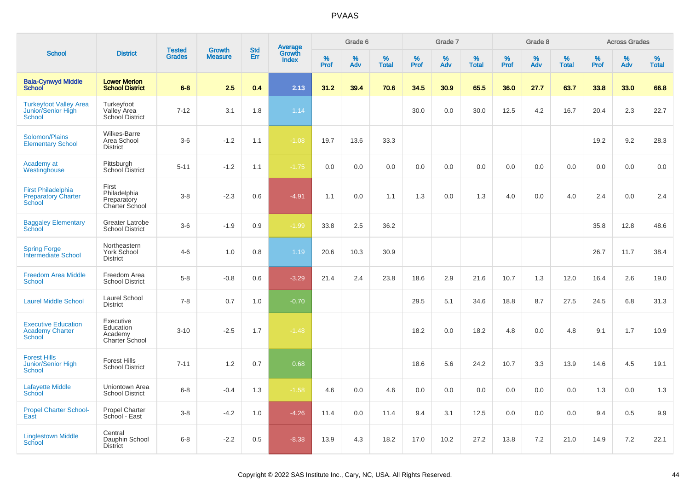|                                                                          |                                                            |                                |                                 | <b>Std</b> |                                          |                  | Grade 6  |                   |           | Grade 7  |                   |           | Grade 8  |                   |           | <b>Across Grades</b> |                   |
|--------------------------------------------------------------------------|------------------------------------------------------------|--------------------------------|---------------------------------|------------|------------------------------------------|------------------|----------|-------------------|-----------|----------|-------------------|-----------|----------|-------------------|-----------|----------------------|-------------------|
| <b>School</b>                                                            | <b>District</b>                                            | <b>Tested</b><br><b>Grades</b> | <b>Growth</b><br><b>Measure</b> | Err        | <b>Average</b><br>Growth<br><b>Index</b> | %<br><b>Prof</b> | %<br>Adv | %<br><b>Total</b> | %<br>Prof | %<br>Adv | %<br><b>Total</b> | %<br>Prof | %<br>Adv | %<br><b>Total</b> | %<br>Prof | %<br>Adv             | %<br><b>Total</b> |
| <b>Bala-Cynwyd Middle</b><br><b>School</b>                               | <b>Lower Merion</b><br><b>School District</b>              | $6 - 8$                        | 2.5                             | 0.4        | 2.13                                     | 31.2             | 39.4     | 70.6              | 34.5      | 30.9     | 65.5              | 36.0      | 27.7     | 63.7              | 33.8      | 33.0                 | 66.8              |
| <b>Turkeyfoot Valley Area</b><br>Junior/Senior High<br><b>School</b>     | Turkeyfoot<br>Valley Area<br>School District               | $7 - 12$                       | 3.1                             | 1.8        | 1.14                                     |                  |          |                   | 30.0      | 0.0      | 30.0              | 12.5      | 4.2      | 16.7              | 20.4      | 2.3                  | 22.7              |
| Solomon/Plains<br><b>Elementary School</b>                               | <b>Wilkes-Barre</b><br>Area School<br><b>District</b>      | $3-6$                          | $-1.2$                          | 1.1        | $-1.08$                                  | 19.7             | 13.6     | 33.3              |           |          |                   |           |          |                   | 19.2      | 9.2                  | 28.3              |
| Academy at<br>Westinghouse                                               | Pittsburgh<br>School District                              | $5 - 11$                       | $-1.2$                          | 1.1        | $-1.75$                                  | 0.0              | 0.0      | 0.0               | 0.0       | 0.0      | 0.0               | 0.0       | 0.0      | 0.0               | 0.0       | 0.0                  | 0.0               |
| <b>First Philadelphia</b><br><b>Preparatory Charter</b><br><b>School</b> | First<br>Philadelphia<br>Preparatory<br>Charter School     | $3 - 8$                        | $-2.3$                          | 0.6        | $-4.91$                                  | 1.1              | 0.0      | 1.1               | 1.3       | 0.0      | 1.3               | 4.0       | 0.0      | 4.0               | 2.4       | 0.0                  | 2.4               |
| <b>Baggaley Elementary</b><br><b>School</b>                              | Greater Latrobe<br><b>School District</b>                  | $3-6$                          | $-1.9$                          | 0.9        | $-1.99$                                  | 33.8             | 2.5      | 36.2              |           |          |                   |           |          |                   | 35.8      | 12.8                 | 48.6              |
| <b>Spring Forge</b><br><b>Intermediate School</b>                        | Northeastern<br>York School<br><b>District</b>             | $4 - 6$                        | 1.0                             | 0.8        | 1.19                                     | 20.6             | 10.3     | 30.9              |           |          |                   |           |          |                   | 26.7      | 11.7                 | 38.4              |
| <b>Freedom Area Middle</b><br><b>School</b>                              | Freedom Area<br><b>School District</b>                     | $5-8$                          | $-0.8$                          | 0.6        | $-3.29$                                  | 21.4             | 2.4      | 23.8              | 18.6      | 2.9      | 21.6              | 10.7      | 1.3      | 12.0              | 16.4      | 2.6                  | 19.0              |
| <b>Laurel Middle School</b>                                              | Laurel School<br><b>District</b>                           | $7 - 8$                        | 0.7                             | 1.0        | $-0.70$                                  |                  |          |                   | 29.5      | 5.1      | 34.6              | 18.8      | 8.7      | 27.5              | 24.5      | 6.8                  | 31.3              |
| <b>Executive Education</b><br><b>Academy Charter</b><br><b>School</b>    | Executive<br>Education<br>Academy<br><b>Charter School</b> | $3 - 10$                       | $-2.5$                          | 1.7        | $-1.48$                                  |                  |          |                   | 18.2      | 0.0      | 18.2              | 4.8       | 0.0      | 4.8               | 9.1       | 1.7                  | 10.9              |
| <b>Forest Hills</b><br><b>Junior/Senior High</b><br><b>School</b>        | <b>Forest Hills</b><br><b>School District</b>              | $7 - 11$                       | 1.2                             | 0.7        | 0.68                                     |                  |          |                   | 18.6      | 5.6      | 24.2              | 10.7      | 3.3      | 13.9              | 14.6      | 4.5                  | 19.1              |
| <b>Lafayette Middle</b><br>School                                        | Uniontown Area<br><b>School District</b>                   | $6 - 8$                        | $-0.4$                          | 1.3        | $-1.58$                                  | 4.6              | 0.0      | 4.6               | 0.0       | 0.0      | 0.0               | $0.0\,$   | 0.0      | 0.0               | 1.3       | 0.0                  | 1.3               |
| <b>Propel Charter School-</b><br>East                                    | <b>Propel Charter</b><br>School - East                     | $3 - 8$                        | $-4.2$                          | 1.0        | $-4.26$                                  | 11.4             | 0.0      | 11.4              | 9.4       | 3.1      | 12.5              | 0.0       | 0.0      | 0.0               | 9.4       | 0.5                  | 9.9               |
| <b>Linglestown Middle</b><br><b>School</b>                               | Central<br>Dauphin School<br><b>District</b>               | $6 - 8$                        | $-2.2$                          | 0.5        | $-8.38$                                  | 13.9             | 4.3      | 18.2              | 17.0      | 10.2     | 27.2              | 13.8      | 7.2      | 21.0              | 14.9      | 7.2                  | 22.1              |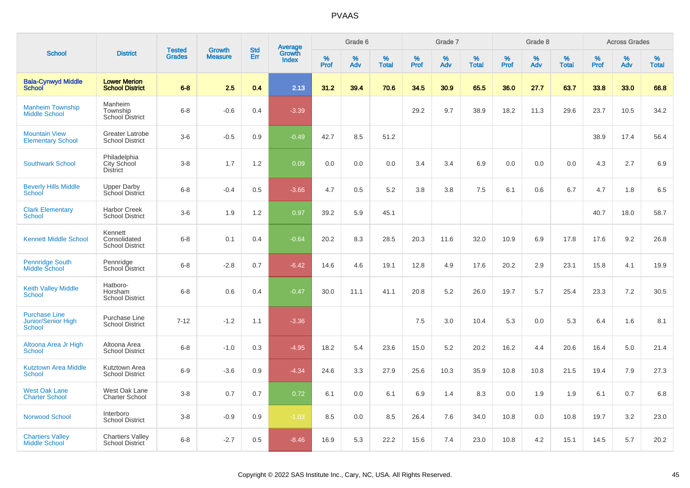|                                                             |                                                   |                                |                                 |                   |                                          |                  | Grade 6  |                   |           | Grade 7  |                   |           | Grade 8  |                   |           | <b>Across Grades</b> |                   |
|-------------------------------------------------------------|---------------------------------------------------|--------------------------------|---------------------------------|-------------------|------------------------------------------|------------------|----------|-------------------|-----------|----------|-------------------|-----------|----------|-------------------|-----------|----------------------|-------------------|
| <b>School</b>                                               | <b>District</b>                                   | <b>Tested</b><br><b>Grades</b> | <b>Growth</b><br><b>Measure</b> | <b>Std</b><br>Err | <b>Average</b><br>Growth<br><b>Index</b> | %<br><b>Prof</b> | %<br>Adv | %<br><b>Total</b> | %<br>Prof | %<br>Adv | %<br><b>Total</b> | %<br>Prof | %<br>Adv | %<br><b>Total</b> | %<br>Prof | %<br>Adv             | %<br><b>Total</b> |
| <b>Bala-Cynwyd Middle</b><br><b>School</b>                  | <b>Lower Merion</b><br><b>School District</b>     | $6 - 8$                        | 2.5                             | 0.4               | 2.13                                     | 31.2             | 39.4     | 70.6              | 34.5      | 30.9     | 65.5              | 36.0      | 27.7     | 63.7              | 33.8      | 33.0                 | 66.8              |
| <b>Manheim Township</b><br><b>Middle School</b>             | Manheim<br>Township<br><b>School District</b>     | $6 - 8$                        | $-0.6$                          | 0.4               | $-3.39$                                  |                  |          |                   | 29.2      | 9.7      | 38.9              | 18.2      | 11.3     | 29.6              | 23.7      | 10.5                 | 34.2              |
| <b>Mountain View</b><br><b>Elementary School</b>            | <b>Greater Latrobe</b><br><b>School District</b>  | $3-6$                          | $-0.5$                          | 0.9               | $-0.49$                                  | 42.7             | 8.5      | 51.2              |           |          |                   |           |          |                   | 38.9      | 17.4                 | 56.4              |
| <b>Southwark School</b>                                     | Philadelphia<br>City School<br><b>District</b>    | $3 - 8$                        | 1.7                             | 1.2               | 0.09                                     | 0.0              | 0.0      | 0.0               | 3.4       | 3.4      | 6.9               | 0.0       | 0.0      | 0.0               | 4.3       | 2.7                  | 6.9               |
| <b>Beverly Hills Middle</b><br>School                       | <b>Upper Darby</b><br>School District             | $6 - 8$                        | $-0.4$                          | 0.5               | $-3.66$                                  | 4.7              | 0.5      | 5.2               | 3.8       | 3.8      | 7.5               | 6.1       | 0.6      | 6.7               | 4.7       | 1.8                  | 6.5               |
| <b>Clark Elementary</b><br>School                           | <b>Harbor Creek</b><br><b>School District</b>     | $3-6$                          | 1.9                             | 1.2               | 0.97                                     | 39.2             | 5.9      | 45.1              |           |          |                   |           |          |                   | 40.7      | 18.0                 | 58.7              |
| <b>Kennett Middle School</b>                                | Kennett<br>Consolidated<br><b>School District</b> | $6 - 8$                        | 0.1                             | 0.4               | $-0.64$                                  | 20.2             | 8.3      | 28.5              | 20.3      | 11.6     | 32.0              | 10.9      | 6.9      | 17.8              | 17.6      | 9.2                  | 26.8              |
| <b>Pennridge South</b><br>Middle School                     | Pennridge<br>School District                      | $6 - 8$                        | $-2.8$                          | 0.7               | $-6.42$                                  | 14.6             | 4.6      | 19.1              | 12.8      | 4.9      | 17.6              | 20.2      | 2.9      | 23.1              | 15.8      | 4.1                  | 19.9              |
| <b>Keith Valley Middle</b><br>School                        | Hatboro-<br>Horsham<br><b>School District</b>     | $6 - 8$                        | 0.6                             | 0.4               | $-0.47$                                  | 30.0             | 11.1     | 41.1              | 20.8      | 5.2      | 26.0              | 19.7      | 5.7      | 25.4              | 23.3      | 7.2                  | 30.5              |
| <b>Purchase Line</b><br><b>Junior/Senior High</b><br>School | Purchase Line<br><b>School District</b>           | $7 - 12$                       | $-1.2$                          | 1.1               | $-3.36$                                  |                  |          |                   | 7.5       | 3.0      | 10.4              | 5.3       | 0.0      | 5.3               | 6.4       | 1.6                  | 8.1               |
| Altoona Area Jr High<br><b>School</b>                       | Altoona Area<br><b>School District</b>            | $6 - 8$                        | $-1.0$                          | 0.3               | $-4.95$                                  | 18.2             | 5.4      | 23.6              | 15.0      | 5.2      | 20.2              | 16.2      | 4.4      | 20.6              | 16.4      | 5.0                  | 21.4              |
| <b>Kutztown Area Middle</b><br><b>School</b>                | Kutztown Area<br><b>School District</b>           | $6-9$                          | $-3.6$                          | 0.9               | $-4.34$                                  | 24.6             | 3.3      | 27.9              | 25.6      | 10.3     | 35.9              | 10.8      | 10.8     | 21.5              | 19.4      | 7.9                  | 27.3              |
| <b>West Oak Lane</b><br><b>Charter School</b>               | West Oak Lane<br><b>Charter School</b>            | $3 - 8$                        | 0.7                             | 0.7               | 0.72                                     | 6.1              | 0.0      | 6.1               | 6.9       | 1.4      | 8.3               | 0.0       | 1.9      | 1.9               | 6.1       | 0.7                  | 6.8               |
| Norwood School                                              | Interboro<br><b>School District</b>               | $3 - 8$                        | $-0.9$                          | 0.9               | $-1.03$                                  | 8.5              | 0.0      | 8.5               | 26.4      | 7.6      | 34.0              | 10.8      | 0.0      | 10.8              | 19.7      | 3.2                  | 23.0              |
| <b>Chartiers Valley</b><br><b>Middle School</b>             | <b>Chartiers Valley</b><br><b>School District</b> | $6 - 8$                        | $-2.7$                          | 0.5               | $-8.46$                                  | 16.9             | 5.3      | 22.2              | 15.6      | 7.4      | 23.0              | 10.8      | 4.2      | 15.1              | 14.5      | 5.7                  | 20.2              |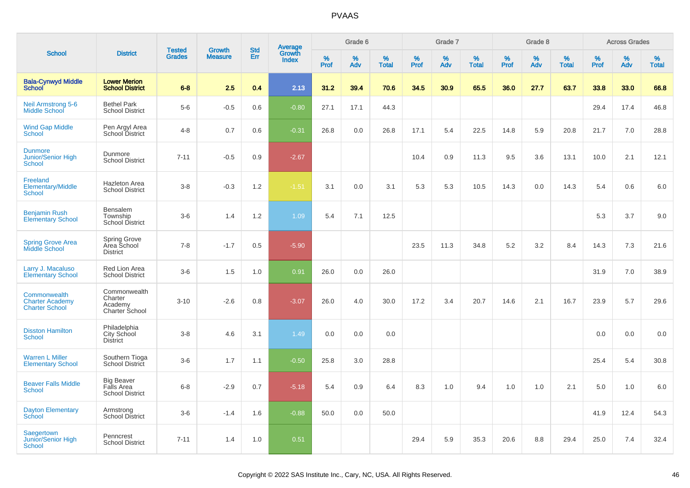| <b>School</b>                                                   |                                                           | <b>Tested</b> | <b>Growth</b>  | <b>Std</b> |                                          |           | Grade 6  |                   |           | Grade 7  |                   |           | Grade 8  |                   |           | <b>Across Grades</b> |                   |
|-----------------------------------------------------------------|-----------------------------------------------------------|---------------|----------------|------------|------------------------------------------|-----------|----------|-------------------|-----------|----------|-------------------|-----------|----------|-------------------|-----------|----------------------|-------------------|
|                                                                 | <b>District</b>                                           | <b>Grades</b> | <b>Measure</b> | Err        | <b>Average</b><br>Growth<br><b>Index</b> | %<br>Prof | %<br>Adv | %<br><b>Total</b> | %<br>Prof | %<br>Adv | %<br><b>Total</b> | %<br>Prof | %<br>Adv | %<br><b>Total</b> | %<br>Prof | %<br>Adv             | %<br><b>Total</b> |
| <b>Bala-Cynwyd Middle</b><br><b>School</b>                      | <b>Lower Merion</b><br><b>School District</b>             | $6 - 8$       | 2.5            | 0.4        | 2.13                                     | 31.2      | 39.4     | 70.6              | 34.5      | 30.9     | 65.5              | 36.0      | 27.7     | 63.7              | 33.8      | 33.0                 | 66.8              |
| <b>Neil Armstrong 5-6</b><br><b>Middle School</b>               | <b>Bethel Park</b><br><b>School District</b>              | $5-6$         | $-0.5$         | 0.6        | $-0.80$                                  | 27.1      | 17.1     | 44.3              |           |          |                   |           |          |                   | 29.4      | 17.4                 | 46.8              |
| <b>Wind Gap Middle</b><br><b>School</b>                         | Pen Argyl Area<br>School District                         | $4 - 8$       | 0.7            | 0.6        | $-0.31$                                  | 26.8      | 0.0      | 26.8              | 17.1      | 5.4      | 22.5              | 14.8      | 5.9      | 20.8              | 21.7      | 7.0                  | 28.8              |
| <b>Dunmore</b><br>Junior/Senior High<br><b>School</b>           | Dunmore<br><b>School District</b>                         | $7 - 11$      | $-0.5$         | 0.9        | $-2.67$                                  |           |          |                   | 10.4      | 0.9      | 11.3              | 9.5       | 3.6      | 13.1              | 10.0      | 2.1                  | 12.1              |
| Freeland<br><b>Elementary/Middle</b><br><b>School</b>           | <b>Hazleton Area</b><br><b>School District</b>            | $3-8$         | $-0.3$         | 1.2        | $-1.51$                                  | 3.1       | 0.0      | 3.1               | 5.3       | 5.3      | 10.5              | 14.3      | 0.0      | 14.3              | 5.4       | 0.6                  | 6.0               |
| <b>Benjamin Rush</b><br><b>Elementary School</b>                | Bensalem<br>Township<br>School District                   | $3-6$         | 1.4            | 1.2        | 1.09                                     | 5.4       | 7.1      | 12.5              |           |          |                   |           |          |                   | 5.3       | 3.7                  | 9.0               |
| <b>Spring Grove Area</b><br><b>Middle School</b>                | <b>Spring Grove</b><br>Area School<br><b>District</b>     | $7 - 8$       | $-1.7$         | 0.5        | $-5.90$                                  |           |          |                   | 23.5      | 11.3     | 34.8              | 5.2       | 3.2      | 8.4               | 14.3      | 7.3                  | 21.6              |
| Larry J. Macaluso<br><b>Elementary School</b>                   | Red Lion Area<br><b>School District</b>                   | $3-6$         | 1.5            | 1.0        | 0.91                                     | 26.0      | 0.0      | 26.0              |           |          |                   |           |          |                   | 31.9      | 7.0                  | 38.9              |
| Commonwealth<br><b>Charter Academy</b><br><b>Charter School</b> | Commonwealth<br>Charter<br>Academy<br>Charter School      | $3 - 10$      | $-2.6$         | 0.8        | $-3.07$                                  | 26.0      | 4.0      | 30.0              | 17.2      | 3.4      | 20.7              | 14.6      | 2.1      | 16.7              | 23.9      | 5.7                  | 29.6              |
| <b>Disston Hamilton</b><br>School                               | Philadelphia<br>City School<br><b>District</b>            | $3 - 8$       | 4.6            | 3.1        | 1.49                                     | 0.0       | 0.0      | 0.0               |           |          |                   |           |          |                   | 0.0       | 0.0                  | 0.0               |
| <b>Warren L Miller</b><br><b>Elementary School</b>              | Southern Tioga<br>School District                         | $3-6$         | 1.7            | 1.1        | $-0.50$                                  | 25.8      | 3.0      | 28.8              |           |          |                   |           |          |                   | 25.4      | 5.4                  | 30.8              |
| <b>Beaver Falls Middle</b><br><b>School</b>                     | <b>Big Beaver</b><br>Falls Area<br><b>School District</b> | $6 - 8$       | $-2.9$         | 0.7        | $-5.18$                                  | 5.4       | 0.9      | 6.4               | 8.3       | 1.0      | 9.4               | 1.0       | 1.0      | 2.1               | 5.0       | 1.0                  | 6.0               |
| <b>Dayton Elementary</b><br>School                              | Armstrong<br><b>School District</b>                       | $3-6$         | $-1.4$         | 1.6        | $-0.88$                                  | 50.0      | 0.0      | 50.0              |           |          |                   |           |          |                   | 41.9      | 12.4                 | 54.3              |
| Saegertown<br><b>Junior/Senior High</b><br><b>School</b>        | Penncrest<br><b>School District</b>                       | $7 - 11$      | 1.4            | 1.0        | 0.51                                     |           |          |                   | 29.4      | 5.9      | 35.3              | 20.6      | 8.8      | 29.4              | 25.0      | 7.4                  | 32.4              |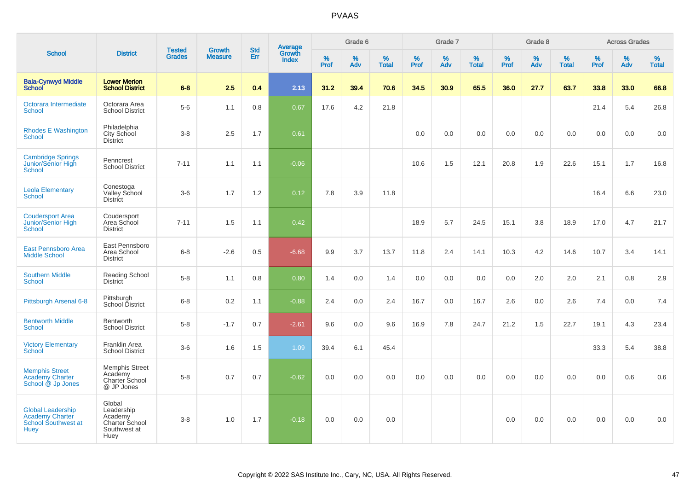|                                                                                          |                                                                           |                                |                                 |                   |                                          |                  | Grade 6  |                   |           | Grade 7  |                   |           | Grade 8  |                   |              | <b>Across Grades</b> |                   |
|------------------------------------------------------------------------------------------|---------------------------------------------------------------------------|--------------------------------|---------------------------------|-------------------|------------------------------------------|------------------|----------|-------------------|-----------|----------|-------------------|-----------|----------|-------------------|--------------|----------------------|-------------------|
| <b>School</b>                                                                            | <b>District</b>                                                           | <b>Tested</b><br><b>Grades</b> | <b>Growth</b><br><b>Measure</b> | <b>Std</b><br>Err | <b>Average</b><br>Growth<br><b>Index</b> | %<br><b>Prof</b> | %<br>Adv | %<br><b>Total</b> | %<br>Prof | %<br>Adv | %<br><b>Total</b> | %<br>Prof | %<br>Adv | %<br><b>Total</b> | $\%$<br>Prof | %<br>Adv             | %<br><b>Total</b> |
| <b>Bala-Cynwyd Middle</b><br><b>School</b>                                               | <b>Lower Merion</b><br><b>School District</b>                             | $6 - 8$                        | 2.5                             | 0.4               | 2.13                                     | 31.2             | 39.4     | 70.6              | 34.5      | 30.9     | 65.5              | 36.0      | 27.7     | 63.7              | 33.8         | 33.0                 | 66.8              |
| Octorara Intermediate<br><b>School</b>                                                   | Octorara Area<br><b>School District</b>                                   | $5-6$                          | 1.1                             | 0.8               | 0.67                                     | 17.6             | 4.2      | 21.8              |           |          |                   |           |          |                   | 21.4         | 5.4                  | 26.8              |
| <b>Rhodes E Washington</b><br><b>School</b>                                              | Philadelphia<br>City School<br><b>District</b>                            | $3 - 8$                        | 2.5                             | 1.7               | 0.61                                     |                  |          |                   | 0.0       | 0.0      | 0.0               | 0.0       | 0.0      | 0.0               | 0.0          | 0.0                  | 0.0               |
| <b>Cambridge Springs</b><br>Junior/Senior High<br><b>School</b>                          | Penncrest<br><b>School District</b>                                       | $7 - 11$                       | 1.1                             | 1.1               | $-0.06$                                  |                  |          |                   | 10.6      | 1.5      | 12.1              | 20.8      | 1.9      | 22.6              | 15.1         | 1.7                  | 16.8              |
| <b>Leola Elementary</b><br>School                                                        | Conestoga<br>Valley School<br><b>District</b>                             | $3-6$                          | 1.7                             | 1.2               | 0.12                                     | 7.8              | 3.9      | 11.8              |           |          |                   |           |          |                   | 16.4         | 6.6                  | 23.0              |
| <b>Coudersport Area</b><br>Junior/Senior High<br><b>School</b>                           | Coudersport<br>Area School<br><b>District</b>                             | $7 - 11$                       | 1.5                             | 1.1               | 0.42                                     |                  |          |                   | 18.9      | 5.7      | 24.5              | 15.1      | 3.8      | 18.9              | 17.0         | 4.7                  | 21.7              |
| East Pennsboro Area<br><b>Middle School</b>                                              | East Pennsboro<br>Area School<br><b>District</b>                          | $6 - 8$                        | $-2.6$                          | 0.5               | $-6.68$                                  | 9.9              | 3.7      | 13.7              | 11.8      | 2.4      | 14.1              | 10.3      | 4.2      | 14.6              | 10.7         | 3.4                  | 14.1              |
| <b>Southern Middle</b><br>School                                                         | Reading School<br>District                                                | $5 - 8$                        | 1.1                             | 0.8               | 0.80                                     | 1.4              | 0.0      | 1.4               | 0.0       | 0.0      | 0.0               | 0.0       | 2.0      | 2.0               | 2.1          | 0.8                  | 2.9               |
| Pittsburgh Arsenal 6-8                                                                   | Pittsburgh<br>School District                                             | $6 - 8$                        | 0.2                             | 1.1               | $-0.88$                                  | 2.4              | 0.0      | 2.4               | 16.7      | 0.0      | 16.7              | 2.6       | 0.0      | 2.6               | 7.4          | 0.0                  | 7.4               |
| <b>Bentworth Middle</b><br><b>School</b>                                                 | Bentworth<br><b>School District</b>                                       | $5-8$                          | $-1.7$                          | 0.7               | $-2.61$                                  | 9.6              | 0.0      | 9.6               | 16.9      | 7.8      | 24.7              | 21.2      | 1.5      | 22.7              | 19.1         | 4.3                  | 23.4              |
| <b>Victory Elementary</b><br>School                                                      | <b>Franklin Area</b><br><b>School District</b>                            | $3-6$                          | 1.6                             | 1.5               | 1.09                                     | 39.4             | 6.1      | 45.4              |           |          |                   |           |          |                   | 33.3         | 5.4                  | 38.8              |
| <b>Memphis Street</b><br><b>Academy Charter</b><br>School @ Jp Jones                     | <b>Memphis Street</b><br>Academy<br>Charter School<br>@ JP Jones          | $5-8$                          | 0.7                             | 0.7               | $-0.62$                                  | 0.0              | 0.0      | 0.0               | 0.0       | 0.0      | 0.0               | 0.0       | 0.0      | 0.0               | 0.0          | 0.6                  | 0.6               |
| <b>Global Leadership</b><br><b>Academy Charter</b><br>School Southwest at<br><b>Huey</b> | Global<br>Leadership<br>Academy<br>Charter School<br>Southwest at<br>Huey | $3-8$                          | 1.0                             | 1.7               | $-0.18$                                  | 0.0              | 0.0      | 0.0               |           |          |                   | 0.0       | 0.0      | 0.0               | 0.0          | 0.0                  | 0.0               |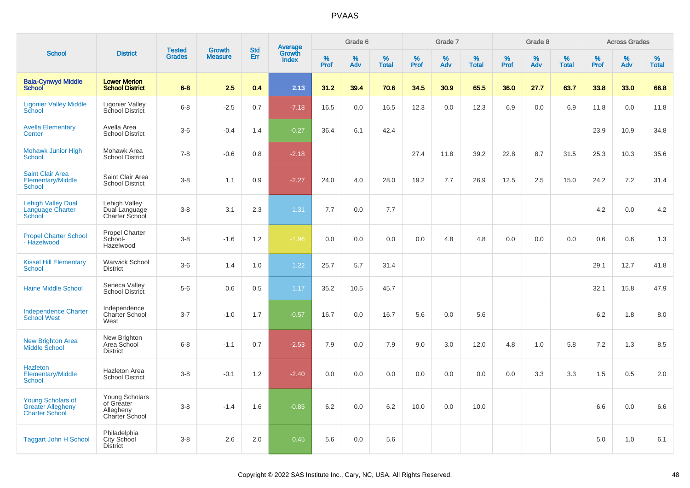|                                                                               |                                                                    |                                |                                 | <b>Std</b> |                                          |                  | Grade 6     |                   |              | Grade 7     |                   |              | Grade 8  |                   |              | <b>Across Grades</b> |                   |
|-------------------------------------------------------------------------------|--------------------------------------------------------------------|--------------------------------|---------------------------------|------------|------------------------------------------|------------------|-------------|-------------------|--------------|-------------|-------------------|--------------|----------|-------------------|--------------|----------------------|-------------------|
| <b>School</b>                                                                 | <b>District</b>                                                    | <b>Tested</b><br><b>Grades</b> | <b>Growth</b><br><b>Measure</b> | Err        | <b>Average</b><br>Growth<br><b>Index</b> | %<br><b>Prof</b> | $\%$<br>Adv | %<br><b>Total</b> | $\%$<br>Prof | $\%$<br>Adv | %<br><b>Total</b> | $\%$<br>Prof | %<br>Adv | %<br><b>Total</b> | $\%$<br>Prof | $\%$<br>Adv          | %<br><b>Total</b> |
| <b>Bala-Cynwyd Middle</b><br><b>School</b>                                    | <b>Lower Merion</b><br><b>School District</b>                      | $6 - 8$                        | 2.5                             | 0.4        | 2.13                                     | 31.2             | 39.4        | 70.6              | 34.5         | 30.9        | 65.5              | 36.0         | 27.7     | 63.7              | 33.8         | 33.0                 | 66.8              |
| <b>Ligonier Valley Middle</b><br>School                                       | <b>Ligonier Valley</b><br>School District                          | $6 - 8$                        | $-2.5$                          | 0.7        | $-7.18$                                  | 16.5             | 0.0         | 16.5              | 12.3         | 0.0         | 12.3              | 6.9          | 0.0      | 6.9               | 11.8         | 0.0                  | 11.8              |
| <b>Avella Elementary</b><br>Center                                            | Avella Area<br><b>School District</b>                              | $3-6$                          | $-0.4$                          | 1.4        | $-0.27$                                  | 36.4             | 6.1         | 42.4              |              |             |                   |              |          |                   | 23.9         | 10.9                 | 34.8              |
| <b>Mohawk Junior High</b><br><b>School</b>                                    | Mohawk Area<br><b>School District</b>                              | $7 - 8$                        | $-0.6$                          | 0.8        | $-2.18$                                  |                  |             |                   | 27.4         | 11.8        | 39.2              | 22.8         | 8.7      | 31.5              | 25.3         | 10.3                 | 35.6              |
| <b>Saint Clair Area</b><br><b>Elementary/Middle</b><br><b>School</b>          | Saint Clair Area<br><b>School District</b>                         | $3 - 8$                        | 1.1                             | 0.9        | $-2.27$                                  | 24.0             | 4.0         | 28.0              | 19.2         | 7.7         | 26.9              | 12.5         | 2.5      | 15.0              | 24.2         | 7.2                  | 31.4              |
| <b>Lehigh Valley Dual</b><br>Language Charter<br><b>School</b>                | Lehigh Valley<br>Dual Language<br><b>Charter School</b>            | $3 - 8$                        | 3.1                             | 2.3        | 1.31                                     | 7.7              | 0.0         | 7.7               |              |             |                   |              |          |                   | 4.2          | 0.0                  | 4.2               |
| <b>Propel Charter School</b><br>- Hazelwood                                   | <b>Propel Charter</b><br>School-<br>Hazelwood                      | $3 - 8$                        | $-1.6$                          | 1.2        | $-1.96$                                  | 0.0              | 0.0         | 0.0               | 0.0          | 4.8         | 4.8               | 0.0          | 0.0      | 0.0               | 0.6          | 0.6                  | 1.3               |
| <b>Kissel Hill Elementary</b><br><b>School</b>                                | <b>Warwick School</b><br><b>District</b>                           | $3-6$                          | 1.4                             | 1.0        | 1.22                                     | 25.7             | 5.7         | 31.4              |              |             |                   |              |          |                   | 29.1         | 12.7                 | 41.8              |
| <b>Haine Middle School</b>                                                    | Seneca Valley<br>School District                                   | $5-6$                          | 0.6                             | 0.5        | 1.17                                     | 35.2             | 10.5        | 45.7              |              |             |                   |              |          |                   | 32.1         | 15.8                 | 47.9              |
| <b>Independence Charter</b><br><b>School West</b>                             | Independence<br>Charter School<br>West                             | $3 - 7$                        | $-1.0$                          | 1.7        | $-0.57$                                  | 16.7             | 0.0         | 16.7              | 5.6          | 0.0         | 5.6               |              |          |                   | 6.2          | 1.8                  | 8.0               |
| New Brighton Area<br>Middle School                                            | New Brighton<br>Area School<br><b>District</b>                     | $6 - 8$                        | $-1.1$                          | 0.7        | $-2.53$                                  | 7.9              | 0.0         | 7.9               | 9.0          | 3.0         | 12.0              | 4.8          | 1.0      | 5.8               | 7.2          | 1.3                  | 8.5               |
| <b>Hazleton</b><br>Elementary/Middle<br><b>School</b>                         | <b>Hazleton Area</b><br><b>School District</b>                     | $3 - 8$                        | $-0.1$                          | 1.2        | $-2.40$                                  | 0.0              | 0.0         | 0.0               | 0.0          | 0.0         | 0.0               | 0.0          | 3.3      | 3.3               | 1.5          | 0.5                  | 2.0               |
| <b>Young Scholars of</b><br><b>Greater Allegheny</b><br><b>Charter School</b> | Young Scholars<br>of Greater<br>Allegheny<br><b>Charter School</b> | $3 - 8$                        | $-1.4$                          | 1.6        | $-0.85$                                  | 6.2              | 0.0         | 6.2               | 10.0         | 0.0         | 10.0              |              |          |                   | 6.6          | 0.0                  | 6.6               |
| <b>Taggart John H School</b>                                                  | Philadelphia<br><b>City School</b><br><b>District</b>              | $3 - 8$                        | 2.6                             | 2.0        | 0.45                                     | 5.6              | 0.0         | 5.6               |              |             |                   |              |          |                   | 5.0          | 1.0                  | 6.1               |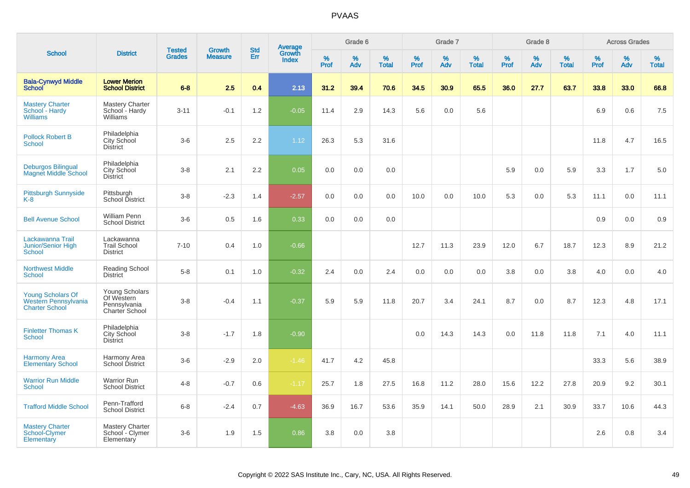|                                                                           |                                                                       | <b>Tested</b> | <b>Growth</b>  | <b>Std</b> |                                          |                  | Grade 6     |                   |           | Grade 7  |                   |              | Grade 8  |                   |              | <b>Across Grades</b> |                   |
|---------------------------------------------------------------------------|-----------------------------------------------------------------------|---------------|----------------|------------|------------------------------------------|------------------|-------------|-------------------|-----------|----------|-------------------|--------------|----------|-------------------|--------------|----------------------|-------------------|
| <b>School</b>                                                             | <b>District</b>                                                       | <b>Grades</b> | <b>Measure</b> | Err        | <b>Average</b><br>Growth<br><b>Index</b> | %<br><b>Prof</b> | $\%$<br>Adv | %<br><b>Total</b> | %<br>Prof | %<br>Adv | %<br><b>Total</b> | $\%$<br>Prof | %<br>Adv | %<br><b>Total</b> | $\%$<br>Prof | %<br>Adv             | %<br><b>Total</b> |
| <b>Bala-Cynwyd Middle</b><br><b>School</b>                                | <b>Lower Merion</b><br><b>School District</b>                         | $6 - 8$       | 2.5            | 0.4        | 2.13                                     | 31.2             | 39.4        | 70.6              | 34.5      | 30.9     | 65.5              | 36.0         | 27.7     | 63.7              | 33.8         | 33.0                 | 66.8              |
| <b>Mastery Charter</b><br>School - Hardy<br><b>Williams</b>               | <b>Mastery Charter</b><br>School - Hardy<br>Williams                  | $3 - 11$      | $-0.1$         | 1.2        | $-0.05$                                  | 11.4             | 2.9         | 14.3              | 5.6       | 0.0      | 5.6               |              |          |                   | 6.9          | 0.6                  | 7.5               |
| <b>Pollock Robert B</b><br><b>School</b>                                  | Philadelphia<br><b>City School</b><br><b>District</b>                 | $3-6$         | 2.5            | 2.2        | 1.12                                     | 26.3             | 5.3         | 31.6              |           |          |                   |              |          |                   | 11.8         | 4.7                  | 16.5              |
| <b>Deburgos Bilingual</b><br><b>Magnet Middle School</b>                  | Philadelphia<br>City School<br><b>District</b>                        | $3-8$         | 2.1            | 2.2        | 0.05                                     | 0.0              | 0.0         | 0.0               |           |          |                   | 5.9          | 0.0      | 5.9               | 3.3          | 1.7                  | 5.0               |
| <b>Pittsburgh Sunnyside</b><br>$K-8$                                      | Pittsburgh<br>School District                                         | $3 - 8$       | $-2.3$         | 1.4        | $-2.57$                                  | 0.0              | 0.0         | 0.0               | 10.0      | 0.0      | 10.0              | 5.3          | 0.0      | 5.3               | 11.1         | 0.0                  | 11.1              |
| <b>Bell Avenue School</b>                                                 | <b>William Penn</b><br><b>School District</b>                         | $3-6$         | 0.5            | 1.6        | 0.33                                     | 0.0              | 0.0         | 0.0               |           |          |                   |              |          |                   | 0.9          | 0.0                  | 0.9               |
| Lackawanna Trail<br>Junior/Senior High<br><b>School</b>                   | Lackawanna<br><b>Trail School</b><br><b>District</b>                  | $7 - 10$      | 0.4            | 1.0        | $-0.66$                                  |                  |             |                   | 12.7      | 11.3     | 23.9              | 12.0         | 6.7      | 18.7              | 12.3         | 8.9                  | 21.2              |
| <b>Northwest Middle</b><br><b>School</b>                                  | Reading School<br><b>District</b>                                     | $5 - 8$       | 0.1            | 1.0        | $-0.32$                                  | 2.4              | 0.0         | 2.4               | 0.0       | 0.0      | 0.0               | 3.8          | 0.0      | 3.8               | 4.0          | 0.0                  | 4.0               |
| <b>Young Scholars Of</b><br>Western Pennsylvania<br><b>Charter School</b> | Young Scholars<br>Of Western<br>Pennsylvania<br><b>Charter School</b> | $3 - 8$       | $-0.4$         | 1.1        | $-0.37$                                  | 5.9              | 5.9         | 11.8              | 20.7      | 3.4      | 24.1              | 8.7          | 0.0      | 8.7               | 12.3         | 4.8                  | 17.1              |
| <b>Finletter Thomas K</b><br><b>School</b>                                | Philadelphia<br><b>City School</b><br><b>District</b>                 | $3-8$         | $-1.7$         | 1.8        | $-0.90$                                  |                  |             |                   | 0.0       | 14.3     | 14.3              | 0.0          | 11.8     | 11.8              | 7.1          | 4.0                  | 11.1              |
| <b>Harmony Area</b><br><b>Elementary School</b>                           | Harmony Area<br>School District                                       | $3-6$         | $-2.9$         | 2.0        | $-1.46$                                  | 41.7             | 4.2         | 45.8              |           |          |                   |              |          |                   | 33.3         | 5.6                  | 38.9              |
| <b>Warrior Run Middle</b><br>School                                       | <b>Warrior Run</b><br><b>School District</b>                          | $4 - 8$       | $-0.7$         | 0.6        | $-1.17$                                  | 25.7             | 1.8         | 27.5              | 16.8      | 11.2     | 28.0              | 15.6         | 12.2     | 27.8              | 20.9         | 9.2                  | 30.1              |
| <b>Trafford Middle School</b>                                             | Penn-Trafford<br><b>School District</b>                               | $6 - 8$       | $-2.4$         | 0.7        | $-4.63$                                  | 36.9             | 16.7        | 53.6              | 35.9      | 14.1     | 50.0              | 28.9         | 2.1      | 30.9              | 33.7         | 10.6                 | 44.3              |
| <b>Mastery Charter</b><br>School-Clymer<br>Elementary                     | <b>Mastery Charter</b><br>School - Clymer<br>Elementary               | $3-6$         | 1.9            | 1.5        | 0.86                                     | 3.8              | 0.0         | 3.8               |           |          |                   |              |          |                   | 2.6          | 0.8                  | 3.4               |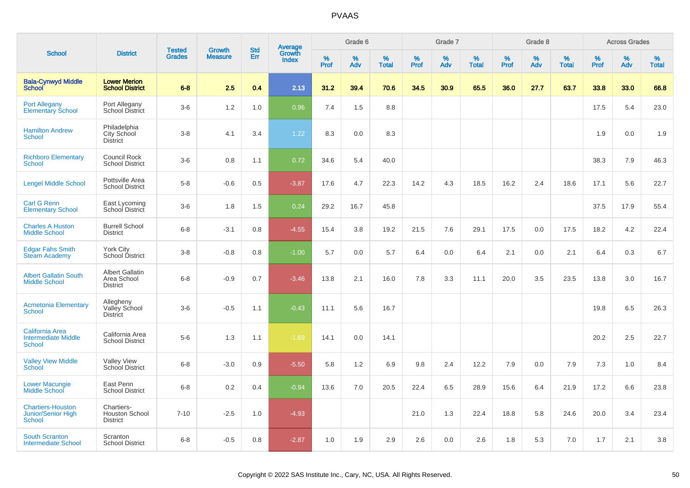|                                                                       |                                                          | <b>Tested</b> | <b>Growth</b>  | <b>Std</b> |                                          |                  | Grade 6  |                   |           | Grade 7  |                   |           | Grade 8  |                   |           | <b>Across Grades</b> |                   |
|-----------------------------------------------------------------------|----------------------------------------------------------|---------------|----------------|------------|------------------------------------------|------------------|----------|-------------------|-----------|----------|-------------------|-----------|----------|-------------------|-----------|----------------------|-------------------|
| <b>School</b>                                                         | <b>District</b>                                          | <b>Grades</b> | <b>Measure</b> | Err        | <b>Average</b><br>Growth<br><b>Index</b> | %<br><b>Prof</b> | %<br>Adv | %<br><b>Total</b> | %<br>Prof | %<br>Adv | %<br><b>Total</b> | %<br>Prof | %<br>Adv | %<br><b>Total</b> | %<br>Prof | %<br>Adv             | %<br><b>Total</b> |
| <b>Bala-Cynwyd Middle</b><br><b>School</b>                            | <b>Lower Merion</b><br><b>School District</b>            | $6 - 8$       | 2.5            | 0.4        | 2.13                                     | 31.2             | 39.4     | 70.6              | 34.5      | 30.9     | 65.5              | 36.0      | 27.7     | 63.7              | 33.8      | 33.0                 | 66.8              |
| <b>Port Allegany</b><br>Elementary School                             | Port Allegany<br>School District                         | $3-6$         | 1.2            | 1.0        | 0.96                                     | 7.4              | 1.5      | 8.8               |           |          |                   |           |          |                   | 17.5      | 5.4                  | 23.0              |
| <b>Hamilton Andrew</b><br><b>School</b>                               | Philadelphia<br>City School<br><b>District</b>           | $3-8$         | 4.1            | 3.4        | 1.22                                     | 8.3              | 0.0      | 8.3               |           |          |                   |           |          |                   | 1.9       | 0.0                  | 1.9               |
| <b>Richboro Elementary</b><br><b>School</b>                           | Council Rock<br><b>School District</b>                   | $3-6$         | 0.8            | 1.1        | 0.72                                     | 34.6             | 5.4      | 40.0              |           |          |                   |           |          |                   | 38.3      | 7.9                  | 46.3              |
| <b>Lengel Middle School</b>                                           | Pottsville Area<br><b>School District</b>                | $5-8$         | $-0.6$         | 0.5        | $-3.87$                                  | 17.6             | 4.7      | 22.3              | 14.2      | 4.3      | 18.5              | 16.2      | 2.4      | 18.6              | 17.1      | 5.6                  | 22.7              |
| <b>Carl G Renn</b><br><b>Elementary School</b>                        | East Lycoming<br>School District                         | $3-6$         | 1.8            | 1.5        | 0.24                                     | 29.2             | 16.7     | 45.8              |           |          |                   |           |          |                   | 37.5      | 17.9                 | 55.4              |
| <b>Charles A Huston</b><br><b>Middle School</b>                       | <b>Burrell School</b><br><b>District</b>                 | $6 - 8$       | $-3.1$         | 0.8        | $-4.55$                                  | 15.4             | 3.8      | 19.2              | 21.5      | 7.6      | 29.1              | 17.5      | 0.0      | 17.5              | 18.2      | 4.2                  | 22.4              |
| <b>Edgar Fahs Smith</b><br><b>Steam Academy</b>                       | <b>York City</b><br>School District                      | $3 - 8$       | $-0.8$         | 0.8        | $-1.00$                                  | 5.7              | 0.0      | 5.7               | 6.4       | 0.0      | 6.4               | 2.1       | 0.0      | 2.1               | 6.4       | 0.3                  | 6.7               |
| <b>Albert Gallatin South</b><br><b>Middle School</b>                  | <b>Albert Gallatin</b><br>Area School<br><b>District</b> | $6 - 8$       | $-0.9$         | 0.7        | $-3.46$                                  | 13.8             | 2.1      | 16.0              | 7.8       | 3.3      | 11.1              | 20.0      | 3.5      | 23.5              | 13.8      | 3.0                  | 16.7              |
| <b>Acmetonia Elementary</b><br><b>School</b>                          | Allegheny<br>Valley School<br><b>District</b>            | $3-6$         | $-0.5$         | 1.1        | $-0.43$                                  | 11.1             | 5.6      | 16.7              |           |          |                   |           |          |                   | 19.8      | 6.5                  | 26.3              |
| <b>California Area</b><br><b>Intermediate Middle</b><br><b>School</b> | California Area<br><b>School District</b>                | $5-6$         | 1.3            | 1.1        | $-1.69$                                  | 14.1             | 0.0      | 14.1              |           |          |                   |           |          |                   | 20.2      | 2.5                  | 22.7              |
| <b>Valley View Middle</b><br><b>School</b>                            | <b>Valley View</b><br>School District                    | $6 - 8$       | $-3.0$         | 0.9        | $-5.50$                                  | 5.8              | 1.2      | 6.9               | 9.8       | 2.4      | 12.2              | 7.9       | 0.0      | 7.9               | 7.3       | 1.0                  | 8.4               |
| <b>Lower Macungie</b><br>Middle School                                | East Penn<br><b>School District</b>                      | $6 - 8$       | 0.2            | 0.4        | $-0.94$                                  | 13.6             | 7.0      | 20.5              | 22.4      | 6.5      | 28.9              | 15.6      | 6.4      | 21.9              | 17.2      | 6.6                  | 23.8              |
| <b>Chartiers-Houston</b><br><b>Junior/Senior High</b><br>School       | Chartiers-<br><b>Houston School</b><br><b>District</b>   | $7 - 10$      | $-2.5$         | 1.0        | $-4.93$                                  |                  |          |                   | 21.0      | 1.3      | 22.4              | 18.8      | 5.8      | 24.6              | 20.0      | 3.4                  | 23.4              |
| <b>South Scranton</b><br><b>Intermediate School</b>                   | Scranton<br><b>School District</b>                       | $6 - 8$       | $-0.5$         | 0.8        | $-2.87$                                  | 1.0              | 1.9      | 2.9               | 2.6       | 0.0      | 2.6               | 1.8       | 5.3      | 7.0               | 1.7       | 2.1                  | 3.8               |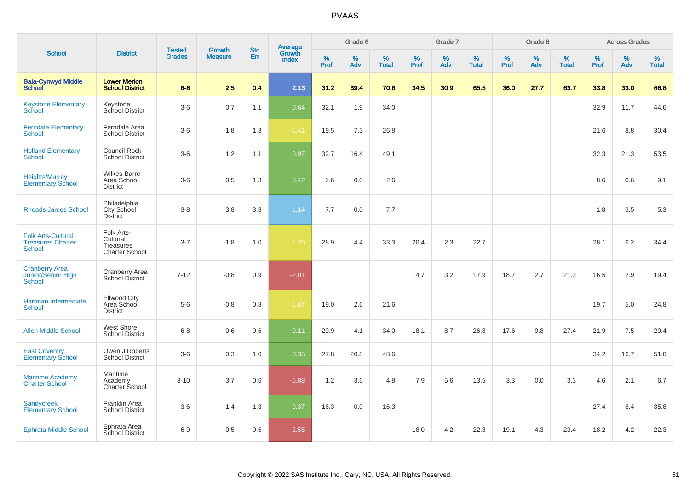|                                                                        |                                                              |                                | <b>Growth</b>  | <b>Std</b> |                                          |              | Grade 6     |                      |              | Grade 7     |                   |              | Grade 8     |                   |              | <b>Across Grades</b> |                   |
|------------------------------------------------------------------------|--------------------------------------------------------------|--------------------------------|----------------|------------|------------------------------------------|--------------|-------------|----------------------|--------------|-------------|-------------------|--------------|-------------|-------------------|--------------|----------------------|-------------------|
| <b>School</b>                                                          | <b>District</b>                                              | <b>Tested</b><br><b>Grades</b> | <b>Measure</b> | <b>Err</b> | <b>Average</b><br>Growth<br><b>Index</b> | $\%$<br>Prof | $\%$<br>Adv | $\%$<br><b>Total</b> | $\%$<br>Prof | $\%$<br>Adv | %<br><b>Total</b> | $\%$<br>Prof | $\%$<br>Adv | %<br><b>Total</b> | $\%$<br>Prof | $\%$<br>Adv          | %<br><b>Total</b> |
| <b>Bala-Cynwyd Middle</b><br><b>School</b>                             | <b>Lower Merion</b><br><b>School District</b>                | $6 - 8$                        | 2.5            | 0.4        | 2.13                                     | 31.2         | 39.4        | 70.6                 | 34.5         | 30.9        | 65.5              | 36.0         | 27.7        | 63.7              | 33.8         | 33.0                 | 66.8              |
| <b>Keystone Elementary</b><br>School                                   | Keystone<br>School District                                  | $3-6$                          | 0.7            | 1.1        | 0.64                                     | 32.1         | 1.9         | 34.0                 |              |             |                   |              |             |                   | 32.9         | 11.7                 | 44.6              |
| <b>Ferndale Elementary</b><br><b>School</b>                            | Ferndale Area<br><b>School District</b>                      | $3-6$                          | $-1.8$         | 1.3        | $-1.41$                                  | 19.5         | 7.3         | 26.8                 |              |             |                   |              |             |                   | 21.6         | 8.8                  | 30.4              |
| <b>Holland Elementary</b><br><b>School</b>                             | <b>Council Rock</b><br><b>School District</b>                | $3-6$                          | 1.2            | 1.1        | 0.97                                     | 32.7         | 16.4        | 49.1                 |              |             |                   |              |             |                   | 32.3         | 21.3                 | 53.5              |
| <b>Heights/Murray</b><br><b>Elementary School</b>                      | <b>Wilkes-Barre</b><br>Area School<br><b>District</b>        | $3-6$                          | 0.5            | 1.3        | 0.42                                     | 2.6          | 0.0         | 2.6                  |              |             |                   |              |             |                   | 8.6          | 0.6                  | 9.1               |
| <b>Rhoads James School</b>                                             | Philadelphia<br><b>City School</b><br><b>District</b>        | $3 - 8$                        | 3.8            | 3.3        | 1.14                                     | 7.7          | 0.0         | 7.7                  |              |             |                   |              |             |                   | 1.8          | 3.5                  | 5.3               |
| <b>Folk Arts-Cultural</b><br><b>Treasures Charter</b><br><b>School</b> | Folk Arts-<br>Cultural<br>Treasures<br><b>Charter School</b> | $3 - 7$                        | $-1.8$         | 1.0        | $-1.76$                                  | 28.9         | 4.4         | 33.3                 | 20.4         | 2.3         | 22.7              |              |             |                   | 28.1         | 6.2                  | 34.4              |
| <b>Cranberry Area</b><br><b>Junior/Senior High</b><br><b>School</b>    | <b>Cranberry Area</b><br>School District                     | $7 - 12$                       | $-0.8$         | 0.9        | $-2.01$                                  |              |             |                      | 14.7         | 3.2         | 17.9              | 18.7         | 2.7         | 21.3              | 16.5         | 2.9                  | 19.4              |
| Hartman Intermediate<br><b>School</b>                                  | <b>Ellwood City</b><br>Area School<br><b>District</b>        | $5-6$                          | $-0.8$         | 0.8        | $-1.07$                                  | 19.0         | 2.6         | 21.6                 |              |             |                   |              |             |                   | 19.7         | 5.0                  | 24.8              |
| <b>Allen Middle School</b>                                             | <b>West Shore</b><br><b>School District</b>                  | $6 - 8$                        | 0.6            | 0.6        | 0.11                                     | 29.9         | 4.1         | 34.0                 | 18.1         | 8.7         | 26.8              | 17.6         | 9.8         | 27.4              | 21.9         | 7.5                  | 29.4              |
| <b>East Coventry</b><br><b>Elementary School</b>                       | Owen J Roberts<br><b>School District</b>                     | $3-6$                          | 0.3            | 1.0        | 0.35                                     | 27.8         | 20.8        | 48.6                 |              |             |                   |              |             |                   | 34.2         | 16.7                 | 51.0              |
| <b>Maritime Academy</b><br><b>Charter School</b>                       | Maritime<br>Academy<br>Charter School                        | $3 - 10$                       | $-3.7$         | 0.6        | $-5.88$                                  | 1.2          | 3.6         | 4.8                  | 7.9          | 5.6         | 13.5              | 3.3          | 0.0         | 3.3               | 4.6          | 2.1                  | 6.7               |
| <b>Sandycreek</b><br><b>Elementary School</b>                          | Franklin Area<br><b>School District</b>                      | $3 - 6$                        | 1.4            | 1.3        | $-0.37$                                  | 16.3         | 0.0         | 16.3                 |              |             |                   |              |             |                   | 27.4         | 8.4                  | 35.8              |
| <b>Ephrata Middle School</b>                                           | Ephrata Area<br><b>School District</b>                       | $6-9$                          | $-0.5$         | 0.5        | $-2.55$                                  |              |             |                      | 18.0         | 4.2         | 22.3              | 19.1         | 4.3         | 23.4              | 18.2         | 4.2                  | 22.3              |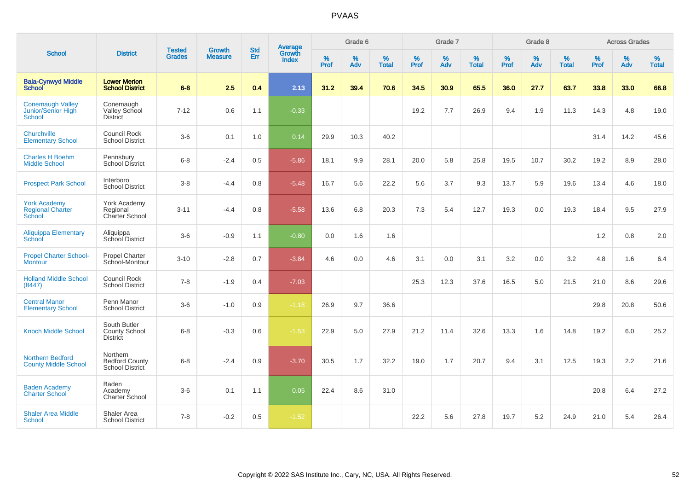| <b>School</b>                                            |                                                         |                                |                                 |                   |                                          |                  | Grade 6  |                   |                  | Grade 7  |                   |                  | Grade 8  |                   |                  | <b>Across Grades</b> |                   |
|----------------------------------------------------------|---------------------------------------------------------|--------------------------------|---------------------------------|-------------------|------------------------------------------|------------------|----------|-------------------|------------------|----------|-------------------|------------------|----------|-------------------|------------------|----------------------|-------------------|
|                                                          | <b>District</b>                                         | <b>Tested</b><br><b>Grades</b> | <b>Growth</b><br><b>Measure</b> | <b>Std</b><br>Err | <b>Average</b><br>Growth<br><b>Index</b> | %<br><b>Prof</b> | %<br>Adv | %<br><b>Total</b> | %<br><b>Prof</b> | %<br>Adv | %<br><b>Total</b> | %<br><b>Prof</b> | %<br>Adv | %<br><b>Total</b> | %<br><b>Prof</b> | %<br>Adv             | %<br><b>Total</b> |
| <b>Bala-Cynwyd Middle</b><br><b>School</b>               | <b>Lower Merion</b><br><b>School District</b>           | $6 - 8$                        | 2.5                             | 0.4               | 2.13                                     | 31.2             | 39.4     | 70.6              | 34.5             | 30.9     | 65.5              | 36.0             | 27.7     | 63.7              | 33.8             | 33.0                 | 66.8              |
| <b>Conemaugh Valley</b><br>Junior/Senior High<br>School  | Conemaugh<br>Valley School<br><b>District</b>           | $7 - 12$                       | 0.6                             | 1.1               | $-0.33$                                  |                  |          |                   | 19.2             | 7.7      | 26.9              | 9.4              | 1.9      | 11.3              | 14.3             | 4.8                  | 19.0              |
| Churchville<br><b>Elementary School</b>                  | <b>Council Rock</b><br><b>School District</b>           | $3-6$                          | 0.1                             | 1.0               | 0.14                                     | 29.9             | 10.3     | 40.2              |                  |          |                   |                  |          |                   | 31.4             | 14.2                 | 45.6              |
| <b>Charles H Boehm</b><br><b>Middle School</b>           | Pennsbury<br><b>School District</b>                     | $6 - 8$                        | $-2.4$                          | 0.5               | $-5.86$                                  | 18.1             | 9.9      | 28.1              | 20.0             | 5.8      | 25.8              | 19.5             | 10.7     | 30.2              | 19.2             | 8.9                  | 28.0              |
| <b>Prospect Park School</b>                              | Interboro<br><b>School District</b>                     | $3-8$                          | $-4.4$                          | 0.8               | $-5.48$                                  | 16.7             | 5.6      | 22.2              | 5.6              | 3.7      | 9.3               | 13.7             | 5.9      | 19.6              | 13.4             | 4.6                  | 18.0              |
| <b>York Academy</b><br><b>Regional Charter</b><br>School | York Academy<br>Regional<br><b>Charter School</b>       | $3 - 11$                       | $-4.4$                          | 0.8               | $-5.58$                                  | 13.6             | 6.8      | 20.3              | 7.3              | 5.4      | 12.7              | 19.3             | 0.0      | 19.3              | 18.4             | 9.5                  | 27.9              |
| <b>Aliquippa Elementary</b><br>School                    | Aliquippa<br>School District                            | $3-6$                          | $-0.9$                          | 1.1               | $-0.80$                                  | 0.0              | 1.6      | 1.6               |                  |          |                   |                  |          |                   | 1.2              | 0.8                  | 2.0               |
| <b>Propel Charter School-</b><br><b>Montour</b>          | <b>Propel Charter</b><br>School-Montour                 | $3 - 10$                       | $-2.8$                          | 0.7               | $-3.84$                                  | 4.6              | 0.0      | 4.6               | 3.1              | 0.0      | 3.1               | 3.2              | 0.0      | 3.2               | 4.8              | 1.6                  | 6.4               |
| <b>Holland Middle School</b><br>(8447)                   | <b>Council Rock</b><br><b>School District</b>           | $7 - 8$                        | $-1.9$                          | $0.4^{\circ}$     | $-7.03$                                  |                  |          |                   | 25.3             | 12.3     | 37.6              | 16.5             | 5.0      | 21.5              | 21.0             | 8.6                  | 29.6              |
| <b>Central Manor</b><br><b>Elementary School</b>         | Penn Manor<br><b>School District</b>                    | $3-6$                          | $-1.0$                          | 0.9               | $-1.18$                                  | 26.9             | 9.7      | 36.6              |                  |          |                   |                  |          |                   | 29.8             | 20.8                 | 50.6              |
| <b>Knoch Middle School</b>                               | South Butler<br><b>County School</b><br><b>District</b> | $6 - 8$                        | $-0.3$                          | 0.6               | $-1.53$                                  | 22.9             | 5.0      | 27.9              | 21.2             | 11.4     | 32.6              | 13.3             | 1.6      | 14.8              | 19.2             | 6.0                  | 25.2              |
| <b>Northern Bedford</b><br><b>County Middle School</b>   | Northern<br><b>Bedford County</b><br>School District    | $6 - 8$                        | $-2.4$                          | 0.9               | $-3.70$                                  | 30.5             | 1.7      | 32.2              | 19.0             | 1.7      | 20.7              | 9.4              | 3.1      | 12.5              | 19.3             | 2.2                  | 21.6              |
| <b>Baden Academy</b><br><b>Charter School</b>            | <b>Baden</b><br>Academy<br>Charter School               | $3-6$                          | 0.1                             | 1.1               | 0.05                                     | 22.4             | 8.6      | 31.0              |                  |          |                   |                  |          |                   | 20.8             | 6.4                  | 27.2              |
| <b>Shaler Area Middle</b><br>School                      | Shaler Area<br><b>School District</b>                   | $7 - 8$                        | $-0.2$                          | 0.5               | $-1.52$                                  |                  |          |                   | 22.2             | 5.6      | 27.8              | 19.7             | 5.2      | 24.9              | 21.0             | 5.4                  | 26.4              |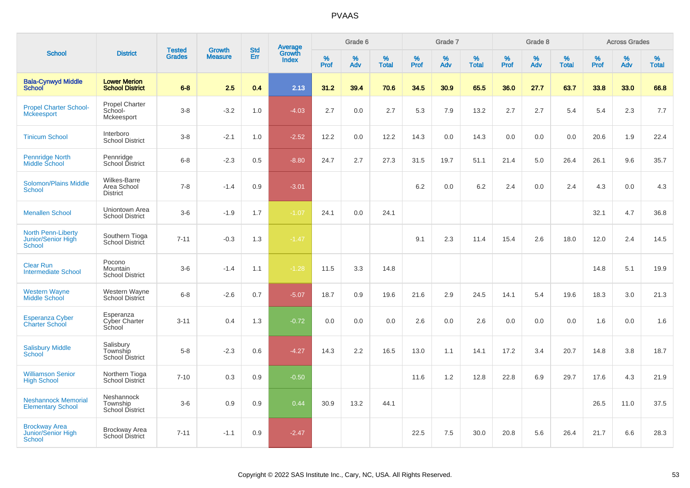|                                                                  |                                                  |                                |                          |                   |                                          |                  | Grade 6  |                   |           | Grade 7     |                   |           | Grade 8  |                   |           | <b>Across Grades</b> |                   |
|------------------------------------------------------------------|--------------------------------------------------|--------------------------------|--------------------------|-------------------|------------------------------------------|------------------|----------|-------------------|-----------|-------------|-------------------|-----------|----------|-------------------|-----------|----------------------|-------------------|
| <b>School</b>                                                    | <b>District</b>                                  | <b>Tested</b><br><b>Grades</b> | Growth<br><b>Measure</b> | <b>Std</b><br>Err | <b>Average</b><br>Growth<br><b>Index</b> | %<br><b>Prof</b> | %<br>Adv | %<br><b>Total</b> | %<br>Prof | $\%$<br>Adv | %<br><b>Total</b> | %<br>Prof | %<br>Adv | %<br><b>Total</b> | %<br>Prof | %<br>Adv             | %<br><b>Total</b> |
| <b>Bala-Cynwyd Middle</b><br><b>School</b>                       | <b>Lower Merion</b><br><b>School District</b>    | $6 - 8$                        | 2.5                      | 0.4               | 2.13                                     | 31.2             | 39.4     | 70.6              | 34.5      | 30.9        | 65.5              | 36.0      | 27.7     | 63.7              | 33.8      | 33.0                 | 66.8              |
| <b>Propel Charter School-</b><br><b>Mckeesport</b>               | <b>Propel Charter</b><br>School-<br>Mckeesport   | $3-8$                          | $-3.2$                   | 1.0               | $-4.03$                                  | 2.7              | 0.0      | 2.7               | 5.3       | 7.9         | 13.2              | 2.7       | 2.7      | 5.4               | 5.4       | 2.3                  | 7.7               |
| <b>Tinicum School</b>                                            | Interboro<br><b>School District</b>              | $3-8$                          | $-2.1$                   | 1.0               | $-2.52$                                  | 12.2             | 0.0      | 12.2              | 14.3      | 0.0         | 14.3              | 0.0       | 0.0      | 0.0               | 20.6      | 1.9                  | 22.4              |
| Pennridge North<br>Middle School                                 | Pennridge<br>School District                     | $6-8$                          | $-2.3$                   | 0.5               | $-8.80$                                  | 24.7             | 2.7      | 27.3              | 31.5      | 19.7        | 51.1              | 21.4      | 5.0      | 26.4              | 26.1      | 9.6                  | 35.7              |
| <b>Solomon/Plains Middle</b><br><b>School</b>                    | Wilkes-Barre<br>Area School<br><b>District</b>   | $7 - 8$                        | $-1.4$                   | 0.9               | $-3.01$                                  |                  |          |                   | 6.2       | 0.0         | 6.2               | 2.4       | 0.0      | 2.4               | 4.3       | 0.0                  | 4.3               |
| <b>Menallen School</b>                                           | Uniontown Area<br><b>School District</b>         | $3-6$                          | $-1.9$                   | 1.7               | $-1.07$                                  | 24.1             | 0.0      | 24.1              |           |             |                   |           |          |                   | 32.1      | 4.7                  | 36.8              |
| <b>North Penn-Liberty</b><br>Junior/Senior High<br><b>School</b> | Southern Tioga<br><b>School District</b>         | $7 - 11$                       | $-0.3$                   | 1.3               | $-1.47$                                  |                  |          |                   | 9.1       | 2.3         | 11.4              | 15.4      | 2.6      | 18.0              | 12.0      | 2.4                  | 14.5              |
| <b>Clear Run</b><br><b>Intermediate School</b>                   | Pocono<br>Mountain<br><b>School District</b>     | $3-6$                          | $-1.4$                   | 1.1               | $-1.28$                                  | 11.5             | 3.3      | 14.8              |           |             |                   |           |          |                   | 14.8      | 5.1                  | 19.9              |
| <b>Western Wayne</b><br><b>Middle School</b>                     | Western Wayne<br><b>School District</b>          | $6 - 8$                        | $-2.6$                   | 0.7               | $-5.07$                                  | 18.7             | 0.9      | 19.6              | 21.6      | 2.9         | 24.5              | 14.1      | 5.4      | 19.6              | 18.3      | 3.0                  | 21.3              |
| <b>Esperanza Cyber</b><br><b>Charter School</b>                  | Esperanza<br>Cyber Charter<br>School             | $3 - 11$                       | 0.4                      | 1.3               | $-0.72$                                  | 0.0              | 0.0      | 0.0               | 2.6       | 0.0         | 2.6               | 0.0       | 0.0      | 0.0               | 1.6       | 0.0                  | 1.6               |
| <b>Salisbury Middle</b><br><b>School</b>                         | Salisbury<br>Township<br><b>School District</b>  | $5-8$                          | $-2.3$                   | 0.6               | $-4.27$                                  | 14.3             | 2.2      | 16.5              | 13.0      | 1.1         | 14.1              | 17.2      | 3.4      | 20.7              | 14.8      | 3.8                  | 18.7              |
| <b>Williamson Senior</b><br><b>High School</b>                   | Northern Tioga<br>School District                | $7 - 10$                       | 0.3                      | 0.9               | $-0.50$                                  |                  |          |                   | 11.6      | 1.2         | 12.8              | 22.8      | 6.9      | 29.7              | 17.6      | 4.3                  | 21.9              |
| <b>Neshannock Memorial</b><br><b>Elementary School</b>           | Neshannock<br>Township<br><b>School District</b> | $3-6$                          | 0.9                      | 0.9               | 0.44                                     | 30.9             | 13.2     | 44.1              |           |             |                   |           |          |                   | 26.5      | 11.0                 | 37.5              |
| <b>Brockway Area</b><br>Junior/Senior High<br>School             | <b>Brockway Area</b><br><b>School District</b>   | $7 - 11$                       | $-1.1$                   | 0.9               | $-2.47$                                  |                  |          |                   | 22.5      | 7.5         | 30.0              | 20.8      | 5.6      | 26.4              | 21.7      | 6.6                  | 28.3              |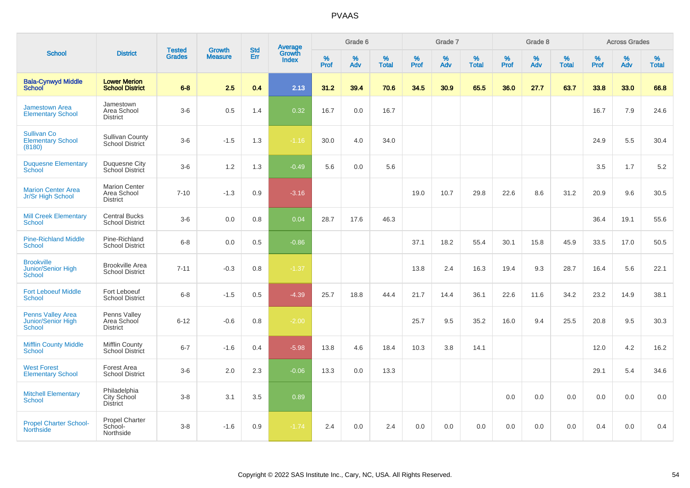|                                                          |                                                        |                                |                                 | <b>Std</b> |                                          |                  | Grade 6  |                   |           | Grade 7  |                   |           | Grade 8  |                   |           | <b>Across Grades</b> |                   |
|----------------------------------------------------------|--------------------------------------------------------|--------------------------------|---------------------------------|------------|------------------------------------------|------------------|----------|-------------------|-----------|----------|-------------------|-----------|----------|-------------------|-----------|----------------------|-------------------|
| <b>School</b>                                            | <b>District</b>                                        | <b>Tested</b><br><b>Grades</b> | <b>Growth</b><br><b>Measure</b> | Err        | <b>Average</b><br>Growth<br><b>Index</b> | %<br><b>Prof</b> | %<br>Adv | %<br><b>Total</b> | %<br>Prof | %<br>Adv | %<br><b>Total</b> | %<br>Prof | %<br>Adv | %<br><b>Total</b> | %<br>Prof | %<br>Adv             | %<br><b>Total</b> |
| <b>Bala-Cynwyd Middle</b><br><b>School</b>               | <b>Lower Merion</b><br><b>School District</b>          | $6-8$                          | 2.5                             | 0.4        | 2.13                                     | 31.2             | 39.4     | 70.6              | 34.5      | 30.9     | 65.5              | 36.0      | 27.7     | 63.7              | 33.8      | 33.0                 | 66.8              |
| <b>Jamestown Area</b><br><b>Elementary School</b>        | Jamestown<br>Area School<br><b>District</b>            | $3-6$                          | 0.5                             | 1.4        | 0.32                                     | 16.7             | 0.0      | 16.7              |           |          |                   |           |          |                   | 16.7      | 7.9                  | 24.6              |
| <b>Sullivan Co</b><br><b>Elementary School</b><br>(8180) | <b>Sullivan County</b><br>School District              | $3-6$                          | $-1.5$                          | 1.3        | $-1.16$                                  | 30.0             | 4.0      | 34.0              |           |          |                   |           |          |                   | 24.9      | 5.5                  | 30.4              |
| <b>Duquesne Elementary</b><br>School                     | <b>Duquesne City</b><br>School District                | $3-6$                          | 1.2                             | 1.3        | $-0.49$                                  | 5.6              | 0.0      | 5.6               |           |          |                   |           |          |                   | 3.5       | 1.7                  | 5.2               |
| <b>Marion Center Area</b><br>Jr/Sr High School           | <b>Marion Center</b><br>Area School<br><b>District</b> | $7 - 10$                       | $-1.3$                          | 0.9        | $-3.16$                                  |                  |          |                   | 19.0      | 10.7     | 29.8              | 22.6      | 8.6      | 31.2              | 20.9      | 9.6                  | 30.5              |
| <b>Mill Creek Elementary</b><br><b>School</b>            | <b>Central Bucks</b><br><b>School District</b>         | $3-6$                          | 0.0                             | 0.8        | 0.04                                     | 28.7             | 17.6     | 46.3              |           |          |                   |           |          |                   | 36.4      | 19.1                 | 55.6              |
| <b>Pine-Richland Middle</b><br><b>School</b>             | Pine-Richland<br><b>School District</b>                | $6-8$                          | 0.0                             | 0.5        | $-0.86$                                  |                  |          |                   | 37.1      | 18.2     | 55.4              | 30.1      | 15.8     | 45.9              | 33.5      | 17.0                 | 50.5              |
| <b>Brookville</b><br>Junior/Senior High<br><b>School</b> | <b>Brookville Area</b><br><b>School District</b>       | $7 - 11$                       | $-0.3$                          | 0.8        | $-1.37$                                  |                  |          |                   | 13.8      | 2.4      | 16.3              | 19.4      | 9.3      | 28.7              | 16.4      | 5.6                  | 22.1              |
| <b>Fort Leboeuf Middle</b><br><b>School</b>              | Fort Leboeuf<br><b>School District</b>                 | $6 - 8$                        | $-1.5$                          | 0.5        | $-4.39$                                  | 25.7             | 18.8     | 44.4              | 21.7      | 14.4     | 36.1              | 22.6      | 11.6     | 34.2              | 23.2      | 14.9                 | 38.1              |
| <b>Penns Valley Area</b><br>Junior/Senior High<br>School | Penns Valley<br>Area School<br><b>District</b>         | $6 - 12$                       | $-0.6$                          | 0.8        | $-2.00$                                  |                  |          |                   | 25.7      | 9.5      | 35.2              | 16.0      | 9.4      | 25.5              | 20.8      | 9.5                  | 30.3              |
| <b>Mifflin County Middle</b><br>School                   | Mifflin County<br><b>School District</b>               | $6 - 7$                        | $-1.6$                          | 0.4        | $-5.98$                                  | 13.8             | 4.6      | 18.4              | 10.3      | 3.8      | 14.1              |           |          |                   | 12.0      | 4.2                  | 16.2              |
| <b>West Forest</b><br><b>Elementary School</b>           | Forest Area<br><b>School District</b>                  | $3-6$                          | 2.0                             | 2.3        | $-0.06$                                  | 13.3             | 0.0      | 13.3              |           |          |                   |           |          |                   | 29.1      | 5.4                  | 34.6              |
| <b>Mitchell Elementary</b><br><b>School</b>              | Philadelphia<br>City School<br><b>District</b>         | $3-8$                          | 3.1                             | 3.5        | 0.89                                     |                  |          |                   |           |          |                   | 0.0       | 0.0      | 0.0               | 0.0       | 0.0                  | 0.0               |
| <b>Propel Charter School-</b><br><b>Northside</b>        | Propel Charter<br>School-<br>Northside                 | $3-8$                          | $-1.6$                          | 0.9        | $-1.74$                                  | 2.4              | 0.0      | 2.4               | 0.0       | 0.0      | 0.0               | 0.0       | 0.0      | 0.0               | 0.4       | 0.0                  | 0.4               |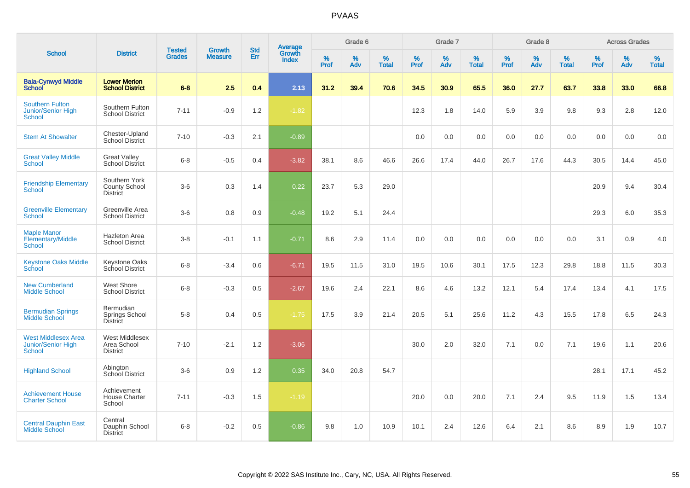|                                                                          |                                                          |                                |                                 | <b>Std</b> |                                          |           | Grade 6  |                   |           | Grade 7  |                   |                  | Grade 8  |                   |           | <b>Across Grades</b> |                   |
|--------------------------------------------------------------------------|----------------------------------------------------------|--------------------------------|---------------------------------|------------|------------------------------------------|-----------|----------|-------------------|-----------|----------|-------------------|------------------|----------|-------------------|-----------|----------------------|-------------------|
| <b>School</b>                                                            | <b>District</b>                                          | <b>Tested</b><br><b>Grades</b> | <b>Growth</b><br><b>Measure</b> | <b>Err</b> | <b>Average</b><br>Growth<br><b>Index</b> | %<br>Prof | %<br>Adv | %<br><b>Total</b> | %<br>Prof | %<br>Adv | %<br><b>Total</b> | %<br><b>Prof</b> | %<br>Adv | %<br><b>Total</b> | %<br>Prof | %<br>Adv             | %<br><b>Total</b> |
| <b>Bala-Cynwyd Middle</b><br><b>School</b>                               | <b>Lower Merion</b><br><b>School District</b>            | $6 - 8$                        | 2.5                             | 0.4        | 2.13                                     | 31.2      | 39.4     | 70.6              | 34.5      | 30.9     | 65.5              | 36.0             | 27.7     | 63.7              | 33.8      | 33.0                 | 66.8              |
| <b>Southern Fulton</b><br><b>Junior/Senior High</b><br>School            | Southern Fulton<br><b>School District</b>                | $7 - 11$                       | $-0.9$                          | 1.2        | $-1.82$                                  |           |          |                   | 12.3      | 1.8      | 14.0              | 5.9              | 3.9      | 9.8               | 9.3       | 2.8                  | 12.0              |
| <b>Stem At Showalter</b>                                                 | Chester-Upland<br><b>School District</b>                 | $7 - 10$                       | $-0.3$                          | 2.1        | $-0.89$                                  |           |          |                   | 0.0       | 0.0      | 0.0               | 0.0              | 0.0      | 0.0               | 0.0       | 0.0                  | 0.0               |
| <b>Great Valley Middle</b><br>School                                     | <b>Great Valley</b><br><b>School District</b>            | $6 - 8$                        | $-0.5$                          | 0.4        | $-3.82$                                  | 38.1      | 8.6      | 46.6              | 26.6      | 17.4     | 44.0              | 26.7             | 17.6     | 44.3              | 30.5      | 14.4                 | 45.0              |
| <b>Friendship Elementary</b><br>School                                   | Southern York<br><b>County School</b><br><b>District</b> | $3-6$                          | 0.3                             | 1.4        | 0.22                                     | 23.7      | 5.3      | 29.0              |           |          |                   |                  |          |                   | 20.9      | 9.4                  | 30.4              |
| <b>Greenville Elementary</b><br><b>School</b>                            | Greenville Area<br><b>School District</b>                | $3-6$                          | 0.8                             | 0.9        | $-0.48$                                  | 19.2      | 5.1      | 24.4              |           |          |                   |                  |          |                   | 29.3      | 6.0                  | 35.3              |
| <b>Maple Manor</b><br>Elementary/Middle<br><b>School</b>                 | Hazleton Area<br><b>School District</b>                  | $3 - 8$                        | $-0.1$                          | 1.1        | $-0.71$                                  | 8.6       | 2.9      | 11.4              | 0.0       | 0.0      | 0.0               | 0.0              | 0.0      | 0.0               | 3.1       | 0.9                  | 4.0               |
| <b>Keystone Oaks Middle</b><br>School                                    | <b>Keystone Oaks</b><br>School District                  | $6 - 8$                        | $-3.4$                          | 0.6        | $-6.71$                                  | 19.5      | 11.5     | 31.0              | 19.5      | 10.6     | 30.1              | 17.5             | 12.3     | 29.8              | 18.8      | 11.5                 | 30.3              |
| <b>New Cumberland</b><br><b>Middle School</b>                            | <b>West Shore</b><br><b>School District</b>              | $6 - 8$                        | $-0.3$                          | 0.5        | $-2.67$                                  | 19.6      | 2.4      | 22.1              | 8.6       | 4.6      | 13.2              | 12.1             | 5.4      | 17.4              | 13.4      | 4.1                  | 17.5              |
| <b>Bermudian Springs</b><br>Middle School                                | Bermudian<br>Springs School<br>District                  | $5-8$                          | 0.4                             | 0.5        | $-1.75$                                  | 17.5      | 3.9      | 21.4              | 20.5      | 5.1      | 25.6              | 11.2             | 4.3      | 15.5              | 17.8      | 6.5                  | 24.3              |
| <b>West Middlesex Area</b><br><b>Junior/Senior High</b><br><b>School</b> | <b>West Middlesex</b><br>Area School<br><b>District</b>  | $7 - 10$                       | $-2.1$                          | 1.2        | $-3.06$                                  |           |          |                   | 30.0      | 2.0      | 32.0              | 7.1              | 0.0      | 7.1               | 19.6      | 1.1                  | 20.6              |
| <b>Highland School</b>                                                   | Abington<br>School District                              | $3-6$                          | 0.9                             | 1.2        | 0.35                                     | 34.0      | 20.8     | 54.7              |           |          |                   |                  |          |                   | 28.1      | 17.1                 | 45.2              |
| <b>Achievement House</b><br><b>Charter School</b>                        | Achievement<br><b>House Charter</b><br>School            | $7 - 11$                       | $-0.3$                          | 1.5        | $-1.19$                                  |           |          |                   | 20.0      | 0.0      | 20.0              | 7.1              | 2.4      | 9.5               | 11.9      | 1.5                  | 13.4              |
| <b>Central Dauphin East</b><br><b>Middle School</b>                      | Central<br>Dauphin School<br><b>District</b>             | $6 - 8$                        | $-0.2$                          | 0.5        | $-0.86$                                  | 9.8       | 1.0      | 10.9              | 10.1      | 2.4      | 12.6              | 6.4              | 2.1      | 8.6               | 8.9       | 1.9                  | 10.7              |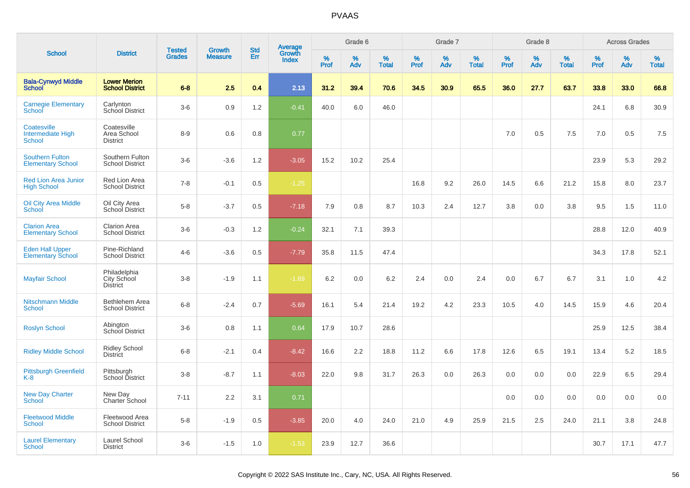|                                                    |                                                |                                |                                 | <b>Std</b> |                                          |           | Grade 6  |                   |           | Grade 7  |                   |           | Grade 8  |                   |           | <b>Across Grades</b> |                   |
|----------------------------------------------------|------------------------------------------------|--------------------------------|---------------------------------|------------|------------------------------------------|-----------|----------|-------------------|-----------|----------|-------------------|-----------|----------|-------------------|-----------|----------------------|-------------------|
| <b>School</b>                                      | <b>District</b>                                | <b>Tested</b><br><b>Grades</b> | <b>Growth</b><br><b>Measure</b> | Err        | <b>Average</b><br>Growth<br><b>Index</b> | %<br>Prof | %<br>Adv | %<br><b>Total</b> | %<br>Prof | %<br>Adv | %<br><b>Total</b> | %<br>Prof | %<br>Adv | %<br><b>Total</b> | %<br>Prof | %<br>Adv             | %<br><b>Total</b> |
| <b>Bala-Cynwyd Middle</b><br><b>School</b>         | <b>Lower Merion</b><br><b>School District</b>  | $6 - 8$                        | 2.5                             | 0.4        | 2.13                                     | 31.2      | 39.4     | 70.6              | 34.5      | 30.9     | 65.5              | 36.0      | 27.7     | 63.7              | 33.8      | 33.0                 | 66.8              |
| <b>Carnegie Elementary</b><br>School               | Carlynton<br>School District                   | $3-6$                          | 0.9                             | 1.2        | $-0.41$                                  | 40.0      | 6.0      | 46.0              |           |          |                   |           |          |                   | 24.1      | 6.8                  | 30.9              |
| Coatesville<br><b>Intermediate High</b><br>School  | Coatesville<br>Area School<br><b>District</b>  | $8 - 9$                        | 0.6                             | 0.8        | 0.77                                     |           |          |                   |           |          |                   | 7.0       | 0.5      | 7.5               | 7.0       | 0.5                  | 7.5               |
| <b>Southern Fulton</b><br><b>Elementary School</b> | Southern Fulton<br><b>School District</b>      | $3-6$                          | $-3.6$                          | 1.2        | $-3.05$                                  | 15.2      | 10.2     | 25.4              |           |          |                   |           |          |                   | 23.9      | 5.3                  | 29.2              |
| <b>Red Lion Area Junior</b><br><b>High School</b>  | Red Lion Area<br><b>School District</b>        | $7 - 8$                        | $-0.1$                          | 0.5        | $-1.25$                                  |           |          |                   | 16.8      | 9.2      | 26.0              | 14.5      | 6.6      | 21.2              | 15.8      | 8.0                  | 23.7              |
| <b>Oil City Area Middle</b><br>School              | Oil City Area<br>School District               | $5-8$                          | $-3.7$                          | 0.5        | $-7.18$                                  | 7.9       | 0.8      | 8.7               | 10.3      | 2.4      | 12.7              | 3.8       | 0.0      | 3.8               | 9.5       | 1.5                  | 11.0              |
| <b>Clarion Area</b><br><b>Elementary School</b>    | <b>Clarion Area</b><br><b>School District</b>  | $3-6$                          | $-0.3$                          | 1.2        | $-0.24$                                  | 32.1      | 7.1      | 39.3              |           |          |                   |           |          |                   | 28.8      | 12.0                 | 40.9              |
| <b>Eden Hall Upper</b><br><b>Elementary School</b> | Pine-Richland<br><b>School District</b>        | $4 - 6$                        | $-3.6$                          | 0.5        | $-7.79$                                  | 35.8      | 11.5     | 47.4              |           |          |                   |           |          |                   | 34.3      | 17.8                 | 52.1              |
| <b>Mayfair School</b>                              | Philadelphia<br>City School<br><b>District</b> | $3 - 8$                        | $-1.9$                          | 1.1        | $-1.69$                                  | 6.2       | 0.0      | 6.2               | 2.4       | 0.0      | 2.4               | 0.0       | 6.7      | 6.7               | 3.1       | 1.0                  | 4.2               |
| <b>Nitschmann Middle</b><br><b>School</b>          | Bethlehem Area<br><b>School District</b>       | $6 - 8$                        | $-2.4$                          | 0.7        | $-5.69$                                  | 16.1      | 5.4      | 21.4              | 19.2      | 4.2      | 23.3              | 10.5      | 4.0      | 14.5              | 15.9      | 4.6                  | 20.4              |
| <b>Roslyn School</b>                               | Abington<br><b>School District</b>             | $3-6$                          | 0.8                             | 1.1        | 0.64                                     | 17.9      | 10.7     | 28.6              |           |          |                   |           |          |                   | 25.9      | 12.5                 | 38.4              |
| <b>Ridley Middle School</b>                        | <b>Ridley School</b><br><b>District</b>        | $6 - 8$                        | $-2.1$                          | 0.4        | $-8.42$                                  | 16.6      | 2.2      | 18.8              | 11.2      | 6.6      | 17.8              | 12.6      | 6.5      | 19.1              | 13.4      | 5.2                  | 18.5              |
| <b>Pittsburgh Greenfield</b><br>K-8                | Pittsburgh<br>School District                  | $3 - 8$                        | $-8.7$                          | 1.1        | $-8.03$                                  | 22.0      | 9.8      | 31.7              | 26.3      | 0.0      | 26.3              | 0.0       | 0.0      | 0.0               | 22.9      | 6.5                  | 29.4              |
| <b>New Day Charter</b><br><b>School</b>            | New Day<br>Charter School                      | $7 - 11$                       | 2.2                             | 3.1        | 0.71                                     |           |          |                   |           |          |                   | 0.0       | 0.0      | 0.0               | 0.0       | 0.0                  | 0.0               |
| <b>Fleetwood Middle</b><br><b>School</b>           | Fleetwood Area<br>School District              | $5 - 8$                        | $-1.9$                          | 0.5        | $-3.85$                                  | 20.0      | 4.0      | 24.0              | 21.0      | 4.9      | 25.9              | 21.5      | 2.5      | 24.0              | 21.1      | 3.8                  | 24.8              |
| <b>Laurel Elementary</b><br>School                 | Laurel School<br><b>District</b>               | $3-6$                          | $-1.5$                          | 1.0        | $-1.53$                                  | 23.9      | 12.7     | 36.6              |           |          |                   |           |          |                   | 30.7      | 17.1                 | 47.7              |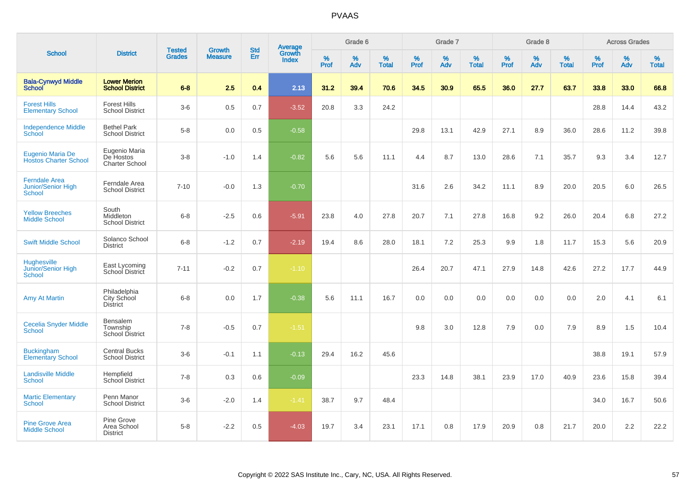| <b>School</b>                                        |                                                |                                |                                 | <b>Std</b> |                                          |                     | Grade 6     |                   |              | Grade 7     |                   |              | Grade 8  |                   |              | <b>Across Grades</b> |                   |
|------------------------------------------------------|------------------------------------------------|--------------------------------|---------------------------------|------------|------------------------------------------|---------------------|-------------|-------------------|--------------|-------------|-------------------|--------------|----------|-------------------|--------------|----------------------|-------------------|
|                                                      | <b>District</b>                                | <b>Tested</b><br><b>Grades</b> | <b>Growth</b><br><b>Measure</b> | <b>Err</b> | <b>Average</b><br>Growth<br><b>Index</b> | $\%$<br><b>Prof</b> | $\%$<br>Adv | %<br><b>Total</b> | $\%$<br>Prof | $\%$<br>Adv | %<br><b>Total</b> | $\%$<br>Prof | %<br>Adv | %<br><b>Total</b> | $\%$<br>Prof | $\%$<br>Adv          | %<br><b>Total</b> |
| <b>Bala-Cynwyd Middle</b><br>School                  | <b>Lower Merion</b><br><b>School District</b>  | $6 - 8$                        | 2.5                             | 0.4        | 2.13                                     | 31.2                | 39.4        | 70.6              | 34.5         | 30.9        | 65.5              | 36.0         | 27.7     | 63.7              | 33.8         | 33.0                 | 66.8              |
| <b>Forest Hills</b><br><b>Elementary School</b>      | <b>Forest Hills</b><br><b>School District</b>  | $3-6$                          | 0.5                             | 0.7        | $-3.52$                                  | 20.8                | 3.3         | 24.2              |              |             |                   |              |          |                   | 28.8         | 14.4                 | 43.2              |
| <b>Independence Middle</b><br>School                 | <b>Bethel Park</b><br><b>School District</b>   | $5-8$                          | 0.0                             | 0.5        | $-0.58$                                  |                     |             |                   | 29.8         | 13.1        | 42.9              | 27.1         | 8.9      | 36.0              | 28.6         | 11.2                 | 39.8              |
| Eugenio Maria De<br><b>Hostos Charter School</b>     | Eugenio Maria<br>De Hostos<br>Charter School   | $3-8$                          | $-1.0$                          | 1.4        | $-0.82$                                  | 5.6                 | 5.6         | 11.1              | 4.4          | 8.7         | 13.0              | 28.6         | 7.1      | 35.7              | 9.3          | 3.4                  | 12.7              |
| <b>Ferndale Area</b><br>Junior/Senior High<br>School | Ferndale Area<br><b>School District</b>        | $7 - 10$                       | $-0.0$                          | 1.3        | $-0.70$                                  |                     |             |                   | 31.6         | 2.6         | 34.2              | 11.1         | 8.9      | 20.0              | 20.5         | 6.0                  | 26.5              |
| <b>Yellow Breeches</b><br><b>Middle School</b>       | South<br>Middleton<br><b>School District</b>   | $6 - 8$                        | $-2.5$                          | 0.6        | $-5.91$                                  | 23.8                | 4.0         | 27.8              | 20.7         | 7.1         | 27.8              | 16.8         | 9.2      | 26.0              | 20.4         | 6.8                  | 27.2              |
| <b>Swift Middle School</b>                           | Solanco School<br><b>District</b>              | $6 - 8$                        | $-1.2$                          | 0.7        | $-2.19$                                  | 19.4                | 8.6         | 28.0              | 18.1         | 7.2         | 25.3              | 9.9          | 1.8      | 11.7              | 15.3         | 5.6                  | 20.9              |
| <b>Hughesville</b><br>Junior/Senior High<br>School   | East Lycoming<br>School District               | $7 - 11$                       | $-0.2$                          | 0.7        | $-1.10$                                  |                     |             |                   | 26.4         | 20.7        | 47.1              | 27.9         | 14.8     | 42.6              | 27.2         | 17.7                 | 44.9              |
| <b>Amy At Martin</b>                                 | Philadelphia<br>City School<br><b>District</b> | $6 - 8$                        | 0.0                             | 1.7        | $-0.38$                                  | 5.6                 | 11.1        | 16.7              | 0.0          | 0.0         | 0.0               | 0.0          | 0.0      | 0.0               | 2.0          | 4.1                  | 6.1               |
| <b>Cecelia Snyder Middle</b><br><b>School</b>        | Bensalem<br>Township<br><b>School District</b> | $7 - 8$                        | $-0.5$                          | 0.7        | $-1.51$                                  |                     |             |                   | 9.8          | 3.0         | 12.8              | 7.9          | 0.0      | 7.9               | 8.9          | 1.5                  | 10.4              |
| <b>Buckingham</b><br><b>Elementary School</b>        | <b>Central Bucks</b><br><b>School District</b> | $3-6$                          | $-0.1$                          | 1.1        | $-0.13$                                  | 29.4                | 16.2        | 45.6              |              |             |                   |              |          |                   | 38.8         | 19.1                 | 57.9              |
| <b>Landisville Middle</b><br><b>School</b>           | Hempfield<br><b>School District</b>            | $7 - 8$                        | 0.3                             | 0.6        | $-0.09$                                  |                     |             |                   | 23.3         | 14.8        | 38.1              | 23.9         | 17.0     | 40.9              | 23.6         | 15.8                 | 39.4              |
| <b>Martic Elementary</b><br><b>School</b>            | Penn Manor<br><b>School District</b>           | $3-6$                          | $-2.0$                          | 1.4        | $-1.41$                                  | 38.7                | 9.7         | 48.4              |              |             |                   |              |          |                   | 34.0         | 16.7                 | 50.6              |
| <b>Pine Grove Area</b><br><b>Middle School</b>       | Pine Grove<br>Area School<br><b>District</b>   | $5 - 8$                        | $-2.2$                          | 0.5        | $-4.03$                                  | 19.7                | 3.4         | 23.1              | 17.1         | 0.8         | 17.9              | 20.9         | 0.8      | 21.7              | 20.0         | 2.2                  | 22.2              |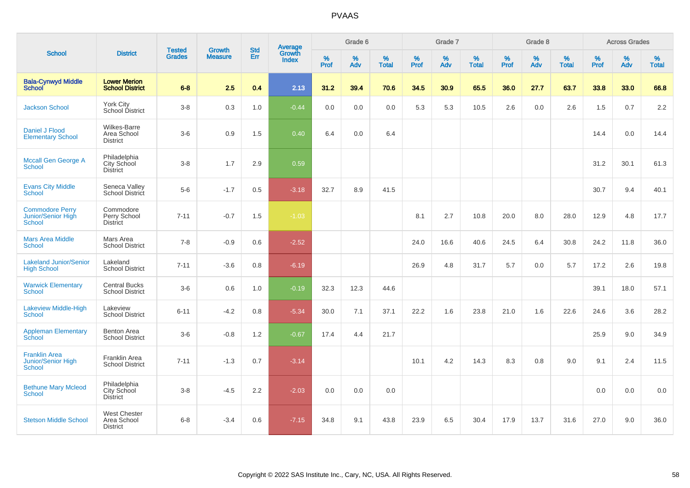| <b>School</b>                                                 |                                                       |                                |                                 | <b>Std</b> |                                          |           | Grade 6     |                   |                  | Grade 7  |                   |           | Grade 8  |                   |              | <b>Across Grades</b> |                   |
|---------------------------------------------------------------|-------------------------------------------------------|--------------------------------|---------------------------------|------------|------------------------------------------|-----------|-------------|-------------------|------------------|----------|-------------------|-----------|----------|-------------------|--------------|----------------------|-------------------|
|                                                               | <b>District</b>                                       | <b>Tested</b><br><b>Grades</b> | <b>Growth</b><br><b>Measure</b> | Err        | <b>Average</b><br>Growth<br><b>Index</b> | %<br>Prof | $\%$<br>Adv | %<br><b>Total</b> | %<br><b>Prof</b> | %<br>Adv | %<br><b>Total</b> | %<br>Prof | %<br>Adv | %<br><b>Total</b> | $\%$<br>Prof | $\%$<br>Adv          | %<br><b>Total</b> |
| <b>Bala-Cynwyd Middle</b><br>School                           | <b>Lower Merion</b><br><b>School District</b>         | $6 - 8$                        | 2.5                             | 0.4        | 2.13                                     | 31.2      | 39.4        | 70.6              | 34.5             | 30.9     | 65.5              | 36.0      | 27.7     | 63.7              | 33.8         | 33.0                 | 66.8              |
| <b>Jackson School</b>                                         | York City<br>School District                          | $3-8$                          | 0.3                             | 1.0        | $-0.44$                                  | 0.0       | 0.0         | 0.0               | 5.3              | 5.3      | 10.5              | 2.6       | 0.0      | 2.6               | 1.5          | 0.7                  | 2.2               |
| Daniel J Flood<br><b>Elementary School</b>                    | Wilkes-Barre<br>Area School<br><b>District</b>        | $3-6$                          | $0.9\,$                         | 1.5        | 0.40                                     | 6.4       | 0.0         | 6.4               |                  |          |                   |           |          |                   | 14.4         | 0.0                  | 14.4              |
| Mccall Gen George A<br><b>School</b>                          | Philadelphia<br>City School<br>District               | $3-8$                          | 1.7                             | 2.9        | 0.59                                     |           |             |                   |                  |          |                   |           |          |                   | 31.2         | 30.1                 | 61.3              |
| <b>Evans City Middle</b><br><b>School</b>                     | Seneca Valley<br>School District                      | $5-6$                          | $-1.7$                          | 0.5        | $-3.18$                                  | 32.7      | 8.9         | 41.5              |                  |          |                   |           |          |                   | 30.7         | 9.4                  | 40.1              |
| <b>Commodore Perry</b><br>Junior/Senior High<br><b>School</b> | Commodore<br>Perry School<br><b>District</b>          | $7 - 11$                       | $-0.7$                          | 1.5        | $-1.03$                                  |           |             |                   | 8.1              | 2.7      | 10.8              | 20.0      | 8.0      | 28.0              | 12.9         | 4.8                  | 17.7              |
| <b>Mars Area Middle</b><br><b>School</b>                      | Mars Area<br><b>School District</b>                   | $7 - 8$                        | $-0.9$                          | 0.6        | $-2.52$                                  |           |             |                   | 24.0             | 16.6     | 40.6              | 24.5      | 6.4      | 30.8              | 24.2         | 11.8                 | 36.0              |
| <b>Lakeland Junior/Senior</b><br><b>High School</b>           | Lakeland<br><b>School District</b>                    | $7 - 11$                       | $-3.6$                          | 0.8        | $-6.19$                                  |           |             |                   | 26.9             | 4.8      | 31.7              | 5.7       | 0.0      | 5.7               | 17.2         | 2.6                  | 19.8              |
| <b>Warwick Elementary</b><br><b>School</b>                    | <b>Central Bucks</b><br><b>School District</b>        | $3-6$                          | 0.6                             | 1.0        | $-0.19$                                  | 32.3      | 12.3        | 44.6              |                  |          |                   |           |          |                   | 39.1         | 18.0                 | 57.1              |
| Lakeview Middle-High<br><b>School</b>                         | Lakeview<br><b>School District</b>                    | $6 - 11$                       | $-4.2$                          | 0.8        | $-5.34$                                  | 30.0      | 7.1         | 37.1              | 22.2             | 1.6      | 23.8              | 21.0      | 1.6      | 22.6              | 24.6         | 3.6                  | 28.2              |
| <b>Appleman Elementary</b><br>School                          | Benton Area<br><b>School District</b>                 | $3-6$                          | $-0.8$                          | 1.2        | $-0.67$                                  | 17.4      | 4.4         | 21.7              |                  |          |                   |           |          |                   | 25.9         | 9.0                  | 34.9              |
| <b>Franklin Area</b><br>Junior/Senior High<br><b>School</b>   | Franklin Area<br><b>School District</b>               | $7 - 11$                       | $-1.3$                          | 0.7        | $-3.14$                                  |           |             |                   | 10.1             | 4.2      | 14.3              | 8.3       | 0.8      | 9.0               | 9.1          | 2.4                  | 11.5              |
| <b>Bethune Mary Mcleod</b><br><b>School</b>                   | Philadelphia<br>City School<br><b>District</b>        | $3 - 8$                        | $-4.5$                          | 2.2        | $-2.03$                                  | 0.0       | 0.0         | 0.0               |                  |          |                   |           |          |                   | 0.0          | 0.0                  | 0.0               |
| <b>Stetson Middle School</b>                                  | <b>West Chester</b><br>Area School<br><b>District</b> | $6 - 8$                        | $-3.4$                          | 0.6        | $-7.15$                                  | 34.8      | 9.1         | 43.8              | 23.9             | 6.5      | 30.4              | 17.9      | 13.7     | 31.6              | 27.0         | 9.0                  | 36.0              |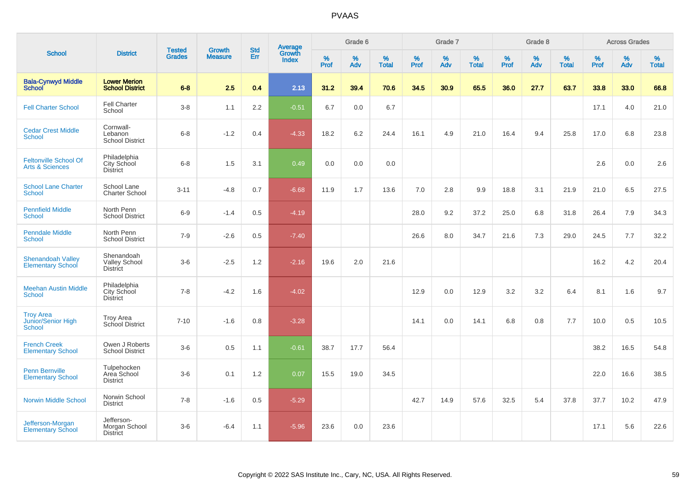|                                                            |                                                       |                                |                                 |                   |                                          |           | Grade 6     |                   |           | Grade 7  |                   |           | Grade 8  |                   |           | <b>Across Grades</b> |                   |
|------------------------------------------------------------|-------------------------------------------------------|--------------------------------|---------------------------------|-------------------|------------------------------------------|-----------|-------------|-------------------|-----------|----------|-------------------|-----------|----------|-------------------|-----------|----------------------|-------------------|
| <b>School</b>                                              | <b>District</b>                                       | <b>Tested</b><br><b>Grades</b> | <b>Growth</b><br><b>Measure</b> | <b>Std</b><br>Err | <b>Average</b><br>Growth<br><b>Index</b> | %<br>Prof | $\%$<br>Adv | %<br><b>Total</b> | %<br>Prof | %<br>Adv | %<br><b>Total</b> | %<br>Prof | %<br>Adv | %<br><b>Total</b> | %<br>Prof | $\%$<br>Adv          | %<br><b>Total</b> |
| <b>Bala-Cynwyd Middle</b><br><b>School</b>                 | <b>Lower Merion</b><br><b>School District</b>         | $6-8$                          | 2.5                             | 0.4               | 2.13                                     | 31.2      | 39.4        | 70.6              | 34.5      | 30.9     | 65.5              | 36.0      | 27.7     | 63.7              | 33.8      | 33.0                 | 66.8              |
| <b>Fell Charter School</b>                                 | <b>Fell Charter</b><br>School                         | $3-8$                          | 1.1                             | 2.2               | $-0.51$                                  | 6.7       | 0.0         | 6.7               |           |          |                   |           |          |                   | 17.1      | 4.0                  | 21.0              |
| <b>Cedar Crest Middle</b><br><b>School</b>                 | Cornwall-<br>Lebanon<br><b>School District</b>        | $6 - 8$                        | $-1.2$                          | 0.4               | $-4.33$                                  | 18.2      | 6.2         | 24.4              | 16.1      | 4.9      | 21.0              | 16.4      | 9.4      | 25.8              | 17.0      | 6.8                  | 23.8              |
| <b>Feltonville School Of</b><br><b>Arts &amp; Sciences</b> | Philadelphia<br>City School<br><b>District</b>        | $6 - 8$                        | 1.5                             | 3.1               | 0.49                                     | 0.0       | 0.0         | 0.0               |           |          |                   |           |          |                   | 2.6       | 0.0                  | 2.6               |
| <b>School Lane Charter</b><br><b>School</b>                | School Lane<br><b>Charter School</b>                  | $3 - 11$                       | $-4.8$                          | 0.7               | $-6.68$                                  | 11.9      | 1.7         | 13.6              | 7.0       | 2.8      | 9.9               | 18.8      | 3.1      | 21.9              | 21.0      | 6.5                  | 27.5              |
| <b>Pennfield Middle</b><br><b>School</b>                   | North Penn<br><b>School District</b>                  | $6-9$                          | $-1.4$                          | 0.5               | $-4.19$                                  |           |             |                   | 28.0      | 9.2      | 37.2              | 25.0      | 6.8      | 31.8              | 26.4      | 7.9                  | 34.3              |
| <b>Penndale Middle</b><br><b>School</b>                    | North Penn<br><b>School District</b>                  | $7-9$                          | $-2.6$                          | 0.5               | $-7.40$                                  |           |             |                   | 26.6      | 8.0      | 34.7              | 21.6      | 7.3      | 29.0              | 24.5      | 7.7                  | 32.2              |
| <b>Shenandoah Valley</b><br><b>Elementary School</b>       | Shenandoah<br><b>Valley School</b><br><b>District</b> | $3-6$                          | $-2.5$                          | 1.2               | $-2.16$                                  | 19.6      | 2.0         | 21.6              |           |          |                   |           |          |                   | 16.2      | 4.2                  | 20.4              |
| <b>Meehan Austin Middle</b><br><b>School</b>               | Philadelphia<br>City School<br><b>District</b>        | $7 - 8$                        | $-4.2$                          | 1.6               | $-4.02$                                  |           |             |                   | 12.9      | 0.0      | 12.9              | 3.2       | 3.2      | 6.4               | 8.1       | 1.6                  | 9.7               |
| <b>Troy Area</b><br>Junior/Senior High<br><b>School</b>    | <b>Troy Area</b><br>School District                   | $7 - 10$                       | $-1.6$                          | 0.8               | $-3.28$                                  |           |             |                   | 14.1      | 0.0      | 14.1              | 6.8       | 0.8      | 7.7               | 10.0      | 0.5                  | 10.5              |
| <b>French Creek</b><br><b>Elementary School</b>            | Owen J Roberts<br><b>School District</b>              | $3-6$                          | $0.5\,$                         | 1.1               | $-0.61$                                  | 38.7      | 17.7        | 56.4              |           |          |                   |           |          |                   | 38.2      | 16.5                 | 54.8              |
| Penn Bernville<br><b>Elementary School</b>                 | Tulpehocken<br>Area School<br><b>District</b>         | $3-6$                          | 0.1                             | 1.2               | 0.07                                     | 15.5      | 19.0        | 34.5              |           |          |                   |           |          |                   | 22.0      | 16.6                 | 38.5              |
| <b>Norwin Middle School</b>                                | Norwin School<br><b>District</b>                      | $7 - 8$                        | $-1.6$                          | 0.5               | $-5.29$                                  |           |             |                   | 42.7      | 14.9     | 57.6              | 32.5      | 5.4      | 37.8              | 37.7      | 10.2                 | 47.9              |
| Jefferson-Morgan<br><b>Elementary School</b>               | Jefferson-<br>Morgan School<br><b>District</b>        | $3-6$                          | $-6.4$                          | 1.1               | $-5.96$                                  | 23.6      | 0.0         | 23.6              |           |          |                   |           |          |                   | 17.1      | 5.6                  | 22.6              |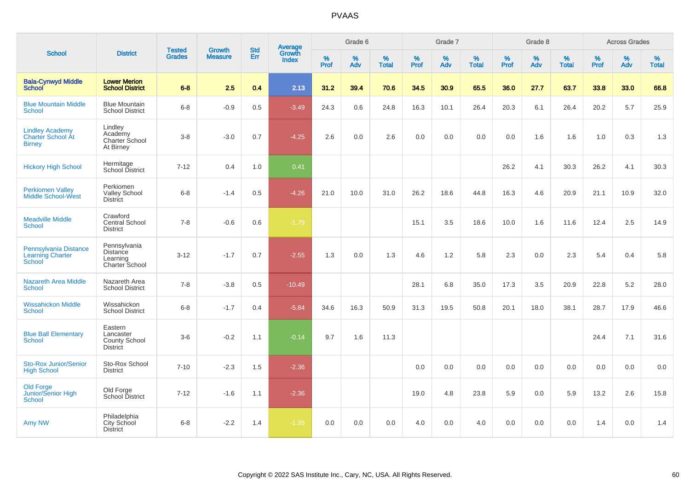| <b>School</b>                                                     |                                                               |                                |                                 | <b>Std</b> |                                          |           | Grade 6  |                   |           | Grade 7  |                   |           | Grade 8  |                   |           | <b>Across Grades</b> |                   |
|-------------------------------------------------------------------|---------------------------------------------------------------|--------------------------------|---------------------------------|------------|------------------------------------------|-----------|----------|-------------------|-----------|----------|-------------------|-----------|----------|-------------------|-----------|----------------------|-------------------|
|                                                                   | <b>District</b>                                               | <b>Tested</b><br><b>Grades</b> | <b>Growth</b><br><b>Measure</b> | Err        | <b>Average</b><br>Growth<br><b>Index</b> | %<br>Prof | %<br>Adv | %<br><b>Total</b> | %<br>Prof | %<br>Adv | %<br><b>Total</b> | %<br>Prof | %<br>Adv | %<br><b>Total</b> | %<br>Prof | %<br>Adv             | %<br><b>Total</b> |
| <b>Bala-Cynwyd Middle</b><br>School                               | <b>Lower Merion</b><br><b>School District</b>                 | $6 - 8$                        | 2.5                             | 0.4        | 2.13                                     | 31.2      | 39.4     | 70.6              | 34.5      | 30.9     | 65.5              | 36.0      | 27.7     | 63.7              | 33.8      | 33.0                 | 66.8              |
| <b>Blue Mountain Middle</b><br><b>School</b>                      | <b>Blue Mountain</b><br><b>School District</b>                | $6 - 8$                        | $-0.9$                          | 0.5        | $-3.49$                                  | 24.3      | 0.6      | 24.8              | 16.3      | 10.1     | 26.4              | 20.3      | 6.1      | 26.4              | 20.2      | 5.7                  | 25.9              |
| <b>Lindley Academy</b><br>Charter School At<br><b>Birney</b>      | Lindley<br>Academy<br>Charter School<br>At Birney             | $3-8$                          | $-3.0$                          | 0.7        | $-4.25$                                  | 2.6       | 0.0      | 2.6               | 0.0       | 0.0      | 0.0               | 0.0       | 1.6      | 1.6               | 1.0       | 0.3                  | 1.3               |
| <b>Hickory High School</b>                                        | Hermitage<br><b>School District</b>                           | $7 - 12$                       | 0.4                             | 1.0        | 0.41                                     |           |          |                   |           |          |                   | 26.2      | 4.1      | 30.3              | 26.2      | 4.1                  | 30.3              |
| <b>Perkiomen Valley</b><br><b>Middle School-West</b>              | Perkiomen<br>Valley School<br><b>District</b>                 | $6 - 8$                        | $-1.4$                          | 0.5        | $-4.26$                                  | 21.0      | 10.0     | 31.0              | 26.2      | 18.6     | 44.8              | 16.3      | 4.6      | 20.9              | 21.1      | 10.9                 | 32.0              |
| <b>Meadville Middle</b><br><b>School</b>                          | Crawford<br>Central School<br><b>District</b>                 | $7 - 8$                        | $-0.6$                          | 0.6        | $-1.79$                                  |           |          |                   | 15.1      | 3.5      | 18.6              | 10.0      | 1.6      | 11.6              | 12.4      | 2.5                  | 14.9              |
| Pennsylvania Distance<br><b>Learning Charter</b><br><b>School</b> | Pennsylvania<br><b>Distance</b><br>Learning<br>Charter School | $3 - 12$                       | $-1.7$                          | 0.7        | $-2.55$                                  | 1.3       | 0.0      | 1.3               | 4.6       | 1.2      | 5.8               | 2.3       | 0.0      | 2.3               | 5.4       | 0.4                  | 5.8               |
| <b>Nazareth Area Middle</b><br><b>School</b>                      | Nazareth Area<br><b>School District</b>                       | $7 - 8$                        | $-3.8$                          | 0.5        | $-10.49$                                 |           |          |                   | 28.1      | 6.8      | 35.0              | 17.3      | 3.5      | 20.9              | 22.8      | 5.2                  | 28.0              |
| <b>Wissahickon Middle</b><br><b>School</b>                        | Wissahickon<br><b>School District</b>                         | $6 - 8$                        | $-1.7$                          | 0.4        | $-5.84$                                  | 34.6      | 16.3     | 50.9              | 31.3      | 19.5     | 50.8              | 20.1      | 18.0     | 38.1              | 28.7      | 17.9                 | 46.6              |
| <b>Blue Ball Elementary</b><br><b>School</b>                      | Eastern<br>Lancaster<br>County School<br><b>District</b>      | $3-6$                          | $-0.2$                          | 1.1        | $-0.14$                                  | 9.7       | 1.6      | 11.3              |           |          |                   |           |          |                   | 24.4      | 7.1                  | 31.6              |
| <b>Sto-Rox Junior/Senior</b><br><b>High School</b>                | Sto-Rox School<br><b>District</b>                             | $7 - 10$                       | $-2.3$                          | 1.5        | $-2.36$                                  |           |          |                   | 0.0       | 0.0      | 0.0               | 0.0       | 0.0      | 0.0               | 0.0       | 0.0                  | 0.0               |
| <b>Old Forge</b><br>Junior/Senior High<br><b>School</b>           | Old Forge<br>School District                                  | $7 - 12$                       | $-1.6$                          | 1.1        | $-2.36$                                  |           |          |                   | 19.0      | 4.8      | 23.8              | 5.9       | 0.0      | 5.9               | 13.2      | 2.6                  | 15.8              |
| Amy NW                                                            | Philadelphia<br><b>City School</b><br><b>District</b>         | $6 - 8$                        | $-2.2$                          | 1.4        | $-1.95$                                  | 0.0       | 0.0      | 0.0               | 4.0       | 0.0      | 4.0               | 0.0       | 0.0      | 0.0               | 1.4       | 0.0                  | 1.4               |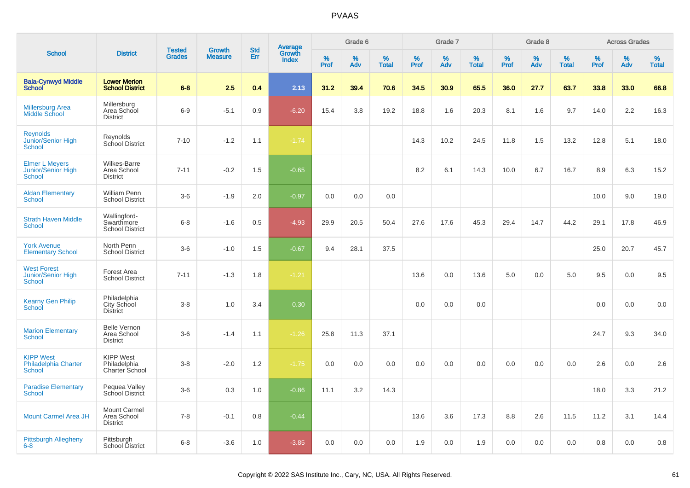|                                                                     |                                                       |                                |                                 | <b>Std</b> |                                          |           | Grade 6  |                   |           | Grade 7  |                   |           | Grade 8  |                   |           | <b>Across Grades</b> |                   |
|---------------------------------------------------------------------|-------------------------------------------------------|--------------------------------|---------------------------------|------------|------------------------------------------|-----------|----------|-------------------|-----------|----------|-------------------|-----------|----------|-------------------|-----------|----------------------|-------------------|
| <b>School</b>                                                       | <b>District</b>                                       | <b>Tested</b><br><b>Grades</b> | <b>Growth</b><br><b>Measure</b> | Err        | <b>Average</b><br>Growth<br><b>Index</b> | %<br>Prof | %<br>Adv | %<br><b>Total</b> | %<br>Prof | %<br>Adv | %<br><b>Total</b> | %<br>Prof | %<br>Adv | %<br><b>Total</b> | %<br>Prof | %<br>Adv             | %<br><b>Total</b> |
| <b>Bala-Cynwyd Middle</b><br><b>School</b>                          | <b>Lower Merion</b><br><b>School District</b>         | $6 - 8$                        | 2.5                             | 0.4        | 2.13                                     | 31.2      | 39.4     | 70.6              | 34.5      | 30.9     | 65.5              | 36.0      | 27.7     | 63.7              | 33.8      | 33.0                 | 66.8              |
| <b>Millersburg Area</b><br>Middle School                            | Millersburg<br>Area School<br><b>District</b>         | $6 - 9$                        | $-5.1$                          | 0.9        | $-6.20$                                  | 15.4      | 3.8      | 19.2              | 18.8      | 1.6      | 20.3              | 8.1       | 1.6      | 9.7               | 14.0      | 2.2                  | 16.3              |
| <b>Reynolds</b><br>Junior/Senior High<br><b>School</b>              | Reynolds<br>School District                           | $7 - 10$                       | $-1.2$                          | 1.1        | $-1.74$                                  |           |          |                   | 14.3      | 10.2     | 24.5              | 11.8      | 1.5      | 13.2              | 12.8      | 5.1                  | 18.0              |
| <b>Elmer L Meyers</b><br><b>Junior/Senior High</b><br><b>School</b> | <b>Wilkes-Barre</b><br>Area School<br><b>District</b> | $7 - 11$                       | $-0.2$                          | 1.5        | $-0.65$                                  |           |          |                   | 8.2       | 6.1      | 14.3              | 10.0      | 6.7      | 16.7              | 8.9       | 6.3                  | 15.2              |
| <b>Aldan Elementary</b><br><b>School</b>                            | <b>William Penn</b><br><b>School District</b>         | $3-6$                          | $-1.9$                          | 2.0        | $-0.97$                                  | 0.0       | 0.0      | 0.0               |           |          |                   |           |          |                   | 10.0      | 9.0                  | 19.0              |
| <b>Strath Haven Middle</b><br><b>School</b>                         | Wallingford-<br>Swarthmore<br><b>School District</b>  | $6-8$                          | $-1.6$                          | 0.5        | $-4.93$                                  | 29.9      | 20.5     | 50.4              | 27.6      | 17.6     | 45.3              | 29.4      | 14.7     | 44.2              | 29.1      | 17.8                 | 46.9              |
| <b>York Avenue</b><br><b>Elementary School</b>                      | North Penn<br><b>School District</b>                  | $3-6$                          | $-1.0$                          | 1.5        | $-0.67$                                  | 9.4       | 28.1     | 37.5              |           |          |                   |           |          |                   | 25.0      | 20.7                 | 45.7              |
| <b>West Forest</b><br>Junior/Senior High<br><b>School</b>           | Forest Area<br><b>School District</b>                 | $7 - 11$                       | $-1.3$                          | 1.8        | $-1.21$                                  |           |          |                   | 13.6      | 0.0      | 13.6              | 5.0       | 0.0      | 5.0               | 9.5       | 0.0                  | 9.5               |
| <b>Kearny Gen Philip</b><br>School                                  | Philadelphia<br>City School<br>District               | $3-8$                          | 1.0                             | 3.4        | 0.30                                     |           |          |                   | 0.0       | 0.0      | 0.0               |           |          |                   | 0.0       | 0.0                  | 0.0               |
| <b>Marion Elementary</b><br><b>School</b>                           | <b>Belle Vernon</b><br>Area School<br><b>District</b> | $3-6$                          | $-1.4$                          | 1.1        | $-1.26$                                  | 25.8      | 11.3     | 37.1              |           |          |                   |           |          |                   | 24.7      | 9.3                  | 34.0              |
| <b>KIPP West</b><br><b>Philadelphia Charter</b><br><b>School</b>    | <b>KIPP West</b><br>Philadelphia<br>Charter School    | $3-8$                          | $-2.0$                          | 1.2        | $-1.75$                                  | 0.0       | 0.0      | 0.0               | 0.0       | 0.0      | 0.0               | 0.0       | 0.0      | 0.0               | 2.6       | 0.0                  | 2.6               |
| <b>Paradise Elementary</b><br><b>School</b>                         | Pequea Valley<br>School District                      | $3-6$                          | 0.3                             | 1.0        | $-0.86$                                  | 11.1      | 3.2      | 14.3              |           |          |                   |           |          |                   | 18.0      | 3.3                  | 21.2              |
| <b>Mount Carmel Area JH</b>                                         | Mount Carmel<br>Area School<br><b>District</b>        | $7 - 8$                        | $-0.1$                          | 0.8        | $-0.44$                                  |           |          |                   | 13.6      | 3.6      | 17.3              | 8.8       | 2.6      | 11.5              | 11.2      | 3.1                  | 14.4              |
| Pittsburgh Allegheny<br>$6 - 8$                                     | Pittsburgh<br>School District                         | $6 - 8$                        | $-3.6$                          | 1.0        | $-3.85$                                  | 0.0       | 0.0      | 0.0               | 1.9       | 0.0      | 1.9               | 0.0       | 0.0      | 0.0               | 0.8       | 0.0                  | 0.8               |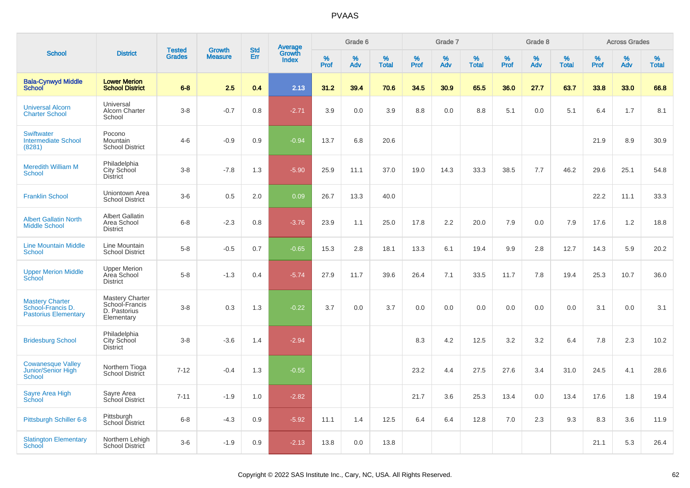|                                                                            |                                                                 |                                |                                 | <b>Std</b> |                                          |           | Grade 6  |                   |           | Grade 7  |                   |           | Grade 8  |                   |           | <b>Across Grades</b> |                   |
|----------------------------------------------------------------------------|-----------------------------------------------------------------|--------------------------------|---------------------------------|------------|------------------------------------------|-----------|----------|-------------------|-----------|----------|-------------------|-----------|----------|-------------------|-----------|----------------------|-------------------|
| <b>School</b>                                                              | <b>District</b>                                                 | <b>Tested</b><br><b>Grades</b> | <b>Growth</b><br><b>Measure</b> | Err        | <b>Average</b><br>Growth<br><b>Index</b> | %<br>Prof | %<br>Adv | %<br><b>Total</b> | %<br>Prof | %<br>Adv | %<br><b>Total</b> | %<br>Prof | %<br>Adv | %<br><b>Total</b> | %<br>Prof | %<br>Adv             | %<br><b>Total</b> |
| <b>Bala-Cynwyd Middle</b><br><b>School</b>                                 | <b>Lower Merion</b><br><b>School District</b>                   | $6 - 8$                        | 2.5                             | 0.4        | 2.13                                     | 31.2      | 39.4     | 70.6              | 34.5      | 30.9     | 65.5              | 36.0      | 27.7     | 63.7              | 33.8      | 33.0                 | 66.8              |
| <b>Universal Alcorn</b><br><b>Charter School</b>                           | Universal<br>Alcorn Charter<br>School                           | $3 - 8$                        | $-0.7$                          | 0.8        | $-2.71$                                  | 3.9       | 0.0      | 3.9               | 8.8       | 0.0      | 8.8               | 5.1       | 0.0      | 5.1               | 6.4       | 1.7                  | 8.1               |
| <b>Swiftwater</b><br><b>Intermediate School</b><br>(8281)                  | Pocono<br><b>Mountain</b><br><b>School District</b>             | $4 - 6$                        | $-0.9$                          | 0.9        | $-0.94$                                  | 13.7      | 6.8      | 20.6              |           |          |                   |           |          |                   | 21.9      | 8.9                  | 30.9              |
| <b>Meredith William M</b><br>School                                        | Philadelphia<br>City School<br>District                         | $3 - 8$                        | $-7.8$                          | 1.3        | $-5.90$                                  | 25.9      | 11.1     | 37.0              | 19.0      | 14.3     | 33.3              | 38.5      | 7.7      | 46.2              | 29.6      | 25.1                 | 54.8              |
| <b>Franklin School</b>                                                     | Uniontown Area<br><b>School District</b>                        | $3-6$                          | 0.5                             | 2.0        | 0.09                                     | 26.7      | 13.3     | 40.0              |           |          |                   |           |          |                   | 22.2      | 11.1                 | 33.3              |
| <b>Albert Gallatin North</b><br><b>Middle School</b>                       | <b>Albert Gallatin</b><br>Area School<br><b>District</b>        | $6 - 8$                        | $-2.3$                          | 0.8        | $-3.76$                                  | 23.9      | 1.1      | 25.0              | 17.8      | 2.2      | 20.0              | 7.9       | 0.0      | 7.9               | 17.6      | 1.2                  | 18.8              |
| <b>Line Mountain Middle</b><br><b>School</b>                               | Line Mountain<br><b>School District</b>                         | $5 - 8$                        | $-0.5$                          | 0.7        | $-0.65$                                  | 15.3      | 2.8      | 18.1              | 13.3      | 6.1      | 19.4              | 9.9       | 2.8      | 12.7              | 14.3      | 5.9                  | 20.2              |
| <b>Upper Merion Middle</b><br>School                                       | <b>Upper Merion</b><br>Area School<br><b>District</b>           | $5-8$                          | $-1.3$                          | 0.4        | $-5.74$                                  | 27.9      | 11.7     | 39.6              | 26.4      | 7.1      | 33.5              | 11.7      | 7.8      | 19.4              | 25.3      | 10.7                 | 36.0              |
| <b>Mastery Charter</b><br>School-Francis D.<br><b>Pastorius Elementary</b> | Mastery Charter<br>School-Francis<br>D. Pastorius<br>Elementary | $3 - 8$                        | 0.3                             | 1.3        | $-0.22$                                  | 3.7       | 0.0      | 3.7               | 0.0       | 0.0      | 0.0               | 0.0       | 0.0      | 0.0               | 3.1       | 0.0                  | 3.1               |
| <b>Bridesburg School</b>                                                   | Philadelphia<br>City School<br><b>District</b>                  | $3 - 8$                        | $-3.6$                          | 1.4        | $-2.94$                                  |           |          |                   | 8.3       | 4.2      | 12.5              | 3.2       | 3.2      | 6.4               | 7.8       | 2.3                  | 10.2              |
| <b>Cowanesque Valley</b><br>Junior/Senior High<br>School                   | Northern Tioga<br>School District                               | $7 - 12$                       | $-0.4$                          | 1.3        | $-0.55$                                  |           |          |                   | 23.2      | 4.4      | 27.5              | 27.6      | 3.4      | 31.0              | 24.5      | 4.1                  | 28.6              |
| Sayre Area High<br>School                                                  | Sayre Area<br>School District                                   | $7 - 11$                       | $-1.9$                          | 1.0        | $-2.82$                                  |           |          |                   | 21.7      | 3.6      | 25.3              | 13.4      | 0.0      | 13.4              | 17.6      | 1.8                  | 19.4              |
| Pittsburgh Schiller 6-8                                                    | Pittsburgh<br>School District                                   | $6 - 8$                        | $-4.3$                          | 0.9        | $-5.92$                                  | 11.1      | 1.4      | 12.5              | 6.4       | 6.4      | 12.8              | 7.0       | 2.3      | 9.3               | 8.3       | 3.6                  | 11.9              |
| <b>Slatington Elementary</b><br>School                                     | Northern Lehigh<br>School District                              | $3-6$                          | $-1.9$                          | 0.9        | $-2.13$                                  | 13.8      | 0.0      | 13.8              |           |          |                   |           |          |                   | 21.1      | 5.3                  | 26.4              |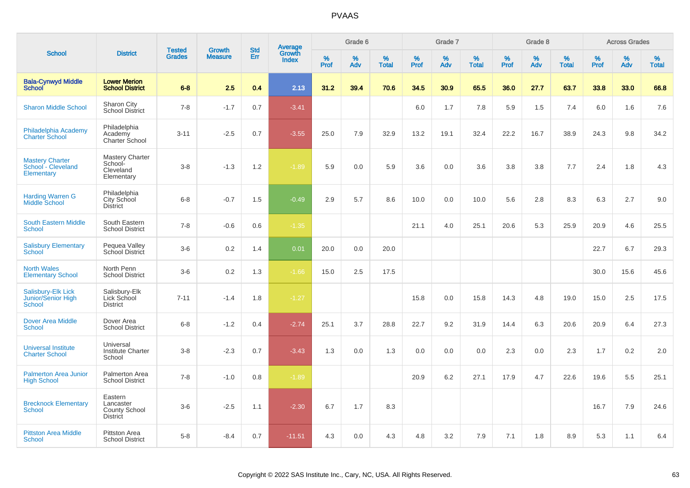|                                                            |                                                                 | <b>Tested</b> | <b>Growth</b>  | <b>Std</b> |                                          |                  | Grade 6     |                   |              | Grade 7  |                   |              | Grade 8  |                   |              | <b>Across Grades</b> |                   |
|------------------------------------------------------------|-----------------------------------------------------------------|---------------|----------------|------------|------------------------------------------|------------------|-------------|-------------------|--------------|----------|-------------------|--------------|----------|-------------------|--------------|----------------------|-------------------|
| <b>School</b>                                              | <b>District</b>                                                 | <b>Grades</b> | <b>Measure</b> | Err        | <b>Average</b><br>Growth<br><b>Index</b> | %<br><b>Prof</b> | $\%$<br>Adv | %<br><b>Total</b> | $\%$<br>Prof | %<br>Adv | %<br><b>Total</b> | $\%$<br>Prof | %<br>Adv | %<br><b>Total</b> | $\%$<br>Prof | $\%$<br>Adv          | %<br><b>Total</b> |
| <b>Bala-Cynwyd Middle</b><br><b>School</b>                 | <b>Lower Merion</b><br><b>School District</b>                   | $6 - 8$       | 2.5            | 0.4        | 2.13                                     | 31.2             | 39.4        | 70.6              | 34.5         | 30.9     | 65.5              | 36.0         | 27.7     | 63.7              | 33.8         | 33.0                 | 66.8              |
| <b>Sharon Middle School</b>                                | Sharon City<br><b>School District</b>                           | $7 - 8$       | $-1.7$         | 0.7        | $-3.41$                                  |                  |             |                   | 6.0          | 1.7      | 7.8               | 5.9          | 1.5      | 7.4               | 6.0          | 1.6                  | 7.6               |
| Philadelphia Academy<br><b>Charter School</b>              | Philadelphia<br>Academy<br><b>Charter School</b>                | $3 - 11$      | $-2.5$         | 0.7        | $-3.55$                                  | 25.0             | 7.9         | 32.9              | 13.2         | 19.1     | 32.4              | 22.2         | 16.7     | 38.9              | 24.3         | 9.8                  | 34.2              |
| <b>Mastery Charter</b><br>School - Cleveland<br>Elementary | Mastery Charter<br>School-<br>Cleveland<br>Elementary           | $3 - 8$       | $-1.3$         | 1.2        | $-1.89$                                  | 5.9              | 0.0         | 5.9               | 3.6          | 0.0      | 3.6               | 3.8          | 3.8      | 7.7               | 2.4          | 1.8                  | 4.3               |
| <b>Harding Warren G</b><br><b>Middle School</b>            | Philadelphia<br>City School<br><b>District</b>                  | $6 - 8$       | $-0.7$         | 1.5        | $-0.49$                                  | 2.9              | 5.7         | 8.6               | 10.0         | 0.0      | 10.0              | 5.6          | 2.8      | 8.3               | 6.3          | 2.7                  | 9.0               |
| <b>South Eastern Middle</b><br>School                      | South Eastern<br><b>School District</b>                         | $7 - 8$       | $-0.6$         | 0.6        | $-1.35$                                  |                  |             |                   | 21.1         | 4.0      | 25.1              | 20.6         | 5.3      | 25.9              | 20.9         | 4.6                  | 25.5              |
| <b>Salisbury Elementary</b><br><b>School</b>               | Pequea Valley<br>School District                                | $3-6$         | 0.2            | 1.4        | 0.01                                     | 20.0             | 0.0         | 20.0              |              |          |                   |              |          |                   | 22.7         | 6.7                  | 29.3              |
| <b>North Wales</b><br><b>Elementary School</b>             | North Penn<br><b>School District</b>                            | $3-6$         | 0.2            | 1.3        | $-1.66$                                  | 15.0             | 2.5         | 17.5              |              |          |                   |              |          |                   | 30.0         | 15.6                 | 45.6              |
| Salisbury-Elk Lick<br>Junior/Senior High<br>School         | Salisbury-Elk<br>Lick School<br><b>District</b>                 | $7 - 11$      | $-1.4$         | 1.8        | $-1.27$                                  |                  |             |                   | 15.8         | 0.0      | 15.8              | 14.3         | 4.8      | 19.0              | 15.0         | 2.5                  | 17.5              |
| <b>Dover Area Middle</b><br><b>School</b>                  | Dover Area<br><b>School District</b>                            | $6 - 8$       | $-1.2$         | 0.4        | $-2.74$                                  | 25.1             | 3.7         | 28.8              | 22.7         | 9.2      | 31.9              | 14.4         | 6.3      | 20.6              | 20.9         | 6.4                  | 27.3              |
| <b>Universal Institute</b><br><b>Charter School</b>        | Universal<br><b>Institute Charter</b><br>School                 | $3-8$         | $-2.3$         | 0.7        | $-3.43$                                  | 1.3              | 0.0         | 1.3               | 0.0          | 0.0      | 0.0               | 2.3          | 0.0      | 2.3               | 1.7          | 0.2                  | 2.0               |
| <b>Palmerton Area Junior</b><br><b>High School</b>         | Palmerton Area<br><b>School District</b>                        | $7 - 8$       | $-1.0$         | 0.8        | $-1.89$                                  |                  |             |                   | 20.9         | 6.2      | 27.1              | 17.9         | 4.7      | 22.6              | 19.6         | 5.5                  | 25.1              |
| <b>Brecknock Elementary</b><br>School                      | Eastern<br>Lancaster<br><b>County School</b><br><b>District</b> | $3-6$         | $-2.5$         | 1.1        | $-2.30$                                  | 6.7              | 1.7         | 8.3               |              |          |                   |              |          |                   | 16.7         | 7.9                  | 24.6              |
| <b>Pittston Area Middle</b><br><b>School</b>               | <b>Pittston Area</b><br><b>School District</b>                  | $5-8$         | $-8.4$         | 0.7        | $-11.51$                                 | 4.3              | 0.0         | 4.3               | 4.8          | 3.2      | 7.9               | 7.1          | 1.8      | 8.9               | 5.3          | 1.1                  | 6.4               |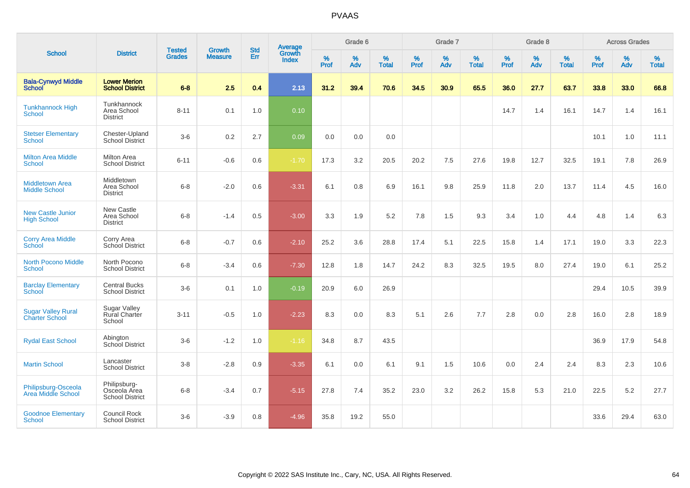|                                                    |                                                        |                                |                                 | <b>Std</b> |                                          |                  | Grade 6  |                   |                  | Grade 7  |                   |                     | Grade 8     |                   |                     | <b>Across Grades</b> |                   |
|----------------------------------------------------|--------------------------------------------------------|--------------------------------|---------------------------------|------------|------------------------------------------|------------------|----------|-------------------|------------------|----------|-------------------|---------------------|-------------|-------------------|---------------------|----------------------|-------------------|
| <b>School</b>                                      | <b>District</b>                                        | <b>Tested</b><br><b>Grades</b> | <b>Growth</b><br><b>Measure</b> | <b>Err</b> | <b>Average</b><br>Growth<br><b>Index</b> | %<br><b>Prof</b> | %<br>Adv | %<br><b>Total</b> | %<br><b>Prof</b> | %<br>Adv | %<br><b>Total</b> | $\%$<br><b>Prof</b> | $\%$<br>Adv | %<br><b>Total</b> | $\%$<br><b>Prof</b> | $\%$<br>Adv          | %<br><b>Total</b> |
| <b>Bala-Cynwyd Middle</b><br><b>School</b>         | <b>Lower Merion</b><br><b>School District</b>          | $6 - 8$                        | 2.5                             | 0.4        | 2.13                                     | 31.2             | 39.4     | 70.6              | 34.5             | 30.9     | 65.5              | 36.0                | 27.7        | 63.7              | 33.8                | 33.0                 | 66.8              |
| <b>Tunkhannock High</b><br><b>School</b>           | Tunkhannock<br>Area School<br><b>District</b>          | $8 - 11$                       | 0.1                             | 1.0        | 0.10                                     |                  |          |                   |                  |          |                   | 14.7                | 1.4         | 16.1              | 14.7                | 1.4                  | 16.1              |
| <b>Stetser Elementary</b><br><b>School</b>         | Chester-Upland<br>School District                      | $3-6$                          | 0.2                             | 2.7        | 0.09                                     | 0.0              | 0.0      | 0.0               |                  |          |                   |                     |             |                   | 10.1                | 1.0                  | 11.1              |
| <b>Milton Area Middle</b><br><b>School</b>         | <b>Milton Area</b><br><b>School District</b>           | $6 - 11$                       | $-0.6$                          | 0.6        | $-1.70$                                  | 17.3             | 3.2      | 20.5              | 20.2             | 7.5      | 27.6              | 19.8                | 12.7        | 32.5              | 19.1                | 7.8                  | 26.9              |
| <b>Middletown Area</b><br><b>Middle School</b>     | Middletown<br>Area School<br><b>District</b>           | $6 - 8$                        | $-2.0$                          | 0.6        | $-3.31$                                  | 6.1              | 0.8      | 6.9               | 16.1             | 9.8      | 25.9              | 11.8                | 2.0         | 13.7              | 11.4                | 4.5                  | 16.0              |
| <b>New Castle Junior</b><br><b>High School</b>     | New Castle<br>Area School<br><b>District</b>           | $6 - 8$                        | $-1.4$                          | 0.5        | $-3.00$                                  | 3.3              | 1.9      | 5.2               | 7.8              | 1.5      | 9.3               | 3.4                 | 1.0         | 4.4               | 4.8                 | 1.4                  | 6.3               |
| <b>Corry Area Middle</b><br>School                 | Corry Area<br>School District                          | $6 - 8$                        | $-0.7$                          | 0.6        | $-2.10$                                  | 25.2             | 3.6      | 28.8              | 17.4             | 5.1      | 22.5              | 15.8                | 1.4         | 17.1              | 19.0                | 3.3                  | 22.3              |
| <b>North Pocono Middle</b><br><b>School</b>        | North Pocono<br><b>School District</b>                 | $6 - 8$                        | $-3.4$                          | 0.6        | $-7.30$                                  | 12.8             | 1.8      | 14.7              | 24.2             | 8.3      | 32.5              | 19.5                | 8.0         | 27.4              | 19.0                | 6.1                  | 25.2              |
| <b>Barclay Elementary</b><br>School                | <b>Central Bucks</b><br><b>School District</b>         | $3-6$                          | 0.1                             | 1.0        | $-0.19$                                  | 20.9             | 6.0      | 26.9              |                  |          |                   |                     |             |                   | 29.4                | 10.5                 | 39.9              |
| <b>Sugar Valley Rural</b><br><b>Charter School</b> | <b>Sugar Valley</b><br><b>Rural Charter</b><br>School  | $3 - 11$                       | $-0.5$                          | 1.0        | $-2.23$                                  | 8.3              | 0.0      | 8.3               | 5.1              | 2.6      | 7.7               | 2.8                 | 0.0         | 2.8               | 16.0                | 2.8                  | 18.9              |
| <b>Rydal East School</b>                           | Abington<br>School District                            | $3-6$                          | $-1.2$                          | 1.0        | $-1.16$                                  | 34.8             | 8.7      | 43.5              |                  |          |                   |                     |             |                   | 36.9                | 17.9                 | 54.8              |
| <b>Martin School</b>                               | Lancaster<br><b>School District</b>                    | $3-8$                          | $-2.8$                          | 0.9        | $-3.35$                                  | 6.1              | 0.0      | 6.1               | 9.1              | 1.5      | 10.6              | 0.0                 | 2.4         | 2.4               | 8.3                 | 2.3                  | 10.6              |
| Philipsburg-Osceola<br>Area Middle School          | Philipsburg-<br>Osceola Area<br><b>School District</b> | $6 - 8$                        | $-3.4$                          | 0.7        | $-5.15$                                  | 27.8             | 7.4      | 35.2              | 23.0             | 3.2      | 26.2              | 15.8                | 5.3         | 21.0              | 22.5                | 5.2                  | 27.7              |
| <b>Goodnoe Elementary</b><br>School                | Council Rock<br><b>School District</b>                 | $3-6$                          | $-3.9$                          | 0.8        | $-4.96$                                  | 35.8             | 19.2     | 55.0              |                  |          |                   |                     |             |                   | 33.6                | 29.4                 | 63.0              |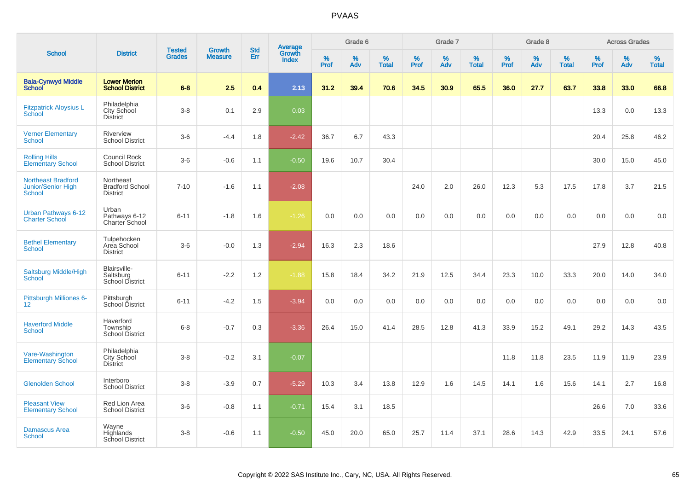|                                                                  |                                                        | <b>Tested</b> | <b>Growth</b>  | <b>Std</b> |                                          |           | Grade 6     |                   |           | Grade 7  |                   |              | Grade 8  |                   |              | <b>Across Grades</b> |                   |
|------------------------------------------------------------------|--------------------------------------------------------|---------------|----------------|------------|------------------------------------------|-----------|-------------|-------------------|-----------|----------|-------------------|--------------|----------|-------------------|--------------|----------------------|-------------------|
| <b>School</b>                                                    | <b>District</b>                                        | <b>Grades</b> | <b>Measure</b> | Err        | <b>Average</b><br>Growth<br><b>Index</b> | %<br>Prof | $\%$<br>Adv | %<br><b>Total</b> | %<br>Prof | %<br>Adv | %<br><b>Total</b> | $\%$<br>Prof | %<br>Adv | %<br><b>Total</b> | $\%$<br>Prof | %<br>Adv             | %<br><b>Total</b> |
| <b>Bala-Cynwyd Middle</b><br><b>School</b>                       | <b>Lower Merion</b><br><b>School District</b>          | $6 - 8$       | 2.5            | 0.4        | 2.13                                     | 31.2      | 39.4        | 70.6              | 34.5      | 30.9     | 65.5              | 36.0         | 27.7     | 63.7              | 33.8         | 33.0                 | 66.8              |
| <b>Fitzpatrick Aloysius L</b><br><b>School</b>                   | Philadelphia<br>City School<br><b>District</b>         | $3 - 8$       | 0.1            | 2.9        | 0.03                                     |           |             |                   |           |          |                   |              |          |                   | 13.3         | 0.0                  | 13.3              |
| <b>Verner Elementary</b><br><b>School</b>                        | Riverview<br><b>School District</b>                    | $3-6$         | $-4.4$         | 1.8        | $-2.42$                                  | 36.7      | 6.7         | 43.3              |           |          |                   |              |          |                   | 20.4         | 25.8                 | 46.2              |
| <b>Rolling Hills</b><br><b>Elementary School</b>                 | Council Rock<br><b>School District</b>                 | $3-6$         | $-0.6$         | 1.1        | $-0.50$                                  | 19.6      | 10.7        | 30.4              |           |          |                   |              |          |                   | 30.0         | 15.0                 | 45.0              |
| <b>Northeast Bradford</b><br>Junior/Senior High<br><b>School</b> | Northeast<br><b>Bradford School</b><br><b>District</b> | $7 - 10$      | $-1.6$         | 1.1        | $-2.08$                                  |           |             |                   | 24.0      | 2.0      | 26.0              | 12.3         | 5.3      | 17.5              | 17.8         | 3.7                  | 21.5              |
| Urban Pathways 6-12<br><b>Charter School</b>                     | Urban<br>Pathways 6-12<br>Charter School               | $6 - 11$      | $-1.8$         | 1.6        | $-1.26$                                  | 0.0       | 0.0         | 0.0               | 0.0       | 0.0      | 0.0               | 0.0          | 0.0      | 0.0               | 0.0          | 0.0                  | 0.0               |
| <b>Bethel Elementary</b><br><b>School</b>                        | Tulpehocken<br>Area School<br><b>District</b>          | $3-6$         | $-0.0$         | 1.3        | $-2.94$                                  | 16.3      | 2.3         | 18.6              |           |          |                   |              |          |                   | 27.9         | 12.8                 | 40.8              |
| <b>Saltsburg Middle/High</b><br><b>School</b>                    | Blairsville-<br>Saltsburg<br><b>School District</b>    | $6 - 11$      | $-2.2$         | 1.2        | $-1.88$                                  | 15.8      | 18.4        | 34.2              | 21.9      | 12.5     | 34.4              | 23.3         | 10.0     | 33.3              | 20.0         | 14.0                 | 34.0              |
| Pittsburgh Milliones 6-<br>$12 \overline{ }$                     | Pittsburgh<br>School District                          | $6 - 11$      | $-4.2$         | 1.5        | $-3.94$                                  | 0.0       | $0.0\,$     | 0.0               | 0.0       | 0.0      | 0.0               | 0.0          | $0.0\,$  | $0.0\,$           | 0.0          | 0.0                  | $0.0\,$           |
| <b>Haverford Middle</b><br><b>School</b>                         | Haverford<br>Township<br><b>School District</b>        | $6 - 8$       | $-0.7$         | 0.3        | $-3.36$                                  | 26.4      | 15.0        | 41.4              | 28.5      | 12.8     | 41.3              | 33.9         | 15.2     | 49.1              | 29.2         | 14.3                 | 43.5              |
| Vare-Washington<br><b>Elementary School</b>                      | Philadelphia<br>City School<br><b>District</b>         | $3 - 8$       | $-0.2$         | 3.1        | $-0.07$                                  |           |             |                   |           |          |                   | 11.8         | 11.8     | 23.5              | 11.9         | 11.9                 | 23.9              |
| <b>Glenolden School</b>                                          | Interboro<br><b>School District</b>                    | $3-8$         | $-3.9$         | 0.7        | $-5.29$                                  | 10.3      | 3.4         | 13.8              | 12.9      | 1.6      | 14.5              | 14.1         | 1.6      | 15.6              | 14.1         | 2.7                  | 16.8              |
| <b>Pleasant View</b><br><b>Elementary School</b>                 | Red Lion Area<br><b>School District</b>                | $3-6$         | $-0.8$         | 1.1        | $-0.71$                                  | 15.4      | 3.1         | 18.5              |           |          |                   |              |          |                   | 26.6         | 7.0                  | 33.6              |
| <b>Damascus Area</b><br><b>School</b>                            | Wayne<br>Highlands<br><b>School District</b>           | $3 - 8$       | $-0.6$         | 1.1        | $-0.50$                                  | 45.0      | 20.0        | 65.0              | 25.7      | 11.4     | 37.1              | 28.6         | 14.3     | 42.9              | 33.5         | 24.1                 | 57.6              |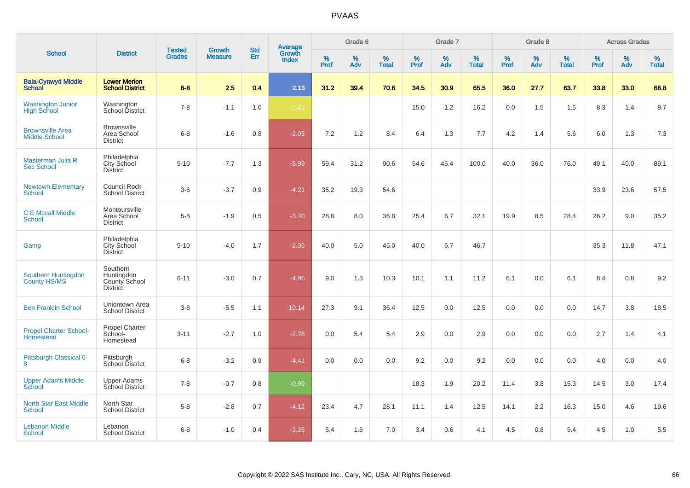|                                                 |                                                            |                                |                                 |                   |                                          |                  | Grade 6     |                   |           | Grade 7  |                   |           | Grade 8     |                   |           | <b>Across Grades</b> |                   |
|-------------------------------------------------|------------------------------------------------------------|--------------------------------|---------------------------------|-------------------|------------------------------------------|------------------|-------------|-------------------|-----------|----------|-------------------|-----------|-------------|-------------------|-----------|----------------------|-------------------|
| <b>School</b>                                   | <b>District</b>                                            | <b>Tested</b><br><b>Grades</b> | <b>Growth</b><br><b>Measure</b> | <b>Std</b><br>Err | <b>Average</b><br>Growth<br><b>Index</b> | %<br><b>Prof</b> | $\%$<br>Adv | %<br><b>Total</b> | %<br>Prof | %<br>Adv | %<br><b>Total</b> | %<br>Prof | $\%$<br>Adv | %<br><b>Total</b> | %<br>Prof | $\%$<br>Adv          | %<br><b>Total</b> |
| <b>Bala-Cynwyd Middle</b><br><b>School</b>      | <b>Lower Merion</b><br><b>School District</b>              | $6 - 8$                        | 2.5                             | 0.4               | 2.13                                     | 31.2             | 39.4        | 70.6              | 34.5      | 30.9     | 65.5              | 36.0      | 27.7        | 63.7              | 33.8      | 33.0                 | 66.8              |
| <b>Washington Junior</b><br><b>High School</b>  | Washington<br>School District                              | $7 - 8$                        | $-1.1$                          | 1.0               | $-1.41$                                  |                  |             |                   | 15.0      | 1.2      | 16.2              | 0.0       | 1.5         | 1.5               | 8.3       | 1.4                  | 9.7               |
| <b>Brownsville Area</b><br><b>Middle School</b> | <b>Brownsville</b><br>Area School<br><b>District</b>       | $6 - 8$                        | $-1.6$                          | 0.8               | $-2.03$                                  | 7.2              | 1.2         | 8.4               | 6.4       | 1.3      | 7.7               | 4.2       | 1.4         | 5.6               | 6.0       | 1.3                  | 7.3               |
| Masterman Julia R<br><b>Sec School</b>          | Philadelphia<br>City School<br><b>District</b>             | $5 - 10$                       | $-7.7$                          | 1.3               | $-5.99$                                  | 59.4             | 31.2        | 90.6              | 54.6      | 45.4     | 100.0             | 40.0      | 36.0        | 76.0              | 49.1      | 40.0                 | 89.1              |
| <b>Newtown Elementary</b><br>School             | <b>Council Rock</b><br><b>School District</b>              | $3-6$                          | $-3.7$                          | 0.9               | $-4.21$                                  | 35.2             | 19.3        | 54.6              |           |          |                   |           |             |                   | 33.9      | 23.6                 | 57.5              |
| <b>C E Mccall Middle</b><br><b>School</b>       | Montoursville<br>Area School<br><b>District</b>            | $5-8$                          | $-1.9$                          | 0.5               | $-3.70$                                  | 28.8             | 8.0         | 36.8              | 25.4      | 6.7      | 32.1              | 19.9      | 8.5         | 28.4              | 26.2      | 9.0                  | 35.2              |
| Gamp                                            | Philadelphia<br><b>City School</b><br><b>District</b>      | $5 - 10$                       | $-4.0$                          | 1.7               | $-2.36$                                  | 40.0             | 5.0         | 45.0              | 40.0      | 6.7      | 46.7              |           |             |                   | 35.3      | 11.8                 | 47.1              |
| Southern Huntingdon<br>County HS/MS             | Southern<br>Huntingdon<br>County School<br><b>District</b> | $6 - 11$                       | $-3.0$                          | 0.7               | $-4.96$                                  | 9.0              | 1.3         | 10.3              | 10.1      | 1.1      | 11.2              | 6.1       | 0.0         | 6.1               | 8.4       | 0.8                  | 9.2               |
| <b>Ben Franklin School</b>                      | Uniontown Area<br><b>School District</b>                   | $3-8$                          | $-5.5$                          | 1.1               | $-10.14$                                 | 27.3             | 9.1         | 36.4              | 12.5      | 0.0      | 12.5              | 0.0       | 0.0         | 0.0               | 14.7      | 3.8                  | 18.5              |
| <b>Propel Charter School-</b><br>Homestead      | Propel Charter<br>School-<br>Homestead                     | $3 - 11$                       | $-2.7$                          | 1.0               | $-2.78$                                  | 0.0              | 5.4         | 5.4               | 2.9       | 0.0      | 2.9               | 0.0       | 0.0         | 0.0               | 2.7       | 1.4                  | 4.1               |
| Pittsburgh Classical 6-<br>8                    | Pittsburgh<br>School District                              | $6 - 8$                        | $-3.2$                          | 0.9               | $-4.41$                                  | 0.0              | 0.0         | 0.0               | 9.2       | 0.0      | 9.2               | 0.0       | 0.0         | 0.0               | 4.0       | 0.0                  | 4.0               |
| <b>Upper Adams Middle</b><br>School             | <b>Upper Adams</b><br>School District                      | $7 - 8$                        | $-0.7$                          | 0.8               | $-0.99$                                  |                  |             |                   | 18.3      | 1.9      | 20.2              | 11.4      | 3.8         | 15.3              | 14.5      | 3.0                  | 17.4              |
| <b>North Star East Middle</b><br><b>School</b>  | North Star<br><b>School District</b>                       | $5-8$                          | $-2.8$                          | 0.7               | $-4.12$                                  | 23.4             | 4.7         | 28.1              | 11.1      | 1.4      | 12.5              | 14.1      | 2.2         | 16.3              | 15.0      | 4.6                  | 19.6              |
| <b>Lebanon Middle</b><br><b>School</b>          | Lebanon<br><b>School District</b>                          | $6 - 8$                        | $-1.0$                          | 0.4               | $-3.26$                                  | 5.4              | 1.6         | 7.0               | 3.4       | 0.6      | 4.1               | 4.5       | 0.8         | 5.4               | 4.5       | 1.0                  | 5.5               |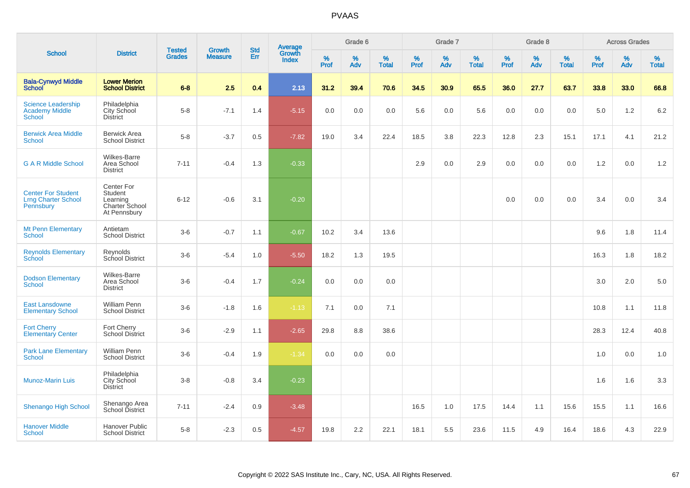|                                                                      |                                                                     |                                |                          | <b>Std</b> |                                          |                  | Grade 6  |                   |           | Grade 7  |                   |              | Grade 8  |                   |           | <b>Across Grades</b> |                   |
|----------------------------------------------------------------------|---------------------------------------------------------------------|--------------------------------|--------------------------|------------|------------------------------------------|------------------|----------|-------------------|-----------|----------|-------------------|--------------|----------|-------------------|-----------|----------------------|-------------------|
| <b>School</b>                                                        | <b>District</b>                                                     | <b>Tested</b><br><b>Grades</b> | Growth<br><b>Measure</b> | Err        | <b>Average</b><br>Growth<br><b>Index</b> | %<br><b>Prof</b> | %<br>Adv | %<br><b>Total</b> | %<br>Prof | %<br>Adv | %<br><b>Total</b> | $\%$<br>Prof | %<br>Adv | %<br><b>Total</b> | %<br>Prof | %<br>Adv             | %<br><b>Total</b> |
| <b>Bala-Cynwyd Middle</b><br><b>School</b>                           | <b>Lower Merion</b><br><b>School District</b>                       | $6 - 8$                        | 2.5                      | 0.4        | 2.13                                     | 31.2             | 39.4     | 70.6              | 34.5      | 30.9     | 65.5              | 36.0         | 27.7     | 63.7              | 33.8      | 33.0                 | 66.8              |
| <b>Science Leadership</b><br><b>Academy Middle</b><br><b>School</b>  | Philadelphia<br>City School<br><b>District</b>                      | $5-8$                          | $-7.1$                   | 1.4        | $-5.15$                                  | 0.0              | 0.0      | 0.0               | 5.6       | 0.0      | 5.6               | 0.0          | 0.0      | 0.0               | 5.0       | 1.2                  | 6.2               |
| <b>Berwick Area Middle</b><br>School                                 | <b>Berwick Area</b><br><b>School District</b>                       | $5 - 8$                        | $-3.7$                   | 0.5        | $-7.82$                                  | 19.0             | 3.4      | 22.4              | 18.5      | 3.8      | 22.3              | 12.8         | 2.3      | 15.1              | 17.1      | 4.1                  | 21.2              |
| <b>G A R Middle School</b>                                           | <b>Wilkes-Barre</b><br>Area School<br><b>District</b>               | $7 - 11$                       | $-0.4$                   | 1.3        | $-0.33$                                  |                  |          |                   | 2.9       | 0.0      | 2.9               | 0.0          | 0.0      | 0.0               | 1.2       | 0.0                  | 1.2               |
| <b>Center For Student</b><br><b>Lrng Charter School</b><br>Pennsbury | Center For<br>Student<br>Learning<br>Charter School<br>At Pennsbury | $6 - 12$                       | $-0.6$                   | 3.1        | $-0.20$                                  |                  |          |                   |           |          |                   | 0.0          | 0.0      | 0.0               | 3.4       | 0.0                  | 3.4               |
| <b>Mt Penn Elementary</b><br><b>School</b>                           | Antietam<br><b>School District</b>                                  | $3-6$                          | $-0.7$                   | 1.1        | $-0.67$                                  | 10.2             | 3.4      | 13.6              |           |          |                   |              |          |                   | 9.6       | 1.8                  | 11.4              |
| <b>Reynolds Elementary</b><br><b>School</b>                          | Reynolds<br>School District                                         | $3-6$                          | $-5.4$                   | 1.0        | $-5.50$                                  | 18.2             | 1.3      | 19.5              |           |          |                   |              |          |                   | 16.3      | 1.8                  | 18.2              |
| <b>Dodson Elementary</b><br>School                                   | <b>Wilkes-Barre</b><br>Area School<br><b>District</b>               | $3-6$                          | $-0.4$                   | 1.7        | $-0.24$                                  | 0.0              | 0.0      | 0.0               |           |          |                   |              |          |                   | 3.0       | 2.0                  | 5.0               |
| <b>East Lansdowne</b><br><b>Elementary School</b>                    | <b>William Penn</b><br><b>School District</b>                       | $3-6$                          | $-1.8$                   | 1.6        | $-1.13$                                  | 7.1              | 0.0      | 7.1               |           |          |                   |              |          |                   | 10.8      | 1.1                  | 11.8              |
| <b>Fort Cherry</b><br><b>Elementary Center</b>                       | Fort Cherry<br>School District                                      | $3-6$                          | $-2.9$                   | 1.1        | $-2.65$                                  | 29.8             | 8.8      | 38.6              |           |          |                   |              |          |                   | 28.3      | 12.4                 | 40.8              |
| <b>Park Lane Elementary</b><br>School                                | William Penn<br><b>School District</b>                              | $3-6$                          | $-0.4$                   | 1.9        | $-1.34$                                  | 0.0              | 0.0      | 0.0               |           |          |                   |              |          |                   | 1.0       | 0.0                  | 1.0               |
| <b>Munoz-Marin Luis</b>                                              | Philadelphia<br>City School<br><b>District</b>                      | $3 - 8$                        | $-0.8$                   | 3.4        | $-0.23$                                  |                  |          |                   |           |          |                   |              |          |                   | 1.6       | 1.6                  | 3.3               |
| <b>Shenango High School</b>                                          | Shenango Area<br>School District                                    | $7 - 11$                       | $-2.4$                   | 0.9        | $-3.48$                                  |                  |          |                   | 16.5      | 1.0      | 17.5              | 14.4         | 1.1      | 15.6              | 15.5      | 1.1                  | 16.6              |
| <b>Hanover Middle</b><br>School                                      | <b>Hanover Public</b><br><b>School District</b>                     | $5 - 8$                        | $-2.3$                   | 0.5        | $-4.57$                                  | 19.8             | 2.2      | 22.1              | 18.1      | 5.5      | 23.6              | 11.5         | 4.9      | 16.4              | 18.6      | 4.3                  | 22.9              |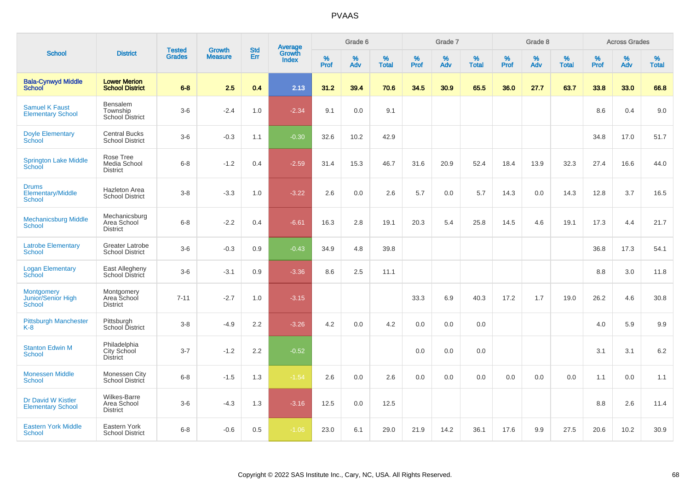|                                                    |                                                       |                                |                                 |                   |                                          |                  | Grade 6  |                   |           | Grade 7  |                   |        | Grade 8  |                   |           | <b>Across Grades</b> |            |
|----------------------------------------------------|-------------------------------------------------------|--------------------------------|---------------------------------|-------------------|------------------------------------------|------------------|----------|-------------------|-----------|----------|-------------------|--------|----------|-------------------|-----------|----------------------|------------|
| <b>School</b>                                      | <b>District</b>                                       | <b>Tested</b><br><b>Grades</b> | <b>Growth</b><br><b>Measure</b> | <b>Std</b><br>Err | <b>Average</b><br>Growth<br><b>Index</b> | %<br><b>Prof</b> | %<br>Adv | %<br><b>Total</b> | %<br>Prof | %<br>Adv | %<br><b>Total</b> | % Pref | %<br>Adv | %<br><b>Total</b> | %<br>Prof | %<br>Adv             | %<br>Total |
| <b>Bala-Cynwyd Middle</b><br><b>School</b>         | <b>Lower Merion</b><br><b>School District</b>         | $6 - 8$                        | 2.5                             | 0.4               | 2.13                                     | 31.2             | 39.4     | 70.6              | 34.5      | 30.9     | 65.5              | 36.0   | 27.7     | 63.7              | 33.8      | 33.0                 | 66.8       |
| <b>Samuel K Faust</b><br><b>Elementary School</b>  | <b>Bensalem</b><br>Township<br>School District        | $3-6$                          | $-2.4$                          | 1.0               | $-2.34$                                  | 9.1              | 0.0      | 9.1               |           |          |                   |        |          |                   | 8.6       | 0.4                  | 9.0        |
| <b>Doyle Elementary</b><br>School                  | <b>Central Bucks</b><br><b>School District</b>        | $3-6$                          | $-0.3$                          | 1.1               | $-0.30$                                  | 32.6             | 10.2     | 42.9              |           |          |                   |        |          |                   | 34.8      | 17.0                 | 51.7       |
| <b>Springton Lake Middle</b><br>School             | Rose Tree<br>Media School<br><b>District</b>          | $6 - 8$                        | $-1.2$                          | 0.4               | $-2.59$                                  | 31.4             | 15.3     | 46.7              | 31.6      | 20.9     | 52.4              | 18.4   | 13.9     | 32.3              | 27.4      | 16.6                 | 44.0       |
| <b>Drums</b><br>Elementary/Middle<br><b>School</b> | <b>Hazleton Area</b><br><b>School District</b>        | $3 - 8$                        | $-3.3$                          | 1.0               | $-3.22$                                  | 2.6              | 0.0      | 2.6               | 5.7       | 0.0      | 5.7               | 14.3   | 0.0      | 14.3              | 12.8      | 3.7                  | 16.5       |
| <b>Mechanicsburg Middle</b><br><b>School</b>       | Mechanicsburg<br>Area School<br><b>District</b>       | $6 - 8$                        | $-2.2$                          | 0.4               | $-6.61$                                  | 16.3             | 2.8      | 19.1              | 20.3      | 5.4      | 25.8              | 14.5   | 4.6      | 19.1              | 17.3      | 4.4                  | 21.7       |
| <b>Latrobe Elementary</b><br><b>School</b>         | <b>Greater Latrobe</b><br><b>School District</b>      | $3-6$                          | $-0.3$                          | 0.9               | $-0.43$                                  | 34.9             | 4.8      | 39.8              |           |          |                   |        |          |                   | 36.8      | 17.3                 | 54.1       |
| <b>Logan Elementary</b><br>School                  | East Allegheny<br>School District                     | $3-6$                          | $-3.1$                          | 0.9               | $-3.36$                                  | 8.6              | 2.5      | 11.1              |           |          |                   |        |          |                   | 8.8       | 3.0                  | 11.8       |
| Montgomery<br>Junior/Senior High<br>School         | Montgomery<br>Area School<br><b>District</b>          | $7 - 11$                       | $-2.7$                          | 1.0               | $-3.15$                                  |                  |          |                   | 33.3      | 6.9      | 40.3              | 17.2   | 1.7      | 19.0              | 26.2      | 4.6                  | 30.8       |
| <b>Pittsburgh Manchester</b><br>$K-8$              | Pittsburgh<br>School District                         | $3 - 8$                        | $-4.9$                          | 2.2               | $-3.26$                                  | 4.2              | 0.0      | 4.2               | 0.0       | 0.0      | 0.0               |        |          |                   | 4.0       | 5.9                  | 9.9        |
| <b>Stanton Edwin M</b><br><b>School</b>            | Philadelphia<br>City School<br><b>District</b>        | $3 - 7$                        | $-1.2$                          | 2.2               | $-0.52$                                  |                  |          |                   | 0.0       | 0.0      | 0.0               |        |          |                   | 3.1       | 3.1                  | $6.2\,$    |
| <b>Monessen Middle</b><br><b>School</b>            | Monessen City<br>School District                      | $6 - 8$                        | $-1.5$                          | 1.3               | $-1.54$                                  | 2.6              | 0.0      | 2.6               | 0.0       | 0.0      | 0.0               | 0.0    | 0.0      | 0.0               | 1.1       | 0.0                  | 1.1        |
| Dr David W Kistler<br><b>Elementary School</b>     | <b>Wilkes-Barre</b><br>Area School<br><b>District</b> | $3-6$                          | $-4.3$                          | 1.3               | $-3.16$                                  | 12.5             | 0.0      | 12.5              |           |          |                   |        |          |                   | 8.8       | 2.6                  | 11.4       |
| <b>Eastern York Middle</b><br>School               | Eastern York<br><b>School District</b>                | $6 - 8$                        | $-0.6$                          | 0.5               | $-1.06$                                  | 23.0             | 6.1      | 29.0              | 21.9      | 14.2     | 36.1              | 17.6   | 9.9      | 27.5              | 20.6      | 10.2                 | 30.9       |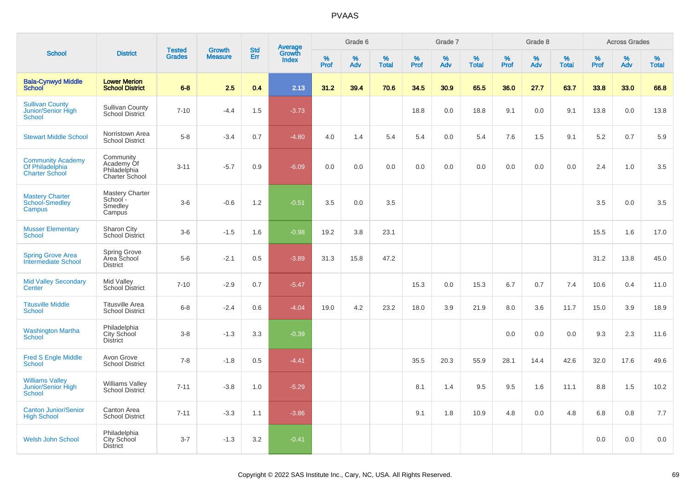|                                                                      |                                                           |                                |                                 | <b>Std</b> |                                          |                  | Grade 6     |                   |              | Grade 7     |                      |              | Grade 8  |                   |           | <b>Across Grades</b> |                   |
|----------------------------------------------------------------------|-----------------------------------------------------------|--------------------------------|---------------------------------|------------|------------------------------------------|------------------|-------------|-------------------|--------------|-------------|----------------------|--------------|----------|-------------------|-----------|----------------------|-------------------|
| <b>School</b>                                                        | <b>District</b>                                           | <b>Tested</b><br><b>Grades</b> | <b>Growth</b><br><b>Measure</b> | Err        | <b>Average</b><br>Growth<br><b>Index</b> | %<br><b>Prof</b> | $\%$<br>Adv | %<br><b>Total</b> | $\%$<br>Prof | $\%$<br>Adv | $\%$<br><b>Total</b> | $\%$<br>Prof | %<br>Adv | %<br><b>Total</b> | %<br>Prof | %<br>Adv             | %<br><b>Total</b> |
| <b>Bala-Cynwyd Middle</b><br><b>School</b>                           | <b>Lower Merion</b><br><b>School District</b>             | $6 - 8$                        | 2.5                             | 0.4        | 2.13                                     | 31.2             | 39.4        | 70.6              | 34.5         | 30.9        | 65.5                 | 36.0         | 27.7     | 63.7              | 33.8      | 33.0                 | 66.8              |
| <b>Sullivan County</b><br>Junior/Senior High<br><b>School</b>        | <b>Sullivan County</b><br>School District                 | $7 - 10$                       | $-4.4$                          | 1.5        | $-3.73$                                  |                  |             |                   | 18.8         | 0.0         | 18.8                 | 9.1          | 0.0      | 9.1               | 13.8      | 0.0                  | 13.8              |
| <b>Stewart Middle School</b>                                         | Norristown Area<br><b>School District</b>                 | $5 - 8$                        | $-3.4$                          | 0.7        | $-4.80$                                  | 4.0              | 1.4         | 5.4               | 5.4          | 0.0         | 5.4                  | 7.6          | 1.5      | 9.1               | 5.2       | 0.7                  | 5.9               |
| <b>Community Academy</b><br>Of Philadelphia<br><b>Charter School</b> | Community<br>Academy Of<br>Philadelphia<br>Charter School | $3 - 11$                       | $-5.7$                          | 0.9        | $-6.09$                                  | 0.0              | 0.0         | 0.0               | 0.0          | 0.0         | 0.0                  | 0.0          | 0.0      | 0.0               | 2.4       | 1.0                  | 3.5               |
| <b>Mastery Charter</b><br><b>School-Smedley</b><br>Campus            | <b>Mastery Charter</b><br>School -<br>Smedley<br>Campus   | $3-6$                          | $-0.6$                          | 1.2        | $-0.51$                                  | 3.5              | 0.0         | 3.5               |              |             |                      |              |          |                   | 3.5       | 0.0                  | 3.5               |
| <b>Musser Elementary</b><br>School                                   | Sharon City<br>School District                            | $3-6$                          | $-1.5$                          | 1.6        | $-0.98$                                  | 19.2             | 3.8         | 23.1              |              |             |                      |              |          |                   | 15.5      | 1.6                  | 17.0              |
| <b>Spring Grove Area</b><br>Intermediate School                      | Spring Grove<br>Area School<br><b>District</b>            | $5-6$                          | $-2.1$                          | 0.5        | $-3.89$                                  | 31.3             | 15.8        | 47.2              |              |             |                      |              |          |                   | 31.2      | 13.8                 | 45.0              |
| <b>Mid Valley Secondary</b><br>Center                                | Mid Valley<br>School District                             | $7 - 10$                       | $-2.9$                          | 0.7        | $-5.47$                                  |                  |             |                   | 15.3         | 0.0         | 15.3                 | 6.7          | 0.7      | 7.4               | 10.6      | 0.4                  | 11.0              |
| <b>Titusville Middle</b><br><b>School</b>                            | <b>Titusville Area</b><br><b>School District</b>          | $6 - 8$                        | $-2.4$                          | 0.6        | $-4.04$                                  | 19.0             | 4.2         | 23.2              | 18.0         | 3.9         | 21.9                 | 8.0          | 3.6      | 11.7              | 15.0      | 3.9                  | 18.9              |
| <b>Washington Martha</b><br><b>School</b>                            | Philadelphia<br>City School<br><b>District</b>            | $3 - 8$                        | $-1.3$                          | 3.3        | $-0.39$                                  |                  |             |                   |              |             |                      | 0.0          | 0.0      | 0.0               | 9.3       | 2.3                  | 11.6              |
| <b>Fred S Engle Middle</b><br><b>School</b>                          | Avon Grove<br><b>School District</b>                      | $7 - 8$                        | $-1.8$                          | 0.5        | $-4.41$                                  |                  |             |                   | 35.5         | 20.3        | 55.9                 | 28.1         | 14.4     | 42.6              | 32.0      | 17.6                 | 49.6              |
| <b>Williams Valley</b><br>Junior/Senior High<br><b>School</b>        | <b>Williams Valley</b><br>School District                 | $7 - 11$                       | $-3.8$                          | 1.0        | $-5.29$                                  |                  |             |                   | 8.1          | 1.4         | 9.5                  | 9.5          | 1.6      | 11.1              | 8.8       | 1.5                  | 10.2              |
| <b>Canton Junior/Senior</b><br><b>High School</b>                    | Canton Area<br><b>School District</b>                     | $7 - 11$                       | $-3.3$                          | 1.1        | $-3.86$                                  |                  |             |                   | 9.1          | 1.8         | 10.9                 | 4.8          | 0.0      | 4.8               | 6.8       | 0.8                  | 7.7               |
| Welsh John School                                                    | Philadelphia<br><b>City School</b><br><b>District</b>     | $3 - 7$                        | $-1.3$                          | 3.2        | $-0.41$                                  |                  |             |                   |              |             |                      |              |          |                   | 0.0       | 0.0                  | 0.0               |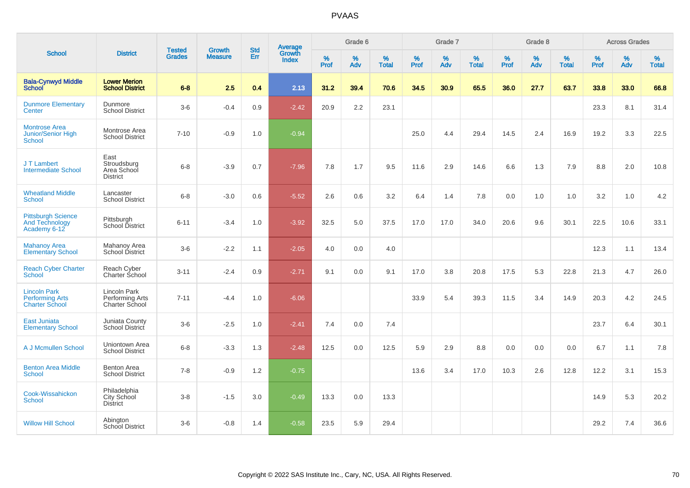|                                                                        |                                                       |                                | <b>Growth</b>  | <b>Std</b> |                                          |                  | Grade 6     |                   |           | Grade 7  |                   |           | Grade 8  |                   |              | <b>Across Grades</b> |                   |
|------------------------------------------------------------------------|-------------------------------------------------------|--------------------------------|----------------|------------|------------------------------------------|------------------|-------------|-------------------|-----------|----------|-------------------|-----------|----------|-------------------|--------------|----------------------|-------------------|
| <b>School</b>                                                          | <b>District</b>                                       | <b>Tested</b><br><b>Grades</b> | <b>Measure</b> | Err        | <b>Average</b><br>Growth<br><b>Index</b> | %<br><b>Prof</b> | $\%$<br>Adv | %<br><b>Total</b> | %<br>Prof | %<br>Adv | %<br><b>Total</b> | %<br>Prof | %<br>Adv | %<br><b>Total</b> | $\%$<br>Prof | $\%$<br>Adv          | %<br><b>Total</b> |
| <b>Bala-Cynwyd Middle</b><br><b>School</b>                             | <b>Lower Merion</b><br><b>School District</b>         | $6 - 8$                        | 2.5            | 0.4        | 2.13                                     | 31.2             | 39.4        | 70.6              | 34.5      | 30.9     | 65.5              | 36.0      | 27.7     | 63.7              | 33.8         | 33.0                 | 66.8              |
| <b>Dunmore Elementary</b><br>Center                                    | Dunmore<br><b>School District</b>                     | $3-6$                          | $-0.4$         | 0.9        | $-2.42$                                  | 20.9             | 2.2         | 23.1              |           |          |                   |           |          |                   | 23.3         | 8.1                  | 31.4              |
| <b>Montrose Area</b><br><b>Junior/Senior High</b><br>School            | Montrose Area<br><b>School District</b>               | $7 - 10$                       | $-0.9$         | 1.0        | $-0.94$                                  |                  |             |                   | 25.0      | 4.4      | 29.4              | 14.5      | 2.4      | 16.9              | 19.2         | 3.3                  | 22.5              |
| J T Lambert<br><b>Intermediate School</b>                              | East<br>Stroudsburg<br>Area School<br><b>District</b> | $6 - 8$                        | $-3.9$         | 0.7        | $-7.96$                                  | 7.8              | 1.7         | 9.5               | 11.6      | 2.9      | 14.6              | 6.6       | 1.3      | 7.9               | 8.8          | 2.0                  | 10.8              |
| <b>Wheatland Middle</b><br><b>School</b>                               | Lancaster<br><b>School District</b>                   | $6 - 8$                        | $-3.0$         | 0.6        | $-5.52$                                  | 2.6              | 0.6         | 3.2               | 6.4       | 1.4      | 7.8               | 0.0       | 1.0      | 1.0               | 3.2          | 1.0                  | 4.2               |
| <b>Pittsburgh Science</b><br><b>And Technology</b><br>Academy 6-12     | Pittsburgh<br>School District                         | $6 - 11$                       | $-3.4$         | 1.0        | $-3.92$                                  | 32.5             | 5.0         | 37.5              | 17.0      | 17.0     | 34.0              | 20.6      | 9.6      | 30.1              | 22.5         | 10.6                 | 33.1              |
| <b>Mahanoy Area</b><br><b>Elementary School</b>                        | Mahanoy Area<br>School District                       | $3 - 6$                        | $-2.2$         | 1.1        | $-2.05$                                  | 4.0              | 0.0         | 4.0               |           |          |                   |           |          |                   | 12.3         | 1.1                  | 13.4              |
| <b>Reach Cyber Charter</b><br><b>School</b>                            | Reach Cyber<br>Charter School                         | $3 - 11$                       | $-2.4$         | 0.9        | $-2.71$                                  | 9.1              | 0.0         | 9.1               | 17.0      | 3.8      | 20.8              | 17.5      | 5.3      | 22.8              | 21.3         | 4.7                  | 26.0              |
| <b>Lincoln Park</b><br><b>Performing Arts</b><br><b>Charter School</b> | Lincoln Park<br>Performing Arts<br>Charter School     | $7 - 11$                       | $-4.4$         | 1.0        | $-6.06$                                  |                  |             |                   | 33.9      | 5.4      | 39.3              | 11.5      | 3.4      | 14.9              | 20.3         | 4.2                  | 24.5              |
| <b>East Juniata</b><br><b>Elementary School</b>                        | Juniata County<br>School District                     | $3-6$                          | $-2.5$         | 1.0        | $-2.41$                                  | 7.4              | 0.0         | 7.4               |           |          |                   |           |          |                   | 23.7         | 6.4                  | 30.1              |
| A J Mcmullen School                                                    | Uniontown Area<br><b>School District</b>              | $6 - 8$                        | $-3.3$         | 1.3        | $-2.48$                                  | 12.5             | 0.0         | 12.5              | 5.9       | 2.9      | 8.8               | 0.0       | 0.0      | 0.0               | 6.7          | 1.1                  | 7.8               |
| <b>Benton Area Middle</b><br><b>School</b>                             | <b>Benton Area</b><br><b>School District</b>          | $7 - 8$                        | $-0.9$         | 1.2        | $-0.75$                                  |                  |             |                   | 13.6      | 3.4      | 17.0              | 10.3      | 2.6      | 12.8              | 12.2         | 3.1                  | 15.3              |
| Cook-Wissahickon<br>School                                             | Philadelphia<br><b>City School</b><br><b>District</b> | $3 - 8$                        | $-1.5$         | 3.0        | $-0.49$                                  | 13.3             | 0.0         | 13.3              |           |          |                   |           |          |                   | 14.9         | 5.3                  | 20.2              |
| <b>Willow Hill School</b>                                              | Abington<br><b>School District</b>                    | $3-6$                          | $-0.8$         | 1.4        | $-0.58$                                  | 23.5             | 5.9         | 29.4              |           |          |                   |           |          |                   | 29.2         | 7.4                  | 36.6              |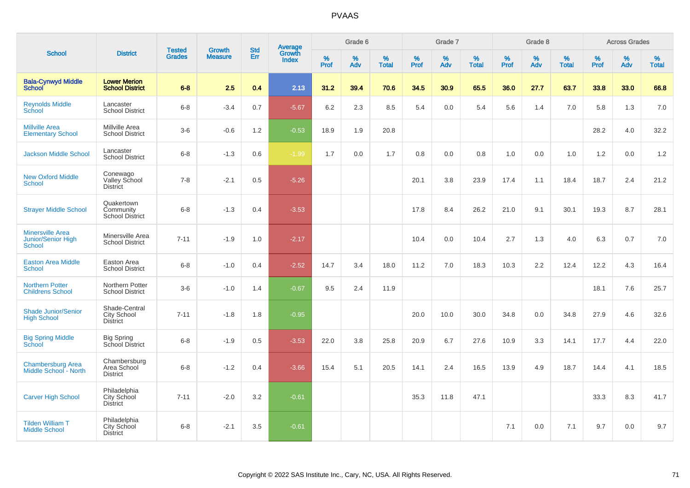| <b>School</b>                                                  |                                                        |                                | <b>Growth</b>  | <b>Std</b> |                                          |              | Grade 6     |                      |              | Grade 7     |                   |              | Grade 8     |                   |              | <b>Across Grades</b> |                   |
|----------------------------------------------------------------|--------------------------------------------------------|--------------------------------|----------------|------------|------------------------------------------|--------------|-------------|----------------------|--------------|-------------|-------------------|--------------|-------------|-------------------|--------------|----------------------|-------------------|
|                                                                | <b>District</b>                                        | <b>Tested</b><br><b>Grades</b> | <b>Measure</b> | Err        | <b>Average</b><br>Growth<br><b>Index</b> | $\%$<br>Prof | $\%$<br>Adv | $\%$<br><b>Total</b> | $\%$<br>Prof | $\%$<br>Adv | %<br><b>Total</b> | $\%$<br>Prof | $\%$<br>Adv | %<br><b>Total</b> | $\%$<br>Prof | $\%$<br>Adv          | %<br><b>Total</b> |
| <b>Bala-Cynwyd Middle</b><br><b>School</b>                     | <b>Lower Merion</b><br><b>School District</b>          | $6 - 8$                        | 2.5            | 0.4        | 2.13                                     | 31.2         | 39.4        | 70.6                 | 34.5         | 30.9        | 65.5              | 36.0         | 27.7        | 63.7              | 33.8         | 33.0                 | 66.8              |
| <b>Reynolds Middle</b><br>School                               | Lancaster<br><b>School District</b>                    | $6 - 8$                        | $-3.4$         | 0.7        | $-5.67$                                  | 6.2          | 2.3         | 8.5                  | 5.4          | 0.0         | 5.4               | 5.6          | 1.4         | 7.0               | 5.8          | 1.3                  | 7.0               |
| <b>Millville Area</b><br><b>Elementary School</b>              | Millville Area<br><b>School District</b>               | $3-6$                          | $-0.6$         | 1.2        | $-0.53$                                  | 18.9         | 1.9         | 20.8                 |              |             |                   |              |             |                   | 28.2         | 4.0                  | 32.2              |
| <b>Jackson Middle School</b>                                   | Lancaster<br><b>School District</b>                    | $6 - 8$                        | $-1.3$         | 0.6        | $-1.99$                                  | 1.7          | 0.0         | 1.7                  | 0.8          | 0.0         | 0.8               | 1.0          | 0.0         | 1.0               | 1.2          | 0.0                  | 1.2               |
| <b>New Oxford Middle</b><br><b>School</b>                      | Conewago<br>Valley School<br><b>District</b>           | $7 - 8$                        | $-2.1$         | 0.5        | $-5.26$                                  |              |             |                      | 20.1         | 3.8         | 23.9              | 17.4         | 1.1         | 18.4              | 18.7         | 2.4                  | 21.2              |
| <b>Strayer Middle School</b>                                   | Quakertown<br>Community<br>School District             | $6 - 8$                        | $-1.3$         | 0.4        | $-3.53$                                  |              |             |                      | 17.8         | 8.4         | 26.2              | 21.0         | 9.1         | 30.1              | 19.3         | 8.7                  | 28.1              |
| <b>Minersville Area</b><br>Junior/Senior High<br><b>School</b> | Minersville Area<br><b>School District</b>             | $7 - 11$                       | $-1.9$         | 1.0        | $-2.17$                                  |              |             |                      | 10.4         | 0.0         | 10.4              | 2.7          | 1.3         | 4.0               | 6.3          | 0.7                  | 7.0               |
| <b>Easton Area Middle</b><br><b>School</b>                     | Easton Area<br><b>School District</b>                  | $6 - 8$                        | $-1.0$         | 0.4        | $-2.52$                                  | 14.7         | 3.4         | 18.0                 | 11.2         | 7.0         | 18.3              | 10.3         | 2.2         | 12.4              | 12.2         | 4.3                  | 16.4              |
| <b>Northern Potter</b><br><b>Childrens School</b>              | Northern Potter<br><b>School District</b>              | $3-6$                          | $-1.0$         | 1.4        | $-0.67$                                  | 9.5          | 2.4         | 11.9                 |              |             |                   |              |             |                   | 18.1         | 7.6                  | 25.7              |
| <b>Shade Junior/Senior</b><br><b>High School</b>               | Shade-Central<br><b>City School</b><br><b>District</b> | $7 - 11$                       | $-1.8$         | 1.8        | $-0.95$                                  |              |             |                      | 20.0         | 10.0        | 30.0              | 34.8         | 0.0         | 34.8              | 27.9         | 4.6                  | 32.6              |
| <b>Big Spring Middle</b><br>School                             | <b>Big Spring</b><br>School District                   | $6 - 8$                        | $-1.9$         | 0.5        | $-3.53$                                  | 22.0         | 3.8         | 25.8                 | 20.9         | 6.7         | 27.6              | 10.9         | 3.3         | 14.1              | 17.7         | 4.4                  | 22.0              |
| <b>Chambersburg Area</b><br>Middle School - North              | Chambersburg<br>Area School<br><b>District</b>         | $6 - 8$                        | $-1.2$         | 0.4        | $-3.66$                                  | 15.4         | 5.1         | 20.5                 | 14.1         | 2.4         | 16.5              | 13.9         | 4.9         | 18.7              | 14.4         | 4.1                  | 18.5              |
| <b>Carver High School</b>                                      | Philadelphia<br>City School<br><b>District</b>         | $7 - 11$                       | $-2.0$         | 3.2        | $-0.61$                                  |              |             |                      | 35.3         | 11.8        | 47.1              |              |             |                   | 33.3         | 8.3                  | 41.7              |
| <b>Tilden William T</b><br><b>Middle School</b>                | Philadelphia<br>City School<br><b>District</b>         | $6 - 8$                        | $-2.1$         | 3.5        | $-0.61$                                  |              |             |                      |              |             |                   | 7.1          | 0.0         | 7.1               | 9.7          | 0.0                  | 9.7               |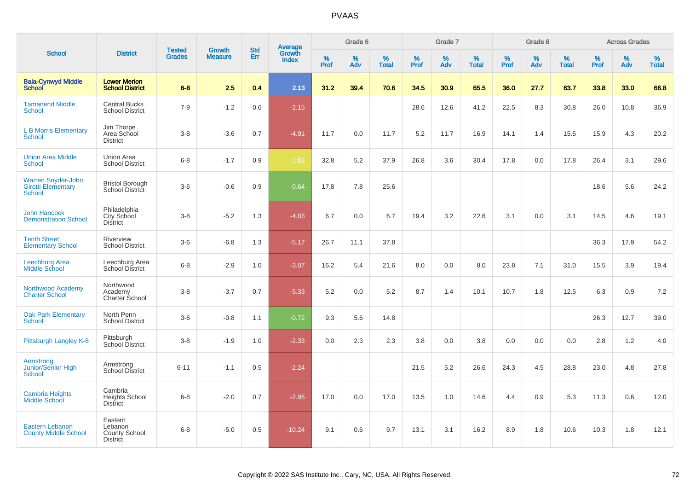|                                                                  |                                                               |                                |                                 | <b>Std</b> |                                          |              | Grade 6     |                   |                     | Grade 7     |                   |              | Grade 8     |                   |              | <b>Across Grades</b> |                   |
|------------------------------------------------------------------|---------------------------------------------------------------|--------------------------------|---------------------------------|------------|------------------------------------------|--------------|-------------|-------------------|---------------------|-------------|-------------------|--------------|-------------|-------------------|--------------|----------------------|-------------------|
| <b>School</b>                                                    | <b>District</b>                                               | <b>Tested</b><br><b>Grades</b> | <b>Growth</b><br><b>Measure</b> | Err        | <b>Average</b><br>Growth<br><b>Index</b> | $\%$<br>Prof | $\%$<br>Adv | %<br><b>Total</b> | $\%$<br><b>Prof</b> | $\%$<br>Adv | %<br><b>Total</b> | $\%$<br>Prof | $\%$<br>Adv | %<br><b>Total</b> | $\%$<br>Prof | $\%$<br>Adv          | %<br><b>Total</b> |
| <b>Bala-Cynwyd Middle</b><br><b>School</b>                       | <b>Lower Merion</b><br><b>School District</b>                 | $6-8$                          | 2.5                             | 0.4        | 2.13                                     | 31.2         | 39.4        | 70.6              | 34.5                | 30.9        | 65.5              | 36.0         | 27.7        | 63.7              | 33.8         | 33.0                 | 66.8              |
| <b>Tamanend Middle</b><br><b>School</b>                          | <b>Central Bucks</b><br><b>School District</b>                | $7 - 9$                        | $-1.2$                          | 0.6        | $-2.15$                                  |              |             |                   | 28.6                | 12.6        | 41.2              | 22.5         | 8.3         | 30.8              | 26.0         | 10.8                 | 36.9              |
| <b>L B Morris Elementary</b><br><b>School</b>                    | Jim Thorpe<br>Area School<br><b>District</b>                  | $3 - 8$                        | $-3.6$                          | 0.7        | $-4.91$                                  | 11.7         | 0.0         | 11.7              | 5.2                 | 11.7        | 16.9              | 14.1         | 1.4         | 15.5              | 15.9         | 4.3                  | 20.2              |
| <b>Union Area Middle</b><br><b>School</b>                        | Union Area<br><b>School District</b>                          | $6 - 8$                        | $-1.7$                          | 0.9        | $-1.83$                                  | 32.8         | 5.2         | 37.9              | 26.8                | 3.6         | 30.4              | 17.8         | 0.0         | 17.8              | 26.4         | 3.1                  | 29.6              |
| Warren Snyder-John<br><b>Girotti Elementary</b><br><b>School</b> | <b>Bristol Borough</b><br>School District                     | $3-6$                          | $-0.6$                          | 0.9        | $-0.64$                                  | 17.8         | 7.8         | 25.6              |                     |             |                   |              |             |                   | 18.6         | 5.6                  | 24.2              |
| <b>John Hancock</b><br><b>Demonstration School</b>               | Philadelphia<br>City School<br><b>District</b>                | $3 - 8$                        | $-5.2$                          | 1.3        | $-4.03$                                  | 6.7          | 0.0         | 6.7               | 19.4                | 3.2         | 22.6              | 3.1          | 0.0         | 3.1               | 14.5         | 4.6                  | 19.1              |
| <b>Tenth Street</b><br><b>Elementary School</b>                  | Riverview<br><b>School District</b>                           | $3-6$                          | $-6.8$                          | 1.3        | $-5.17$                                  | 26.7         | 11.1        | 37.8              |                     |             |                   |              |             |                   | 36.3         | 17.9                 | 54.2              |
| Leechburg Area<br><b>Middle School</b>                           | Leechburg Area<br><b>School District</b>                      | $6-8$                          | $-2.9$                          | 1.0        | $-3.07$                                  | 16.2         | 5.4         | 21.6              | 8.0                 | 0.0         | 8.0               | 23.8         | 7.1         | 31.0              | 15.5         | 3.9                  | 19.4              |
| Northwood Academy<br><b>Charter School</b>                       | Northwood<br>Academy<br>Charter School                        | $3 - 8$                        | $-3.7$                          | 0.7        | $-5.33$                                  | 5.2          | 0.0         | 5.2               | 8.7                 | 1.4         | 10.1              | 10.7         | 1.8         | 12.5              | 6.3          | 0.9                  | 7.2               |
| <b>Oak Park Elementary</b><br><b>School</b>                      | North Penn<br><b>School District</b>                          | $3-6$                          | $-0.8$                          | 1.1        | $-0.72$                                  | 9.3          | 5.6         | 14.8              |                     |             |                   |              |             |                   | 26.3         | 12.7                 | 39.0              |
| Pittsburgh Langley K-8                                           | Pittsburgh<br>School District                                 | $3 - 8$                        | $-1.9$                          | 1.0        | $-2.33$                                  | 0.0          | 2.3         | 2.3               | 3.8                 | 0.0         | 3.8               | 0.0          | 0.0         | 0.0               | 2.8          | 1.2                  | 4.0               |
| Armstrong<br>Junior/Senior High<br><b>School</b>                 | Armstrong<br><b>School District</b>                           | $6 - 11$                       | $-1.1$                          | 0.5        | $-2.24$                                  |              |             |                   | 21.5                | 5.2         | 26.6              | 24.3         | 4.5         | 28.8              | 23.0         | 4.8                  | 27.8              |
| <b>Cambria Heights</b><br><b>Middle School</b>                   | Cambria<br><b>Heights School</b><br><b>District</b>           | $6 - 8$                        | $-2.0$                          | 0.7        | $-2.95$                                  | 17.0         | 0.0         | 17.0              | 13.5                | 1.0         | 14.6              | 4.4          | 0.9         | 5.3               | 11.3         | 0.6                  | 12.0              |
| <b>Eastern Lebanon</b><br><b>County Middle School</b>            | Eastern<br>Lebanon<br><b>County School</b><br><b>District</b> | $6 - 8$                        | $-5.0$                          | 0.5        | $-10.24$                                 | 9.1          | 0.6         | 9.7               | 13.1                | 3.1         | 16.2              | 8.9          | 1.8         | 10.6              | 10.3         | 1.8                  | 12.1              |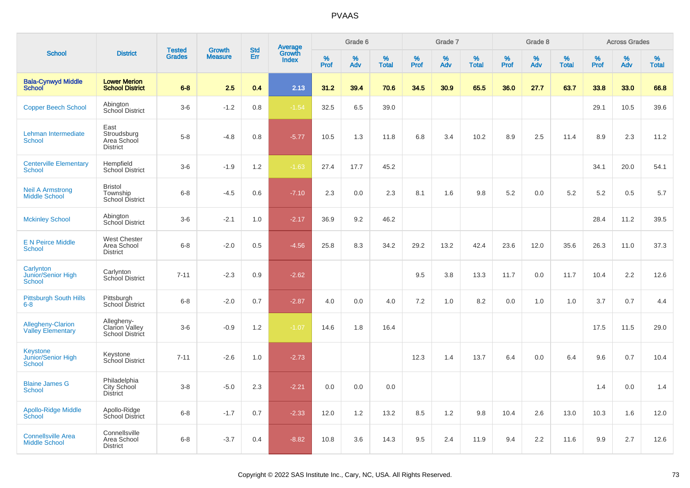| <b>School</b>                                     |                                                       |                                |                                 | <b>Std</b> |                                          |           | Grade 6  |                   |           | Grade 7  |                   |           | Grade 8  |                   |           | <b>Across Grades</b> |                   |
|---------------------------------------------------|-------------------------------------------------------|--------------------------------|---------------------------------|------------|------------------------------------------|-----------|----------|-------------------|-----------|----------|-------------------|-----------|----------|-------------------|-----------|----------------------|-------------------|
|                                                   | <b>District</b>                                       | <b>Tested</b><br><b>Grades</b> | <b>Growth</b><br><b>Measure</b> | Err        | <b>Average</b><br>Growth<br><b>Index</b> | %<br>Prof | %<br>Adv | %<br><b>Total</b> | %<br>Prof | %<br>Adv | %<br><b>Total</b> | %<br>Prof | %<br>Adv | %<br><b>Total</b> | %<br>Prof | %<br>Adv             | %<br><b>Total</b> |
| <b>Bala-Cynwyd Middle</b><br><b>School</b>        | <b>Lower Merion</b><br><b>School District</b>         | $6 - 8$                        | 2.5                             | 0.4        | 2.13                                     | 31.2      | 39.4     | 70.6              | 34.5      | 30.9     | 65.5              | 36.0      | 27.7     | 63.7              | 33.8      | 33.0                 | 66.8              |
| <b>Copper Beech School</b>                        | Abington<br>School District                           | $3-6$                          | $-1.2$                          | 0.8        | $-1.54$                                  | 32.5      | 6.5      | 39.0              |           |          |                   |           |          |                   | 29.1      | 10.5                 | 39.6              |
| Lehman Intermediate<br><b>School</b>              | East<br>Stroudsburg<br>Area School<br><b>District</b> | $5-8$                          | $-4.8$                          | 0.8        | $-5.77$                                  | 10.5      | 1.3      | 11.8              | 6.8       | 3.4      | 10.2              | 8.9       | 2.5      | 11.4              | 8.9       | 2.3                  | 11.2              |
| <b>Centerville Elementary</b><br><b>School</b>    | Hempfield<br><b>School District</b>                   | $3-6$                          | $-1.9$                          | 1.2        | $-1.63$                                  | 27.4      | 17.7     | 45.2              |           |          |                   |           |          |                   | 34.1      | 20.0                 | 54.1              |
| <b>Neil A Armstrong</b><br><b>Middle School</b>   | <b>Bristol</b><br>Township<br><b>School District</b>  | $6 - 8$                        | $-4.5$                          | 0.6        | $-7.10$                                  | 2.3       | 0.0      | 2.3               | 8.1       | 1.6      | 9.8               | 5.2       | 0.0      | 5.2               | 5.2       | 0.5                  | 5.7               |
| <b>Mckinley School</b>                            | Abington<br>School District                           | $3-6$                          | $-2.1$                          | 1.0        | $-2.17$                                  | 36.9      | 9.2      | 46.2              |           |          |                   |           |          |                   | 28.4      | 11.2                 | 39.5              |
| <b>E N Peirce Middle</b><br><b>School</b>         | <b>West Chester</b><br>Area School<br><b>District</b> | $6 - 8$                        | $-2.0$                          | 0.5        | $-4.56$                                  | 25.8      | 8.3      | 34.2              | 29.2      | 13.2     | 42.4              | 23.6      | 12.0     | 35.6              | 26.3      | 11.0                 | 37.3              |
| Carlynton<br>Junior/Senior High<br><b>School</b>  | Carlynton<br>School District                          | $7 - 11$                       | $-2.3$                          | 0.9        | $-2.62$                                  |           |          |                   | 9.5       | 3.8      | 13.3              | 11.7      | 0.0      | 11.7              | 10.4      | 2.2                  | 12.6              |
| <b>Pittsburgh South Hills</b><br>$6-8$            | Pittsburgh<br>School District                         | $6 - 8$                        | $-2.0$                          | 0.7        | $-2.87$                                  | 4.0       | 0.0      | 4.0               | 7.2       | 1.0      | 8.2               | 0.0       | 1.0      | 1.0               | 3.7       | 0.7                  | 4.4               |
| Allegheny-Clarion<br><b>Valley Elementary</b>     | Allegheny-<br>Clarion Valley<br>School District       | $3-6$                          | $-0.9$                          | $1.2$      | $-1.07$                                  | 14.6      | 1.8      | 16.4              |           |          |                   |           |          |                   | 17.5      | 11.5                 | 29.0              |
| Keystone<br>Junior/Senior High<br><b>School</b>   | Keystone<br>School District                           | $7 - 11$                       | $-2.6$                          | 1.0        | $-2.73$                                  |           |          |                   | 12.3      | 1.4      | 13.7              | 6.4       | 0.0      | 6.4               | 9.6       | 0.7                  | 10.4              |
| <b>Blaine James G</b><br><b>School</b>            | Philadelphia<br>City School<br><b>District</b>        | $3-8$                          | $-5.0$                          | 2.3        | $-2.21$                                  | 0.0       | 0.0      | 0.0               |           |          |                   |           |          |                   | 1.4       | 0.0                  | 1.4               |
| <b>Apollo-Ridge Middle</b><br>School              | Apollo-Ridge<br>School District                       | $6-8$                          | $-1.7$                          | 0.7        | $-2.33$                                  | 12.0      | 1.2      | 13.2              | 8.5       | 1.2      | 9.8               | 10.4      | 2.6      | 13.0              | 10.3      | 1.6                  | 12.0              |
| <b>Connellsville Area</b><br><b>Middle School</b> | Connellsville<br>Area School<br><b>District</b>       | $6 - 8$                        | $-3.7$                          | 0.4        | $-8.82$                                  | 10.8      | 3.6      | 14.3              | 9.5       | 2.4      | 11.9              | 9.4       | 2.2      | 11.6              | 9.9       | 2.7                  | 12.6              |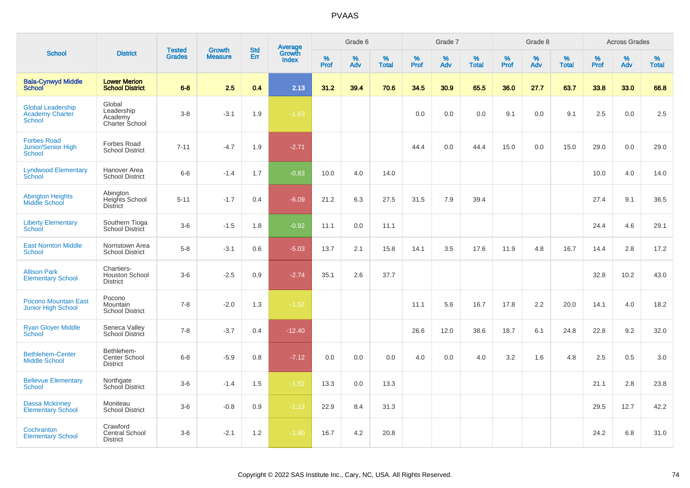| <b>School</b>                                                       |                                                        | <b>Tested</b> | <b>Growth</b>  | <b>Std</b> |                                          |                  | Grade 6     |                   |           | Grade 7  |                   |              | Grade 8  |                   |              | <b>Across Grades</b> |                   |
|---------------------------------------------------------------------|--------------------------------------------------------|---------------|----------------|------------|------------------------------------------|------------------|-------------|-------------------|-----------|----------|-------------------|--------------|----------|-------------------|--------------|----------------------|-------------------|
|                                                                     | <b>District</b>                                        | <b>Grades</b> | <b>Measure</b> | Err        | <b>Average</b><br>Growth<br><b>Index</b> | %<br><b>Prof</b> | $\%$<br>Adv | %<br><b>Total</b> | %<br>Prof | %<br>Adv | %<br><b>Total</b> | $\%$<br>Prof | %<br>Adv | %<br><b>Total</b> | $\%$<br>Prof | $\%$<br>Adv          | %<br><b>Total</b> |
| <b>Bala-Cynwyd Middle</b><br><b>School</b>                          | <b>Lower Merion</b><br><b>School District</b>          | $6 - 8$       | 2.5            | 0.4        | 2.13                                     | 31.2             | 39.4        | 70.6              | 34.5      | 30.9     | 65.5              | 36.0         | 27.7     | 63.7              | 33.8         | 33.0                 | 66.8              |
| <b>Global Leadership</b><br><b>Academy Charter</b><br><b>School</b> | Global<br>Leadership<br>Academy<br>Charter School      | $3-8$         | $-3.1$         | 1.9        | $-1.63$                                  |                  |             |                   | 0.0       | 0.0      | 0.0               | 9.1          | 0.0      | 9.1               | 2.5          | 0.0                  | 2.5               |
| <b>Forbes Road</b><br>Junior/Senior High<br><b>School</b>           | Forbes Road<br><b>School District</b>                  | $7 - 11$      | $-4.7$         | 1.9        | $-2.71$                                  |                  |             |                   | 44.4      | 0.0      | 44.4              | 15.0         | 0.0      | 15.0              | 29.0         | 0.0                  | 29.0              |
| <b>Lyndwood Elementary</b><br>School                                | Hanover Area<br><b>School District</b>                 | $6-6$         | $-1.4$         | 1.7        | $-0.83$                                  | 10.0             | 4.0         | 14.0              |           |          |                   |              |          |                   | 10.0         | 4.0                  | 14.0              |
| <b>Abington Heights</b><br>Middle School                            | Abington<br>Heights School<br><b>District</b>          | $5 - 11$      | $-1.7$         | 0.4        | $-6.09$                                  | 21.2             | 6.3         | 27.5              | 31.5      | 7.9      | 39.4              |              |          |                   | 27.4         | 9.1                  | 36.5              |
| <b>Liberty Elementary</b><br>School                                 | Southern Tioga<br>School District                      | $3-6$         | $-1.5$         | 1.8        | $-0.92$                                  | 11.1             | 0.0         | 11.1              |           |          |                   |              |          |                   | 24.4         | 4.6                  | 29.1              |
| <b>East Norriton Middle</b><br><b>School</b>                        | Norristown Area<br><b>School District</b>              | $5-8$         | $-3.1$         | 0.6        | $-5.03$                                  | 13.7             | 2.1         | 15.8              | 14.1      | 3.5      | 17.6              | 11.9         | 4.8      | 16.7              | 14.4         | 2.8                  | 17.2              |
| <b>Allison Park</b><br><b>Elementary School</b>                     | Chartiers-<br><b>Houston School</b><br><b>District</b> | $3-6$         | $-2.5$         | 0.9        | $-2.74$                                  | 35.1             | 2.6         | 37.7              |           |          |                   |              |          |                   | 32.8         | 10.2                 | 43.0              |
| <b>Pocono Mountain East</b><br><b>Junior High School</b>            | Pocono<br>Mountain<br><b>School District</b>           | $7 - 8$       | $-2.0$         | 1.3        | $-1.52$                                  |                  |             |                   | 11.1      | 5.6      | 16.7              | 17.8         | 2.2      | 20.0              | 14.1         | 4.0                  | 18.2              |
| <b>Ryan Gloyer Middle</b><br>School                                 | Seneca Valley<br>School District                       | $7 - 8$       | $-3.7$         | 0.4        | $-12.40$                                 |                  |             |                   | 26.6      | 12.0     | 38.6              | 18.7         | 6.1      | 24.8              | 22.8         | 9.2                  | 32.0              |
| <b>Bethlehem-Center</b><br><b>Middle School</b>                     | Bethlehem-<br>Center School<br><b>District</b>         | $6 - 8$       | $-5.9$         | 0.8        | $-7.12$                                  | 0.0              | 0.0         | 0.0               | 4.0       | 0.0      | 4.0               | 3.2          | 1.6      | 4.8               | 2.5          | 0.5                  | 3.0               |
| <b>Bellevue Elementary</b><br><b>School</b>                         | Northgate<br>School District                           | $3-6$         | $-1.4$         | 1.5        | $-1.52$                                  | 13.3             | 0.0         | 13.3              |           |          |                   |              |          |                   | 21.1         | 2.8                  | 23.8              |
| Dassa Mckinney<br><b>Elementary School</b>                          | Moniteau<br><b>School District</b>                     | $3-6$         | $-0.8$         | 0.9        | $-1.13$                                  | 22.9             | 8.4         | 31.3              |           |          |                   |              |          |                   | 29.5         | 12.7                 | 42.2              |
| Cochranton<br><b>Elementary School</b>                              | Crawford<br>Central School<br><b>District</b>          | $3-6$         | $-2.1$         | 1.2        | $-1.80$                                  | 16.7             | 4.2         | 20.8              |           |          |                   |              |          |                   | 24.2         | 6.8                  | 31.0              |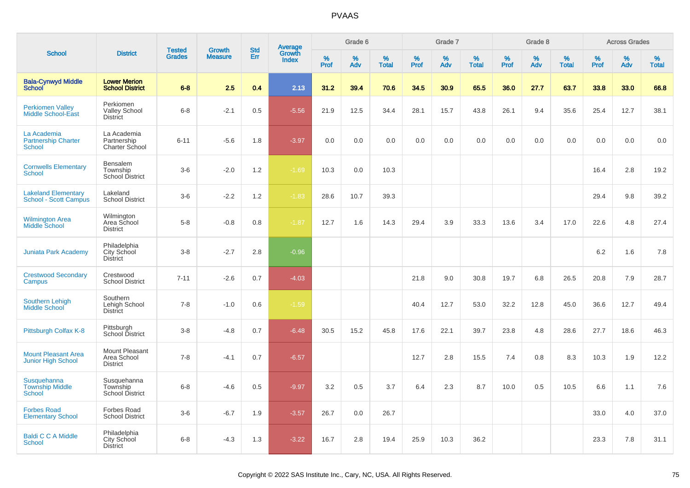| <b>School</b>                                              |                                                       | <b>Tested</b> | <b>Growth</b>  | <b>Std</b> |                                          |                  | Grade 6     |                   |              | Grade 7  |                      |              | Grade 8  |                   |              | <b>Across Grades</b> |                   |
|------------------------------------------------------------|-------------------------------------------------------|---------------|----------------|------------|------------------------------------------|------------------|-------------|-------------------|--------------|----------|----------------------|--------------|----------|-------------------|--------------|----------------------|-------------------|
|                                                            | <b>District</b>                                       | <b>Grades</b> | <b>Measure</b> | Err        | <b>Average</b><br>Growth<br><b>Index</b> | %<br><b>Prof</b> | $\%$<br>Adv | %<br><b>Total</b> | $\%$<br>Prof | %<br>Adv | $\%$<br><b>Total</b> | $\%$<br>Prof | %<br>Adv | %<br><b>Total</b> | $\%$<br>Prof | %<br>Adv             | %<br><b>Total</b> |
| <b>Bala-Cynwyd Middle</b><br><b>School</b>                 | <b>Lower Merion</b><br><b>School District</b>         | $6 - 8$       | 2.5            | 0.4        | 2.13                                     | 31.2             | 39.4        | 70.6              | 34.5         | 30.9     | 65.5                 | 36.0         | 27.7     | 63.7              | 33.8         | 33.0                 | 66.8              |
| <b>Perkiomen Valley</b><br><b>Middle School-East</b>       | Perkiomen<br><b>Valley School</b><br><b>District</b>  | $6 - 8$       | $-2.1$         | 0.5        | $-5.56$                                  | 21.9             | 12.5        | 34.4              | 28.1         | 15.7     | 43.8                 | 26.1         | 9.4      | 35.6              | 25.4         | 12.7                 | 38.1              |
| La Academia<br><b>Partnership Charter</b><br><b>School</b> | La Academia<br>Partnership<br>Charter School          | $6 - 11$      | $-5.6$         | 1.8        | $-3.97$                                  | 0.0              | 0.0         | 0.0               | 0.0          | 0.0      | 0.0                  | 0.0          | 0.0      | 0.0               | 0.0          | 0.0                  | 0.0               |
| <b>Cornwells Elementary</b><br><b>School</b>               | Bensalem<br>Township<br>School District               | $3-6$         | $-2.0$         | 1.2        | $-1.69$                                  | 10.3             | 0.0         | 10.3              |              |          |                      |              |          |                   | 16.4         | 2.8                  | 19.2              |
| <b>Lakeland Elementary</b><br><b>School - Scott Campus</b> | Lakeland<br><b>School District</b>                    | $3-6$         | $-2.2$         | 1.2        | $-1.83$                                  | 28.6             | 10.7        | 39.3              |              |          |                      |              |          |                   | 29.4         | 9.8                  | 39.2              |
| <b>Wilmington Area</b><br><b>Middle School</b>             | Wilmington<br>Area School<br><b>District</b>          | $5 - 8$       | $-0.8$         | 0.8        | $-1.87$                                  | 12.7             | 1.6         | 14.3              | 29.4         | 3.9      | 33.3                 | 13.6         | 3.4      | 17.0              | 22.6         | 4.8                  | 27.4              |
| <b>Juniata Park Academy</b>                                | Philadelphia<br>City School<br><b>District</b>        | $3 - 8$       | $-2.7$         | 2.8        | $-0.96$                                  |                  |             |                   |              |          |                      |              |          |                   | 6.2          | 1.6                  | 7.8               |
| <b>Crestwood Secondary</b><br>Campus                       | Crestwood<br><b>School District</b>                   | $7 - 11$      | $-2.6$         | 0.7        | $-4.03$                                  |                  |             |                   | 21.8         | 9.0      | 30.8                 | 19.7         | 6.8      | 26.5              | 20.8         | 7.9                  | 28.7              |
| <b>Southern Lehigh</b><br>Middle School                    | Southern<br>Lehigh School<br><b>District</b>          | $7 - 8$       | $-1.0$         | 0.6        | $-1.59$                                  |                  |             |                   | 40.4         | 12.7     | 53.0                 | 32.2         | 12.8     | 45.0              | 36.6         | 12.7                 | 49.4              |
| Pittsburgh Colfax K-8                                      | Pittsburgh<br>School District                         | $3 - 8$       | $-4.8$         | 0.7        | $-6.48$                                  | 30.5             | 15.2        | 45.8              | 17.6         | 22.1     | 39.7                 | 23.8         | 4.8      | 28.6              | 27.7         | 18.6                 | 46.3              |
| <b>Mount Pleasant Area</b><br>Junior High School           | Mount Pleasant<br>Area School<br><b>District</b>      | $7 - 8$       | $-4.1$         | 0.7        | $-6.57$                                  |                  |             |                   | 12.7         | 2.8      | 15.5                 | 7.4          | 0.8      | 8.3               | 10.3         | 1.9                  | 12.2              |
| Susquehanna<br><b>Township Middle</b><br><b>School</b>     | Susquehanna<br>Township<br><b>School District</b>     | $6 - 8$       | $-4.6$         | 0.5        | $-9.97$                                  | 3.2              | 0.5         | 3.7               | 6.4          | 2.3      | 8.7                  | 10.0         | 0.5      | 10.5              | 6.6          | 1.1                  | 7.6               |
| <b>Forbes Road</b><br><b>Elementary School</b>             | Forbes Road<br><b>School District</b>                 | $3-6$         | $-6.7$         | 1.9        | $-3.57$                                  | 26.7             | 0.0         | 26.7              |              |          |                      |              |          |                   | 33.0         | 4.0                  | 37.0              |
| <b>Baldi C C A Middle</b><br>School                        | Philadelphia<br><b>City School</b><br><b>District</b> | $6 - 8$       | $-4.3$         | 1.3        | $-3.22$                                  | 16.7             | 2.8         | 19.4              | 25.9         | 10.3     | 36.2                 |              |          |                   | 23.3         | 7.8                  | 31.1              |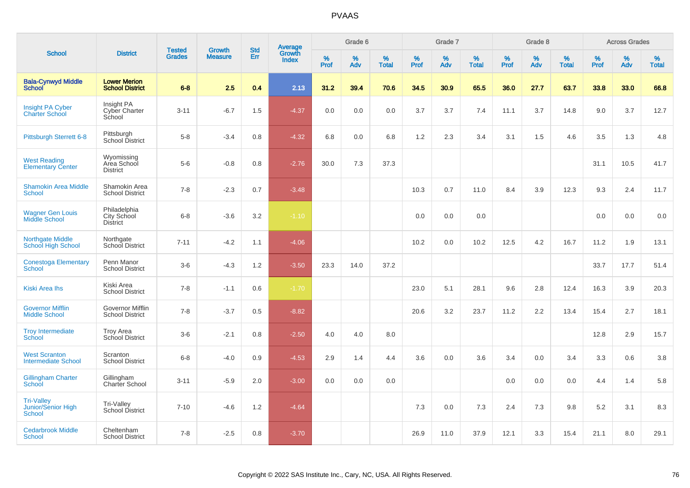| <b>School</b>                                            |                                                   |                                |                                 |                   |                                          |           | Grade 6     |                   |           | Grade 7     |                   |           | Grade 8  |                   |              | <b>Across Grades</b> |                   |
|----------------------------------------------------------|---------------------------------------------------|--------------------------------|---------------------------------|-------------------|------------------------------------------|-----------|-------------|-------------------|-----------|-------------|-------------------|-----------|----------|-------------------|--------------|----------------------|-------------------|
|                                                          | <b>District</b>                                   | <b>Tested</b><br><b>Grades</b> | <b>Growth</b><br><b>Measure</b> | <b>Std</b><br>Err | <b>Average</b><br>Growth<br><b>Index</b> | %<br>Prof | $\%$<br>Adv | %<br><b>Total</b> | %<br>Prof | $\%$<br>Adv | %<br><b>Total</b> | %<br>Prof | %<br>Adv | %<br><b>Total</b> | $\%$<br>Prof | %<br>Adv             | %<br><b>Total</b> |
| <b>Bala-Cynwyd Middle</b><br><b>School</b>               | <b>Lower Merion</b><br><b>School District</b>     | $6 - 8$                        | 2.5                             | 0.4               | 2.13                                     | 31.2      | 39.4        | 70.6              | 34.5      | 30.9        | 65.5              | 36.0      | 27.7     | 63.7              | 33.8         | 33.0                 | 66.8              |
| <b>Insight PA Cyber</b><br><b>Charter School</b>         | Insight PA<br>Cyber Charter<br>School             | $3 - 11$                       | $-6.7$                          | 1.5               | $-4.37$                                  | 0.0       | 0.0         | 0.0               | 3.7       | 3.7         | 7.4               | 11.1      | 3.7      | 14.8              | 9.0          | 3.7                  | 12.7              |
| Pittsburgh Sterrett 6-8                                  | Pittsburgh<br>School District                     | $5 - 8$                        | $-3.4$                          | 0.8               | $-4.32$                                  | 6.8       | 0.0         | 6.8               | 1.2       | 2.3         | 3.4               | 3.1       | 1.5      | 4.6               | 3.5          | 1.3                  | 4.8               |
| <b>West Reading</b><br><b>Elementary Center</b>          | Wyomissing<br>Area School<br><b>District</b>      | $5-6$                          | $-0.8$                          | 0.8               | $-2.76$                                  | 30.0      | 7.3         | 37.3              |           |             |                   |           |          |                   | 31.1         | 10.5                 | 41.7              |
| <b>Shamokin Area Middle</b><br><b>School</b>             | Shamokin Area<br><b>School District</b>           | $7 - 8$                        | $-2.3$                          | 0.7               | $-3.48$                                  |           |             |                   | 10.3      | 0.7         | 11.0              | 8.4       | 3.9      | 12.3              | 9.3          | 2.4                  | 11.7              |
| <b>Wagner Gen Louis</b><br>Middle School                 | Philadelphia<br>City School<br><b>District</b>    | $6 - 8$                        | $-3.6$                          | 3.2               | $-1.10$                                  |           |             |                   | 0.0       | 0.0         | 0.0               |           |          |                   | 0.0          | 0.0                  | 0.0               |
| <b>Northgate Middle</b><br>School High School            | Northgate<br>School District                      | $7 - 11$                       | $-4.2$                          | 1.1               | $-4.06$                                  |           |             |                   | 10.2      | 0.0         | 10.2              | 12.5      | 4.2      | 16.7              | 11.2         | 1.9                  | 13.1              |
| <b>Conestoga Elementary</b><br><b>School</b>             | Penn Manor<br><b>School District</b>              | $3-6$                          | $-4.3$                          | 1.2               | $-3.50$                                  | 23.3      | 14.0        | 37.2              |           |             |                   |           |          |                   | 33.7         | 17.7                 | 51.4              |
| <b>Kiski Area Ihs</b>                                    | Kiski Area<br><b>School District</b>              | $7 - 8$                        | $-1.1$                          | 0.6               | $-1.70$                                  |           |             |                   | 23.0      | 5.1         | 28.1              | 9.6       | 2.8      | 12.4              | 16.3         | 3.9                  | 20.3              |
| <b>Governor Mifflin</b><br><b>Middle School</b>          | <b>Governor Mifflin</b><br><b>School District</b> | $7 - 8$                        | $-3.7$                          | 0.5               | $-8.82$                                  |           |             |                   | 20.6      | 3.2         | 23.7              | 11.2      | 2.2      | 13.4              | 15.4         | 2.7                  | 18.1              |
| <b>Troy Intermediate</b><br>School                       | <b>Troy Area</b><br>School District               | $3-6$                          | $-2.1$                          | 0.8               | $-2.50$                                  | 4.0       | 4.0         | 8.0               |           |             |                   |           |          |                   | 12.8         | 2.9                  | 15.7              |
| <b>West Scranton</b><br><b>Intermediate School</b>       | Scranton<br><b>School District</b>                | $6 - 8$                        | $-4.0$                          | 0.9               | $-4.53$                                  | 2.9       | 1.4         | 4.4               | 3.6       | 0.0         | 3.6               | 3.4       | 0.0      | 3.4               | 3.3          | 0.6                  | 3.8               |
| <b>Gillingham Charter</b><br>School                      | Gillingham<br>Charter School                      | $3 - 11$                       | $-5.9$                          | 2.0               | $-3.00$                                  | 0.0       | 0.0         | 0.0               |           |             |                   | 0.0       | 0.0      | 0.0               | 4.4          | 1.4                  | 5.8               |
| <b>Tri-Valley</b><br>Junior/Senior High<br><b>School</b> | Tri-Valley<br>School District                     | $7 - 10$                       | $-4.6$                          | 1.2               | $-4.64$                                  |           |             |                   | 7.3       | 0.0         | 7.3               | 2.4       | 7.3      | 9.8               | 5.2          | 3.1                  | 8.3               |
| <b>Cedarbrook Middle</b><br><b>School</b>                | Cheltenham<br><b>School District</b>              | $7 - 8$                        | $-2.5$                          | 0.8               | $-3.70$                                  |           |             |                   | 26.9      | 11.0        | 37.9              | 12.1      | 3.3      | 15.4              | 21.1         | 8.0                  | 29.1              |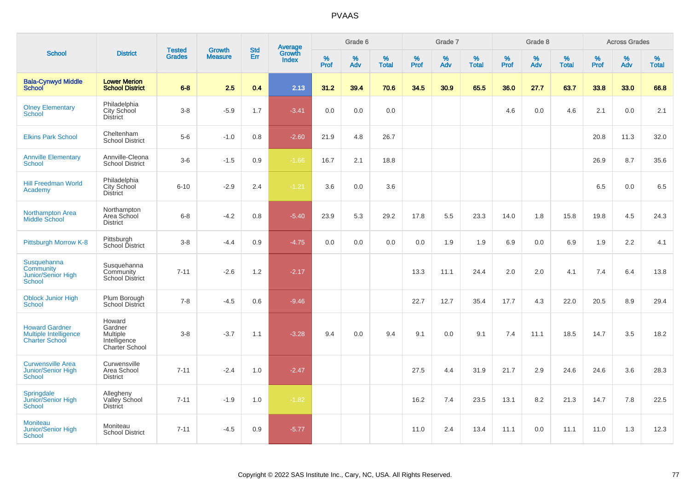| <b>School</b>                                                           |                                                                        |                                |                          | <b>Std</b> |                                          |                  | Grade 6  |                   |           | Grade 7  |                   |           | Grade 8  |                   |                  | <b>Across Grades</b> |                   |
|-------------------------------------------------------------------------|------------------------------------------------------------------------|--------------------------------|--------------------------|------------|------------------------------------------|------------------|----------|-------------------|-----------|----------|-------------------|-----------|----------|-------------------|------------------|----------------------|-------------------|
|                                                                         | <b>District</b>                                                        | <b>Tested</b><br><b>Grades</b> | Growth<br><b>Measure</b> | Err        | <b>Average</b><br>Growth<br><b>Index</b> | %<br><b>Prof</b> | %<br>Adv | %<br><b>Total</b> | %<br>Prof | %<br>Adv | %<br><b>Total</b> | %<br>Prof | %<br>Adv | %<br><b>Total</b> | %<br><b>Prof</b> | %<br>Adv             | %<br><b>Total</b> |
| <b>Bala-Cynwyd Middle</b><br><b>School</b>                              | <b>Lower Merion</b><br><b>School District</b>                          | $6 - 8$                        | 2.5                      | 0.4        | 2.13                                     | 31.2             | 39.4     | 70.6              | 34.5      | 30.9     | 65.5              | 36.0      | 27.7     | 63.7              | 33.8             | 33.0                 | 66.8              |
| <b>Olney Elementary</b><br><b>School</b>                                | Philadelphia<br>City School<br><b>District</b>                         | $3-8$                          | $-5.9$                   | 1.7        | $-3.41$                                  | 0.0              | 0.0      | 0.0               |           |          |                   | 4.6       | 0.0      | 4.6               | 2.1              | 0.0                  | 2.1               |
| <b>Elkins Park School</b>                                               | Cheltenham<br>School District                                          | $5-6$                          | $-1.0$                   | 0.8        | $-2.60$                                  | 21.9             | 4.8      | 26.7              |           |          |                   |           |          |                   | 20.8             | 11.3                 | 32.0              |
| <b>Annville Elementary</b><br><b>School</b>                             | Annville-Cleona<br><b>School District</b>                              | $3-6$                          | $-1.5$                   | 0.9        | $-1.66$                                  | 16.7             | 2.1      | 18.8              |           |          |                   |           |          |                   | 26.9             | 8.7                  | 35.6              |
| <b>Hill Freedman World</b><br>Academy                                   | Philadelphia<br>City School<br><b>District</b>                         | $6 - 10$                       | $-2.9$                   | 2.4        | $-1.21$                                  | 3.6              | 0.0      | 3.6               |           |          |                   |           |          |                   | 6.5              | 0.0                  | 6.5               |
| <b>Northampton Area</b><br>Middle School                                | Northampton<br>Area School<br><b>District</b>                          | $6 - 8$                        | $-4.2$                   | 0.8        | $-5.40$                                  | 23.9             | 5.3      | 29.2              | 17.8      | 5.5      | 23.3              | 14.0      | 1.8      | 15.8              | 19.8             | 4.5                  | 24.3              |
| Pittsburgh Morrow K-8                                                   | Pittsburgh<br>School District                                          | $3-8$                          | $-4.4$                   | 0.9        | $-4.75$                                  | 0.0              | 0.0      | 0.0               | 0.0       | 1.9      | 1.9               | 6.9       | 0.0      | 6.9               | 1.9              | 2.2                  | 4.1               |
| Susquehanna<br>Community<br><b>Junior/Senior High</b><br><b>School</b>  | Susquehanna<br>Community<br><b>School District</b>                     | $7 - 11$                       | $-2.6$                   | 1.2        | $-2.17$                                  |                  |          |                   | 13.3      | 11.1     | 24.4              | 2.0       | 2.0      | 4.1               | 7.4              | 6.4                  | 13.8              |
| <b>Oblock Junior High</b><br><b>School</b>                              | Plum Borough<br>School District                                        | $7 - 8$                        | $-4.5$                   | 0.6        | $-9.46$                                  |                  |          |                   | 22.7      | 12.7     | 35.4              | 17.7      | 4.3      | 22.0              | 20.5             | 8.9                  | 29.4              |
| <b>Howard Gardner</b><br>Multiple Intelligence<br><b>Charter School</b> | Howard<br>Gardner<br><b>Multiple</b><br>Intelligence<br>Charter School | $3 - 8$                        | $-3.7$                   | 1.1        | $-3.28$                                  | 9.4              | 0.0      | 9.4               | 9.1       | 0.0      | 9.1               | 7.4       | 11.1     | 18.5              | 14.7             | 3.5                  | 18.2              |
| <b>Curwensville Area</b><br><b>Junior/Senior High</b><br>School         | Curwensville<br>Area School<br><b>District</b>                         | $7 - 11$                       | $-2.4$                   | 1.0        | $-2.47$                                  |                  |          |                   | 27.5      | 4.4      | 31.9              | 21.7      | 2.9      | 24.6              | 24.6             | 3.6                  | 28.3              |
| Springdale<br>Junior/Senior High<br><b>School</b>                       | Allegheny<br>Valley School<br><b>District</b>                          | $7 - 11$                       | $-1.9$                   | 1.0        | $-1.82$                                  |                  |          |                   | 16.2      | 7.4      | 23.5              | 13.1      | 8.2      | 21.3              | 14.7             | 7.8                  | 22.5              |
| <b>Moniteau</b><br><b>Junior/Senior High</b><br><b>School</b>           | Moniteau<br><b>School District</b>                                     | $7 - 11$                       | $-4.5$                   | 0.9        | $-5.77$                                  |                  |          |                   | 11.0      | 2.4      | 13.4              | 11.1      | 0.0      | 11.1              | 11.0             | 1.3                  | 12.3              |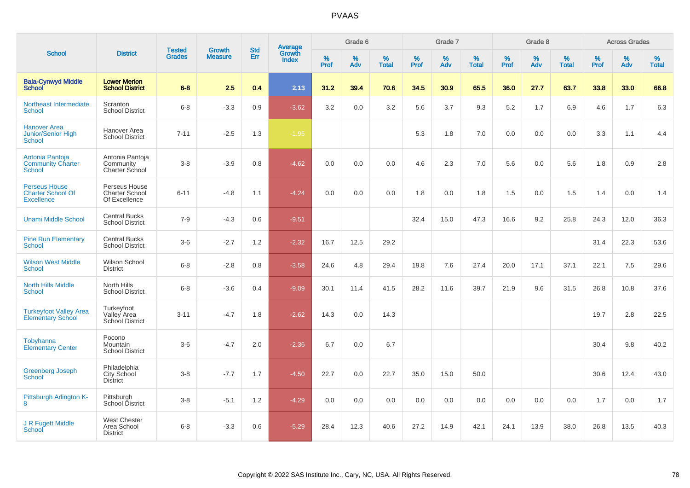| <b>School</b>                                                         |                                                         |                                |                                 |                   |                                          |           | Grade 6  |                   |           | Grade 7  |                   |           | Grade 8  |                   |              | <b>Across Grades</b> |                   |
|-----------------------------------------------------------------------|---------------------------------------------------------|--------------------------------|---------------------------------|-------------------|------------------------------------------|-----------|----------|-------------------|-----------|----------|-------------------|-----------|----------|-------------------|--------------|----------------------|-------------------|
|                                                                       | <b>District</b>                                         | <b>Tested</b><br><b>Grades</b> | <b>Growth</b><br><b>Measure</b> | <b>Std</b><br>Err | <b>Average</b><br>Growth<br><b>Index</b> | %<br>Prof | %<br>Adv | %<br><b>Total</b> | %<br>Prof | %<br>Adv | %<br><b>Total</b> | %<br>Prof | %<br>Adv | %<br><b>Total</b> | $\%$<br>Prof | %<br>Adv             | %<br><b>Total</b> |
| <b>Bala-Cynwyd Middle</b><br><b>School</b>                            | <b>Lower Merion</b><br><b>School District</b>           | $6 - 8$                        | 2.5                             | 0.4               | 2.13                                     | 31.2      | 39.4     | 70.6              | 34.5      | 30.9     | 65.5              | 36.0      | 27.7     | 63.7              | 33.8         | 33.0                 | 66.8              |
| Northeast Intermediate<br><b>School</b>                               | Scranton<br><b>School District</b>                      | $6 - 8$                        | $-3.3$                          | 0.9               | $-3.62$                                  | 3.2       | 0.0      | 3.2               | 5.6       | 3.7      | 9.3               | 5.2       | 1.7      | 6.9               | 4.6          | 1.7                  | 6.3               |
| <b>Hanover Area</b><br>Junior/Senior High<br><b>School</b>            | Hanover Area<br><b>School District</b>                  | $7 - 11$                       | $-2.5$                          | 1.3               | $-1.95$                                  |           |          |                   | 5.3       | 1.8      | 7.0               | 0.0       | 0.0      | 0.0               | 3.3          | 1.1                  | 4.4               |
| Antonia Pantoja<br><b>Community Charter</b><br>School                 | Antonia Pantoja<br>Community<br>Charter School          | $3 - 8$                        | $-3.9$                          | 0.8               | $-4.62$                                  | 0.0       | 0.0      | 0.0               | 4.6       | 2.3      | 7.0               | 5.6       | 0.0      | 5.6               | 1.8          | 0.9                  | 2.8               |
| <b>Perseus House</b><br><b>Charter School Of</b><br><b>Excellence</b> | Perseus House<br><b>Charter School</b><br>Of Excellence | $6 - 11$                       | $-4.8$                          | 1.1               | $-4.24$                                  | 0.0       | 0.0      | 0.0               | 1.8       | 0.0      | 1.8               | 1.5       | 0.0      | 1.5               | 1.4          | 0.0                  | 1.4               |
| <b>Unami Middle School</b>                                            | <b>Central Bucks</b><br><b>School District</b>          | $7 - 9$                        | $-4.3$                          | 0.6               | $-9.51$                                  |           |          |                   | 32.4      | 15.0     | 47.3              | 16.6      | 9.2      | 25.8              | 24.3         | 12.0                 | 36.3              |
| <b>Pine Run Elementary</b><br><b>School</b>                           | <b>Central Bucks</b><br><b>School District</b>          | $3-6$                          | $-2.7$                          | 1.2               | $-2.32$                                  | 16.7      | 12.5     | 29.2              |           |          |                   |           |          |                   | 31.4         | 22.3                 | 53.6              |
| <b>Wilson West Middle</b><br><b>School</b>                            | Wilson School<br><b>District</b>                        | $6 - 8$                        | $-2.8$                          | 0.8               | $-3.58$                                  | 24.6      | 4.8      | 29.4              | 19.8      | 7.6      | 27.4              | 20.0      | 17.1     | 37.1              | 22.1         | 7.5                  | 29.6              |
| <b>North Hills Middle</b><br><b>School</b>                            | North Hills<br><b>School District</b>                   | $6 - 8$                        | $-3.6$                          | $0.4^{\circ}$     | $-9.09$                                  | 30.1      | 11.4     | 41.5              | 28.2      | 11.6     | 39.7              | 21.9      | 9.6      | 31.5              | 26.8         | 10.8                 | 37.6              |
| <b>Turkeyfoot Valley Area</b><br><b>Elementary School</b>             | Turkeyfoot<br>Valley Area<br><b>School District</b>     | $3 - 11$                       | $-4.7$                          | 1.8               | $-2.62$                                  | 14.3      | 0.0      | 14.3              |           |          |                   |           |          |                   | 19.7         | 2.8                  | 22.5              |
| Tobyhanna<br><b>Elementary Center</b>                                 | Pocono<br>Mountain<br><b>School District</b>            | $3-6$                          | $-4.7$                          | 2.0               | $-2.36$                                  | 6.7       | 0.0      | 6.7               |           |          |                   |           |          |                   | 30.4         | 9.8                  | 40.2              |
| <b>Greenberg Joseph</b><br><b>School</b>                              | Philadelphia<br>City School<br><b>District</b>          | $3 - 8$                        | $-7.7$                          | 1.7               | $-4.50$                                  | 22.7      | 0.0      | 22.7              | 35.0      | 15.0     | 50.0              |           |          |                   | 30.6         | 12.4                 | 43.0              |
| Pittsburgh Arlington K-<br>8                                          | Pittsburgh<br>School District                           | $3 - 8$                        | $-5.1$                          | 1.2               | $-4.29$                                  | 0.0       | 0.0      | 0.0               | 0.0       | 0.0      | 0.0               | 0.0       | 0.0      | 0.0               | 1.7          | 0.0                  | 1.7               |
| J R Fugett Middle<br>School                                           | <b>West Chester</b><br>Area School<br><b>District</b>   | $6 - 8$                        | $-3.3$                          | 0.6               | $-5.29$                                  | 28.4      | 12.3     | 40.6              | 27.2      | 14.9     | 42.1              | 24.1      | 13.9     | 38.0              | 26.8         | 13.5                 | 40.3              |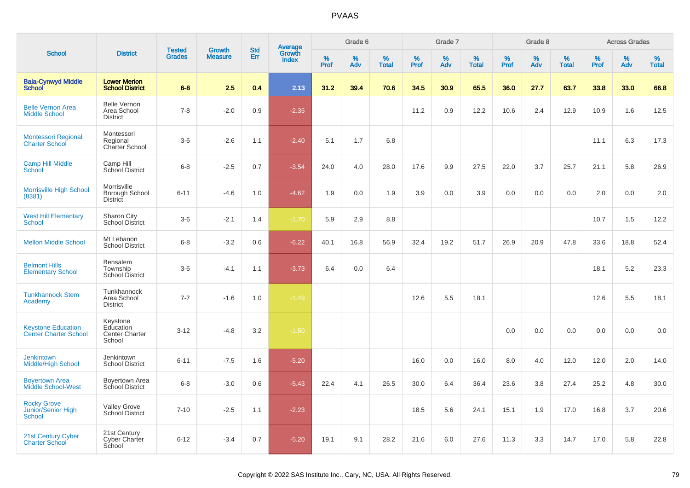| <b>School</b>                                             |                                                          |                                |                                 | <b>Std</b> |                                          |           | Grade 6  |                   |           | Grade 7  |                   |           | Grade 8  |                   |           | <b>Across Grades</b> |                   |
|-----------------------------------------------------------|----------------------------------------------------------|--------------------------------|---------------------------------|------------|------------------------------------------|-----------|----------|-------------------|-----------|----------|-------------------|-----------|----------|-------------------|-----------|----------------------|-------------------|
|                                                           | <b>District</b>                                          | <b>Tested</b><br><b>Grades</b> | <b>Growth</b><br><b>Measure</b> | Err        | <b>Average</b><br>Growth<br><b>Index</b> | %<br>Prof | %<br>Adv | %<br><b>Total</b> | %<br>Prof | %<br>Adv | %<br><b>Total</b> | %<br>Prof | %<br>Adv | %<br><b>Total</b> | %<br>Prof | %<br>Adv             | %<br><b>Total</b> |
| <b>Bala-Cynwyd Middle</b><br><b>School</b>                | <b>Lower Merion</b><br><b>School District</b>            | $6 - 8$                        | 2.5                             | 0.4        | 2.13                                     | 31.2      | 39.4     | 70.6              | 34.5      | 30.9     | 65.5              | 36.0      | 27.7     | 63.7              | 33.8      | 33.0                 | 66.8              |
| <b>Belle Vernon Area</b><br><b>Middle School</b>          | <b>Belle Vernon</b><br>Area School<br><b>District</b>    | $7 - 8$                        | $-2.0$                          | 0.9        | $-2.35$                                  |           |          |                   | 11.2      | 0.9      | 12.2              | 10.6      | 2.4      | 12.9              | 10.9      | 1.6                  | 12.5              |
| <b>Montessori Regional</b><br><b>Charter School</b>       | Montessori<br>Regional<br>Charter School                 | $3-6$                          | $-2.6$                          | 1.1        | $-2.40$                                  | 5.1       | 1.7      | 6.8               |           |          |                   |           |          |                   | 11.1      | 6.3                  | 17.3              |
| <b>Camp Hill Middle</b><br><b>School</b>                  | Camp Hill<br>School District                             | $6 - 8$                        | $-2.5$                          | 0.7        | $-3.54$                                  | 24.0      | 4.0      | 28.0              | 17.6      | 9.9      | 27.5              | 22.0      | 3.7      | 25.7              | 21.1      | 5.8                  | 26.9              |
| Morrisville High School<br>(8381)                         | Morrisville<br>Borough School<br><b>District</b>         | $6 - 11$                       | $-4.6$                          | 1.0        | $-4.62$                                  | 1.9       | 0.0      | 1.9               | 3.9       | 0.0      | 3.9               | 0.0       | 0.0      | 0.0               | 2.0       | 0.0                  | 2.0               |
| <b>West Hill Elementary</b><br><b>School</b>              | Sharon City<br><b>School District</b>                    | $3-6$                          | $-2.1$                          | 1.4        | $-1.70$                                  | 5.9       | 2.9      | 8.8               |           |          |                   |           |          |                   | 10.7      | 1.5                  | 12.2              |
| <b>Mellon Middle School</b>                               | Mt Lebanon<br><b>School District</b>                     | $6 - 8$                        | $-3.2$                          | 0.6        | $-6.22$                                  | 40.1      | 16.8     | 56.9              | 32.4      | 19.2     | 51.7              | 26.9      | 20.9     | 47.8              | 33.6      | 18.8                 | 52.4              |
| <b>Belmont Hills</b><br><b>Elementary School</b>          | <b>Bensalem</b><br>Township<br><b>School District</b>    | $3-6$                          | $-4.1$                          | 1.1        | $-3.73$                                  | 6.4       | 0.0      | 6.4               |           |          |                   |           |          |                   | 18.1      | 5.2                  | 23.3              |
| <b>Tunkhannock Stem</b><br>Academy                        | Tunkhannock<br>Area School<br><b>District</b>            | $7 - 7$                        | $-1.6$                          | 1.0        | $-1.49$                                  |           |          |                   | 12.6      | 5.5      | 18.1              |           |          |                   | 12.6      | 5.5                  | 18.1              |
| <b>Keystone Education</b><br><b>Center Charter School</b> | Keystone<br>Education<br><b>Center Charter</b><br>School | $3 - 12$                       | $-4.8$                          | 3.2        | $-1.50$                                  |           |          |                   |           |          |                   | $0.0\,$   | 0.0      | 0.0               | 0.0       | 0.0                  | 0.0               |
| <b>Jenkintown</b><br><b>Middle/High School</b>            | Jenkintown<br><b>School District</b>                     | $6 - 11$                       | $-7.5$                          | 1.6        | $-5.20$                                  |           |          |                   | 16.0      | 0.0      | 16.0              | 8.0       | 4.0      | 12.0              | 12.0      | 2.0                  | 14.0              |
| <b>Boyertown Area</b><br><b>Middle School-West</b>        | <b>Boyertown Area</b><br>School District                 | $6 - 8$                        | $-3.0$                          | 0.6        | $-5.43$                                  | 22.4      | 4.1      | 26.5              | 30.0      | 6.4      | 36.4              | 23.6      | 3.8      | 27.4              | 25.2      | 4.8                  | 30.0              |
| <b>Rocky Grove</b><br>Junior/Senior High<br>School        | <b>Valley Grove</b><br>School District                   | $7 - 10$                       | $-2.5$                          | 1.1        | $-2.23$                                  |           |          |                   | 18.5      | 5.6      | 24.1              | 15.1      | 1.9      | 17.0              | 16.8      | 3.7                  | 20.6              |
| 21st Century Cyber<br><b>Charter School</b>               | 21st Century<br>Cyber Charter<br>School                  | $6 - 12$                       | $-3.4$                          | 0.7        | $-5.20$                                  | 19.1      | 9.1      | 28.2              | 21.6      | 6.0      | 27.6              | 11.3      | 3.3      | 14.7              | 17.0      | 5.8                  | 22.8              |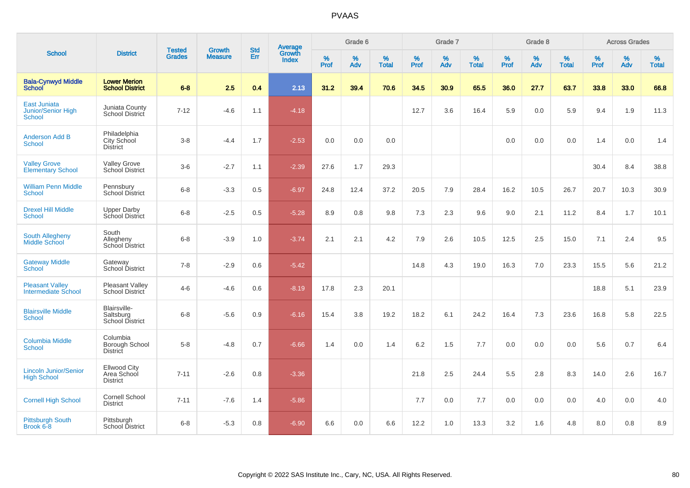| <b>School</b>                                              |                                                       |                                | <b>Growth</b>  | <b>Std</b> |                                          |                  | Grade 6  |                   |           | Grade 7  |                   |           | Grade 8     |                   |           | <b>Across Grades</b> |                   |
|------------------------------------------------------------|-------------------------------------------------------|--------------------------------|----------------|------------|------------------------------------------|------------------|----------|-------------------|-----------|----------|-------------------|-----------|-------------|-------------------|-----------|----------------------|-------------------|
|                                                            | <b>District</b>                                       | <b>Tested</b><br><b>Grades</b> | <b>Measure</b> | Err        | <b>Average</b><br>Growth<br><b>Index</b> | %<br><b>Prof</b> | %<br>Adv | %<br><b>Total</b> | %<br>Prof | %<br>Adv | %<br><b>Total</b> | %<br>Prof | $\%$<br>Adv | %<br><b>Total</b> | %<br>Prof | $\%$<br>Adv          | %<br><b>Total</b> |
| <b>Bala-Cynwyd Middle</b><br><b>School</b>                 | <b>Lower Merion</b><br><b>School District</b>         | $6 - 8$                        | 2.5            | 0.4        | 2.13                                     | 31.2             | 39.4     | 70.6              | 34.5      | 30.9     | 65.5              | 36.0      | 27.7        | 63.7              | 33.8      | 33.0                 | 66.8              |
| <b>East Juniata</b><br><b>Junior/Senior High</b><br>School | Juniata County<br>School District                     | $7 - 12$                       | $-4.6$         | 1.1        | $-4.18$                                  |                  |          |                   | 12.7      | 3.6      | 16.4              | 5.9       | 0.0         | 5.9               | 9.4       | 1.9                  | 11.3              |
| <b>Anderson Add B</b><br><b>School</b>                     | Philadelphia<br>City School<br><b>District</b>        | $3 - 8$                        | $-4.4$         | 1.7        | $-2.53$                                  | 0.0              | 0.0      | 0.0               |           |          |                   | 0.0       | 0.0         | 0.0               | 1.4       | 0.0                  | 1.4               |
| <b>Valley Grove</b><br><b>Elementary School</b>            | <b>Valley Grove</b><br>School District                | $3-6$                          | $-2.7$         | 1.1        | $-2.39$                                  | 27.6             | 1.7      | 29.3              |           |          |                   |           |             |                   | 30.4      | 8.4                  | 38.8              |
| <b>William Penn Middle</b><br><b>School</b>                | Pennsbury<br><b>School District</b>                   | $6 - 8$                        | $-3.3$         | 0.5        | $-6.97$                                  | 24.8             | 12.4     | 37.2              | 20.5      | 7.9      | 28.4              | 16.2      | 10.5        | 26.7              | 20.7      | 10.3                 | 30.9              |
| <b>Drexel Hill Middle</b><br>School                        | <b>Upper Darby</b><br>School District                 | $6 - 8$                        | $-2.5$         | 0.5        | $-5.28$                                  | 8.9              | 0.8      | 9.8               | 7.3       | 2.3      | 9.6               | 9.0       | 2.1         | 11.2              | 8.4       | 1.7                  | 10.1              |
| <b>South Allegheny</b><br>Middle School                    | South<br>Allegheny<br>School District                 | $6 - 8$                        | $-3.9$         | 1.0        | $-3.74$                                  | 2.1              | 2.1      | 4.2               | 7.9       | 2.6      | 10.5              | 12.5      | 2.5         | 15.0              | 7.1       | 2.4                  | 9.5               |
| <b>Gateway Middle</b><br>School                            | Gateway<br>School District                            | $7 - 8$                        | $-2.9$         | 0.6        | $-5.42$                                  |                  |          |                   | 14.8      | 4.3      | 19.0              | 16.3      | 7.0         | 23.3              | 15.5      | 5.6                  | 21.2              |
| <b>Pleasant Valley</b><br><b>Intermediate School</b>       | <b>Pleasant Valley</b><br>School District             | $4 - 6$                        | $-4.6$         | 0.6        | $-8.19$                                  | 17.8             | 2.3      | 20.1              |           |          |                   |           |             |                   | 18.8      | 5.1                  | 23.9              |
| <b>Blairsville Middle</b><br>School                        | Blairsville-<br>Saltsburg<br>School District          | $6 - 8$                        | $-5.6$         | 0.9        | $-6.16$                                  | 15.4             | 3.8      | 19.2              | 18.2      | 6.1      | 24.2              | 16.4      | 7.3         | 23.6              | 16.8      | 5.8                  | 22.5              |
| <b>Columbia Middle</b><br>School                           | Columbia<br>Borough School<br><b>District</b>         | $5 - 8$                        | $-4.8$         | 0.7        | $-6.66$                                  | 1.4              | 0.0      | 1.4               | 6.2       | 1.5      | 7.7               | 0.0       | 0.0         | 0.0               | 5.6       | 0.7                  | 6.4               |
| <b>Lincoln Junior/Senior</b><br><b>High School</b>         | <b>Ellwood City</b><br>Area School<br><b>District</b> | $7 - 11$                       | $-2.6$         | 0.8        | $-3.36$                                  |                  |          |                   | 21.8      | 2.5      | 24.4              | 5.5       | 2.8         | 8.3               | 14.0      | 2.6                  | 16.7              |
| <b>Cornell High School</b>                                 | <b>Cornell School</b><br><b>District</b>              | $7 - 11$                       | $-7.6$         | 1.4        | $-5.86$                                  |                  |          |                   | 7.7       | 0.0      | 7.7               | 0.0       | 0.0         | 0.0               | 4.0       | 0.0                  | 4.0               |
| <b>Pittsburgh South</b><br>Brook 6-8                       | Pittsburgh<br><b>School District</b>                  | $6 - 8$                        | $-5.3$         | 0.8        | $-6.90$                                  | 6.6              | 0.0      | 6.6               | 12.2      | 1.0      | 13.3              | 3.2       | 1.6         | 4.8               | 8.0       | 0.8                  | 8.9               |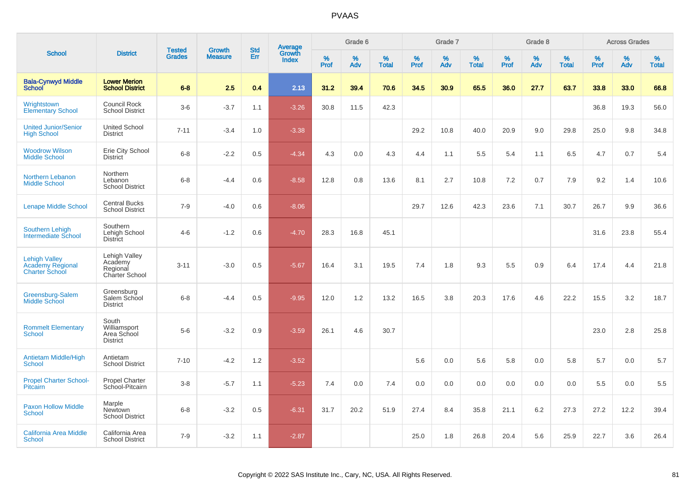| <b>School</b>                                                     |                                                         |                                | <b>Growth</b>  | <b>Std</b> |                                          |                     | Grade 6     |                      |                     | Grade 7     |                      |              | Grade 8     |                      |                     | <b>Across Grades</b> |                      |
|-------------------------------------------------------------------|---------------------------------------------------------|--------------------------------|----------------|------------|------------------------------------------|---------------------|-------------|----------------------|---------------------|-------------|----------------------|--------------|-------------|----------------------|---------------------|----------------------|----------------------|
|                                                                   | <b>District</b>                                         | <b>Tested</b><br><b>Grades</b> | <b>Measure</b> | Err        | <b>Average</b><br>Growth<br><b>Index</b> | $\%$<br><b>Prof</b> | $\%$<br>Adv | $\%$<br><b>Total</b> | $\%$<br><b>Prof</b> | $\%$<br>Adv | $\%$<br><b>Total</b> | $\%$<br>Prof | $\%$<br>Adv | $\%$<br><b>Total</b> | $\%$<br><b>Prof</b> | $\%$<br>Adv          | $\%$<br><b>Total</b> |
| <b>Bala-Cynwyd Middle</b><br><b>School</b>                        | <b>Lower Merion</b><br><b>School District</b>           | $6 - 8$                        | 2.5            | 0.4        | 2.13                                     | 31.2                | 39.4        | 70.6                 | 34.5                | 30.9        | 65.5                 | 36.0         | 27.7        | 63.7                 | 33.8                | 33.0                 | 66.8                 |
| Wrightstown<br><b>Elementary School</b>                           | <b>Council Rock</b><br><b>School District</b>           | $3-6$                          | $-3.7$         | 1.1        | $-3.26$                                  | 30.8                | 11.5        | 42.3                 |                     |             |                      |              |             |                      | 36.8                | 19.3                 | 56.0                 |
| <b>United Junior/Senior</b><br><b>High School</b>                 | <b>United School</b><br><b>District</b>                 | $7 - 11$                       | $-3.4$         | 1.0        | $-3.38$                                  |                     |             |                      | 29.2                | 10.8        | 40.0                 | 20.9         | 9.0         | 29.8                 | 25.0                | 9.8                  | 34.8                 |
| <b>Woodrow Wilson</b><br><b>Middle School</b>                     | Erie City School<br><b>District</b>                     | $6 - 8$                        | $-2.2$         | 0.5        | $-4.34$                                  | 4.3                 | 0.0         | 4.3                  | 4.4                 | 1.1         | 5.5                  | 5.4          | 1.1         | 6.5                  | 4.7                 | 0.7                  | 5.4                  |
| <b>Northern Lebanon</b><br><b>Middle School</b>                   | Northern<br>Lebanon<br><b>School District</b>           | $6 - 8$                        | $-4.4$         | 0.6        | $-8.58$                                  | 12.8                | 0.8         | 13.6                 | 8.1                 | 2.7         | 10.8                 | 7.2          | 0.7         | 7.9                  | 9.2                 | 1.4                  | 10.6                 |
| <b>Lenape Middle School</b>                                       | <b>Central Bucks</b><br><b>School District</b>          | $7 - 9$                        | $-4.0$         | 0.6        | $-8.06$                                  |                     |             |                      | 29.7                | 12.6        | 42.3                 | 23.6         | 7.1         | 30.7                 | 26.7                | 9.9                  | 36.6                 |
| <b>Southern Lehigh</b><br><b>Intermediate School</b>              | Southern<br>Lehigh School<br>District                   | $4-6$                          | $-1.2$         | 0.6        | $-4.70$                                  | 28.3                | 16.8        | 45.1                 |                     |             |                      |              |             |                      | 31.6                | 23.8                 | 55.4                 |
| <b>Lehigh Valley</b><br>Academy Regional<br><b>Charter School</b> | Lehigh Valley<br>Academy<br>Regional<br>Charter School  | $3 - 11$                       | $-3.0$         | 0.5        | $-5.67$                                  | 16.4                | 3.1         | 19.5                 | 7.4                 | 1.8         | 9.3                  | 5.5          | 0.9         | 6.4                  | 17.4                | 4.4                  | 21.8                 |
| Greensburg-Salem<br>Middle School                                 | Greensburg<br>Salem School<br><b>District</b>           | $6 - 8$                        | $-4.4$         | 0.5        | $-9.95$                                  | 12.0                | 1.2         | 13.2                 | 16.5                | 3.8         | 20.3                 | 17.6         | 4.6         | 22.2                 | 15.5                | 3.2                  | 18.7                 |
| <b>Rommelt Elementary</b><br><b>School</b>                        | South<br>Williamsport<br>Area School<br><b>District</b> | $5-6$                          | $-3.2$         | 0.9        | $-3.59$                                  | 26.1                | 4.6         | 30.7                 |                     |             |                      |              |             |                      | 23.0                | 2.8                  | 25.8                 |
| Antietam Middle/High<br><b>School</b>                             | Antietam<br><b>School District</b>                      | $7 - 10$                       | $-4.2$         | 1.2        | $-3.52$                                  |                     |             |                      | 5.6                 | 0.0         | 5.6                  | 5.8          | 0.0         | 5.8                  | 5.7                 | 0.0                  | 5.7                  |
| <b>Propel Charter School-</b><br><b>Pitcairn</b>                  | <b>Propel Charter</b><br>School-Pitcairn                | $3 - 8$                        | $-5.7$         | 1.1        | $-5.23$                                  | 7.4                 | 0.0         | 7.4                  | 0.0                 | 0.0         | 0.0                  | 0.0          | 0.0         | 0.0                  | 5.5                 | 0.0                  | 5.5                  |
| <b>Paxon Hollow Middle</b><br><b>School</b>                       | Marple<br><b>Newtown</b><br><b>School District</b>      | $6 - 8$                        | $-3.2$         | 0.5        | $-6.31$                                  | 31.7                | 20.2        | 51.9                 | 27.4                | 8.4         | 35.8                 | 21.1         | 6.2         | 27.3                 | 27.2                | 12.2                 | 39.4                 |
| <b>California Area Middle</b><br><b>School</b>                    | California Area<br><b>School District</b>               | $7 - 9$                        | $-3.2$         | 1.1        | $-2.87$                                  |                     |             |                      | 25.0                | 1.8         | 26.8                 | 20.4         | 5.6         | 25.9                 | 22.7                | 3.6                  | 26.4                 |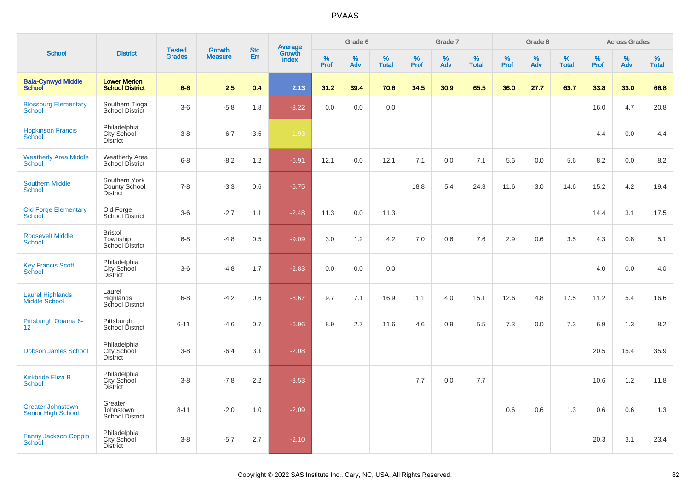| <b>School</b>                                         |                                                          |                                |                                 | <b>Std</b> |                                          |           | Grade 6  |                   |           | Grade 7  |                   |           | Grade 8  |                   |           | <b>Across Grades</b> |                   |
|-------------------------------------------------------|----------------------------------------------------------|--------------------------------|---------------------------------|------------|------------------------------------------|-----------|----------|-------------------|-----------|----------|-------------------|-----------|----------|-------------------|-----------|----------------------|-------------------|
|                                                       | <b>District</b>                                          | <b>Tested</b><br><b>Grades</b> | <b>Growth</b><br><b>Measure</b> | Err        | <b>Average</b><br>Growth<br><b>Index</b> | %<br>Prof | %<br>Adv | %<br><b>Total</b> | %<br>Prof | %<br>Adv | %<br><b>Total</b> | %<br>Prof | %<br>Adv | %<br><b>Total</b> | %<br>Prof | %<br>Adv             | %<br><b>Total</b> |
| <b>Bala-Cynwyd Middle</b><br><b>School</b>            | <b>Lower Merion</b><br><b>School District</b>            | $6 - 8$                        | 2.5                             | 0.4        | 2.13                                     | 31.2      | 39.4     | 70.6              | 34.5      | 30.9     | 65.5              | 36.0      | 27.7     | 63.7              | 33.8      | 33.0                 | 66.8              |
| <b>Blossburg Elementary</b><br>School                 | Southern Tioga<br>School District                        | $3-6$                          | $-5.8$                          | 1.8        | $-3.22$                                  | 0.0       | 0.0      | 0.0               |           |          |                   |           |          |                   | 16.0      | 4.7                  | 20.8              |
| <b>Hopkinson Francis</b><br>School                    | Philadelphia<br>City School<br><b>District</b>           | $3 - 8$                        | $-6.7$                          | 3.5        | $-1.93$                                  |           |          |                   |           |          |                   |           |          |                   | 4.4       | 0.0                  | 4.4               |
| <b>Weatherly Area Middle</b><br><b>School</b>         | <b>Weatherly Area</b><br><b>School District</b>          | $6 - 8$                        | $-8.2$                          | 1.2        | $-6.91$                                  | 12.1      | 0.0      | 12.1              | 7.1       | 0.0      | 7.1               | 5.6       | 0.0      | 5.6               | 8.2       | 0.0                  | 8.2               |
| <b>Southern Middle</b><br>School                      | Southern York<br><b>County School</b><br><b>District</b> | $7 - 8$                        | $-3.3$                          | 0.6        | $-5.75$                                  |           |          |                   | 18.8      | 5.4      | 24.3              | 11.6      | 3.0      | 14.6              | 15.2      | 4.2                  | 19.4              |
| <b>Old Forge Elementary</b><br><b>School</b>          | Old Forge<br>School District                             | $3-6$                          | $-2.7$                          | 1.1        | $-2.48$                                  | 11.3      | 0.0      | 11.3              |           |          |                   |           |          |                   | 14.4      | 3.1                  | 17.5              |
| <b>Roosevelt Middle</b><br><b>School</b>              | <b>Bristol</b><br>Township<br>School District            | $6 - 8$                        | $-4.8$                          | 0.5        | $-9.09$                                  | 3.0       | 1.2      | 4.2               | 7.0       | 0.6      | 7.6               | 2.9       | 0.6      | 3.5               | 4.3       | 0.8                  | 5.1               |
| <b>Key Francis Scott</b><br>School                    | Philadelphia<br>City School<br><b>District</b>           | $3-6$                          | $-4.8$                          | 1.7        | $-2.83$                                  | 0.0       | 0.0      | 0.0               |           |          |                   |           |          |                   | 4.0       | 0.0                  | 4.0               |
| <b>Laurel Highlands</b><br><b>Middle School</b>       | Laurel<br>Highlands<br>School District                   | $6 - 8$                        | $-4.2$                          | 0.6        | $-8.67$                                  | 9.7       | 7.1      | 16.9              | 11.1      | 4.0      | 15.1              | 12.6      | 4.8      | 17.5              | 11.2      | 5.4                  | 16.6              |
| Pittsburgh Obama 6-<br>12 <sup>2</sup>                | Pittsburgh<br>School District                            | $6 - 11$                       | $-4.6$                          | 0.7        | $-6.96$                                  | 8.9       | 2.7      | 11.6              | 4.6       | 0.9      | 5.5               | 7.3       | 0.0      | 7.3               | 6.9       | 1.3                  | 8.2               |
| <b>Dobson James School</b>                            | Philadelphia<br>City School<br><b>District</b>           | $3 - 8$                        | $-6.4$                          | 3.1        | $-2.08$                                  |           |          |                   |           |          |                   |           |          |                   | 20.5      | 15.4                 | 35.9              |
| <b>Kirkbride Eliza B</b><br><b>School</b>             | Philadelphia<br>City School<br><b>District</b>           | $3 - 8$                        | $-7.8$                          | 2.2        | $-3.53$                                  |           |          |                   | 7.7       | 0.0      | 7.7               |           |          |                   | 10.6      | 1.2                  | 11.8              |
| <b>Greater Johnstown</b><br><b>Senior High School</b> | Greater<br>Johnstown<br><b>School District</b>           | $8 - 11$                       | $-2.0$                          | 1.0        | $-2.09$                                  |           |          |                   |           |          |                   | 0.6       | 0.6      | 1.3               | 0.6       | 0.6                  | 1.3               |
| <b>Fanny Jackson Coppin</b><br>School                 | Philadelphia<br><b>City School</b><br><b>District</b>    | $3 - 8$                        | $-5.7$                          | 2.7        | $-2.10$                                  |           |          |                   |           |          |                   |           |          |                   | 20.3      | 3.1                  | 23.4              |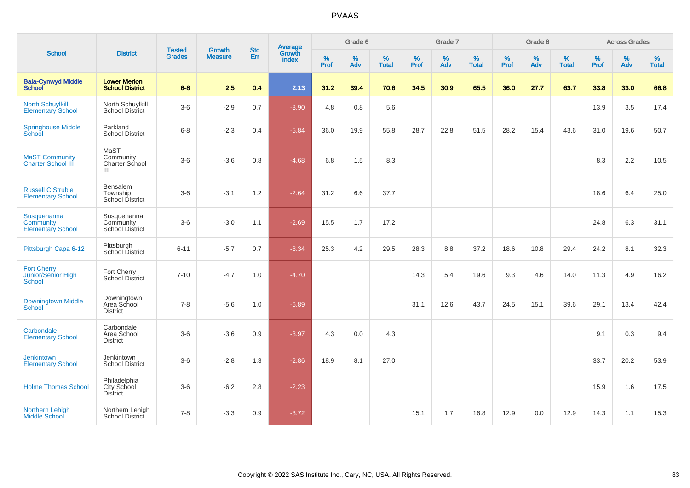| <b>School</b>                                             |                                                    | <b>Tested</b> | <b>Growth</b>  | <b>Std</b> |                                          |                  | Grade 6  |                   |           | Grade 7  |                   |              | Grade 8  |                   |              | <b>Across Grades</b> |                   |
|-----------------------------------------------------------|----------------------------------------------------|---------------|----------------|------------|------------------------------------------|------------------|----------|-------------------|-----------|----------|-------------------|--------------|----------|-------------------|--------------|----------------------|-------------------|
|                                                           | <b>District</b>                                    | <b>Grades</b> | <b>Measure</b> | Err        | <b>Average</b><br>Growth<br><b>Index</b> | %<br><b>Prof</b> | %<br>Adv | %<br><b>Total</b> | %<br>Prof | %<br>Adv | %<br><b>Total</b> | $\%$<br>Prof | %<br>Adv | %<br><b>Total</b> | $\%$<br>Prof | $\%$<br>Adv          | %<br><b>Total</b> |
| <b>Bala-Cynwyd Middle</b><br><b>School</b>                | <b>Lower Merion</b><br><b>School District</b>      | $6 - 8$       | 2.5            | 0.4        | 2.13                                     | 31.2             | 39.4     | 70.6              | 34.5      | 30.9     | 65.5              | 36.0         | 27.7     | 63.7              | 33.8         | 33.0                 | 66.8              |
| <b>North Schuylkill</b><br><b>Elementary School</b>       | North Schuylkill<br><b>School District</b>         | $3-6$         | $-2.9$         | 0.7        | $-3.90$                                  | 4.8              | 0.8      | 5.6               |           |          |                   |              |          |                   | 13.9         | 3.5                  | 17.4              |
| <b>Springhouse Middle</b><br>School                       | Parkland<br><b>School District</b>                 | $6 - 8$       | $-2.3$         | 0.4        | $-5.84$                                  | 36.0             | 19.9     | 55.8              | 28.7      | 22.8     | 51.5              | 28.2         | 15.4     | 43.6              | 31.0         | 19.6                 | 50.7              |
| <b>MaST Community</b><br><b>Charter School III</b>        | MaST<br>Community<br><b>Charter School</b><br>Ш    | $3-6$         | $-3.6$         | 0.8        | $-4.68$                                  | 6.8              | 1.5      | 8.3               |           |          |                   |              |          |                   | 8.3          | 2.2                  | 10.5              |
| <b>Russell C Struble</b><br><b>Elementary School</b>      | Bensalem<br>Township<br>School District            | $3-6$         | $-3.1$         | 1.2        | $-2.64$                                  | 31.2             | 6.6      | 37.7              |           |          |                   |              |          |                   | 18.6         | 6.4                  | 25.0              |
| Susquehanna<br>Community<br><b>Elementary School</b>      | Susquehanna<br>Community<br><b>School District</b> | $3-6$         | $-3.0$         | 1.1        | $-2.69$                                  | 15.5             | 1.7      | 17.2              |           |          |                   |              |          |                   | 24.8         | 6.3                  | 31.1              |
| Pittsburgh Capa 6-12                                      | Pittsburgh<br>School District                      | $6 - 11$      | $-5.7$         | 0.7        | $-8.34$                                  | 25.3             | 4.2      | 29.5              | 28.3      | 8.8      | 37.2              | 18.6         | 10.8     | 29.4              | 24.2         | 8.1                  | 32.3              |
| <b>Fort Cherry</b><br>Junior/Senior High<br><b>School</b> | Fort Cherry<br><b>School District</b>              | $7 - 10$      | $-4.7$         | 1.0        | $-4.70$                                  |                  |          |                   | 14.3      | 5.4      | 19.6              | 9.3          | 4.6      | 14.0              | 11.3         | 4.9                  | 16.2              |
| <b>Downingtown Middle</b><br><b>School</b>                | Downingtown<br>Area School<br><b>District</b>      | $7 - 8$       | $-5.6$         | 1.0        | $-6.89$                                  |                  |          |                   | 31.1      | 12.6     | 43.7              | 24.5         | 15.1     | 39.6              | 29.1         | 13.4                 | 42.4              |
| Carbondale<br><b>Elementary School</b>                    | Carbondale<br>Area School<br><b>District</b>       | $3-6$         | $-3.6$         | 0.9        | $-3.97$                                  | 4.3              | 0.0      | 4.3               |           |          |                   |              |          |                   | 9.1          | 0.3                  | 9.4               |
| <b>Jenkintown</b><br><b>Elementary School</b>             | Jenkintown<br><b>School District</b>               | $3-6$         | $-2.8$         | 1.3        | $-2.86$                                  | 18.9             | 8.1      | 27.0              |           |          |                   |              |          |                   | 33.7         | 20.2                 | 53.9              |
| <b>Holme Thomas School</b>                                | Philadelphia<br>City School<br><b>District</b>     | $3-6$         | $-6.2$         | 2.8        | $-2.23$                                  |                  |          |                   |           |          |                   |              |          |                   | 15.9         | 1.6                  | 17.5              |
| Northern Lehigh<br><b>Middle School</b>                   | Northern Lehigh<br>School District                 | $7 - 8$       | $-3.3$         | 0.9        | $-3.72$                                  |                  |          |                   | 15.1      | 1.7      | 16.8              | 12.9         | 0.0      | 12.9              | 14.3         | 1.1                  | 15.3              |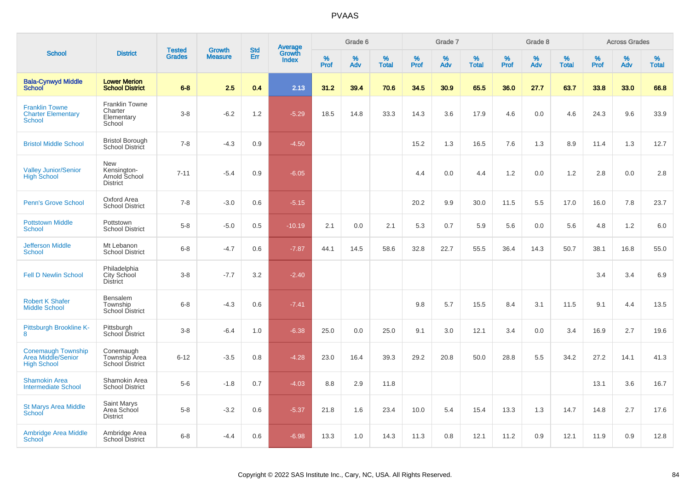| <b>School</b>                                                         |                                                          |                                |                                 | <b>Std</b> |                                          |                  | Grade 6  |                   |           | Grade 7  |                   |           | Grade 8  |                   |              | <b>Across Grades</b> |                   |
|-----------------------------------------------------------------------|----------------------------------------------------------|--------------------------------|---------------------------------|------------|------------------------------------------|------------------|----------|-------------------|-----------|----------|-------------------|-----------|----------|-------------------|--------------|----------------------|-------------------|
|                                                                       | <b>District</b>                                          | <b>Tested</b><br><b>Grades</b> | <b>Growth</b><br><b>Measure</b> | Err        | <b>Average</b><br>Growth<br><b>Index</b> | %<br><b>Prof</b> | %<br>Adv | %<br><b>Total</b> | %<br>Prof | %<br>Adv | %<br><b>Total</b> | %<br>Prof | %<br>Adv | %<br><b>Total</b> | $\%$<br>Prof | %<br>Adv             | %<br><b>Total</b> |
| <b>Bala-Cynwyd Middle</b><br><b>School</b>                            | <b>Lower Merion</b><br><b>School District</b>            | $6 - 8$                        | 2.5                             | 0.4        | 2.13                                     | 31.2             | 39.4     | 70.6              | 34.5      | 30.9     | 65.5              | 36.0      | 27.7     | 63.7              | 33.8         | 33.0                 | 66.8              |
| <b>Franklin Towne</b><br><b>Charter Elementary</b><br><b>School</b>   | <b>Franklin Towne</b><br>Charter<br>Elementary<br>School | $3-8$                          | $-6.2$                          | 1.2        | $-5.29$                                  | 18.5             | 14.8     | 33.3              | 14.3      | 3.6      | 17.9              | 4.6       | 0.0      | 4.6               | 24.3         | 9.6                  | 33.9              |
| <b>Bristol Middle School</b>                                          | <b>Bristol Borough</b><br>School District                | $7 - 8$                        | $-4.3$                          | 0.9        | $-4.50$                                  |                  |          |                   | 15.2      | 1.3      | 16.5              | 7.6       | 1.3      | 8.9               | 11.4         | 1.3                  | 12.7              |
| <b>Valley Junior/Senior</b><br><b>High School</b>                     | New<br>Kensington-<br>Arnold School<br><b>District</b>   | $7 - 11$                       | $-5.4$                          | 0.9        | $-6.05$                                  |                  |          |                   | 4.4       | 0.0      | 4.4               | 1.2       | 0.0      | 1.2               | 2.8          | 0.0                  | 2.8               |
| <b>Penn's Grove School</b>                                            | Oxford Area<br><b>School District</b>                    | $7 - 8$                        | $-3.0$                          | 0.6        | $-5.15$                                  |                  |          |                   | 20.2      | 9.9      | 30.0              | 11.5      | 5.5      | 17.0              | 16.0         | 7.8                  | 23.7              |
| <b>Pottstown Middle</b><br><b>School</b>                              | Pottstown<br><b>School District</b>                      | $5 - 8$                        | $-5.0$                          | 0.5        | $-10.19$                                 | 2.1              | 0.0      | 2.1               | 5.3       | 0.7      | 5.9               | 5.6       | 0.0      | 5.6               | 4.8          | 1.2                  | 6.0               |
| <b>Jefferson Middle</b><br><b>School</b>                              | Mt Lebanon<br><b>School District</b>                     | $6 - 8$                        | $-4.7$                          | 0.6        | $-7.87$                                  | 44.1             | 14.5     | 58.6              | 32.8      | 22.7     | 55.5              | 36.4      | 14.3     | 50.7              | 38.1         | 16.8                 | 55.0              |
| <b>Fell D Newlin School</b>                                           | Philadelphia<br>City School<br><b>District</b>           | $3-8$                          | $-7.7$                          | 3.2        | $-2.40$                                  |                  |          |                   |           |          |                   |           |          |                   | 3.4          | 3.4                  | 6.9               |
| <b>Robert K Shafer</b><br><b>Middle School</b>                        | Bensalem<br>Township<br>School District                  | $6-8$                          | $-4.3$                          | 0.6        | $-7.41$                                  |                  |          |                   | 9.8       | 5.7      | 15.5              | 8.4       | 3.1      | 11.5              | 9.1          | 4.4                  | 13.5              |
| Pittsburgh Brookline K-<br>8                                          | Pittsburgh<br>School District                            | $3 - 8$                        | $-6.4$                          | 1.0        | $-6.38$                                  | 25.0             | 0.0      | 25.0              | 9.1       | 3.0      | 12.1              | 3.4       | 0.0      | 3.4               | 16.9         | 2.7                  | 19.6              |
| <b>Conemaugh Township</b><br>Area Middle/Senior<br><b>High School</b> | Conemaugh<br>Township Area<br>School District            | $6 - 12$                       | $-3.5$                          | 0.8        | $-4.28$                                  | 23.0             | 16.4     | 39.3              | 29.2      | 20.8     | 50.0              | 28.8      | 5.5      | 34.2              | 27.2         | 14.1                 | 41.3              |
| <b>Shamokin Area</b><br><b>Intermediate School</b>                    | Shamokin Area<br><b>School District</b>                  | $5-6$                          | $-1.8$                          | 0.7        | $-4.03$                                  | 8.8              | 2.9      | 11.8              |           |          |                   |           |          |                   | 13.1         | 3.6                  | 16.7              |
| <b>St Marys Area Middle</b><br>School                                 | Saint Marys<br>Area School<br><b>District</b>            | $5-8$                          | $-3.2$                          | 0.6        | $-5.37$                                  | 21.8             | 1.6      | 23.4              | 10.0      | 5.4      | 15.4              | 13.3      | 1.3      | 14.7              | 14.8         | 2.7                  | 17.6              |
| <b>Ambridge Area Middle</b><br>School                                 | Ambridge Area<br><b>School District</b>                  | $6 - 8$                        | $-4.4$                          | 0.6        | $-6.98$                                  | 13.3             | 1.0      | 14.3              | 11.3      | 0.8      | 12.1              | 11.2      | 0.9      | 12.1              | 11.9         | 0.9                  | 12.8              |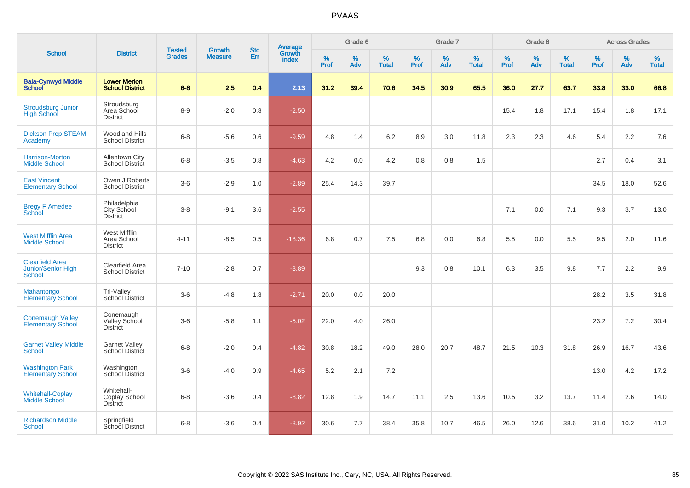|                                                               | <b>District</b>                                 | <b>Tested</b> |                                 | <b>Std</b>    |                                          |                  | Grade 6  |                   |           | Grade 7  |                   |           | Grade 8  |                   |           | <b>Across Grades</b> |                   |
|---------------------------------------------------------------|-------------------------------------------------|---------------|---------------------------------|---------------|------------------------------------------|------------------|----------|-------------------|-----------|----------|-------------------|-----------|----------|-------------------|-----------|----------------------|-------------------|
| <b>School</b>                                                 |                                                 | <b>Grades</b> | <b>Growth</b><br><b>Measure</b> | Err           | <b>Average</b><br>Growth<br><b>Index</b> | %<br><b>Prof</b> | %<br>Adv | %<br><b>Total</b> | %<br>Prof | %<br>Adv | %<br><b>Total</b> | %<br>Prof | %<br>Adv | %<br><b>Total</b> | %<br>Prof | $\%$<br>Adv          | %<br><b>Total</b> |
| <b>Bala-Cynwyd Middle</b><br><b>School</b>                    | <b>Lower Merion</b><br><b>School District</b>   | $6 - 8$       | 2.5                             | 0.4           | 2.13                                     | 31.2             | 39.4     | 70.6              | 34.5      | 30.9     | 65.5              | 36.0      | 27.7     | 63.7              | 33.8      | 33.0                 | 66.8              |
| <b>Stroudsburg Junior</b><br><b>High School</b>               | Stroudsburg<br>Area School<br><b>District</b>   | $8-9$         | $-2.0$                          | 0.8           | $-2.50$                                  |                  |          |                   |           |          |                   | 15.4      | 1.8      | 17.1              | 15.4      | 1.8                  | 17.1              |
| <b>Dickson Prep STEAM</b><br>Academy                          | <b>Woodland Hills</b><br><b>School District</b> | $6-8$         | $-5.6$                          | 0.6           | $-9.59$                                  | 4.8              | 1.4      | 6.2               | 8.9       | 3.0      | 11.8              | 2.3       | 2.3      | 4.6               | 5.4       | 2.2                  | 7.6               |
| Harrison-Morton<br><b>Middle School</b>                       | <b>Allentown City</b><br>School District        | $6-8$         | $-3.5$                          | 0.8           | $-4.63$                                  | 4.2              | 0.0      | 4.2               | 0.8       | 0.8      | 1.5               |           |          |                   | 2.7       | 0.4                  | 3.1               |
| <b>East Vincent</b><br><b>Elementary School</b>               | Owen J Roberts<br><b>School District</b>        | $3-6$         | $-2.9$                          | 1.0           | $-2.89$                                  | 25.4             | 14.3     | 39.7              |           |          |                   |           |          |                   | 34.5      | 18.0                 | 52.6              |
| <b>Bregy F Amedee</b><br>School                               | Philadelphia<br>City School<br><b>District</b>  | $3 - 8$       | $-9.1$                          | 3.6           | $-2.55$                                  |                  |          |                   |           |          |                   | 7.1       | 0.0      | 7.1               | 9.3       | 3.7                  | 13.0              |
| <b>West Mifflin Area</b><br><b>Middle School</b>              | West Mifflin<br>Area School<br><b>District</b>  | $4 - 11$      | $-8.5$                          | 0.5           | $-18.36$                                 | 6.8              | 0.7      | 7.5               | 6.8       | 0.0      | 6.8               | 5.5       | 0.0      | 5.5               | 9.5       | 2.0                  | 11.6              |
| <b>Clearfield Area</b><br><b>Junior/Senior High</b><br>School | Clearfield Area<br><b>School District</b>       | $7 - 10$      | $-2.8$                          | 0.7           | $-3.89$                                  |                  |          |                   | 9.3       | 0.8      | 10.1              | 6.3       | 3.5      | 9.8               | 7.7       | 2.2                  | 9.9               |
| Mahantongo<br><b>Elementary School</b>                        | Tri-Valley<br>School District                   | $3-6$         | $-4.8$                          | 1.8           | $-2.71$                                  | 20.0             | 0.0      | 20.0              |           |          |                   |           |          |                   | 28.2      | 3.5                  | 31.8              |
| <b>Conemaugh Valley</b><br><b>Elementary School</b>           | Conemaugh<br>Valley School<br>District          | $3-6$         | $-5.8$                          | 1.1           | $-5.02$                                  | 22.0             | 4.0      | 26.0              |           |          |                   |           |          |                   | 23.2      | 7.2                  | 30.4              |
| <b>Garnet Valley Middle</b><br>School                         | <b>Garnet Valley</b><br>School District         | $6 - 8$       | $-2.0$                          | $0.4^{\circ}$ | $-4.82$                                  | 30.8             | 18.2     | 49.0              | 28.0      | 20.7     | 48.7              | 21.5      | 10.3     | 31.8              | 26.9      | 16.7                 | 43.6              |
| <b>Washington Park</b><br><b>Elementary School</b>            | Washington<br>School District                   | $3-6$         | $-4.0$                          | 0.9           | $-4.65$                                  | 5.2              | 2.1      | 7.2               |           |          |                   |           |          |                   | 13.0      | 4.2                  | 17.2              |
| <b>Whitehall-Coplay</b><br><b>Middle School</b>               | Whitehall-<br>Coplay School<br><b>District</b>  | $6 - 8$       | $-3.6$                          | 0.4           | $-8.82$                                  | 12.8             | 1.9      | 14.7              | 11.1      | 2.5      | 13.6              | 10.5      | 3.2      | 13.7              | 11.4      | 2.6                  | 14.0              |
| <b>Richardson Middle</b><br><b>School</b>                     | Springfield<br>School District                  | $6 - 8$       | $-3.6$                          | 0.4           | $-8.92$                                  | 30.6             | 7.7      | 38.4              | 35.8      | 10.7     | 46.5              | 26.0      | 12.6     | 38.6              | 31.0      | 10.2                 | 41.2              |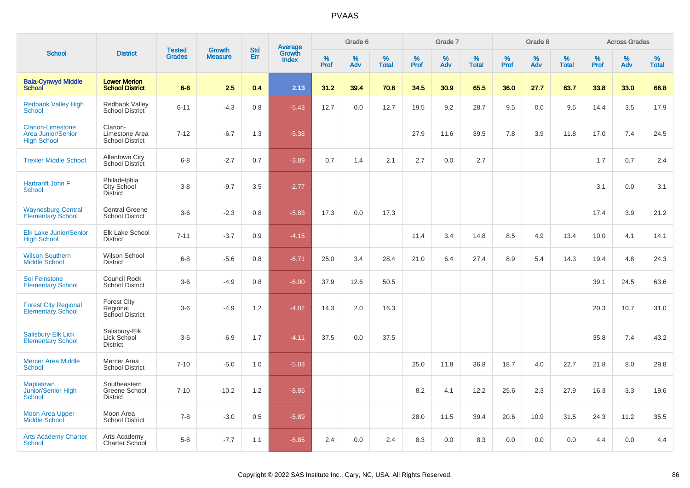| <b>School</b>                                                        | <b>District</b>                                      | <b>Tested</b> |                                 | <b>Std</b> |                                          |                  | Grade 6  |                   |           | Grade 7  |                   |           | Grade 8  |                   |           | <b>Across Grades</b> |                   |
|----------------------------------------------------------------------|------------------------------------------------------|---------------|---------------------------------|------------|------------------------------------------|------------------|----------|-------------------|-----------|----------|-------------------|-----------|----------|-------------------|-----------|----------------------|-------------------|
|                                                                      |                                                      | <b>Grades</b> | <b>Growth</b><br><b>Measure</b> | Err        | <b>Average</b><br>Growth<br><b>Index</b> | %<br><b>Prof</b> | %<br>Adv | %<br><b>Total</b> | %<br>Prof | %<br>Adv | %<br><b>Total</b> | %<br>Prof | %<br>Adv | %<br><b>Total</b> | %<br>Prof | %<br>Adv             | %<br><b>Total</b> |
| <b>Bala-Cynwyd Middle</b><br><b>School</b>                           | <b>Lower Merion</b><br><b>School District</b>        | $6 - 8$       | 2.5                             | 0.4        | 2.13                                     | 31.2             | 39.4     | 70.6              | 34.5      | 30.9     | 65.5              | 36.0      | 27.7     | 63.7              | 33.8      | 33.0                 | 66.8              |
| <b>Redbank Valley High</b><br>School                                 | <b>Redbank Valley</b><br><b>School District</b>      | $6 - 11$      | $-4.3$                          | 0.8        | $-5.43$                                  | 12.7             | 0.0      | 12.7              | 19.5      | 9.2      | 28.7              | 9.5       | 0.0      | 9.5               | 14.4      | 3.5                  | 17.9              |
| <b>Clarion-Limestone</b><br>Area Junior/Senior<br><b>High School</b> | Clarion-<br>Limestone Area<br><b>School District</b> | $7 - 12$      | $-6.7$                          | 1.3        | $-5.38$                                  |                  |          |                   | 27.9      | 11.6     | 39.5              | 7.8       | 3.9      | 11.8              | 17.0      | 7.4                  | 24.5              |
| <b>Trexler Middle School</b>                                         | <b>Allentown City</b><br>School District             | $6-8$         | $-2.7$                          | 0.7        | $-3.89$                                  | 0.7              | 1.4      | 2.1               | 2.7       | 0.0      | 2.7               |           |          |                   | 1.7       | 0.7                  | 2.4               |
| Hartranft John F<br>School                                           | Philadelphia<br>City School<br><b>District</b>       | $3 - 8$       | $-9.7$                          | 3.5        | $-2.77$                                  |                  |          |                   |           |          |                   |           |          |                   | 3.1       | 0.0                  | 3.1               |
| <b>Waynesburg Central</b><br><b>Elementary School</b>                | <b>Central Greene</b><br><b>School District</b>      | $3-6$         | $-2.3$                          | 0.8        | $-5.83$                                  | 17.3             | 0.0      | 17.3              |           |          |                   |           |          |                   | 17.4      | 3.9                  | 21.2              |
| <b>Elk Lake Junior/Senior</b><br><b>High School</b>                  | Elk Lake School<br><b>District</b>                   | $7 - 11$      | $-3.7$                          | 0.9        | $-4.15$                                  |                  |          |                   | 11.4      | 3.4      | 14.8              | 8.5       | 4.9      | 13.4              | 10.0      | 4.1                  | 14.1              |
| <b>Wilson Southern</b><br><b>Middle School</b>                       | <b>Wilson School</b><br><b>District</b>              | $6 - 8$       | $-5.6$                          | 0.8        | $-6.71$                                  | 25.0             | 3.4      | 28.4              | 21.0      | 6.4      | 27.4              | 8.9       | 5.4      | 14.3              | 19.4      | 4.8                  | 24.3              |
| <b>Sol Feinstone</b><br><b>Elementary School</b>                     | <b>Council Rock</b><br><b>School District</b>        | $3-6$         | $-4.9$                          | 0.8        | $-6.00$                                  | 37.9             | 12.6     | 50.5              |           |          |                   |           |          |                   | 39.1      | 24.5                 | 63.6              |
| <b>Forest City Regional</b><br><b>Elementary School</b>              | <b>Forest City</b><br>Regional<br>School District    | $3-6$         | $-4.9$                          | 1.2        | $-4.02$                                  | 14.3             | 2.0      | 16.3              |           |          |                   |           |          |                   | 20.3      | 10.7                 | 31.0              |
| Salisbury-Elk Lick<br><b>Elementary School</b>                       | Salisbury-Elk<br>Lick School<br><b>District</b>      | $3-6$         | $-6.9$                          | 1.7        | $-4.11$                                  | 37.5             | 0.0      | 37.5              |           |          |                   |           |          |                   | 35.8      | 7.4                  | 43.2              |
| <b>Mercer Area Middle</b><br><b>School</b>                           | Mercer Area<br><b>School District</b>                | $7 - 10$      | $-5.0$                          | 1.0        | $-5.03$                                  |                  |          |                   | 25.0      | 11.8     | 36.8              | 18.7      | 4.0      | 22.7              | 21.8      | 8.0                  | 29.8              |
| <b>Mapletown</b><br>Junior/Senior High<br><b>School</b>              | Southeastern<br>Greene School<br><b>District</b>     | $7 - 10$      | $-10.2$                         | 1.2        | $-8.85$                                  |                  |          |                   | 8.2       | 4.1      | 12.2              | 25.6      | 2.3      | 27.9              | 16.3      | 3.3                  | 19.6              |
| <b>Moon Area Upper</b><br><b>Middle School</b>                       | Moon Area<br><b>School District</b>                  | $7 - 8$       | $-3.0$                          | 0.5        | $-5.89$                                  |                  |          |                   | 28.0      | 11.5     | 39.4              | 20.6      | 10.9     | 31.5              | 24.3      | 11.2                 | 35.5              |
| <b>Arts Academy Charter</b><br>School                                | Arts Academy<br>Charter School                       | $5 - 8$       | $-7.7$                          | 1.1        | $-6.85$                                  | 2.4              | 0.0      | 2.4               | 8.3       | 0.0      | 8.3               | 0.0       | 0.0      | 0.0               | 4.4       | 0.0                  | 4.4               |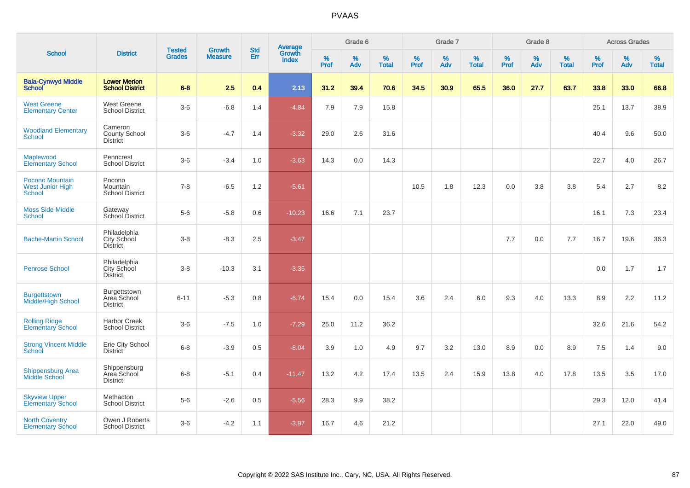| <b>School</b>                                               | <b>District</b>                                       | <b>Tested</b> | <b>Growth</b>  | <b>Std</b> |                                          |                  | Grade 6     |                   |              | Grade 7     |                   |                     | Grade 8  |                   |           | <b>Across Grades</b> |                   |
|-------------------------------------------------------------|-------------------------------------------------------|---------------|----------------|------------|------------------------------------------|------------------|-------------|-------------------|--------------|-------------|-------------------|---------------------|----------|-------------------|-----------|----------------------|-------------------|
|                                                             |                                                       | <b>Grades</b> | <b>Measure</b> | Err        | <b>Average</b><br>Growth<br><b>Index</b> | %<br><b>Prof</b> | $\%$<br>Adv | %<br><b>Total</b> | $\%$<br>Prof | $\%$<br>Adv | %<br><b>Total</b> | $\%$<br><b>Prof</b> | %<br>Adv | %<br><b>Total</b> | %<br>Prof | %<br>Adv             | %<br><b>Total</b> |
| <b>Bala-Cynwyd Middle</b><br><b>School</b>                  | <b>Lower Merion</b><br><b>School District</b>         | $6 - 8$       | 2.5            | 0.4        | 2.13                                     | 31.2             | 39.4        | 70.6              | 34.5         | 30.9        | 65.5              | 36.0                | 27.7     | 63.7              | 33.8      | 33.0                 | 66.8              |
| <b>West Greene</b><br><b>Elementary Center</b>              | West Greene<br><b>School District</b>                 | $3-6$         | $-6.8$         | 1.4        | $-4.84$                                  | 7.9              | 7.9         | 15.8              |              |             |                   |                     |          |                   | 25.1      | 13.7                 | 38.9              |
| <b>Woodland Elementary</b><br><b>School</b>                 | Cameron<br>County School<br><b>District</b>           | $3-6$         | $-4.7$         | 1.4        | $-3.32$                                  | 29.0             | 2.6         | 31.6              |              |             |                   |                     |          |                   | 40.4      | 9.6                  | 50.0              |
| Maplewood<br><b>Elementary School</b>                       | Penncrest<br><b>School District</b>                   | $3-6$         | $-3.4$         | 1.0        | $-3.63$                                  | 14.3             | 0.0         | 14.3              |              |             |                   |                     |          |                   | 22.7      | 4.0                  | 26.7              |
| Pocono Mountain<br><b>West Junior High</b><br><b>School</b> | Pocono<br>Mountain<br><b>School District</b>          | $7 - 8$       | $-6.5$         | 1.2        | $-5.61$                                  |                  |             |                   | 10.5         | 1.8         | 12.3              | 0.0                 | 3.8      | 3.8               | 5.4       | 2.7                  | 8.2               |
| <b>Moss Side Middle</b><br><b>School</b>                    | Gateway<br>School District                            | $5-6$         | $-5.8$         | 0.6        | $-10.23$                                 | 16.6             | 7.1         | 23.7              |              |             |                   |                     |          |                   | 16.1      | 7.3                  | 23.4              |
| <b>Bache-Martin School</b>                                  | Philadelphia<br>City School<br><b>District</b>        | $3 - 8$       | $-8.3$         | 2.5        | $-3.47$                                  |                  |             |                   |              |             |                   | 7.7                 | 0.0      | 7.7               | 16.7      | 19.6                 | 36.3              |
| <b>Penrose School</b>                                       | Philadelphia<br><b>City School</b><br><b>District</b> | $3-8$         | $-10.3$        | 3.1        | $-3.35$                                  |                  |             |                   |              |             |                   |                     |          |                   | 0.0       | 1.7                  | 1.7               |
| <b>Burgettstown</b><br>Middle/High School                   | Burgettstown<br>Area School<br><b>District</b>        | $6 - 11$      | $-5.3$         | 0.8        | $-6.74$                                  | 15.4             | 0.0         | 15.4              | 3.6          | 2.4         | 6.0               | 9.3                 | 4.0      | 13.3              | 8.9       | 2.2                  | 11.2              |
| <b>Rolling Ridge</b><br><b>Elementary School</b>            | <b>Harbor Creek</b><br><b>School District</b>         | $3-6$         | $-7.5$         | 1.0        | $-7.29$                                  | 25.0             | 11.2        | 36.2              |              |             |                   |                     |          |                   | 32.6      | 21.6                 | 54.2              |
| <b>Strong Vincent Middle</b><br>School                      | Erie City School<br><b>District</b>                   | $6 - 8$       | $-3.9$         | 0.5        | $-8.04$                                  | 3.9              | 1.0         | 4.9               | 9.7          | 3.2         | 13.0              | 8.9                 | 0.0      | 8.9               | 7.5       | 1.4                  | 9.0               |
| <b>Shippensburg Area</b><br><b>Middle School</b>            | Shippensburg<br>Area School<br><b>District</b>        | $6 - 8$       | $-5.1$         | 0.4        | $-11.47$                                 | 13.2             | 4.2         | 17.4              | 13.5         | 2.4         | 15.9              | 13.8                | 4.0      | 17.8              | 13.5      | 3.5                  | 17.0              |
| <b>Skyview Upper</b><br>Elementary School                   | Methacton<br><b>School District</b>                   | $5-6$         | $-2.6$         | 0.5        | $-5.56$                                  | 28.3             | 9.9         | 38.2              |              |             |                   |                     |          |                   | 29.3      | 12.0                 | 41.4              |
| <b>North Coventry</b><br><b>Elementary School</b>           | Owen J Roberts<br><b>School District</b>              | $3-6$         | $-4.2$         | 1.1        | $-3.97$                                  | 16.7             | 4.6         | 21.2              |              |             |                   |                     |          |                   | 27.1      | 22.0                 | 49.0              |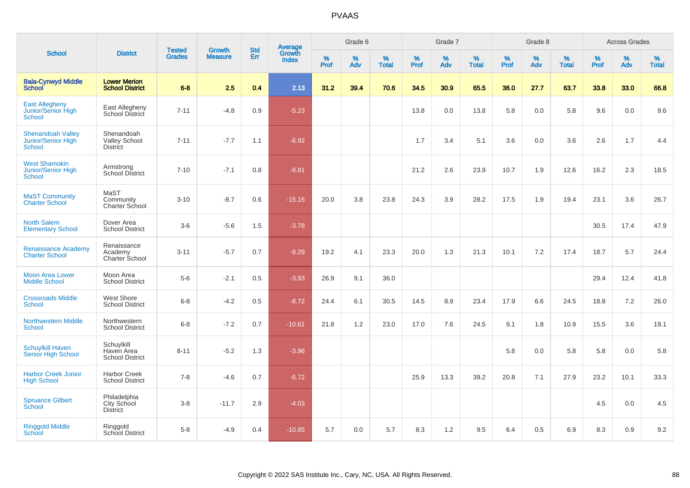| <b>School</b>                                            |                                                       |                                | <b>Growth</b>  | <b>Std</b> |                                          |                  | Grade 6     |                   |              | Grade 7     |                      |              | Grade 8  |                   |              | <b>Across Grades</b> |                      |
|----------------------------------------------------------|-------------------------------------------------------|--------------------------------|----------------|------------|------------------------------------------|------------------|-------------|-------------------|--------------|-------------|----------------------|--------------|----------|-------------------|--------------|----------------------|----------------------|
|                                                          | <b>District</b>                                       | <b>Tested</b><br><b>Grades</b> | <b>Measure</b> | Err        | <b>Average</b><br>Growth<br><b>Index</b> | %<br><b>Prof</b> | $\%$<br>Adv | %<br><b>Total</b> | $\%$<br>Prof | $\%$<br>Adv | $\%$<br><b>Total</b> | $\%$<br>Prof | %<br>Adv | %<br><b>Total</b> | $\%$<br>Prof | $\%$<br>Adv          | $\%$<br><b>Total</b> |
| <b>Bala-Cynwyd Middle</b><br><b>School</b>               | <b>Lower Merion</b><br><b>School District</b>         | $6-8$                          | 2.5            | 0.4        | 2.13                                     | 31.2             | 39.4        | 70.6              | 34.5         | 30.9        | 65.5                 | 36.0         | 27.7     | 63.7              | 33.8         | 33.0                 | 66.8                 |
| <b>East Allegheny</b><br>Junior/Senior High<br>School    | East Allegheny<br>School District                     | $7 - 11$                       | $-4.8$         | 0.9        | $-5.23$                                  |                  |             |                   | 13.8         | 0.0         | 13.8                 | 5.8          | 0.0      | 5.8               | 9.6          | 0.0                  | 9.6                  |
| <b>Shenandoah Valley</b><br>Junior/Senior High<br>School | Shenandoah<br><b>Valley School</b><br><b>District</b> | $7 - 11$                       | $-7.7$         | 1.1        | $-6.92$                                  |                  |             |                   | 1.7          | 3.4         | 5.1                  | 3.6          | 0.0      | 3.6               | 2.6          | 1.7                  | 4.4                  |
| <b>West Shamokin</b><br>Junior/Senior High<br>School     | Armstrong<br><b>School District</b>                   | $7 - 10$                       | $-7.1$         | 0.8        | $-8.81$                                  |                  |             |                   | 21.2         | 2.6         | 23.9                 | 10.7         | 1.9      | 12.6              | 16.2         | 2.3                  | 18.5                 |
| <b>MaST Community</b><br><b>Charter School</b>           | MaST<br>Community<br>Charter School                   | $3 - 10$                       | $-8.7$         | 0.6        | $-15.16$                                 | 20.0             | 3.8         | 23.8              | 24.3         | 3.9         | 28.2                 | 17.5         | 1.9      | 19.4              | 23.1         | 3.6                  | 26.7                 |
| <b>North Salem</b><br><b>Elementary School</b>           | Dover Area<br><b>School District</b>                  | $3-6$                          | $-5.6$         | 1.5        | $-3.78$                                  |                  |             |                   |              |             |                      |              |          |                   | 30.5         | 17.4                 | 47.9                 |
| <b>Renaissance Academy</b><br><b>Charter School</b>      | Renaissance<br>Academy<br>Charter School              | $3 - 11$                       | $-5.7$         | 0.7        | $-8.29$                                  | 19.2             | 4.1         | 23.3              | 20.0         | 1.3         | 21.3                 | 10.1         | 7.2      | 17.4              | 18.7         | 5.7                  | 24.4                 |
| <b>Moon Area Lower</b><br><b>Middle School</b>           | Moon Area<br><b>School District</b>                   | $5-6$                          | $-2.1$         | 0.5        | $-3.93$                                  | 26.9             | 9.1         | 36.0              |              |             |                      |              |          |                   | 29.4         | 12.4                 | 41.8                 |
| <b>Crossroads Middle</b><br><b>School</b>                | West Shore<br><b>School District</b>                  | $6 - 8$                        | $-4.2$         | 0.5        | $-8.72$                                  | 24.4             | 6.1         | 30.5              | 14.5         | 8.9         | 23.4                 | 17.9         | 6.6      | 24.5              | 18.8         | 7.2                  | 26.0                 |
| <b>Northwestern Middle</b><br><b>School</b>              | Northwestern<br><b>School District</b>                | $6 - 8$                        | $-7.2$         | 0.7        | $-10.61$                                 | 21.8             | 1.2         | 23.0              | 17.0         | 7.6         | 24.5                 | 9.1          | 1.8      | 10.9              | 15.5         | 3.6                  | 19.1                 |
| <b>Schuylkill Haven</b><br>Senior High School            | Schuylkill<br>Haven Area<br><b>School District</b>    | $8 - 11$                       | $-5.2$         | 1.3        | $-3.96$                                  |                  |             |                   |              |             |                      | 5.8          | 0.0      | 5.8               | 5.8          | 0.0                  | 5.8                  |
| <b>Harbor Creek Junior</b><br><b>High School</b>         | <b>Harbor Creek</b><br><b>School District</b>         | $7 - 8$                        | $-4.6$         | 0.7        | $-6.72$                                  |                  |             |                   | 25.9         | 13.3        | 39.2                 | 20.8         | 7.1      | 27.9              | 23.2         | 10.1                 | 33.3                 |
| <b>Spruance Gilbert</b><br>School                        | Philadelphia<br>City School<br><b>District</b>        | $3-8$                          | $-11.7$        | 2.9        | $-4.03$                                  |                  |             |                   |              |             |                      |              |          |                   | 4.5          | 0.0                  | 4.5                  |
| <b>Ringgold Middle</b><br>School                         | Ringgold<br>School District                           | $5-8$                          | $-4.9$         | 0.4        | $-10.85$                                 | 5.7              | 0.0         | 5.7               | 8.3          | 1.2         | 9.5                  | 6.4          | 0.5      | 6.9               | 8.3          | 0.9                  | 9.2                  |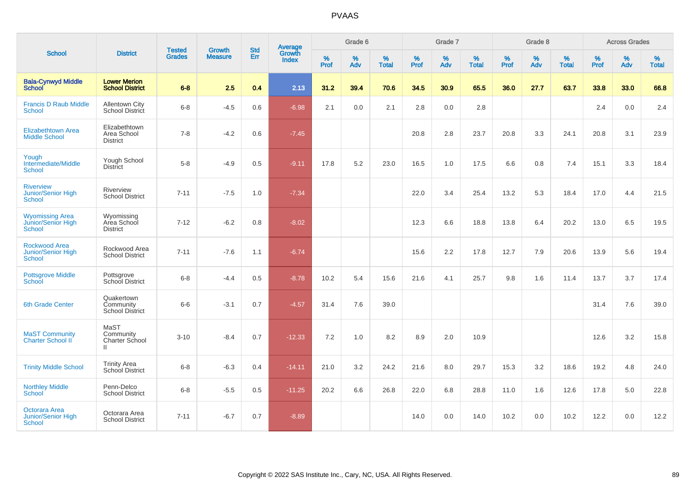|                                                                      | <b>Tested</b><br><b>District</b>                    |               | <b>Growth</b>  | <b>Std</b> |                                          |                  | Grade 6  |                   |                  | Grade 7  |                   |           | Grade 8  |                   |           | <b>Across Grades</b> |                   |
|----------------------------------------------------------------------|-----------------------------------------------------|---------------|----------------|------------|------------------------------------------|------------------|----------|-------------------|------------------|----------|-------------------|-----------|----------|-------------------|-----------|----------------------|-------------------|
| <b>School</b>                                                        |                                                     | <b>Grades</b> | <b>Measure</b> | Err        | <b>Average</b><br>Growth<br><b>Index</b> | %<br><b>Prof</b> | %<br>Adv | %<br><b>Total</b> | %<br><b>Prof</b> | %<br>Adv | %<br><b>Total</b> | %<br>Prof | %<br>Adv | %<br><b>Total</b> | %<br>Prof | %<br>Adv             | %<br><b>Total</b> |
| <b>Bala-Cynwyd Middle</b><br><b>School</b>                           | <b>Lower Merion</b><br><b>School District</b>       | $6 - 8$       | 2.5            | 0.4        | 2.13                                     | 31.2             | 39.4     | 70.6              | 34.5             | 30.9     | 65.5              | 36.0      | 27.7     | 63.7              | 33.8      | 33.0                 | 66.8              |
| <b>Francis D Raub Middle</b><br><b>School</b>                        | <b>Allentown City</b><br>School District            | $6 - 8$       | $-4.5$         | 0.6        | $-6.98$                                  | 2.1              | 0.0      | 2.1               | 2.8              | 0.0      | 2.8               |           |          |                   | 2.4       | 0.0                  | 2.4               |
| <b>Elizabethtown Area</b><br><b>Middle School</b>                    | Elizabethtown<br>Area School<br><b>District</b>     | $7 - 8$       | $-4.2$         | 0.6        | $-7.45$                                  |                  |          |                   | 20.8             | 2.8      | 23.7              | 20.8      | 3.3      | 24.1              | 20.8      | 3.1                  | 23.9              |
| Yough<br>Intermediate/Middle<br><b>School</b>                        | Yough School<br><b>District</b>                     | $5-8$         | $-4.9$         | 0.5        | $-9.11$                                  | 17.8             | 5.2      | 23.0              | 16.5             | 1.0      | 17.5              | 6.6       | 0.8      | 7.4               | 15.1      | 3.3                  | 18.4              |
| <b>Riverview</b><br><b>Junior/Senior High</b><br><b>School</b>       | Riverview<br><b>School District</b>                 | $7 - 11$      | $-7.5$         | 1.0        | $-7.34$                                  |                  |          |                   | 22.0             | 3.4      | 25.4              | 13.2      | 5.3      | 18.4              | 17.0      | 4.4                  | 21.5              |
| <b>Wyomissing Area</b><br><b>Junior/Senior High</b><br><b>School</b> | Wyomissing<br>Area School<br><b>District</b>        | $7 - 12$      | $-6.2$         | 0.8        | $-8.02$                                  |                  |          |                   | 12.3             | 6.6      | 18.8              | 13.8      | 6.4      | 20.2              | 13.0      | 6.5                  | 19.5              |
| <b>Rockwood Area</b><br><b>Junior/Senior High</b><br><b>School</b>   | Rockwood Area<br><b>School District</b>             | $7 - 11$      | $-7.6$         | 1.1        | $-6.74$                                  |                  |          |                   | 15.6             | 2.2      | 17.8              | 12.7      | 7.9      | 20.6              | 13.9      | 5.6                  | 19.4              |
| <b>Pottsgrove Middle</b><br>School                                   | Pottsgrove<br>School District                       | $6-8$         | $-4.4$         | 0.5        | $-8.78$                                  | 10.2             | 5.4      | 15.6              | 21.6             | 4.1      | 25.7              | 9.8       | 1.6      | 11.4              | 13.7      | 3.7                  | 17.4              |
| <b>6th Grade Center</b>                                              | Quakertown<br>Community<br>School District          | $6-6$         | $-3.1$         | 0.7        | $-4.57$                                  | 31.4             | 7.6      | 39.0              |                  |          |                   |           |          |                   | 31.4      | 7.6                  | 39.0              |
| <b>MaST Community</b><br><b>Charter School II</b>                    | MaST<br>Community<br>Charter School<br>$\mathbf{H}$ | $3 - 10$      | $-8.4$         | 0.7        | $-12.33$                                 | 7.2              | 1.0      | 8.2               | 8.9              | 2.0      | 10.9              |           |          |                   | 12.6      | 3.2                  | 15.8              |
| <b>Trinity Middle School</b>                                         | <b>Trinity Area</b><br><b>School District</b>       | $6 - 8$       | $-6.3$         | 0.4        | $-14.11$                                 | 21.0             | 3.2      | 24.2              | 21.6             | 8.0      | 29.7              | 15.3      | 3.2      | 18.6              | 19.2      | 4.8                  | 24.0              |
| <b>Northley Middle</b><br><b>School</b>                              | Penn-Delco<br><b>School District</b>                | $6-8$         | $-5.5$         | 0.5        | $-11.25$                                 | 20.2             | 6.6      | 26.8              | 22.0             | 6.8      | 28.8              | 11.0      | 1.6      | 12.6              | 17.8      | 5.0                  | 22.8              |
| Octorara Area<br>Junior/Senior High<br><b>School</b>                 | Octorara Area<br><b>School District</b>             | $7 - 11$      | $-6.7$         | 0.7        | $-8.89$                                  |                  |          |                   | 14.0             | 0.0      | 14.0              | 10.2      | 0.0      | 10.2              | 12.2      | 0.0                  | 12.2              |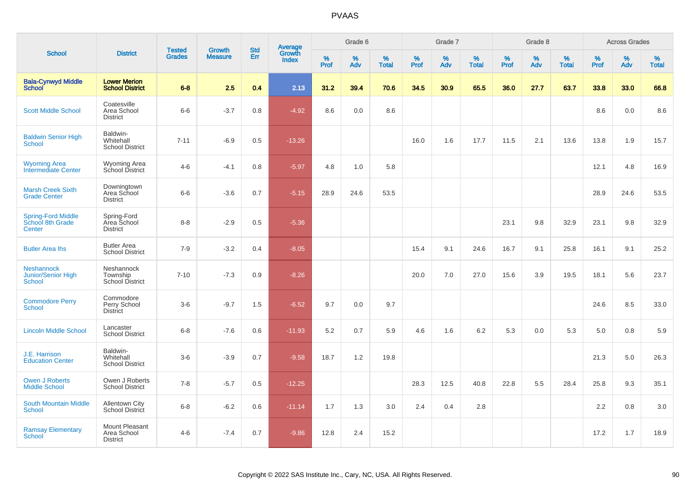| <b>School</b>                                            | <b>District</b>                                  |                                | <b>Growth</b>  | <b>Std</b> |                                          |                     | Grade 6     |                   |              | Grade 7     |                      |              | Grade 8  |                   |                     | <b>Across Grades</b> |                   |
|----------------------------------------------------------|--------------------------------------------------|--------------------------------|----------------|------------|------------------------------------------|---------------------|-------------|-------------------|--------------|-------------|----------------------|--------------|----------|-------------------|---------------------|----------------------|-------------------|
|                                                          |                                                  | <b>Tested</b><br><b>Grades</b> | <b>Measure</b> | Err        | <b>Average</b><br>Growth<br><b>Index</b> | $\%$<br><b>Prof</b> | $\%$<br>Adv | %<br><b>Total</b> | $\%$<br>Prof | $\%$<br>Adv | $\%$<br><b>Total</b> | $\%$<br>Prof | %<br>Adv | %<br><b>Total</b> | $\%$<br><b>Prof</b> | $\%$<br>Adv          | %<br><b>Total</b> |
| <b>Bala-Cynwyd Middle</b><br>School                      | <b>Lower Merion</b><br><b>School District</b>    | $6 - 8$                        | 2.5            | 0.4        | 2.13                                     | 31.2                | 39.4        | 70.6              | 34.5         | 30.9        | 65.5                 | 36.0         | 27.7     | 63.7              | 33.8                | 33.0                 | 66.8              |
| <b>Scott Middle School</b>                               | Coatesville<br>Area School<br><b>District</b>    | $6-6$                          | $-3.7$         | 0.8        | $-4.92$                                  | 8.6                 | 0.0         | 8.6               |              |             |                      |              |          |                   | 8.6                 | 0.0                  | 8.6               |
| <b>Baldwin Senior High</b><br>School                     | Baldwin-<br>Whitehall<br><b>School District</b>  | $7 - 11$                       | $-6.9$         | 0.5        | $-13.26$                                 |                     |             |                   | 16.0         | 1.6         | 17.7                 | 11.5         | 2.1      | 13.6              | 13.8                | 1.9                  | 15.7              |
| <b>Wyoming Area</b><br>Intermediate Center               | Wyoming Area<br>School District                  | $4 - 6$                        | $-4.1$         | 0.8        | $-5.97$                                  | 4.8                 | 1.0         | 5.8               |              |             |                      |              |          |                   | 12.1                | 4.8                  | 16.9              |
| <b>Marsh Creek Sixth</b><br><b>Grade Center</b>          | Downingtown<br>Area School<br><b>District</b>    | $6-6$                          | $-3.6$         | 0.7        | $-5.15$                                  | 28.9                | 24.6        | 53.5              |              |             |                      |              |          |                   | 28.9                | 24.6                 | 53.5              |
| <b>Spring-Ford Middle</b><br>School 8th Grade<br>Center  | Spring-Ford<br>Area School<br><b>District</b>    | $8 - 8$                        | $-2.9$         | 0.5        | $-5.36$                                  |                     |             |                   |              |             |                      | 23.1         | 9.8      | 32.9              | 23.1                | 9.8                  | 32.9              |
| <b>Butler Area Ihs</b>                                   | <b>Butler Area</b><br><b>School District</b>     | $7 - 9$                        | $-3.2$         | 0.4        | $-8.05$                                  |                     |             |                   | 15.4         | 9.1         | 24.6                 | 16.7         | 9.1      | 25.8              | 16.1                | 9.1                  | 25.2              |
| <b>Neshannock</b><br>Junior/Senior High<br><b>School</b> | Neshannock<br>Township<br><b>School District</b> | $7 - 10$                       | $-7.3$         | 0.9        | $-8.26$                                  |                     |             |                   | 20.0         | 7.0         | 27.0                 | 15.6         | 3.9      | 19.5              | 18.1                | 5.6                  | 23.7              |
| <b>Commodore Perry</b><br><b>School</b>                  | Commodore<br>Perry School<br><b>District</b>     | $3-6$                          | $-9.7$         | 1.5        | $-6.52$                                  | 9.7                 | 0.0         | 9.7               |              |             |                      |              |          |                   | 24.6                | 8.5                  | 33.0              |
| <b>Lincoln Middle School</b>                             | Lancaster<br><b>School District</b>              | $6 - 8$                        | $-7.6$         | 0.6        | $-11.93$                                 | 5.2                 | 0.7         | 5.9               | 4.6          | 1.6         | 6.2                  | 5.3          | 0.0      | 5.3               | 5.0                 | 0.8                  | 5.9               |
| J.E. Harrison<br><b>Education Center</b>                 | Baldwin-<br>Whitehall<br><b>School District</b>  | $3-6$                          | $-3.9$         | 0.7        | $-9.58$                                  | 18.7                | 1.2         | 19.8              |              |             |                      |              |          |                   | 21.3                | 5.0                  | 26.3              |
| <b>Owen J Roberts</b><br><b>Middle School</b>            | Owen J Roberts<br><b>School District</b>         | $7 - 8$                        | $-5.7$         | 0.5        | $-12.25$                                 |                     |             |                   | 28.3         | 12.5        | 40.8                 | 22.8         | 5.5      | 28.4              | 25.8                | 9.3                  | 35.1              |
| <b>South Mountain Middle</b><br>School                   | <b>Allentown City</b><br><b>School District</b>  | $6 - 8$                        | $-6.2$         | 0.6        | $-11.14$                                 | 1.7                 | 1.3         | 3.0               | 2.4          | 0.4         | 2.8                  |              |          |                   | 2.2                 | 0.8                  | 3.0               |
| <b>Ramsay Elementary</b><br>School                       | Mount Pleasant<br>Area School<br><b>District</b> | $4 - 6$                        | $-7.4$         | 0.7        | $-9.86$                                  | 12.8                | 2.4         | 15.2              |              |             |                      |              |          |                   | 17.2                | 1.7                  | 18.9              |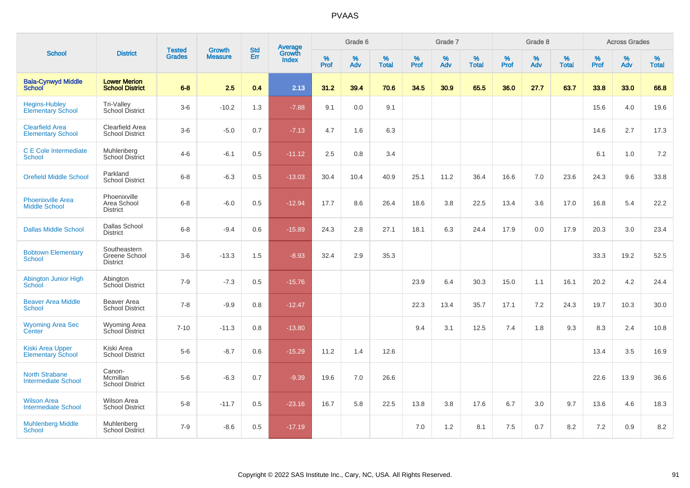| <b>School</b>                                       | <b>District</b>                                  | <b>Tested</b> |                                 | <b>Std</b> |                                          |           | Grade 6  |                   |           | Grade 7  |                   |           | Grade 8  |                   |              | <b>Across Grades</b> |                   |
|-----------------------------------------------------|--------------------------------------------------|---------------|---------------------------------|------------|------------------------------------------|-----------|----------|-------------------|-----------|----------|-------------------|-----------|----------|-------------------|--------------|----------------------|-------------------|
|                                                     |                                                  | <b>Grades</b> | <b>Growth</b><br><b>Measure</b> | Err        | <b>Average</b><br>Growth<br><b>Index</b> | %<br>Prof | %<br>Adv | %<br><b>Total</b> | %<br>Prof | %<br>Adv | %<br><b>Total</b> | %<br>Prof | %<br>Adv | %<br><b>Total</b> | $\%$<br>Prof | %<br>Adv             | %<br><b>Total</b> |
| <b>Bala-Cynwyd Middle</b><br><b>School</b>          | <b>Lower Merion</b><br><b>School District</b>    | $6 - 8$       | 2.5                             | 0.4        | 2.13                                     | 31.2      | 39.4     | 70.6              | 34.5      | 30.9     | 65.5              | 36.0      | 27.7     | 63.7              | 33.8         | 33.0                 | 66.8              |
| <b>Hegins-Hubley</b><br><b>Elementary School</b>    | Tri-Valley<br>School District                    | $3-6$         | $-10.2$                         | 1.3        | $-7.88$                                  | 9.1       | 0.0      | 9.1               |           |          |                   |           |          |                   | 15.6         | 4.0                  | 19.6              |
| <b>Clearfield Area</b><br><b>Elementary School</b>  | Clearfield Area<br><b>School District</b>        | $3-6$         | $-5.0$                          | 0.7        | $-7.13$                                  | 4.7       | 1.6      | 6.3               |           |          |                   |           |          |                   | 14.6         | 2.7                  | 17.3              |
| C E Cole Intermediate<br><b>School</b>              | Muhlenberg<br><b>School District</b>             | $4 - 6$       | $-6.1$                          | 0.5        | $-11.12$                                 | 2.5       | 0.8      | 3.4               |           |          |                   |           |          |                   | 6.1          | 1.0                  | 7.2               |
| <b>Orefield Middle School</b>                       | Parkland<br><b>School District</b>               | $6 - 8$       | $-6.3$                          | 0.5        | $-13.03$                                 | 30.4      | 10.4     | 40.9              | 25.1      | 11.2     | 36.4              | 16.6      | 7.0      | 23.6              | 24.3         | 9.6                  | 33.8              |
| <b>Phoenixville Area</b><br><b>Middle School</b>    | Phoenixville<br>Area School<br><b>District</b>   | $6 - 8$       | $-6.0$                          | 0.5        | $-12.94$                                 | 17.7      | 8.6      | 26.4              | 18.6      | 3.8      | 22.5              | 13.4      | 3.6      | 17.0              | 16.8         | 5.4                  | 22.2              |
| <b>Dallas Middle School</b>                         | Dallas School<br><b>District</b>                 | $6-8$         | $-9.4$                          | 0.6        | $-15.89$                                 | 24.3      | 2.8      | 27.1              | 18.1      | 6.3      | 24.4              | 17.9      | 0.0      | 17.9              | 20.3         | 3.0                  | 23.4              |
| <b>Bobtown Elementary</b><br><b>School</b>          | Southeastern<br>Greene School<br><b>District</b> | $3-6$         | $-13.3$                         | 1.5        | $-8.93$                                  | 32.4      | 2.9      | 35.3              |           |          |                   |           |          |                   | 33.3         | 19.2                 | 52.5              |
| Abington Junior High<br>School                      | Abington<br>School District                      | $7 - 9$       | $-7.3$                          | 0.5        | $-15.76$                                 |           |          |                   | 23.9      | 6.4      | 30.3              | 15.0      | 1.1      | 16.1              | 20.2         | 4.2                  | 24.4              |
| <b>Beaver Area Middle</b><br><b>School</b>          | Beaver Area<br><b>School District</b>            | $7 - 8$       | $-9.9$                          | 0.8        | $-12.47$                                 |           |          |                   | 22.3      | 13.4     | 35.7              | 17.1      | 7.2      | 24.3              | 19.7         | 10.3                 | 30.0              |
| <b>Wyoming Area Sec</b><br>Center                   | Wyoming Area<br>School District                  | $7 - 10$      | $-11.3$                         | 0.8        | $-13.80$                                 |           |          |                   | 9.4       | 3.1      | 12.5              | 7.4       | 1.8      | 9.3               | 8.3          | 2.4                  | 10.8              |
| <b>Kiski Area Upper</b><br><b>Elementary School</b> | Kiski Area<br><b>School District</b>             | $5-6$         | $-8.7$                          | 0.6        | $-15.29$                                 | 11.2      | 1.4      | 12.6              |           |          |                   |           |          |                   | 13.4         | 3.5                  | 16.9              |
| <b>North Strabane</b><br><b>Intermediate School</b> | Canon-<br>Mcmillan<br><b>School District</b>     | $5-6$         | $-6.3$                          | 0.7        | $-9.39$                                  | 19.6      | 7.0      | 26.6              |           |          |                   |           |          |                   | 22.6         | 13.9                 | 36.6              |
| <b>Wilson Area</b><br><b>Intermediate School</b>    | Wilson Area<br><b>School District</b>            | $5 - 8$       | $-11.7$                         | 0.5        | $-23.16$                                 | 16.7      | 5.8      | 22.5              | 13.8      | 3.8      | 17.6              | 6.7       | 3.0      | 9.7               | 13.6         | 4.6                  | 18.3              |
| <b>Muhlenberg Middle</b><br>School                  | Muhlenberg<br><b>School District</b>             | $7-9$         | $-8.6$                          | 0.5        | $-17.19$                                 |           |          |                   | 7.0       | 1.2      | 8.1               | 7.5       | 0.7      | 8.2               | 7.2          | 0.9                  | 8.2               |